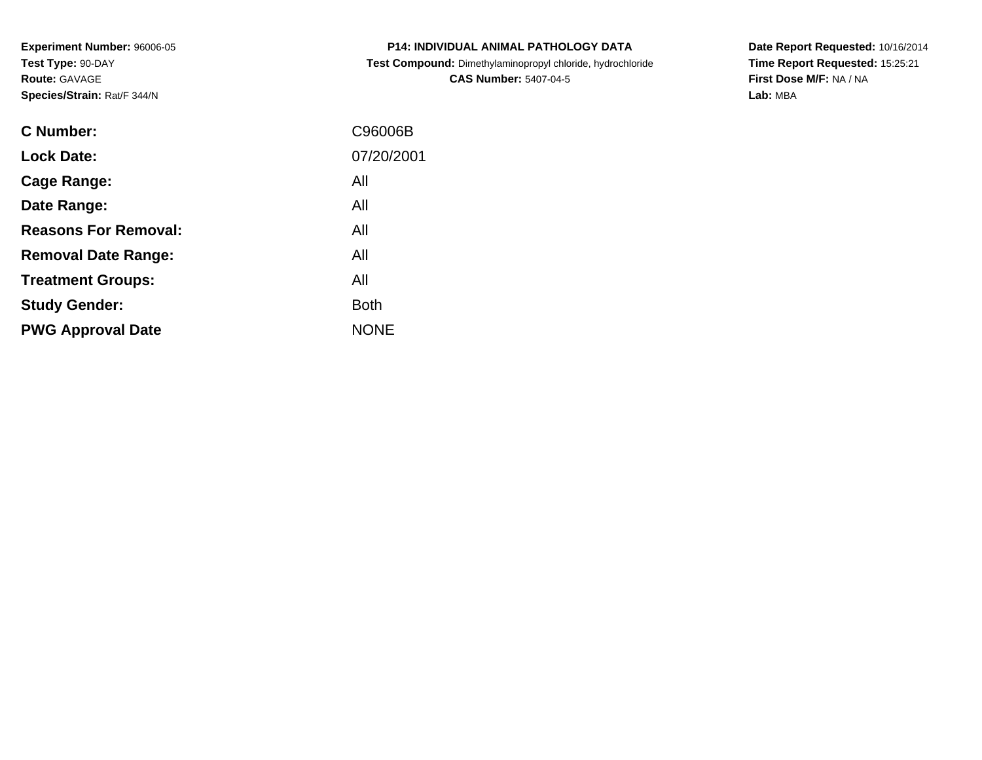**Experiment Number:** 96006-05**Test Type:** 90-DAY**Route:** GAVAGE**Species/Strain:** Rat/F 344/N

| <b>P14: INDIVIDUAL ANIMAL PATHOLOGY DATA</b>               |
|------------------------------------------------------------|
| Test Compound: Dimethylaminopropyl chloride, hydrochloride |
| <b>CAS Number: 5407-04-5</b>                               |

**Date Report Requested:** 10/16/2014 **Time Report Requested:** 15:25:21**First Dose M/F:** NA / NA**Lab:** MBA

| C Number:                   | C96006B     |
|-----------------------------|-------------|
| <b>Lock Date:</b>           | 07/20/2001  |
| Cage Range:                 | All         |
| Date Range:                 | All         |
| <b>Reasons For Removal:</b> | All         |
| <b>Removal Date Range:</b>  | All         |
| <b>Treatment Groups:</b>    | All         |
| <b>Study Gender:</b>        | <b>Both</b> |
| <b>PWG Approval Date</b>    | <b>NONE</b> |
|                             |             |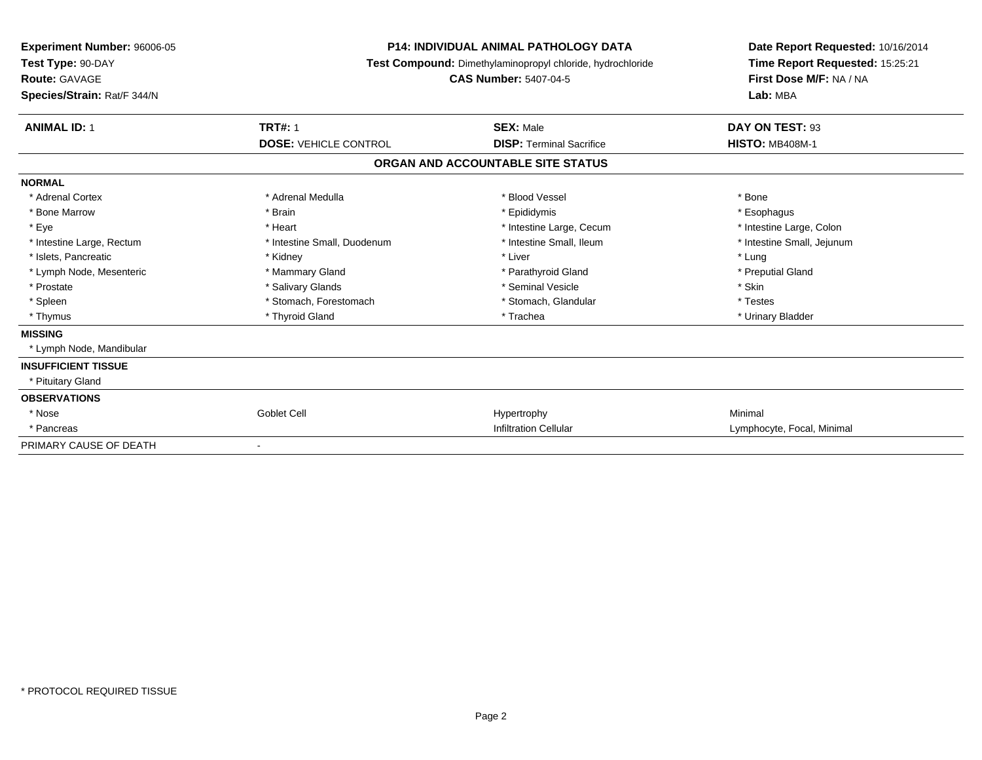| <b>Experiment Number: 96006-05</b><br>Test Type: 90-DAY<br><b>Route: GAVAGE</b><br>Species/Strain: Rat/F 344/N | <b>P14: INDIVIDUAL ANIMAL PATHOLOGY DATA</b><br>Test Compound: Dimethylaminopropyl chloride, hydrochloride<br><b>CAS Number: 5407-04-5</b> |                                   | Date Report Requested: 10/16/2014<br>Time Report Requested: 15:25:21<br>First Dose M/F: NA / NA<br>Lab: MBA |
|----------------------------------------------------------------------------------------------------------------|--------------------------------------------------------------------------------------------------------------------------------------------|-----------------------------------|-------------------------------------------------------------------------------------------------------------|
| <b>ANIMAL ID: 1</b>                                                                                            | <b>TRT#: 1</b>                                                                                                                             | <b>SEX: Male</b>                  | DAY ON TEST: 93                                                                                             |
|                                                                                                                | <b>DOSE: VEHICLE CONTROL</b>                                                                                                               | <b>DISP: Terminal Sacrifice</b>   | <b>HISTO: MB408M-1</b>                                                                                      |
|                                                                                                                |                                                                                                                                            | ORGAN AND ACCOUNTABLE SITE STATUS |                                                                                                             |
| <b>NORMAL</b>                                                                                                  |                                                                                                                                            |                                   |                                                                                                             |
| * Adrenal Cortex                                                                                               | * Adrenal Medulla                                                                                                                          | * Blood Vessel                    | * Bone                                                                                                      |
| * Bone Marrow                                                                                                  | * Brain                                                                                                                                    | * Epididymis                      | * Esophagus                                                                                                 |
| * Eye                                                                                                          | * Heart                                                                                                                                    | * Intestine Large, Cecum          | * Intestine Large, Colon                                                                                    |
| * Intestine Large, Rectum                                                                                      | * Intestine Small, Duodenum                                                                                                                | * Intestine Small, Ileum          | * Intestine Small, Jejunum                                                                                  |
| * Islets, Pancreatic                                                                                           | * Kidney                                                                                                                                   | * Liver                           | * Lung                                                                                                      |
| * Lymph Node, Mesenteric                                                                                       | * Mammary Gland                                                                                                                            | * Parathyroid Gland               | * Preputial Gland                                                                                           |
| * Prostate                                                                                                     | * Salivary Glands                                                                                                                          | * Seminal Vesicle                 | * Skin                                                                                                      |
| * Spleen                                                                                                       | * Stomach, Forestomach                                                                                                                     | * Stomach, Glandular              | * Testes                                                                                                    |
| * Thymus                                                                                                       | * Thyroid Gland                                                                                                                            | * Trachea                         | * Urinary Bladder                                                                                           |
| <b>MISSING</b>                                                                                                 |                                                                                                                                            |                                   |                                                                                                             |
| * Lymph Node, Mandibular                                                                                       |                                                                                                                                            |                                   |                                                                                                             |
| <b>INSUFFICIENT TISSUE</b>                                                                                     |                                                                                                                                            |                                   |                                                                                                             |
| * Pituitary Gland                                                                                              |                                                                                                                                            |                                   |                                                                                                             |
| <b>OBSERVATIONS</b>                                                                                            |                                                                                                                                            |                                   |                                                                                                             |
| * Nose                                                                                                         | Goblet Cell                                                                                                                                | Hypertrophy                       | Minimal                                                                                                     |
| * Pancreas                                                                                                     |                                                                                                                                            | <b>Infiltration Cellular</b>      | Lymphocyte, Focal, Minimal                                                                                  |
| PRIMARY CAUSE OF DEATH                                                                                         |                                                                                                                                            |                                   |                                                                                                             |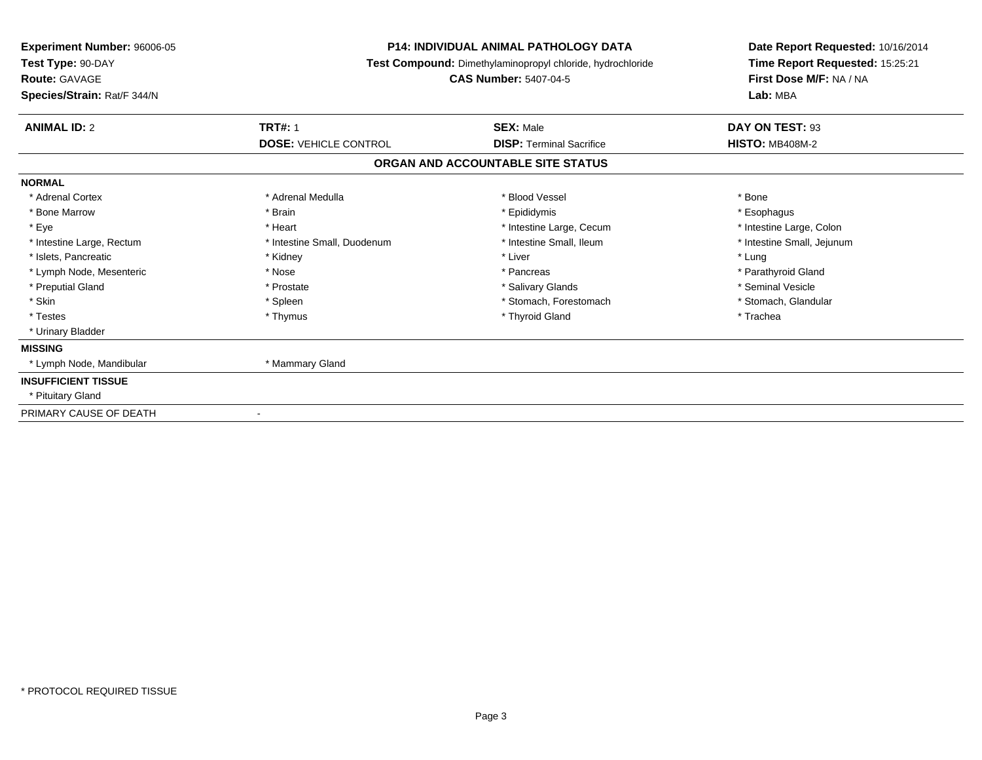| <b>Experiment Number: 96006-05</b><br>Test Type: 90-DAY<br><b>Route: GAVAGE</b><br>Species/Strain: Rat/F 344/N | <b>P14: INDIVIDUAL ANIMAL PATHOLOGY DATA</b><br>Test Compound: Dimethylaminopropyl chloride, hydrochloride<br><b>CAS Number: 5407-04-5</b> |                                   | Date Report Requested: 10/16/2014<br>Time Report Requested: 15:25:21<br>First Dose M/F: NA / NA<br>Lab: MBA |
|----------------------------------------------------------------------------------------------------------------|--------------------------------------------------------------------------------------------------------------------------------------------|-----------------------------------|-------------------------------------------------------------------------------------------------------------|
| <b>ANIMAL ID: 2</b>                                                                                            | <b>TRT#: 1</b>                                                                                                                             | <b>SEX: Male</b>                  | DAY ON TEST: 93                                                                                             |
|                                                                                                                | <b>DOSE: VEHICLE CONTROL</b>                                                                                                               | <b>DISP: Terminal Sacrifice</b>   | <b>HISTO: MB408M-2</b>                                                                                      |
|                                                                                                                |                                                                                                                                            | ORGAN AND ACCOUNTABLE SITE STATUS |                                                                                                             |
| <b>NORMAL</b>                                                                                                  |                                                                                                                                            |                                   |                                                                                                             |
| * Adrenal Cortex                                                                                               | * Adrenal Medulla                                                                                                                          | * Blood Vessel                    | * Bone                                                                                                      |
| * Bone Marrow                                                                                                  | * Brain                                                                                                                                    | * Epididymis                      | * Esophagus                                                                                                 |
| * Eye                                                                                                          | * Heart                                                                                                                                    | * Intestine Large, Cecum          | * Intestine Large, Colon                                                                                    |
| * Intestine Large, Rectum                                                                                      | * Intestine Small, Duodenum                                                                                                                | * Intestine Small, Ileum          | * Intestine Small, Jejunum                                                                                  |
| * Islets, Pancreatic                                                                                           | * Kidney                                                                                                                                   | * Liver                           | * Lung                                                                                                      |
| * Lymph Node, Mesenteric                                                                                       | * Nose                                                                                                                                     | * Pancreas                        | * Parathyroid Gland                                                                                         |
| * Preputial Gland                                                                                              | * Prostate                                                                                                                                 | * Salivary Glands                 | * Seminal Vesicle                                                                                           |
| * Skin                                                                                                         | * Spleen                                                                                                                                   | * Stomach, Forestomach            | * Stomach, Glandular                                                                                        |
| * Testes                                                                                                       | * Thymus                                                                                                                                   | * Thyroid Gland                   | * Trachea                                                                                                   |
| * Urinary Bladder                                                                                              |                                                                                                                                            |                                   |                                                                                                             |
| <b>MISSING</b>                                                                                                 |                                                                                                                                            |                                   |                                                                                                             |
| * Lymph Node, Mandibular                                                                                       | * Mammary Gland                                                                                                                            |                                   |                                                                                                             |
| <b>INSUFFICIENT TISSUE</b>                                                                                     |                                                                                                                                            |                                   |                                                                                                             |
| * Pituitary Gland                                                                                              |                                                                                                                                            |                                   |                                                                                                             |
| PRIMARY CAUSE OF DEATH                                                                                         |                                                                                                                                            |                                   |                                                                                                             |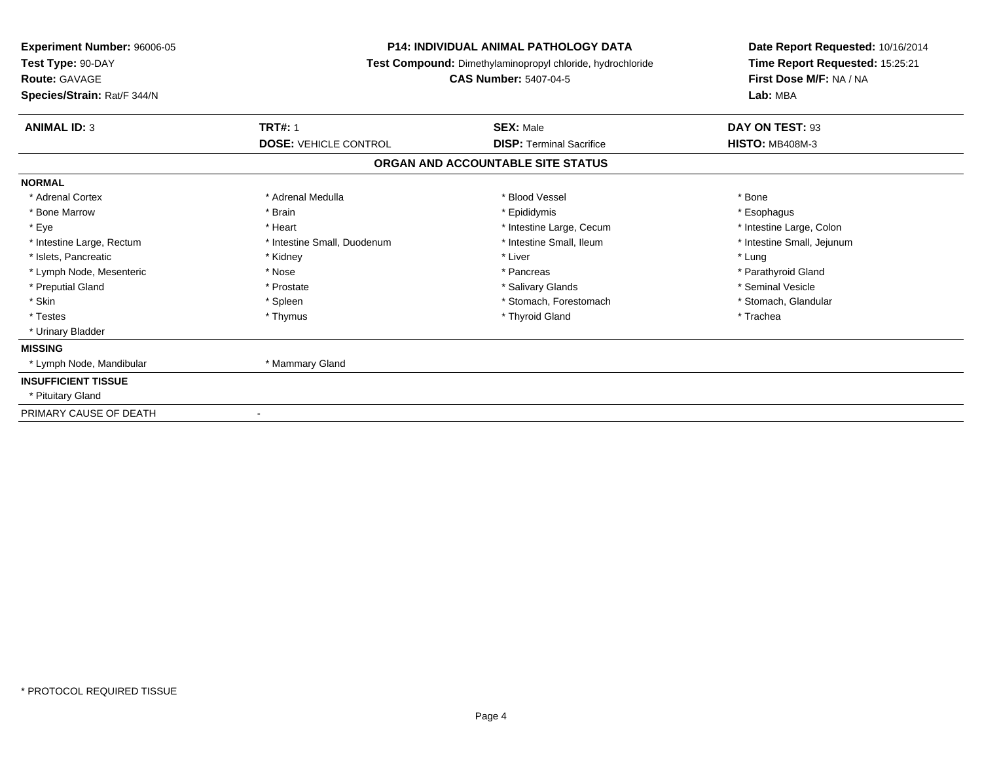| <b>Experiment Number: 96006-05</b><br>Test Type: 90-DAY<br><b>Route: GAVAGE</b><br>Species/Strain: Rat/F 344/N | <b>P14: INDIVIDUAL ANIMAL PATHOLOGY DATA</b><br>Test Compound: Dimethylaminopropyl chloride, hydrochloride<br><b>CAS Number: 5407-04-5</b> |                                   | Date Report Requested: 10/16/2014<br>Time Report Requested: 15:25:21<br>First Dose M/F: NA / NA<br>Lab: MBA |
|----------------------------------------------------------------------------------------------------------------|--------------------------------------------------------------------------------------------------------------------------------------------|-----------------------------------|-------------------------------------------------------------------------------------------------------------|
| <b>ANIMAL ID: 3</b>                                                                                            | <b>TRT#: 1</b>                                                                                                                             | <b>SEX: Male</b>                  | DAY ON TEST: 93                                                                                             |
|                                                                                                                | <b>DOSE: VEHICLE CONTROL</b>                                                                                                               | <b>DISP: Terminal Sacrifice</b>   | <b>HISTO: MB408M-3</b>                                                                                      |
|                                                                                                                |                                                                                                                                            | ORGAN AND ACCOUNTABLE SITE STATUS |                                                                                                             |
| <b>NORMAL</b>                                                                                                  |                                                                                                                                            |                                   |                                                                                                             |
| * Adrenal Cortex                                                                                               | * Adrenal Medulla                                                                                                                          | * Blood Vessel                    | * Bone                                                                                                      |
| * Bone Marrow                                                                                                  | * Brain                                                                                                                                    | * Epididymis                      | * Esophagus                                                                                                 |
| * Eve                                                                                                          | * Heart                                                                                                                                    | * Intestine Large, Cecum          | * Intestine Large, Colon                                                                                    |
| * Intestine Large, Rectum                                                                                      | * Intestine Small, Duodenum                                                                                                                | * Intestine Small, Ileum          | * Intestine Small, Jejunum                                                                                  |
| * Islets, Pancreatic                                                                                           | * Kidney                                                                                                                                   | * Liver                           | * Lung                                                                                                      |
| * Lymph Node, Mesenteric                                                                                       | * Nose                                                                                                                                     | * Pancreas                        | * Parathyroid Gland                                                                                         |
| * Preputial Gland                                                                                              | * Prostate                                                                                                                                 | * Salivary Glands                 | * Seminal Vesicle                                                                                           |
| * Skin                                                                                                         | * Spleen                                                                                                                                   | * Stomach, Forestomach            | * Stomach, Glandular                                                                                        |
| * Testes                                                                                                       | * Thymus                                                                                                                                   | * Thyroid Gland                   | * Trachea                                                                                                   |
| * Urinary Bladder                                                                                              |                                                                                                                                            |                                   |                                                                                                             |
| <b>MISSING</b>                                                                                                 |                                                                                                                                            |                                   |                                                                                                             |
| * Lymph Node, Mandibular                                                                                       | * Mammary Gland                                                                                                                            |                                   |                                                                                                             |
| <b>INSUFFICIENT TISSUE</b>                                                                                     |                                                                                                                                            |                                   |                                                                                                             |
| * Pituitary Gland                                                                                              |                                                                                                                                            |                                   |                                                                                                             |
| PRIMARY CAUSE OF DEATH                                                                                         |                                                                                                                                            |                                   |                                                                                                             |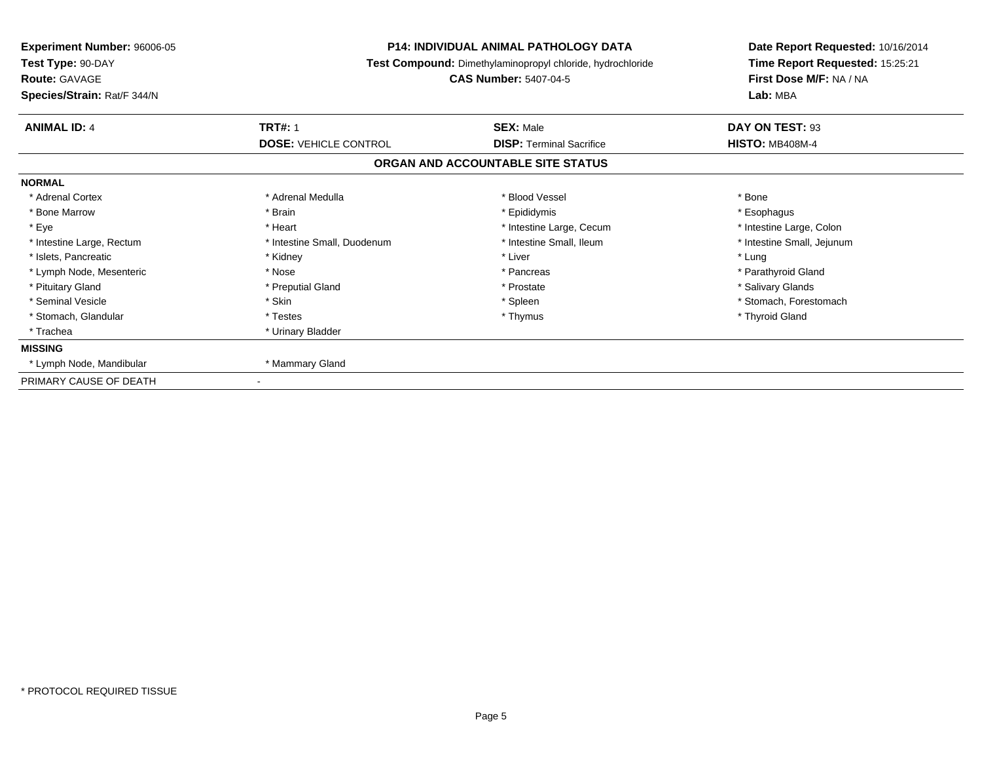| <b>Experiment Number: 96006-05</b><br>Test Type: 90-DAY<br><b>Route: GAVAGE</b><br>Species/Strain: Rat/F 344/N | <b>P14: INDIVIDUAL ANIMAL PATHOLOGY DATA</b><br>Test Compound: Dimethylaminopropyl chloride, hydrochloride<br><b>CAS Number: 5407-04-5</b> |                                                     | Date Report Requested: 10/16/2014<br>Time Report Requested: 15:25:21<br>First Dose M/F: NA / NA<br>Lab: MBA |
|----------------------------------------------------------------------------------------------------------------|--------------------------------------------------------------------------------------------------------------------------------------------|-----------------------------------------------------|-------------------------------------------------------------------------------------------------------------|
| <b>ANIMAL ID: 4</b>                                                                                            | <b>TRT#: 1</b><br><b>DOSE: VEHICLE CONTROL</b>                                                                                             | <b>SEX: Male</b><br><b>DISP: Terminal Sacrifice</b> | DAY ON TEST: 93<br><b>HISTO: MB408M-4</b>                                                                   |
|                                                                                                                |                                                                                                                                            | ORGAN AND ACCOUNTABLE SITE STATUS                   |                                                                                                             |
| <b>NORMAL</b>                                                                                                  |                                                                                                                                            |                                                     |                                                                                                             |
| * Adrenal Cortex                                                                                               | * Adrenal Medulla                                                                                                                          | * Blood Vessel                                      | * Bone                                                                                                      |
| * Bone Marrow                                                                                                  | * Brain                                                                                                                                    | * Epididymis                                        | * Esophagus                                                                                                 |
| * Eye                                                                                                          | * Heart                                                                                                                                    | * Intestine Large, Cecum                            | * Intestine Large, Colon                                                                                    |
| * Intestine Large, Rectum                                                                                      | * Intestine Small, Duodenum                                                                                                                | * Intestine Small, Ileum                            | * Intestine Small, Jejunum                                                                                  |
| * Islets, Pancreatic                                                                                           | * Kidney                                                                                                                                   | * Liver                                             | * Lung                                                                                                      |
| * Lymph Node, Mesenteric                                                                                       | * Nose                                                                                                                                     | * Pancreas                                          | * Parathyroid Gland                                                                                         |
| * Pituitary Gland                                                                                              | * Preputial Gland                                                                                                                          | * Prostate                                          | * Salivary Glands                                                                                           |
| * Seminal Vesicle                                                                                              | * Skin                                                                                                                                     | * Spleen                                            | * Stomach. Forestomach                                                                                      |
| * Stomach, Glandular                                                                                           | * Testes                                                                                                                                   | * Thymus                                            | * Thyroid Gland                                                                                             |
| * Trachea                                                                                                      | * Urinary Bladder                                                                                                                          |                                                     |                                                                                                             |
| <b>MISSING</b>                                                                                                 |                                                                                                                                            |                                                     |                                                                                                             |
| * Lymph Node, Mandibular                                                                                       | * Mammary Gland                                                                                                                            |                                                     |                                                                                                             |
| PRIMARY CAUSE OF DEATH                                                                                         |                                                                                                                                            |                                                     |                                                                                                             |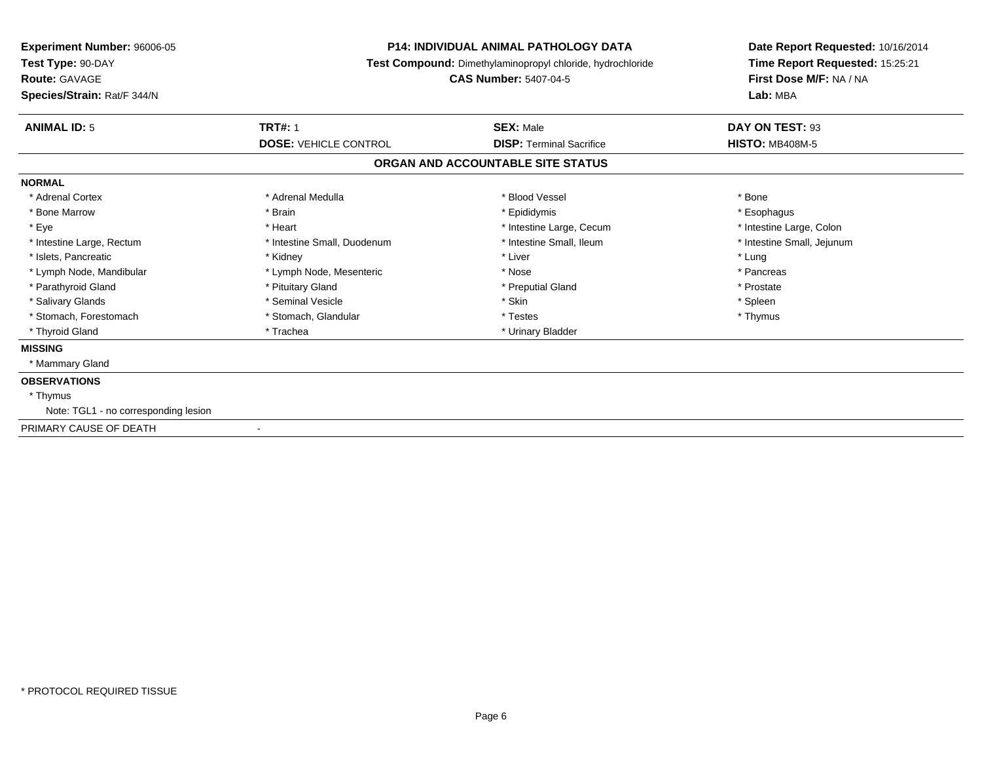| Species/Strain: Rat/F 344/N                              |                                   |                          | Lab: MBA                   |
|----------------------------------------------------------|-----------------------------------|--------------------------|----------------------------|
| <b>TRT#: 1</b><br><b>ANIMAL ID: 5</b>                    | <b>SEX: Male</b>                  |                          | DAY ON TEST: 93            |
| <b>DOSE: VEHICLE CONTROL</b>                             | <b>DISP: Terminal Sacrifice</b>   |                          | <b>HISTO: MB408M-5</b>     |
|                                                          | ORGAN AND ACCOUNTABLE SITE STATUS |                          |                            |
| <b>NORMAL</b>                                            |                                   |                          |                            |
| * Adrenal Cortex<br>* Adrenal Medulla                    | * Blood Vessel                    |                          | * Bone                     |
| * Brain<br>* Bone Marrow                                 | * Epididymis                      |                          | * Esophagus                |
| * Eye<br>* Heart                                         |                                   | * Intestine Large, Cecum | * Intestine Large, Colon   |
| * Intestine Large, Rectum<br>* Intestine Small, Duodenum |                                   | * Intestine Small, Ileum | * Intestine Small, Jejunum |
| * Islets, Pancreatic<br>* Kidney                         | * Liver                           |                          | * Lung                     |
| * Lymph Node, Mandibular<br>* Lymph Node, Mesenteric     | * Nose                            |                          | * Pancreas                 |
| * Parathyroid Gland<br>* Pituitary Gland                 | * Preputial Gland                 |                          | * Prostate                 |
| * Salivary Glands<br>* Seminal Vesicle                   | * Skin                            |                          | * Spleen                   |
| * Stomach, Forestomach<br>* Stomach, Glandular           | * Testes                          |                          | * Thymus                   |
| * Thyroid Gland<br>* Trachea                             | * Urinary Bladder                 |                          |                            |
| <b>MISSING</b>                                           |                                   |                          |                            |
| * Mammary Gland                                          |                                   |                          |                            |
| <b>OBSERVATIONS</b>                                      |                                   |                          |                            |
| * Thymus                                                 |                                   |                          |                            |
| Note: TGL1 - no corresponding lesion                     |                                   |                          |                            |
| PRIMARY CAUSE OF DEATH<br>$\blacksquare$                 |                                   |                          |                            |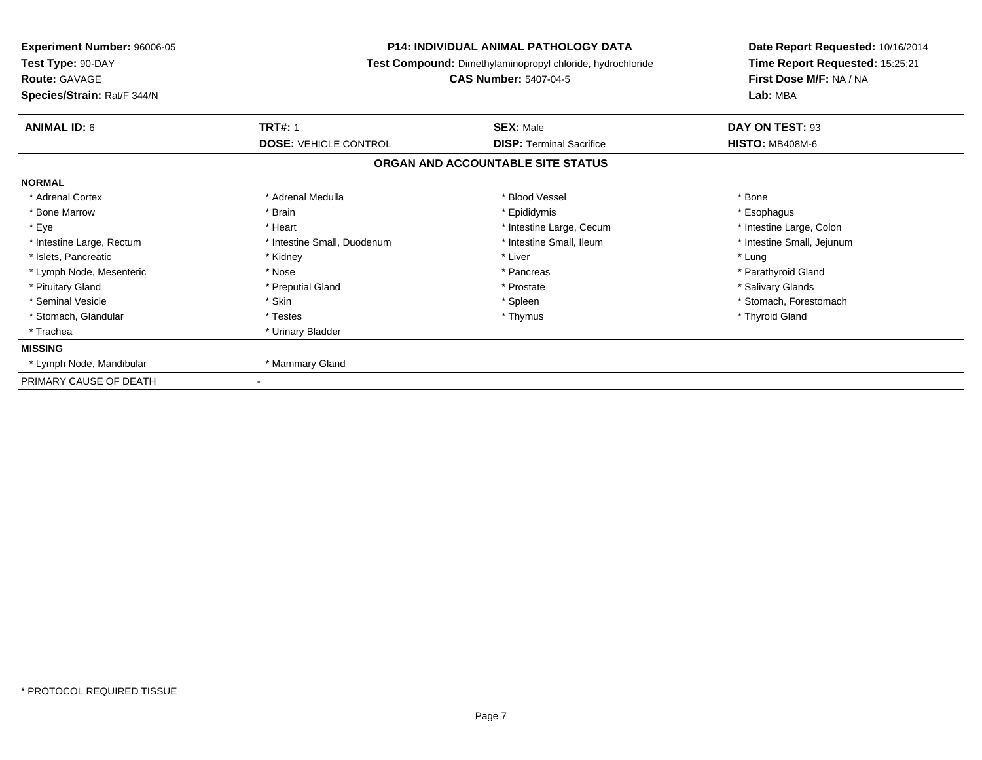| <b>Experiment Number: 96006-05</b><br>Test Type: 90-DAY<br><b>Route: GAVAGE</b><br>Species/Strain: Rat/F 344/N | <b>P14: INDIVIDUAL ANIMAL PATHOLOGY DATA</b><br>Test Compound: Dimethylaminopropyl chloride, hydrochloride<br><b>CAS Number: 5407-04-5</b> |                                                     | Date Report Requested: 10/16/2014<br>Time Report Requested: 15:25:21<br>First Dose M/F: NA / NA<br>Lab: MBA |
|----------------------------------------------------------------------------------------------------------------|--------------------------------------------------------------------------------------------------------------------------------------------|-----------------------------------------------------|-------------------------------------------------------------------------------------------------------------|
| <b>ANIMAL ID: 6</b>                                                                                            | <b>TRT#: 1</b><br><b>DOSE: VEHICLE CONTROL</b>                                                                                             | <b>SEX: Male</b><br><b>DISP: Terminal Sacrifice</b> | DAY ON TEST: 93<br><b>HISTO: MB408M-6</b>                                                                   |
|                                                                                                                |                                                                                                                                            | ORGAN AND ACCOUNTABLE SITE STATUS                   |                                                                                                             |
| <b>NORMAL</b>                                                                                                  |                                                                                                                                            |                                                     |                                                                                                             |
| * Adrenal Cortex                                                                                               | * Adrenal Medulla                                                                                                                          | * Blood Vessel                                      | * Bone                                                                                                      |
| * Bone Marrow                                                                                                  | * Brain                                                                                                                                    | * Epididymis                                        | * Esophagus                                                                                                 |
| * Eye                                                                                                          | * Heart                                                                                                                                    | * Intestine Large, Cecum                            | * Intestine Large, Colon                                                                                    |
| * Intestine Large, Rectum                                                                                      | * Intestine Small, Duodenum                                                                                                                | * Intestine Small, Ileum                            | * Intestine Small, Jejunum                                                                                  |
| * Islets, Pancreatic                                                                                           | * Kidney                                                                                                                                   | * Liver                                             | * Lung                                                                                                      |
| * Lymph Node, Mesenteric                                                                                       | * Nose                                                                                                                                     | * Pancreas                                          | * Parathyroid Gland                                                                                         |
| * Pituitary Gland                                                                                              | * Preputial Gland                                                                                                                          | * Prostate                                          | * Salivary Glands                                                                                           |
| * Seminal Vesicle                                                                                              | * Skin                                                                                                                                     | * Spleen                                            | * Stomach, Forestomach                                                                                      |
| * Stomach, Glandular                                                                                           | * Testes                                                                                                                                   | * Thymus                                            | * Thyroid Gland                                                                                             |
| * Trachea                                                                                                      | * Urinary Bladder                                                                                                                          |                                                     |                                                                                                             |
| <b>MISSING</b>                                                                                                 |                                                                                                                                            |                                                     |                                                                                                             |
| * Lymph Node, Mandibular                                                                                       | * Mammary Gland                                                                                                                            |                                                     |                                                                                                             |
| PRIMARY CAUSE OF DEATH                                                                                         |                                                                                                                                            |                                                     |                                                                                                             |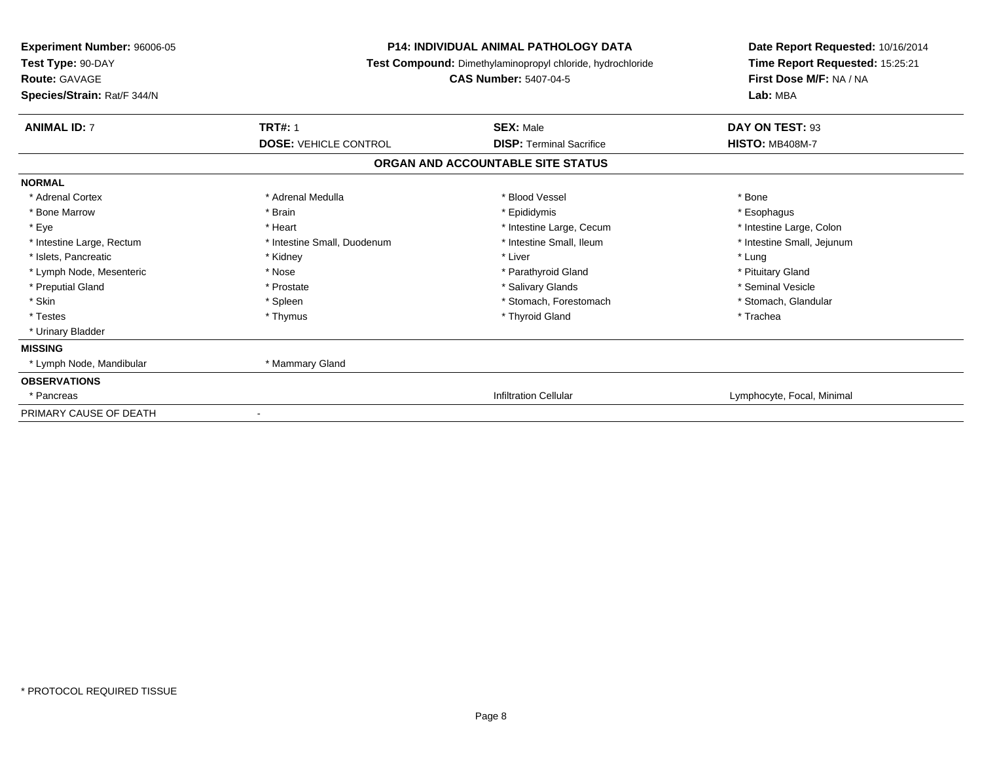| <b>Experiment Number: 96006-05</b><br>Test Type: 90-DAY<br><b>Route: GAVAGE</b><br>Species/Strain: Rat/F 344/N | <b>P14: INDIVIDUAL ANIMAL PATHOLOGY DATA</b><br>Test Compound: Dimethylaminopropyl chloride, hydrochloride<br><b>CAS Number: 5407-04-5</b> |                                   | Date Report Requested: 10/16/2014<br>Time Report Requested: 15:25:21<br>First Dose M/F: NA / NA<br>Lab: MBA |
|----------------------------------------------------------------------------------------------------------------|--------------------------------------------------------------------------------------------------------------------------------------------|-----------------------------------|-------------------------------------------------------------------------------------------------------------|
| <b>ANIMAL ID: 7</b>                                                                                            | <b>TRT#: 1</b>                                                                                                                             | <b>SEX: Male</b>                  | DAY ON TEST: 93                                                                                             |
|                                                                                                                | <b>DOSE: VEHICLE CONTROL</b>                                                                                                               | <b>DISP: Terminal Sacrifice</b>   | <b>HISTO: MB408M-7</b>                                                                                      |
|                                                                                                                |                                                                                                                                            | ORGAN AND ACCOUNTABLE SITE STATUS |                                                                                                             |
| <b>NORMAL</b>                                                                                                  |                                                                                                                                            |                                   |                                                                                                             |
| * Adrenal Cortex                                                                                               | * Adrenal Medulla                                                                                                                          | * Blood Vessel                    | * Bone                                                                                                      |
| * Bone Marrow                                                                                                  | * Brain                                                                                                                                    | * Epididymis                      | * Esophagus                                                                                                 |
| * Eye                                                                                                          | * Heart                                                                                                                                    | * Intestine Large, Cecum          | * Intestine Large, Colon                                                                                    |
| * Intestine Large, Rectum                                                                                      | * Intestine Small, Duodenum                                                                                                                | * Intestine Small, Ileum          | * Intestine Small, Jejunum                                                                                  |
| * Islets, Pancreatic                                                                                           | * Kidney                                                                                                                                   | * Liver                           | * Lung                                                                                                      |
| * Lymph Node, Mesenteric                                                                                       | * Nose                                                                                                                                     | * Parathyroid Gland               | * Pituitary Gland                                                                                           |
| * Preputial Gland                                                                                              | * Prostate                                                                                                                                 | * Salivary Glands                 | * Seminal Vesicle                                                                                           |
| * Skin                                                                                                         | * Spleen                                                                                                                                   | * Stomach, Forestomach            | * Stomach, Glandular                                                                                        |
| * Testes                                                                                                       | * Thymus                                                                                                                                   | * Thyroid Gland                   | * Trachea                                                                                                   |
| * Urinary Bladder                                                                                              |                                                                                                                                            |                                   |                                                                                                             |
| <b>MISSING</b>                                                                                                 |                                                                                                                                            |                                   |                                                                                                             |
| * Lymph Node, Mandibular                                                                                       | * Mammary Gland                                                                                                                            |                                   |                                                                                                             |
| <b>OBSERVATIONS</b>                                                                                            |                                                                                                                                            |                                   |                                                                                                             |
| * Pancreas                                                                                                     |                                                                                                                                            | <b>Infiltration Cellular</b>      | Lymphocyte, Focal, Minimal                                                                                  |
| PRIMARY CAUSE OF DEATH                                                                                         |                                                                                                                                            |                                   |                                                                                                             |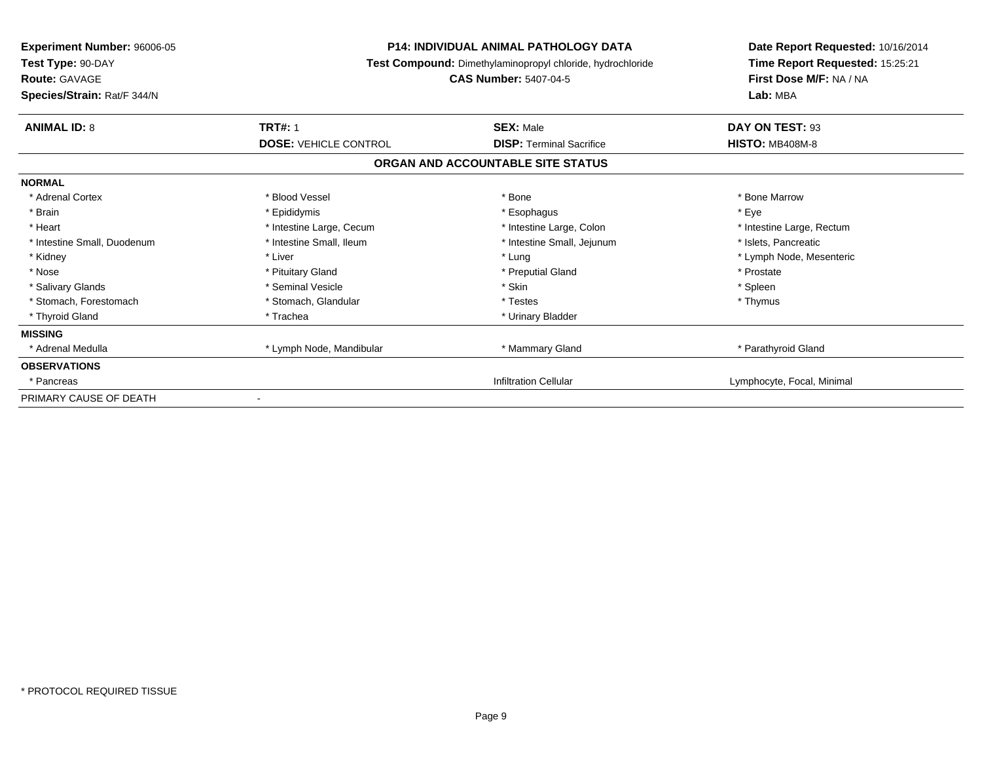| Experiment Number: 96006-05<br>Test Type: 90-DAY<br><b>Route: GAVAGE</b><br>Species/Strain: Rat/F 344/N | <b>P14: INDIVIDUAL ANIMAL PATHOLOGY DATA</b><br>Test Compound: Dimethylaminopropyl chloride, hydrochloride<br><b>CAS Number: 5407-04-5</b> |                                                                      | Date Report Requested: 10/16/2014<br>Time Report Requested: 15:25:21<br>First Dose M/F: NA / NA<br>Lab: MBA |
|---------------------------------------------------------------------------------------------------------|--------------------------------------------------------------------------------------------------------------------------------------------|----------------------------------------------------------------------|-------------------------------------------------------------------------------------------------------------|
| <b>ANIMAL ID: 8</b>                                                                                     | <b>TRT#: 1</b>                                                                                                                             | <b>SEX: Male</b>                                                     | DAY ON TEST: 93                                                                                             |
|                                                                                                         | <b>DOSE: VEHICLE CONTROL</b>                                                                                                               | <b>DISP: Terminal Sacrifice</b><br>ORGAN AND ACCOUNTABLE SITE STATUS | <b>HISTO: MB408M-8</b>                                                                                      |
| <b>NORMAL</b>                                                                                           |                                                                                                                                            |                                                                      |                                                                                                             |
| * Adrenal Cortex                                                                                        | * Blood Vessel                                                                                                                             | * Bone                                                               | * Bone Marrow                                                                                               |
| * Brain                                                                                                 | * Epididymis                                                                                                                               | * Esophagus                                                          | * Eye                                                                                                       |
| * Heart                                                                                                 | * Intestine Large, Cecum                                                                                                                   | * Intestine Large, Colon                                             | * Intestine Large, Rectum                                                                                   |
| * Intestine Small, Duodenum                                                                             | * Intestine Small, Ileum                                                                                                                   | * Intestine Small, Jejunum                                           | * Islets, Pancreatic                                                                                        |
| * Kidney                                                                                                | * Liver                                                                                                                                    | * Lung                                                               | * Lymph Node, Mesenteric                                                                                    |
| * Nose                                                                                                  | * Pituitary Gland                                                                                                                          | * Preputial Gland                                                    | * Prostate                                                                                                  |
| * Salivary Glands                                                                                       | * Seminal Vesicle                                                                                                                          | * Skin                                                               | * Spleen                                                                                                    |
| * Stomach, Forestomach                                                                                  | * Stomach, Glandular                                                                                                                       | * Testes                                                             | * Thymus                                                                                                    |
| * Thyroid Gland                                                                                         | * Trachea                                                                                                                                  | * Urinary Bladder                                                    |                                                                                                             |
| <b>MISSING</b>                                                                                          |                                                                                                                                            |                                                                      |                                                                                                             |
| * Adrenal Medulla                                                                                       | * Lymph Node, Mandibular                                                                                                                   | * Mammary Gland                                                      | * Parathyroid Gland                                                                                         |
| <b>OBSERVATIONS</b>                                                                                     |                                                                                                                                            |                                                                      |                                                                                                             |
| * Pancreas                                                                                              |                                                                                                                                            | <b>Infiltration Cellular</b>                                         | Lymphocyte, Focal, Minimal                                                                                  |
| PRIMARY CAUSE OF DEATH                                                                                  |                                                                                                                                            |                                                                      |                                                                                                             |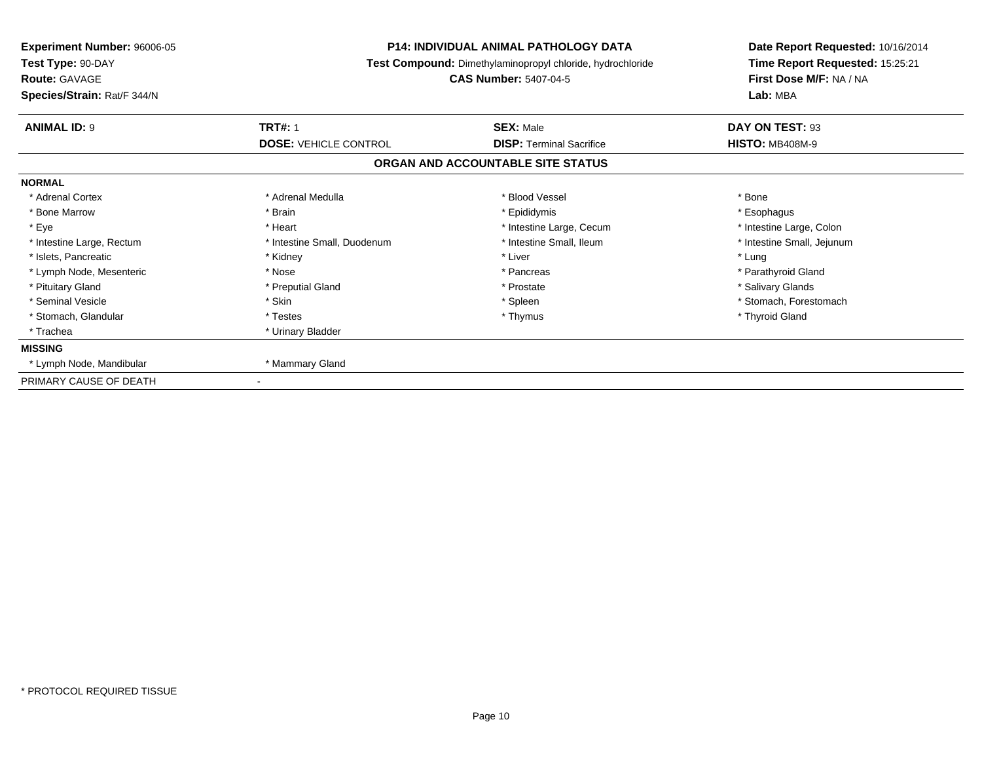| <b>Experiment Number: 96006-05</b><br>Test Type: 90-DAY<br><b>Route: GAVAGE</b><br>Species/Strain: Rat/F 344/N | <b>P14: INDIVIDUAL ANIMAL PATHOLOGY DATA</b><br>Test Compound: Dimethylaminopropyl chloride, hydrochloride<br><b>CAS Number: 5407-04-5</b> |                                                     | Date Report Requested: 10/16/2014<br>Time Report Requested: 15:25:21<br>First Dose M/F: NA / NA<br>Lab: MBA |
|----------------------------------------------------------------------------------------------------------------|--------------------------------------------------------------------------------------------------------------------------------------------|-----------------------------------------------------|-------------------------------------------------------------------------------------------------------------|
| <b>ANIMAL ID: 9</b>                                                                                            | <b>TRT#: 1</b><br><b>DOSE: VEHICLE CONTROL</b>                                                                                             | <b>SEX: Male</b><br><b>DISP: Terminal Sacrifice</b> | DAY ON TEST: 93<br><b>HISTO: MB408M-9</b>                                                                   |
|                                                                                                                |                                                                                                                                            | ORGAN AND ACCOUNTABLE SITE STATUS                   |                                                                                                             |
| <b>NORMAL</b>                                                                                                  |                                                                                                                                            |                                                     |                                                                                                             |
| * Adrenal Cortex                                                                                               | * Adrenal Medulla                                                                                                                          | * Blood Vessel                                      | * Bone                                                                                                      |
| * Bone Marrow                                                                                                  | * Brain                                                                                                                                    | * Epididymis                                        | * Esophagus                                                                                                 |
| * Eye                                                                                                          | * Heart                                                                                                                                    | * Intestine Large, Cecum                            | * Intestine Large, Colon                                                                                    |
| * Intestine Large, Rectum                                                                                      | * Intestine Small, Duodenum                                                                                                                | * Intestine Small, Ileum                            | * Intestine Small, Jejunum                                                                                  |
| * Islets, Pancreatic                                                                                           | * Kidney                                                                                                                                   | * Liver                                             | * Lung                                                                                                      |
| * Lymph Node, Mesenteric                                                                                       | * Nose                                                                                                                                     | * Pancreas                                          | * Parathyroid Gland                                                                                         |
| * Pituitary Gland                                                                                              | * Preputial Gland                                                                                                                          | * Prostate                                          | * Salivary Glands                                                                                           |
| * Seminal Vesicle                                                                                              | * Skin                                                                                                                                     | * Spleen                                            | * Stomach. Forestomach                                                                                      |
| * Stomach, Glandular                                                                                           | * Testes                                                                                                                                   | * Thymus                                            | * Thyroid Gland                                                                                             |
| * Trachea                                                                                                      | * Urinary Bladder                                                                                                                          |                                                     |                                                                                                             |
| <b>MISSING</b>                                                                                                 |                                                                                                                                            |                                                     |                                                                                                             |
| * Lymph Node, Mandibular                                                                                       | * Mammary Gland                                                                                                                            |                                                     |                                                                                                             |
| PRIMARY CAUSE OF DEATH                                                                                         |                                                                                                                                            |                                                     |                                                                                                             |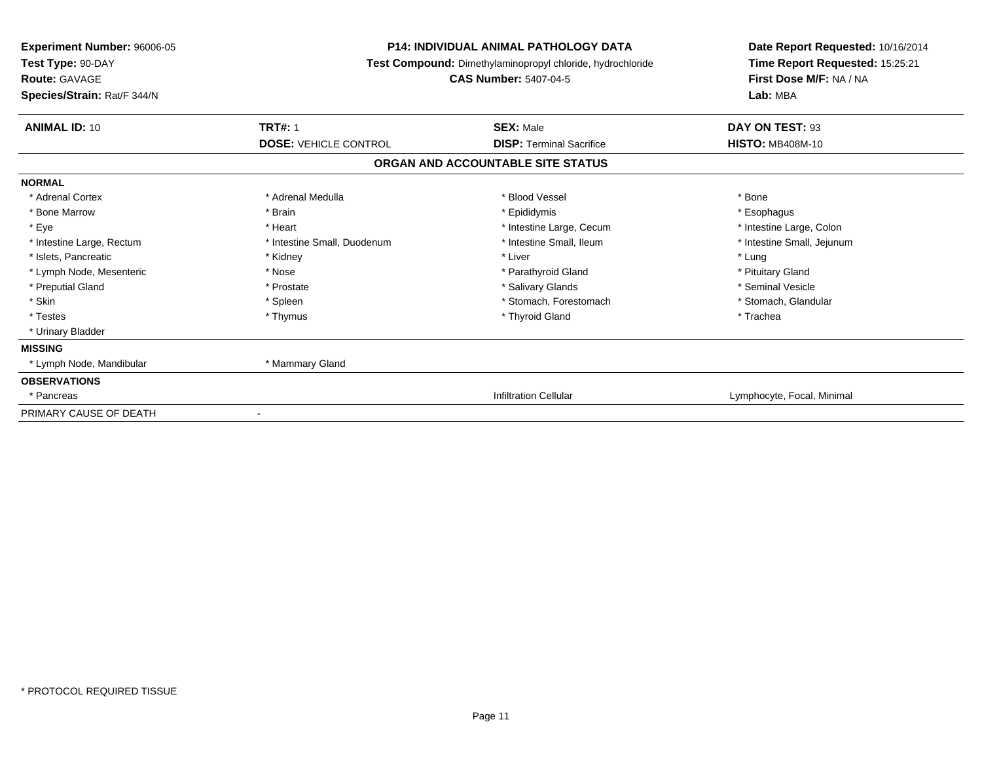| Experiment Number: 96006-05<br>Test Type: 90-DAY<br><b>Route: GAVAGE</b><br>Species/Strain: Rat/F 344/N | <b>P14: INDIVIDUAL ANIMAL PATHOLOGY DATA</b><br>Test Compound: Dimethylaminopropyl chloride, hydrochloride<br><b>CAS Number: 5407-04-5</b> | Date Report Requested: 10/16/2014<br>Time Report Requested: 15:25:21<br>First Dose M/F: NA / NA<br>Lab: MBA |
|---------------------------------------------------------------------------------------------------------|--------------------------------------------------------------------------------------------------------------------------------------------|-------------------------------------------------------------------------------------------------------------|
| <b>TRT#: 1</b><br><b>ANIMAL ID: 10</b>                                                                  | <b>SEX: Male</b>                                                                                                                           | DAY ON TEST: 93                                                                                             |
| <b>DOSE: VEHICLE CONTROL</b>                                                                            | <b>DISP: Terminal Sacrifice</b>                                                                                                            | <b>HISTO: MB408M-10</b>                                                                                     |
|                                                                                                         | ORGAN AND ACCOUNTABLE SITE STATUS                                                                                                          |                                                                                                             |
| <b>NORMAL</b>                                                                                           |                                                                                                                                            |                                                                                                             |
| * Adrenal Cortex<br>* Adrenal Medulla                                                                   | * Blood Vessel                                                                                                                             | * Bone                                                                                                      |
| * Bone Marrow<br>* Brain                                                                                | * Epididymis                                                                                                                               | * Esophagus                                                                                                 |
| * Eye<br>* Heart                                                                                        | * Intestine Large, Cecum                                                                                                                   | * Intestine Large, Colon                                                                                    |
| * Intestine Large, Rectum<br>* Intestine Small, Duodenum                                                | * Intestine Small, Ileum                                                                                                                   | * Intestine Small, Jejunum                                                                                  |
| * Islets, Pancreatic<br>* Kidney                                                                        | * Liver                                                                                                                                    | * Lung                                                                                                      |
| * Lymph Node, Mesenteric<br>* Nose                                                                      | * Parathyroid Gland                                                                                                                        | * Pituitary Gland                                                                                           |
| * Preputial Gland<br>* Prostate                                                                         | * Salivary Glands                                                                                                                          | * Seminal Vesicle                                                                                           |
| * Skin<br>* Spleen                                                                                      | * Stomach, Forestomach                                                                                                                     | * Stomach, Glandular                                                                                        |
| * Testes<br>* Thymus                                                                                    | * Thyroid Gland                                                                                                                            | * Trachea                                                                                                   |
| * Urinary Bladder                                                                                       |                                                                                                                                            |                                                                                                             |
| <b>MISSING</b>                                                                                          |                                                                                                                                            |                                                                                                             |
| * Mammary Gland<br>* Lymph Node, Mandibular                                                             |                                                                                                                                            |                                                                                                             |
| <b>OBSERVATIONS</b>                                                                                     |                                                                                                                                            |                                                                                                             |
| * Pancreas                                                                                              | <b>Infiltration Cellular</b>                                                                                                               | Lymphocyte, Focal, Minimal                                                                                  |
| PRIMARY CAUSE OF DEATH                                                                                  |                                                                                                                                            |                                                                                                             |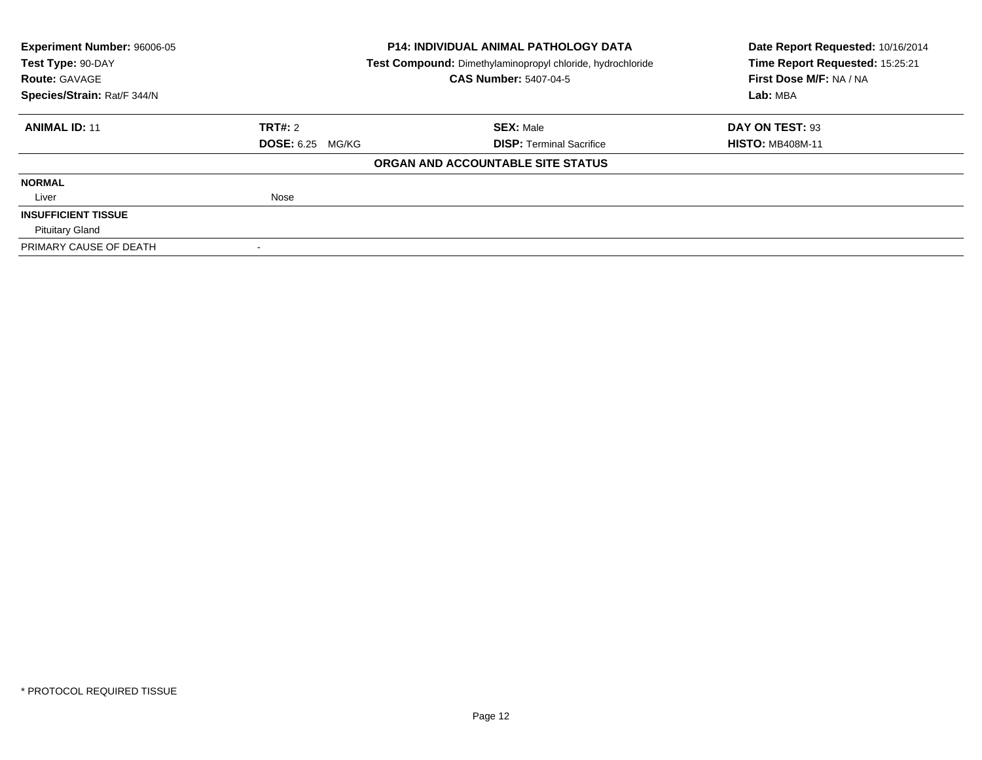| <b>Experiment Number: 96006-05</b> |                                                            | <b>P14: INDIVIDUAL ANIMAL PATHOLOGY DATA</b> | Date Report Requested: 10/16/2014 |
|------------------------------------|------------------------------------------------------------|----------------------------------------------|-----------------------------------|
| Test Type: 90-DAY                  | Test Compound: Dimethylaminopropyl chloride, hydrochloride |                                              | Time Report Requested: 15:25:21   |
| <b>Route: GAVAGE</b>               |                                                            | <b>CAS Number: 5407-04-5</b>                 | First Dose M/F: NA / NA           |
| Species/Strain: Rat/F 344/N        |                                                            |                                              |                                   |
| <b>ANIMAL ID: 11</b>               | <b>TRT#: 2</b>                                             | <b>SEX: Male</b>                             | DAY ON TEST: 93                   |
|                                    | <b>DOSE: 6.25 MG/KG</b>                                    | <b>DISP:</b> Terminal Sacrifice              | <b>HISTO: MB408M-11</b>           |
|                                    |                                                            | ORGAN AND ACCOUNTABLE SITE STATUS            |                                   |
| <b>NORMAL</b>                      |                                                            |                                              |                                   |
| Liver                              | Nose                                                       |                                              |                                   |
| <b>INSUFFICIENT TISSUE</b>         |                                                            |                                              |                                   |
| <b>Pituitary Gland</b>             |                                                            |                                              |                                   |
| PRIMARY CAUSE OF DEATH             |                                                            |                                              |                                   |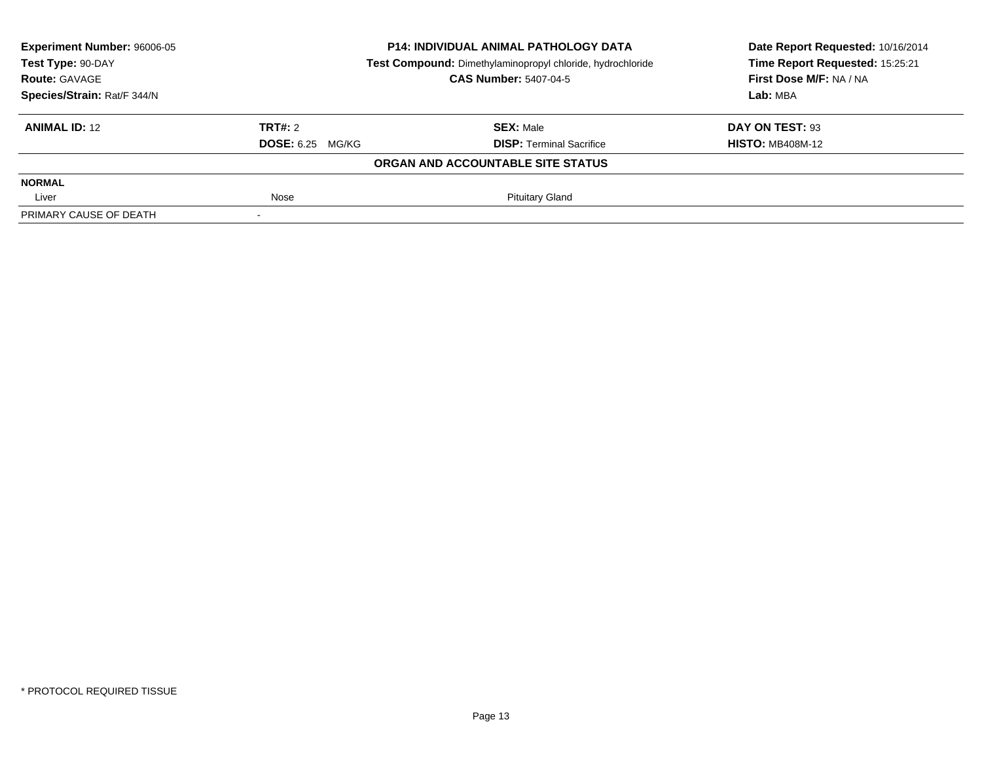| Experiment Number: 96006-05 | <b>P14: INDIVIDUAL ANIMAL PATHOLOGY DATA</b><br>Test Compound: Dimethylaminopropyl chloride, hydrochloride |                                   | Date Report Requested: 10/16/2014<br>Time Report Requested: 15:25:21 |
|-----------------------------|------------------------------------------------------------------------------------------------------------|-----------------------------------|----------------------------------------------------------------------|
| Test Type: 90-DAY           |                                                                                                            |                                   |                                                                      |
| <b>Route: GAVAGE</b>        |                                                                                                            | <b>CAS Number: 5407-04-5</b>      | First Dose M/F: NA / NA                                              |
| Species/Strain: Rat/F 344/N |                                                                                                            |                                   | Lab: MBA                                                             |
| <b>ANIMAL ID: 12</b>        | <b>TRT#:</b> 2                                                                                             | <b>SEX: Male</b>                  | DAY ON TEST: 93                                                      |
|                             | <b>DOSE:</b> 6.25 MG/KG                                                                                    | <b>DISP: Terminal Sacrifice</b>   | <b>HISTO: MB408M-12</b>                                              |
|                             |                                                                                                            | ORGAN AND ACCOUNTABLE SITE STATUS |                                                                      |
| <b>NORMAL</b>               |                                                                                                            |                                   |                                                                      |
| Liver                       | Nose                                                                                                       | <b>Pituitary Gland</b>            |                                                                      |
| PRIMARY CAUSE OF DEATH      |                                                                                                            |                                   |                                                                      |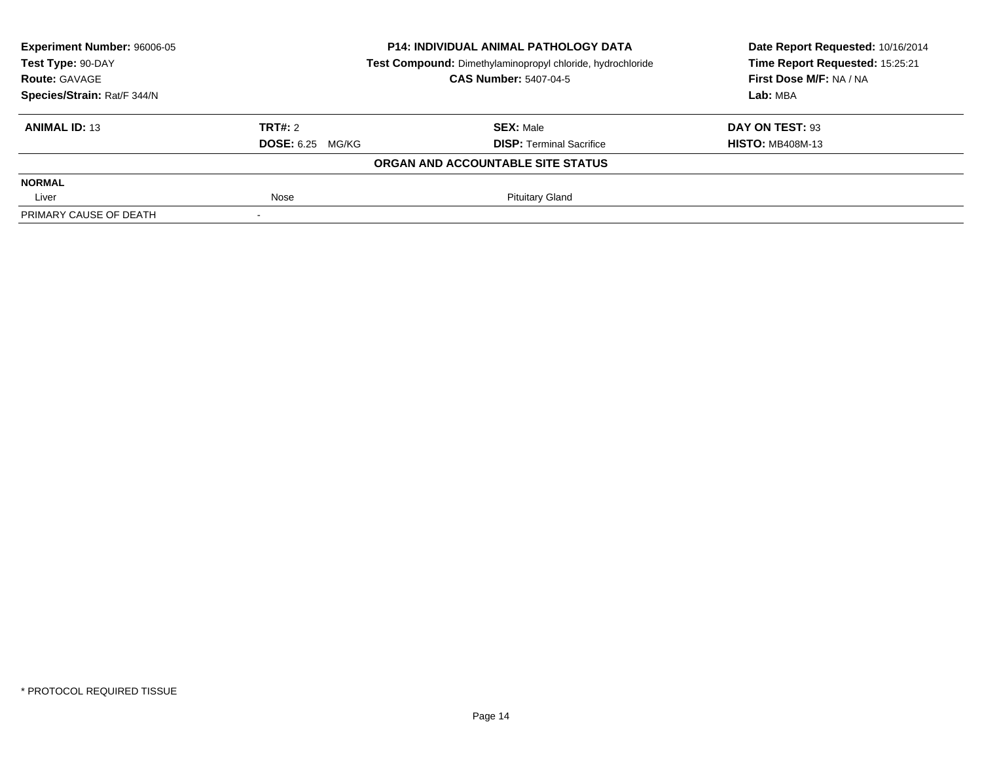| Experiment Number: 96006-05 | <b>P14: INDIVIDUAL ANIMAL PATHOLOGY DATA</b><br>Test Compound: Dimethylaminopropyl chloride, hydrochloride |                                   | Date Report Requested: 10/16/2014<br>Time Report Requested: 15:25:21 |
|-----------------------------|------------------------------------------------------------------------------------------------------------|-----------------------------------|----------------------------------------------------------------------|
| Test Type: 90-DAY           |                                                                                                            |                                   |                                                                      |
| <b>Route: GAVAGE</b>        |                                                                                                            | <b>CAS Number: 5407-04-5</b>      | First Dose M/F: NA / NA                                              |
| Species/Strain: Rat/F 344/N |                                                                                                            |                                   | Lab: MBA                                                             |
| <b>ANIMAL ID: 13</b>        | <b>TRT#:</b> 2                                                                                             | <b>SEX: Male</b>                  | DAY ON TEST: 93                                                      |
|                             | <b>DOSE:</b> 6.25 MG/KG                                                                                    | <b>DISP: Terminal Sacrifice</b>   | <b>HISTO: MB408M-13</b>                                              |
|                             |                                                                                                            | ORGAN AND ACCOUNTABLE SITE STATUS |                                                                      |
| <b>NORMAL</b>               |                                                                                                            |                                   |                                                                      |
| Liver                       | Nose                                                                                                       | <b>Pituitary Gland</b>            |                                                                      |
| PRIMARY CAUSE OF DEATH      |                                                                                                            |                                   |                                                                      |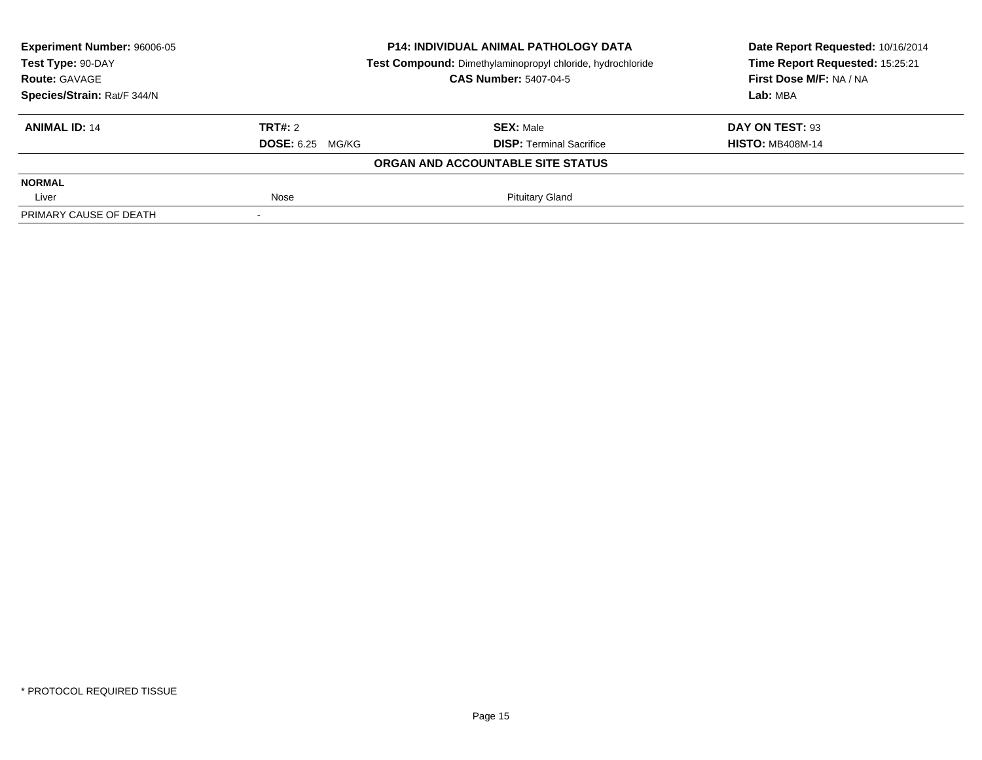| Experiment Number: 96006-05 | <b>P14: INDIVIDUAL ANIMAL PATHOLOGY DATA</b><br>Test Compound: Dimethylaminopropyl chloride, hydrochloride |                                   | Date Report Requested: 10/16/2014<br>Time Report Requested: 15:25:21 |
|-----------------------------|------------------------------------------------------------------------------------------------------------|-----------------------------------|----------------------------------------------------------------------|
| Test Type: 90-DAY           |                                                                                                            |                                   |                                                                      |
| <b>Route: GAVAGE</b>        |                                                                                                            | <b>CAS Number: 5407-04-5</b>      | First Dose M/F: NA / NA                                              |
| Species/Strain: Rat/F 344/N |                                                                                                            |                                   | Lab: MBA                                                             |
| <b>ANIMAL ID: 14</b>        | TRT#: 2                                                                                                    | <b>SEX: Male</b>                  | DAY ON TEST: 93                                                      |
|                             | <b>DOSE:</b> 6.25 MG/KG                                                                                    | <b>DISP: Terminal Sacrifice</b>   | <b>HISTO: MB408M-14</b>                                              |
|                             |                                                                                                            | ORGAN AND ACCOUNTABLE SITE STATUS |                                                                      |
| <b>NORMAL</b>               |                                                                                                            |                                   |                                                                      |
| Liver                       | Nose                                                                                                       | <b>Pituitary Gland</b>            |                                                                      |
| PRIMARY CAUSE OF DEATH      |                                                                                                            |                                   |                                                                      |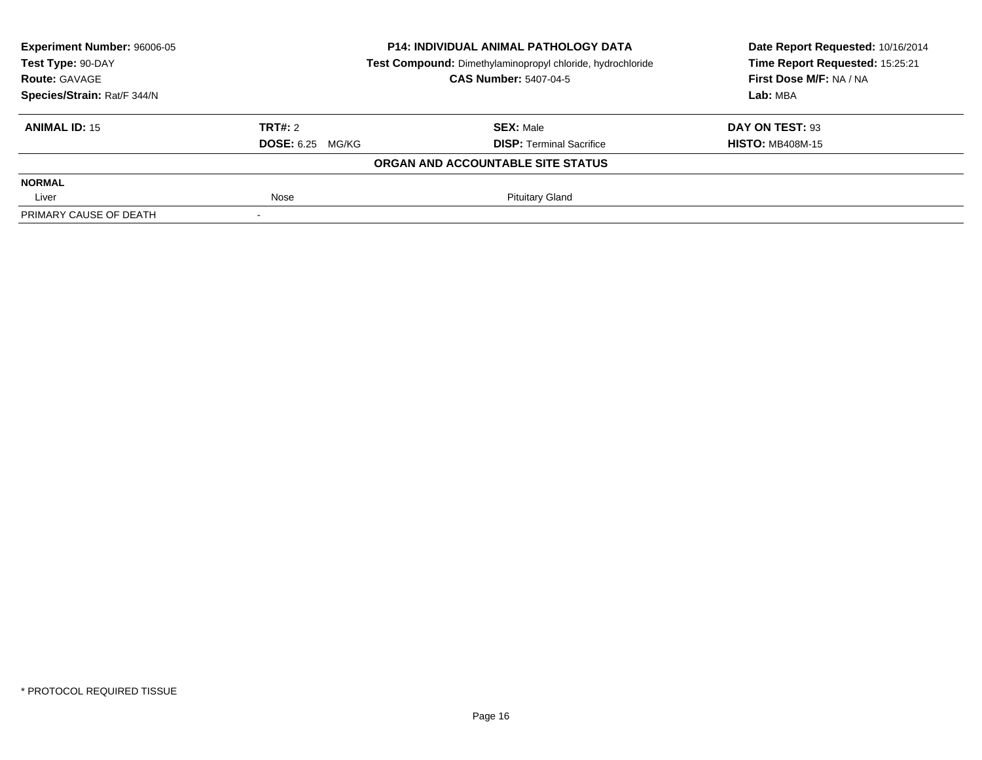| Experiment Number: 96006-05 | <b>P14: INDIVIDUAL ANIMAL PATHOLOGY DATA</b><br>Test Compound: Dimethylaminopropyl chloride, hydrochloride |                                   | Date Report Requested: 10/16/2014 |
|-----------------------------|------------------------------------------------------------------------------------------------------------|-----------------------------------|-----------------------------------|
| Test Type: 90-DAY           |                                                                                                            |                                   | Time Report Requested: 15:25:21   |
| <b>Route: GAVAGE</b>        |                                                                                                            | <b>CAS Number: 5407-04-5</b>      | First Dose M/F: NA / NA           |
| Species/Strain: Rat/F 344/N |                                                                                                            |                                   | Lab: MBA                          |
| <b>ANIMAL ID: 15</b>        | TRT#: 2                                                                                                    | <b>SEX: Male</b>                  | DAY ON TEST: 93                   |
|                             | <b>DOSE: 6.25 MG/KG</b>                                                                                    | <b>DISP:</b> Terminal Sacrifice   | <b>HISTO: MB408M-15</b>           |
|                             |                                                                                                            | ORGAN AND ACCOUNTABLE SITE STATUS |                                   |
| <b>NORMAL</b>               |                                                                                                            |                                   |                                   |
| Liver                       | Nose                                                                                                       | <b>Pituitary Gland</b>            |                                   |
| PRIMARY CAUSE OF DEATH      |                                                                                                            |                                   |                                   |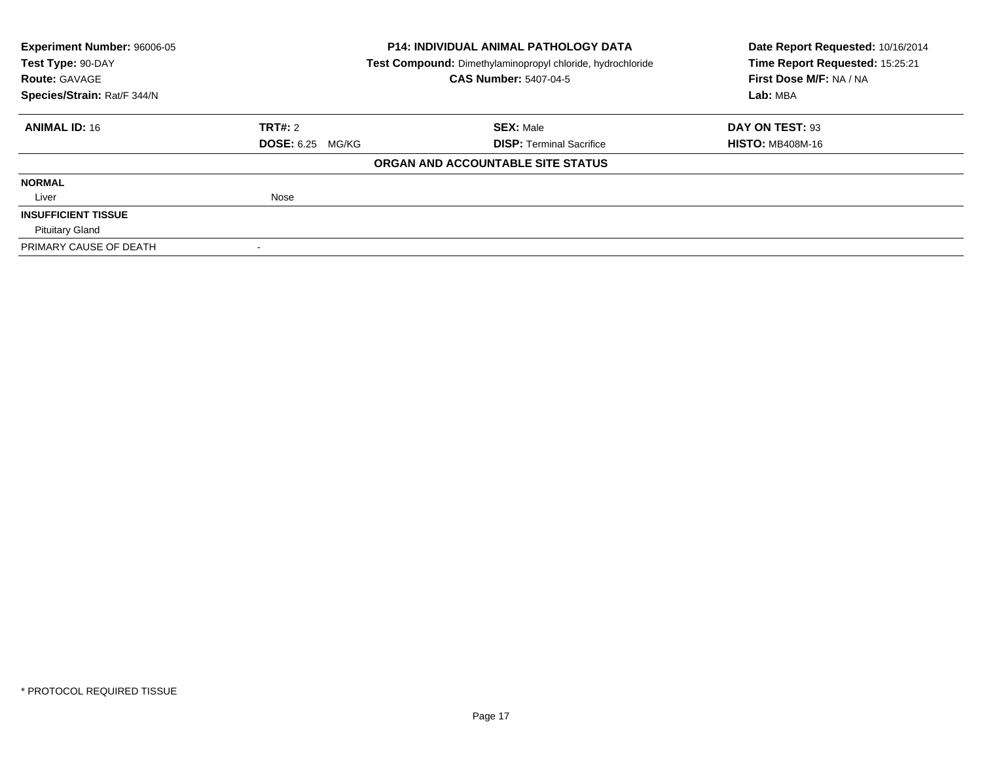| <b>Experiment Number: 96006-05</b>                                              |                         | P14: INDIVIDUAL ANIMAL PATHOLOGY DATA | Date Report Requested: 10/16/2014 |
|---------------------------------------------------------------------------------|-------------------------|---------------------------------------|-----------------------------------|
| Test Type: 90-DAY<br>Test Compound: Dimethylaminopropyl chloride, hydrochloride |                         | Time Report Requested: 15:25:21       |                                   |
| <b>Route: GAVAGE</b>                                                            |                         | <b>CAS Number: 5407-04-5</b>          | First Dose M/F: NA / NA           |
| Species/Strain: Rat/F 344/N                                                     |                         |                                       |                                   |
| <b>ANIMAL ID: 16</b>                                                            | TRT#: 2                 | <b>SEX: Male</b>                      | DAY ON TEST: 93                   |
|                                                                                 | <b>DOSE: 6.25 MG/KG</b> | <b>DISP:</b> Terminal Sacrifice       | <b>HISTO: MB408M-16</b>           |
|                                                                                 |                         | ORGAN AND ACCOUNTABLE SITE STATUS     |                                   |
| <b>NORMAL</b>                                                                   |                         |                                       |                                   |
| Liver                                                                           | Nose                    |                                       |                                   |
| <b>INSUFFICIENT TISSUE</b>                                                      |                         |                                       |                                   |
| <b>Pituitary Gland</b>                                                          |                         |                                       |                                   |
| PRIMARY CAUSE OF DEATH                                                          |                         |                                       |                                   |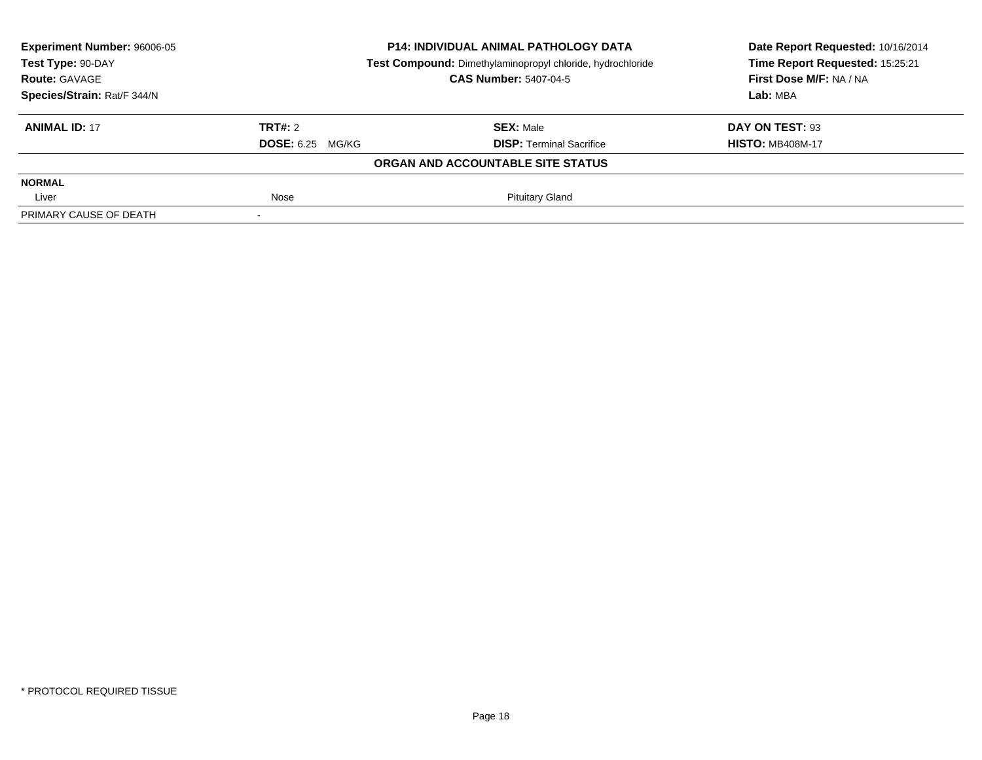| Experiment Number: 96006-05 | <b>P14: INDIVIDUAL ANIMAL PATHOLOGY DATA</b><br>Test Compound: Dimethylaminopropyl chloride, hydrochloride |                                   | Date Report Requested: 10/16/2014<br>Time Report Requested: 15:25:21 |
|-----------------------------|------------------------------------------------------------------------------------------------------------|-----------------------------------|----------------------------------------------------------------------|
| Test Type: 90-DAY           |                                                                                                            |                                   |                                                                      |
| <b>Route: GAVAGE</b>        |                                                                                                            | <b>CAS Number: 5407-04-5</b>      | First Dose M/F: NA / NA                                              |
| Species/Strain: Rat/F 344/N |                                                                                                            |                                   | Lab: MBA                                                             |
| <b>ANIMAL ID: 17</b>        | TRT#: 2                                                                                                    | <b>SEX: Male</b>                  | DAY ON TEST: 93                                                      |
|                             | <b>DOSE: 6.25 MG/KG</b>                                                                                    | <b>DISP:</b> Terminal Sacrifice   | <b>HISTO: MB408M-17</b>                                              |
|                             |                                                                                                            | ORGAN AND ACCOUNTABLE SITE STATUS |                                                                      |
| <b>NORMAL</b>               |                                                                                                            |                                   |                                                                      |
| Liver                       | Nose                                                                                                       | <b>Pituitary Gland</b>            |                                                                      |
| PRIMARY CAUSE OF DEATH      |                                                                                                            |                                   |                                                                      |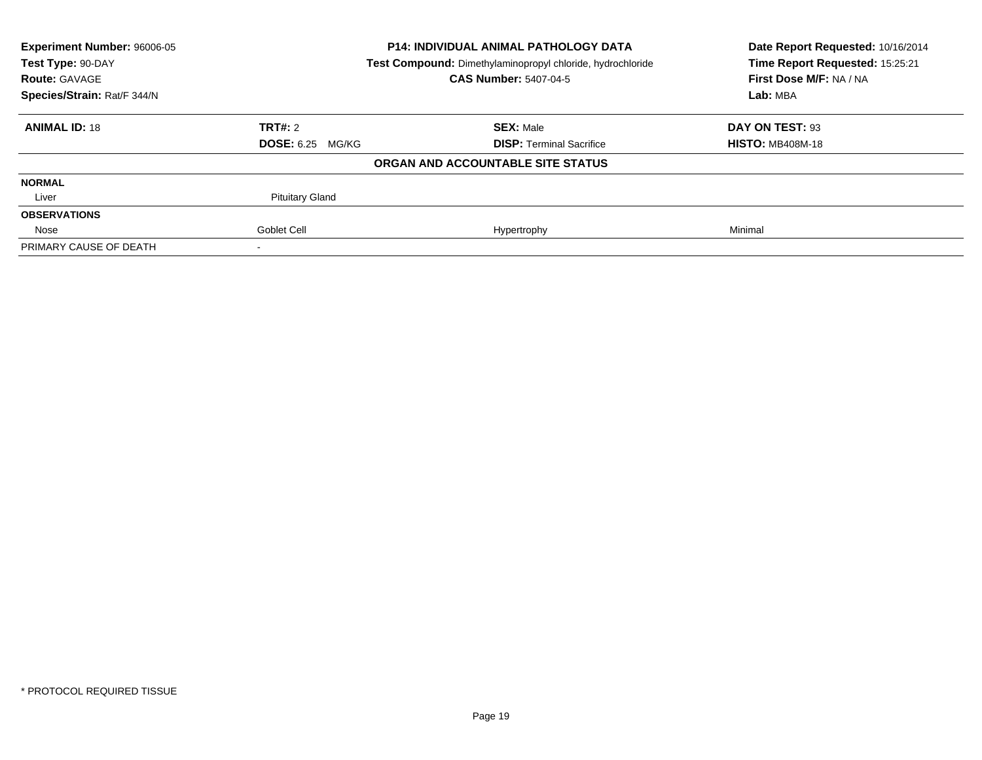| <b>Experiment Number: 96006-05</b><br><b>P14: INDIVIDUAL ANIMAL PATHOLOGY DATA</b><br>Test Type: 90-DAY<br>Test Compound: Dimethylaminopropyl chloride, hydrochloride |                         |                                   | Date Report Requested: 10/16/2014 |
|-----------------------------------------------------------------------------------------------------------------------------------------------------------------------|-------------------------|-----------------------------------|-----------------------------------|
|                                                                                                                                                                       |                         | Time Report Requested: 15:25:21   |                                   |
| <b>Route: GAVAGE</b>                                                                                                                                                  |                         | <b>CAS Number: 5407-04-5</b>      | First Dose M/F: NA / NA           |
| Species/Strain: Rat/F 344/N                                                                                                                                           |                         |                                   | Lab: MBA                          |
| <b>ANIMAL ID: 18</b>                                                                                                                                                  | TRT#: 2                 | <b>SEX: Male</b>                  | DAY ON TEST: 93                   |
|                                                                                                                                                                       | <b>DOSE: 6.25 MG/KG</b> | <b>DISP:</b> Terminal Sacrifice   | <b>HISTO: MB408M-18</b>           |
|                                                                                                                                                                       |                         | ORGAN AND ACCOUNTABLE SITE STATUS |                                   |
| <b>NORMAL</b>                                                                                                                                                         |                         |                                   |                                   |
| Liver                                                                                                                                                                 | <b>Pituitary Gland</b>  |                                   |                                   |
| <b>OBSERVATIONS</b>                                                                                                                                                   |                         |                                   |                                   |
| Nose                                                                                                                                                                  | Goblet Cell             | Hypertrophy                       | Minimal                           |
| PRIMARY CAUSE OF DEATH                                                                                                                                                |                         |                                   |                                   |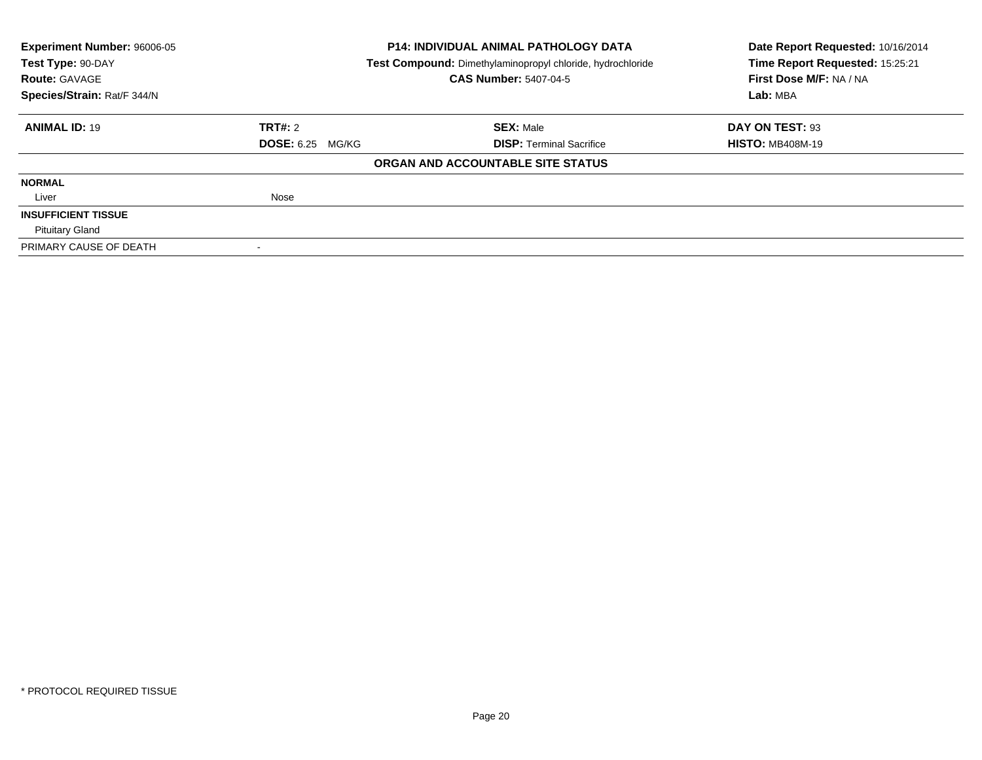| <b>Experiment Number: 96006-05</b>                                              |                         | <b>P14: INDIVIDUAL ANIMAL PATHOLOGY DATA</b> | Date Report Requested: 10/16/2014 |
|---------------------------------------------------------------------------------|-------------------------|----------------------------------------------|-----------------------------------|
| Test Type: 90-DAY<br>Test Compound: Dimethylaminopropyl chloride, hydrochloride |                         | Time Report Requested: 15:25:21              |                                   |
| <b>Route: GAVAGE</b>                                                            |                         | <b>CAS Number: 5407-04-5</b>                 | First Dose M/F: NA / NA           |
| Species/Strain: Rat/F 344/N                                                     |                         |                                              | Lab: MBA                          |
| <b>ANIMAL ID: 19</b>                                                            | TRT#: 2                 | <b>SEX: Male</b>                             | DAY ON TEST: 93                   |
|                                                                                 | <b>DOSE: 6.25 MG/KG</b> | <b>DISP:</b> Terminal Sacrifice              | <b>HISTO: MB408M-19</b>           |
|                                                                                 |                         | ORGAN AND ACCOUNTABLE SITE STATUS            |                                   |
| <b>NORMAL</b>                                                                   |                         |                                              |                                   |
| Liver                                                                           | Nose                    |                                              |                                   |
| <b>INSUFFICIENT TISSUE</b>                                                      |                         |                                              |                                   |
| <b>Pituitary Gland</b>                                                          |                         |                                              |                                   |
| PRIMARY CAUSE OF DEATH                                                          |                         |                                              |                                   |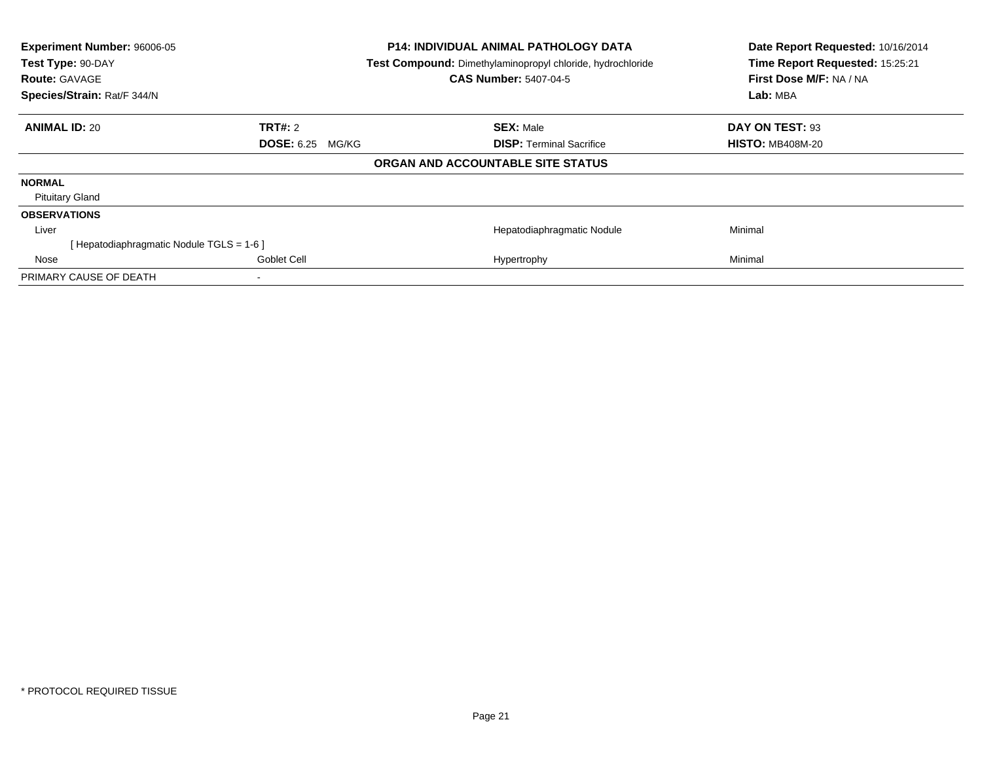| Experiment Number: 96006-05<br>Test Type: 90-DAY<br><b>Route: GAVAGE</b><br>Species/Strain: Rat/F 344/N | <b>P14: INDIVIDUAL ANIMAL PATHOLOGY DATA</b><br>Test Compound: Dimethylaminopropyl chloride, hydrochloride<br><b>CAS Number: 5407-04-5</b> | Date Report Requested: 10/16/2014<br>Time Report Requested: 15:25:21<br>First Dose M/F: NA / NA<br>Lab: MBA |
|---------------------------------------------------------------------------------------------------------|--------------------------------------------------------------------------------------------------------------------------------------------|-------------------------------------------------------------------------------------------------------------|
| <b>ANIMAL ID: 20</b><br><b>TRT#: 2</b>                                                                  | <b>SEX: Male</b>                                                                                                                           | DAY ON TEST: 93                                                                                             |
| <b>DOSE: 6.25 MG/KG</b>                                                                                 | <b>DISP:</b> Terminal Sacrifice                                                                                                            | <b>HISTO: MB408M-20</b>                                                                                     |
|                                                                                                         | ORGAN AND ACCOUNTABLE SITE STATUS                                                                                                          |                                                                                                             |
| <b>NORMAL</b>                                                                                           |                                                                                                                                            |                                                                                                             |
| <b>Pituitary Gland</b>                                                                                  |                                                                                                                                            |                                                                                                             |
| <b>OBSERVATIONS</b>                                                                                     |                                                                                                                                            |                                                                                                             |
| Liver                                                                                                   | Hepatodiaphragmatic Nodule                                                                                                                 | Minimal                                                                                                     |
| [ Hepatodiaphragmatic Nodule TGLS = 1-6 ]                                                               |                                                                                                                                            |                                                                                                             |
| Goblet Cell<br>Nose                                                                                     | Hypertrophy                                                                                                                                | Minimal                                                                                                     |
| PRIMARY CAUSE OF DEATH                                                                                  |                                                                                                                                            |                                                                                                             |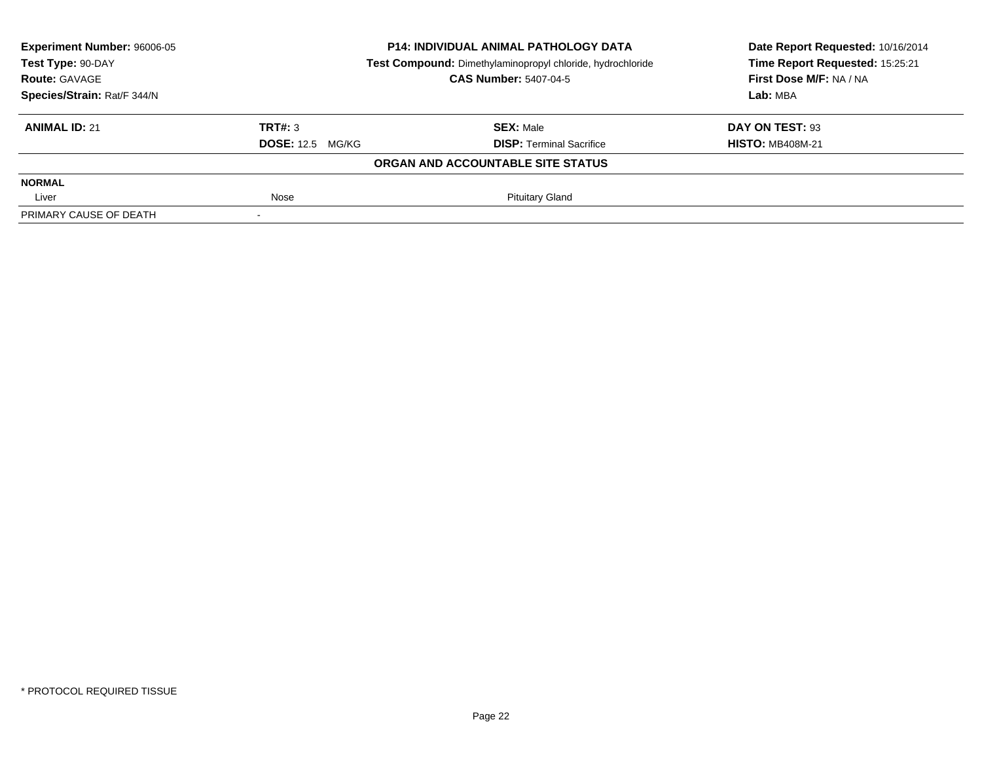| Experiment Number: 96006-05 | <b>P14: INDIVIDUAL ANIMAL PATHOLOGY DATA</b><br>Test Compound: Dimethylaminopropyl chloride, hydrochloride |                                   | Date Report Requested: 10/16/2014<br>Time Report Requested: 15:25:21 |
|-----------------------------|------------------------------------------------------------------------------------------------------------|-----------------------------------|----------------------------------------------------------------------|
| Test Type: 90-DAY           |                                                                                                            |                                   |                                                                      |
| <b>Route: GAVAGE</b>        |                                                                                                            | <b>CAS Number: 5407-04-5</b>      | First Dose M/F: NA / NA                                              |
| Species/Strain: Rat/F 344/N |                                                                                                            |                                   | Lab: MBA                                                             |
| <b>ANIMAL ID: 21</b>        | TRT#: 3                                                                                                    | <b>SEX: Male</b>                  | DAY ON TEST: 93                                                      |
|                             | <b>DOSE: 12.5 MG/KG</b>                                                                                    | <b>DISP: Terminal Sacrifice</b>   | <b>HISTO: MB408M-21</b>                                              |
|                             |                                                                                                            | ORGAN AND ACCOUNTABLE SITE STATUS |                                                                      |
| <b>NORMAL</b>               |                                                                                                            |                                   |                                                                      |
| Liver                       | Nose                                                                                                       | <b>Pituitary Gland</b>            |                                                                      |
| PRIMARY CAUSE OF DEATH      |                                                                                                            |                                   |                                                                      |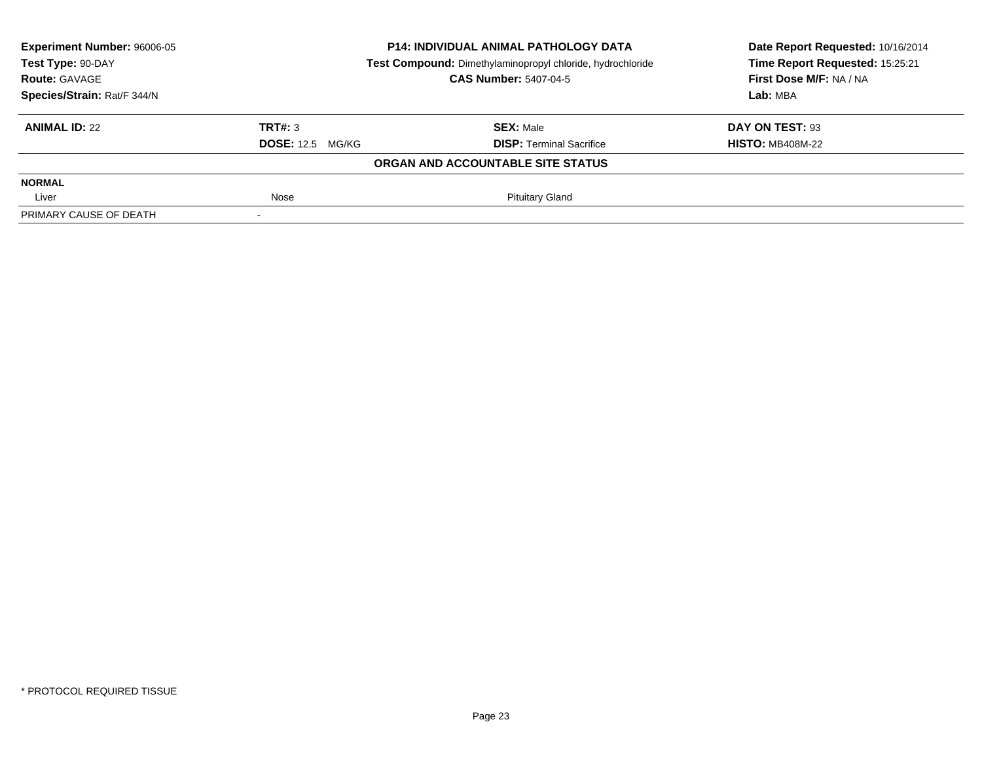| Experiment Number: 96006-05 | <b>P14: INDIVIDUAL ANIMAL PATHOLOGY DATA</b><br>Test Compound: Dimethylaminopropyl chloride, hydrochloride |                                   | Date Report Requested: 10/16/2014 |
|-----------------------------|------------------------------------------------------------------------------------------------------------|-----------------------------------|-----------------------------------|
| Test Type: 90-DAY           |                                                                                                            |                                   | Time Report Requested: 15:25:21   |
| <b>Route: GAVAGE</b>        |                                                                                                            | <b>CAS Number: 5407-04-5</b>      | First Dose M/F: NA / NA           |
| Species/Strain: Rat/F 344/N |                                                                                                            |                                   | Lab: MBA                          |
| <b>ANIMAL ID: 22</b>        | TRT#: 3                                                                                                    | <b>SEX: Male</b>                  | DAY ON TEST: 93                   |
|                             | <b>DOSE:</b> 12.5 MG/KG                                                                                    | <b>DISP: Terminal Sacrifice</b>   | <b>HISTO: MB408M-22</b>           |
|                             |                                                                                                            | ORGAN AND ACCOUNTABLE SITE STATUS |                                   |
| <b>NORMAL</b>               |                                                                                                            |                                   |                                   |
| Liver                       | Nose                                                                                                       | <b>Pituitary Gland</b>            |                                   |
| PRIMARY CAUSE OF DEATH      |                                                                                                            |                                   |                                   |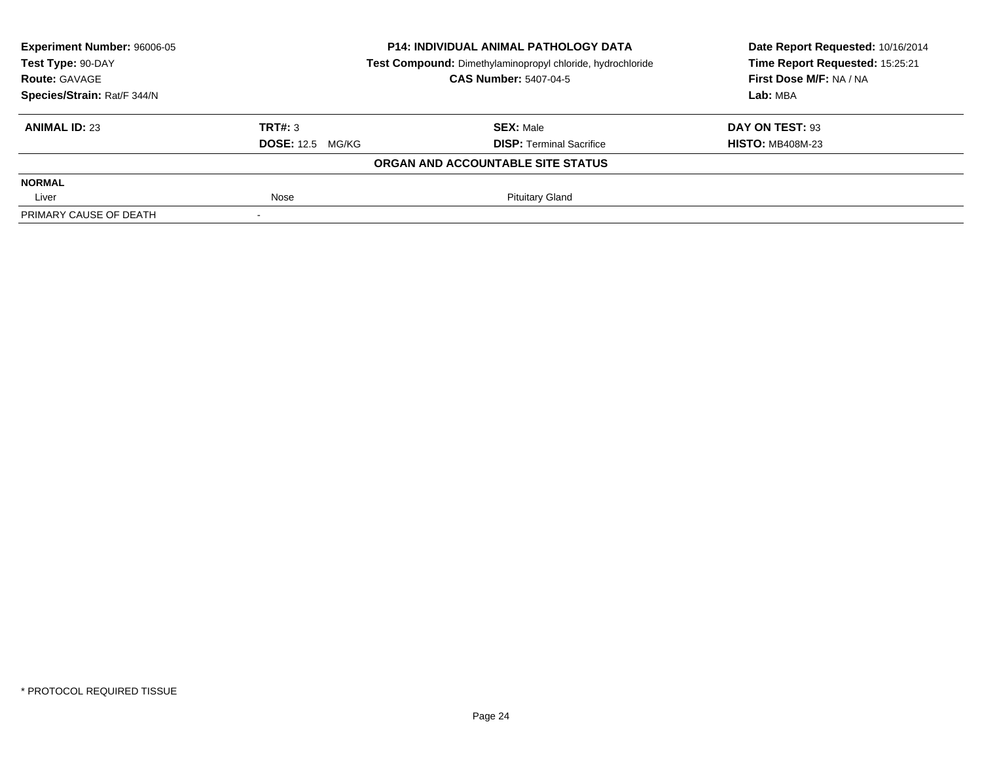| Experiment Number: 96006-05 | <b>P14: INDIVIDUAL ANIMAL PATHOLOGY DATA</b><br>Test Compound: Dimethylaminopropyl chloride, hydrochloride |                                   | Date Report Requested: 10/16/2014 |  |
|-----------------------------|------------------------------------------------------------------------------------------------------------|-----------------------------------|-----------------------------------|--|
| Test Type: 90-DAY           |                                                                                                            |                                   | Time Report Requested: 15:25:21   |  |
| <b>Route: GAVAGE</b>        |                                                                                                            | <b>CAS Number: 5407-04-5</b>      | First Dose M/F: NA / NA           |  |
| Species/Strain: Rat/F 344/N |                                                                                                            |                                   | Lab: MBA                          |  |
| <b>ANIMAL ID: 23</b>        | TRT#: 3                                                                                                    | <b>SEX: Male</b>                  | DAY ON TEST: 93                   |  |
|                             | <b>DOSE:</b> 12.5 MG/KG                                                                                    | <b>DISP: Terminal Sacrifice</b>   | <b>HISTO: MB408M-23</b>           |  |
|                             |                                                                                                            | ORGAN AND ACCOUNTABLE SITE STATUS |                                   |  |
| <b>NORMAL</b>               |                                                                                                            |                                   |                                   |  |
| Liver                       | Nose                                                                                                       | <b>Pituitary Gland</b>            |                                   |  |
| PRIMARY CAUSE OF DEATH      |                                                                                                            |                                   |                                   |  |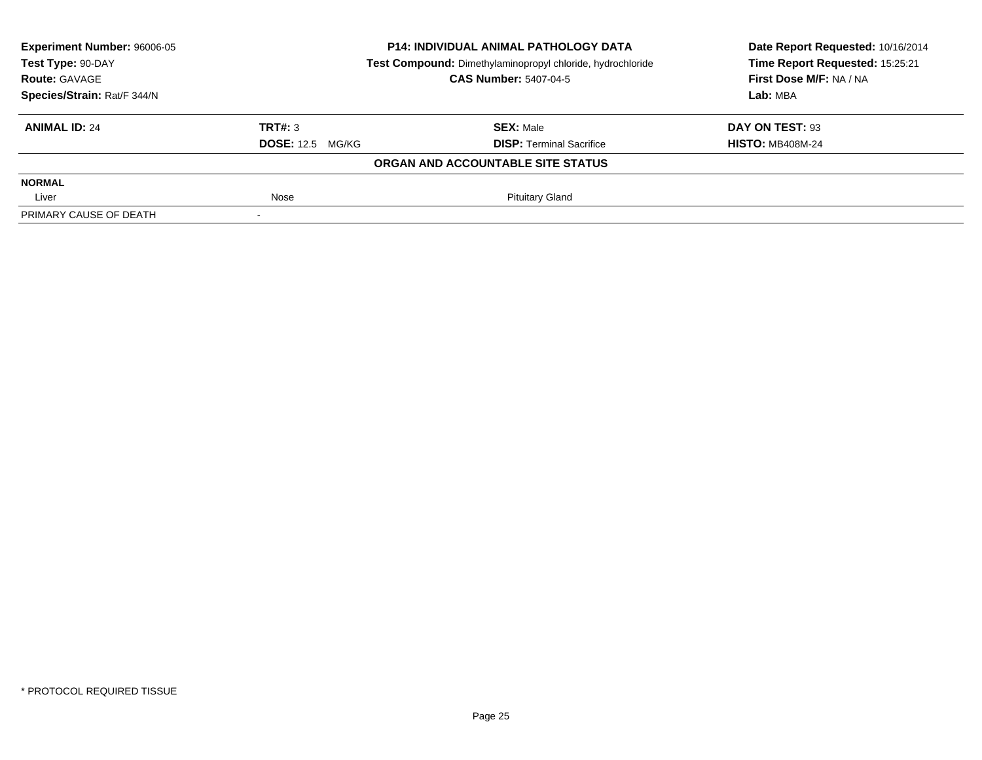| Experiment Number: 96006-05 | <b>P14: INDIVIDUAL ANIMAL PATHOLOGY DATA</b><br>Test Compound: Dimethylaminopropyl chloride, hydrochloride |                                   | Date Report Requested: 10/16/2014 |  |
|-----------------------------|------------------------------------------------------------------------------------------------------------|-----------------------------------|-----------------------------------|--|
| Test Type: 90-DAY           |                                                                                                            |                                   | Time Report Requested: 15:25:21   |  |
| <b>Route: GAVAGE</b>        |                                                                                                            | <b>CAS Number: 5407-04-5</b>      | First Dose M/F: NA / NA           |  |
| Species/Strain: Rat/F 344/N |                                                                                                            |                                   | Lab: MBA                          |  |
| <b>ANIMAL ID: 24</b>        | TRT#: 3                                                                                                    | <b>SEX: Male</b>                  | DAY ON TEST: 93                   |  |
|                             | <b>DOSE:</b> 12.5 MG/KG                                                                                    | <b>DISP: Terminal Sacrifice</b>   | <b>HISTO: MB408M-24</b>           |  |
|                             |                                                                                                            | ORGAN AND ACCOUNTABLE SITE STATUS |                                   |  |
| <b>NORMAL</b>               |                                                                                                            |                                   |                                   |  |
| Liver                       | Nose                                                                                                       | <b>Pituitary Gland</b>            |                                   |  |
| PRIMARY CAUSE OF DEATH      |                                                                                                            |                                   |                                   |  |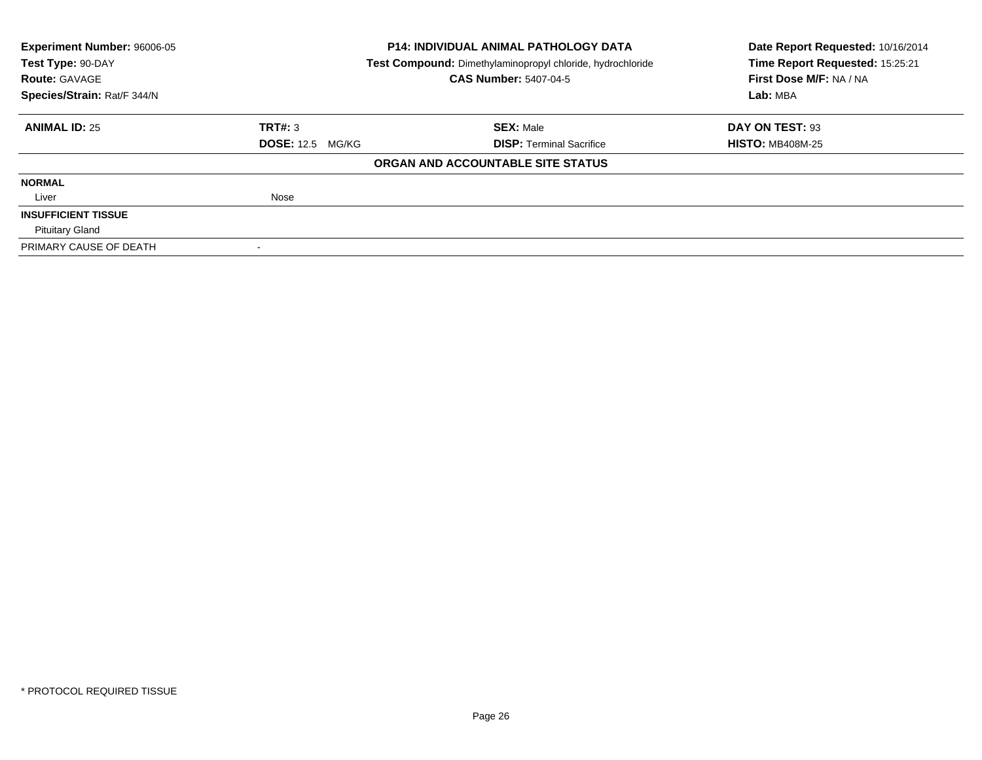| <b>Experiment Number: 96006-05</b>                                              |                         | P14: INDIVIDUAL ANIMAL PATHOLOGY DATA | Date Report Requested: 10/16/2014 |
|---------------------------------------------------------------------------------|-------------------------|---------------------------------------|-----------------------------------|
| Test Type: 90-DAY<br>Test Compound: Dimethylaminopropyl chloride, hydrochloride |                         |                                       | Time Report Requested: 15:25:21   |
| <b>Route: GAVAGE</b>                                                            |                         | <b>CAS Number: 5407-04-5</b>          | First Dose M/F: NA / NA           |
| Species/Strain: Rat/F 344/N                                                     |                         |                                       | Lab: MBA                          |
| <b>ANIMAL ID: 25</b>                                                            | TRT#: 3                 | <b>SEX: Male</b>                      | DAY ON TEST: 93                   |
|                                                                                 | <b>DOSE: 12.5 MG/KG</b> | <b>DISP:</b> Terminal Sacrifice       | <b>HISTO: MB408M-25</b>           |
|                                                                                 |                         | ORGAN AND ACCOUNTABLE SITE STATUS     |                                   |
| <b>NORMAL</b>                                                                   |                         |                                       |                                   |
| Liver                                                                           | Nose                    |                                       |                                   |
| <b>INSUFFICIENT TISSUE</b>                                                      |                         |                                       |                                   |
| <b>Pituitary Gland</b>                                                          |                         |                                       |                                   |
| PRIMARY CAUSE OF DEATH                                                          |                         |                                       |                                   |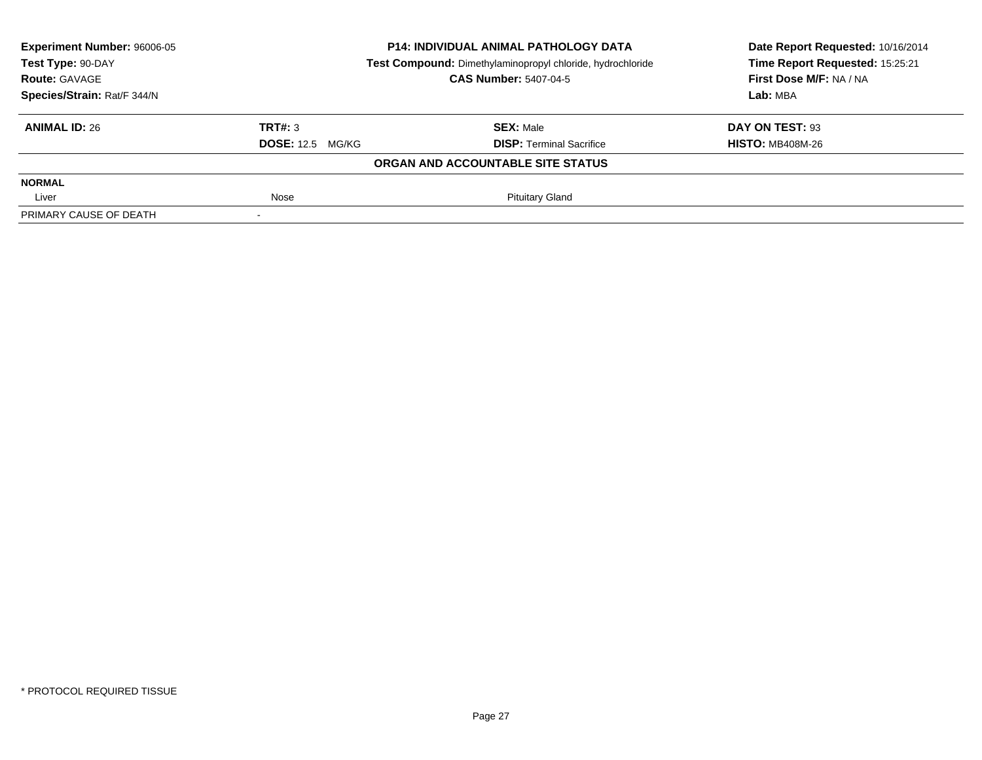| Experiment Number: 96006-05 | <b>P14: INDIVIDUAL ANIMAL PATHOLOGY DATA</b><br>Test Compound: Dimethylaminopropyl chloride, hydrochloride |                                   | Date Report Requested: 10/16/2014 |  |
|-----------------------------|------------------------------------------------------------------------------------------------------------|-----------------------------------|-----------------------------------|--|
| Test Type: 90-DAY           |                                                                                                            |                                   | Time Report Requested: 15:25:21   |  |
| <b>Route: GAVAGE</b>        |                                                                                                            | <b>CAS Number: 5407-04-5</b>      | First Dose M/F: NA / NA           |  |
| Species/Strain: Rat/F 344/N |                                                                                                            |                                   | Lab: MBA                          |  |
| <b>ANIMAL ID: 26</b>        | TRT#: 3                                                                                                    | <b>SEX: Male</b>                  | DAY ON TEST: 93                   |  |
|                             | <b>DOSE:</b> 12.5 MG/KG                                                                                    | <b>DISP: Terminal Sacrifice</b>   | <b>HISTO: MB408M-26</b>           |  |
|                             |                                                                                                            | ORGAN AND ACCOUNTABLE SITE STATUS |                                   |  |
| <b>NORMAL</b>               |                                                                                                            |                                   |                                   |  |
| Liver                       | Nose                                                                                                       | <b>Pituitary Gland</b>            |                                   |  |
| PRIMARY CAUSE OF DEATH      |                                                                                                            |                                   |                                   |  |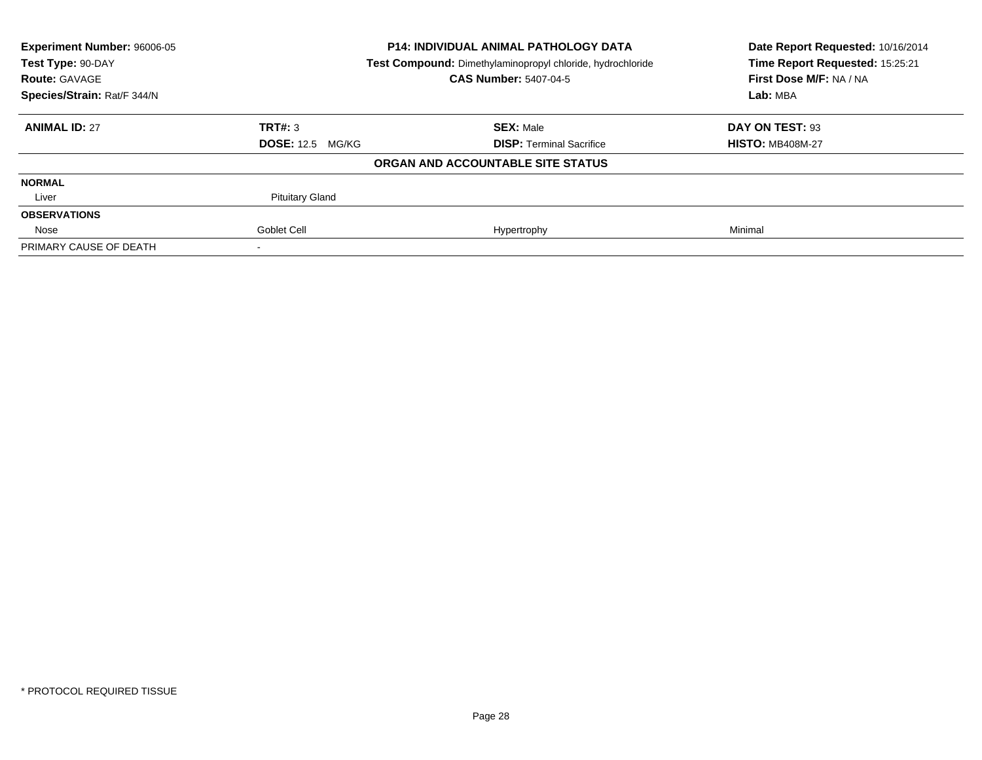| <b>Experiment Number: 96006-05</b><br>Test Type: 90-DAY |                         | <b>P14: INDIVIDUAL ANIMAL PATHOLOGY DATA</b>               | Date Report Requested: 10/16/2014<br>Time Report Requested: 15:25:21 |
|---------------------------------------------------------|-------------------------|------------------------------------------------------------|----------------------------------------------------------------------|
|                                                         |                         | Test Compound: Dimethylaminopropyl chloride, hydrochloride |                                                                      |
| <b>Route: GAVAGE</b>                                    |                         | <b>CAS Number: 5407-04-5</b>                               | First Dose M/F: NA / NA                                              |
| Species/Strain: Rat/F 344/N                             |                         |                                                            | Lab: MBA                                                             |
| <b>ANIMAL ID: 27</b>                                    | TRT#: 3                 | <b>SEX: Male</b>                                           | DAY ON TEST: 93                                                      |
|                                                         | <b>DOSE: 12.5 MG/KG</b> | <b>DISP:</b> Terminal Sacrifice                            | <b>HISTO: MB408M-27</b>                                              |
|                                                         |                         | ORGAN AND ACCOUNTABLE SITE STATUS                          |                                                                      |
| <b>NORMAL</b>                                           |                         |                                                            |                                                                      |
| Liver                                                   | <b>Pituitary Gland</b>  |                                                            |                                                                      |
| <b>OBSERVATIONS</b>                                     |                         |                                                            |                                                                      |
| Nose                                                    | Goblet Cell             | Hypertrophy                                                | Minimal                                                              |
| PRIMARY CAUSE OF DEATH                                  |                         |                                                            |                                                                      |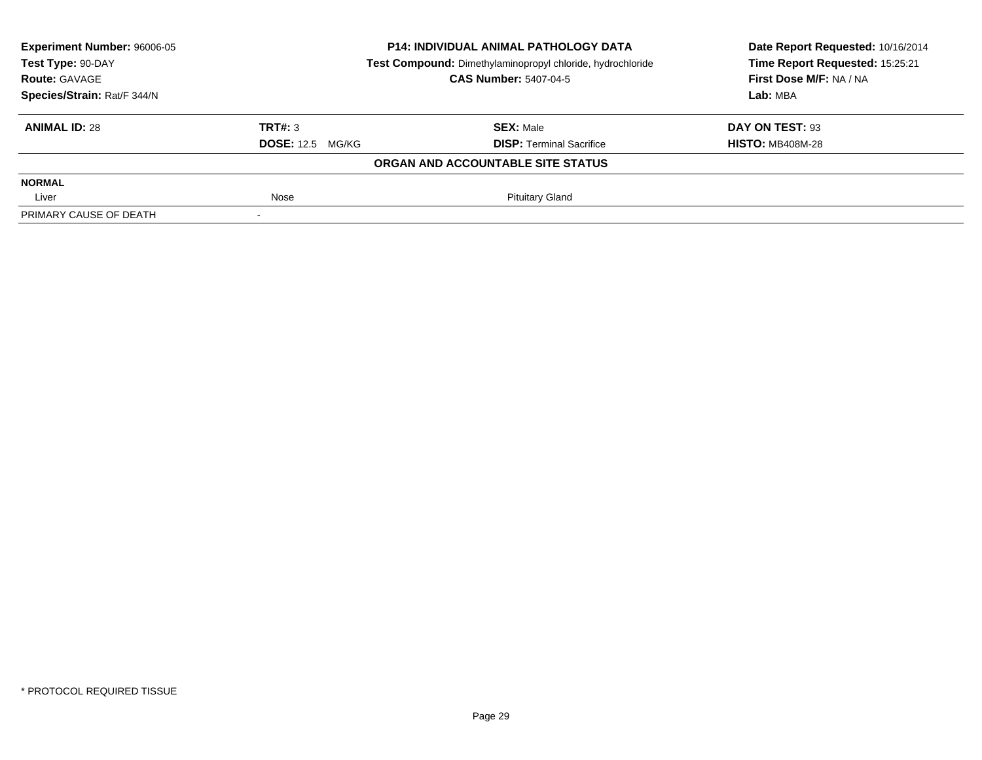| Experiment Number: 96006-05 | <b>P14: INDIVIDUAL ANIMAL PATHOLOGY DATA</b>               |                                   | Date Report Requested: 10/16/2014 |  |
|-----------------------------|------------------------------------------------------------|-----------------------------------|-----------------------------------|--|
| Test Type: 90-DAY           | Test Compound: Dimethylaminopropyl chloride, hydrochloride | Time Report Requested: 15:25:21   |                                   |  |
| <b>Route: GAVAGE</b>        |                                                            | <b>CAS Number: 5407-04-5</b>      | First Dose M/F: NA / NA           |  |
| Species/Strain: Rat/F 344/N |                                                            |                                   | Lab: MBA                          |  |
| <b>ANIMAL ID: 28</b>        | TRT#: 3                                                    | <b>SEX: Male</b>                  | DAY ON TEST: 93                   |  |
|                             | <b>DOSE: 12.5 MG/KG</b>                                    | <b>DISP: Terminal Sacrifice</b>   | <b>HISTO: MB408M-28</b>           |  |
|                             |                                                            | ORGAN AND ACCOUNTABLE SITE STATUS |                                   |  |
| <b>NORMAL</b>               |                                                            |                                   |                                   |  |
| Liver                       | Nose                                                       | <b>Pituitary Gland</b>            |                                   |  |
| PRIMARY CAUSE OF DEATH      |                                                            |                                   |                                   |  |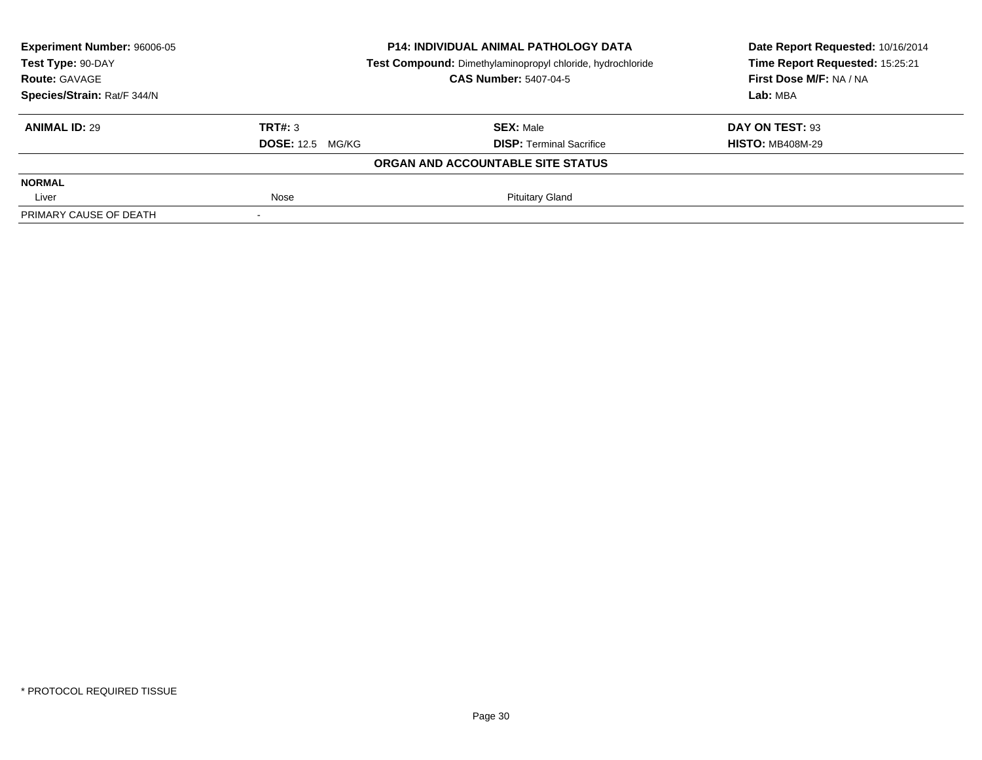| Experiment Number: 96006-05 | <b>P14: INDIVIDUAL ANIMAL PATHOLOGY DATA</b><br>Test Compound: Dimethylaminopropyl chloride, hydrochloride |                                   | Date Report Requested: 10/16/2014 |  |
|-----------------------------|------------------------------------------------------------------------------------------------------------|-----------------------------------|-----------------------------------|--|
| Test Type: 90-DAY           |                                                                                                            |                                   | Time Report Requested: 15:25:21   |  |
| <b>Route: GAVAGE</b>        |                                                                                                            | <b>CAS Number: 5407-04-5</b>      | First Dose M/F: NA / NA           |  |
| Species/Strain: Rat/F 344/N |                                                                                                            |                                   | Lab: MBA                          |  |
| <b>ANIMAL ID: 29</b>        | TRT#: 3                                                                                                    | <b>SEX: Male</b>                  | DAY ON TEST: 93                   |  |
|                             | <b>DOSE:</b> 12.5 MG/KG                                                                                    | <b>DISP: Terminal Sacrifice</b>   | <b>HISTO: MB408M-29</b>           |  |
|                             |                                                                                                            | ORGAN AND ACCOUNTABLE SITE STATUS |                                   |  |
| <b>NORMAL</b>               |                                                                                                            |                                   |                                   |  |
| Liver                       | Nose                                                                                                       | <b>Pituitary Gland</b>            |                                   |  |
| PRIMARY CAUSE OF DEATH      |                                                                                                            |                                   |                                   |  |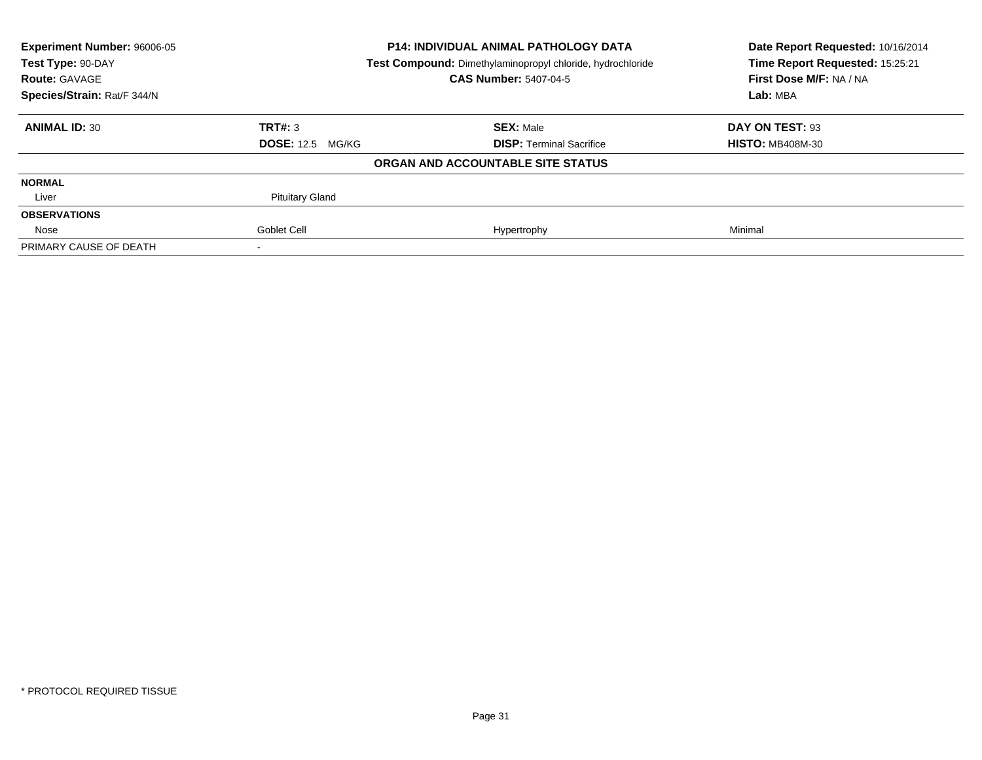| <b>Experiment Number: 96006-05</b>                                              |                         | <b>P14: INDIVIDUAL ANIMAL PATHOLOGY DATA</b> | Date Report Requested: 10/16/2014 |
|---------------------------------------------------------------------------------|-------------------------|----------------------------------------------|-----------------------------------|
| Test Type: 90-DAY<br>Test Compound: Dimethylaminopropyl chloride, hydrochloride |                         | Time Report Requested: 15:25:21              |                                   |
| <b>Route: GAVAGE</b>                                                            |                         | <b>CAS Number: 5407-04-5</b>                 | First Dose M/F: NA / NA           |
| Species/Strain: Rat/F 344/N                                                     |                         |                                              | Lab: MBA                          |
| <b>ANIMAL ID: 30</b>                                                            | TRT#: 3                 | <b>SEX: Male</b>                             | DAY ON TEST: 93                   |
|                                                                                 | <b>DOSE: 12.5 MG/KG</b> | <b>DISP: Terminal Sacrifice</b>              | <b>HISTO: MB408M-30</b>           |
|                                                                                 |                         | ORGAN AND ACCOUNTABLE SITE STATUS            |                                   |
| <b>NORMAL</b>                                                                   |                         |                                              |                                   |
| Liver                                                                           | <b>Pituitary Gland</b>  |                                              |                                   |
| <b>OBSERVATIONS</b>                                                             |                         |                                              |                                   |
| Nose                                                                            | Goblet Cell             | Hypertrophy                                  | Minimal                           |
| PRIMARY CAUSE OF DEATH                                                          |                         |                                              |                                   |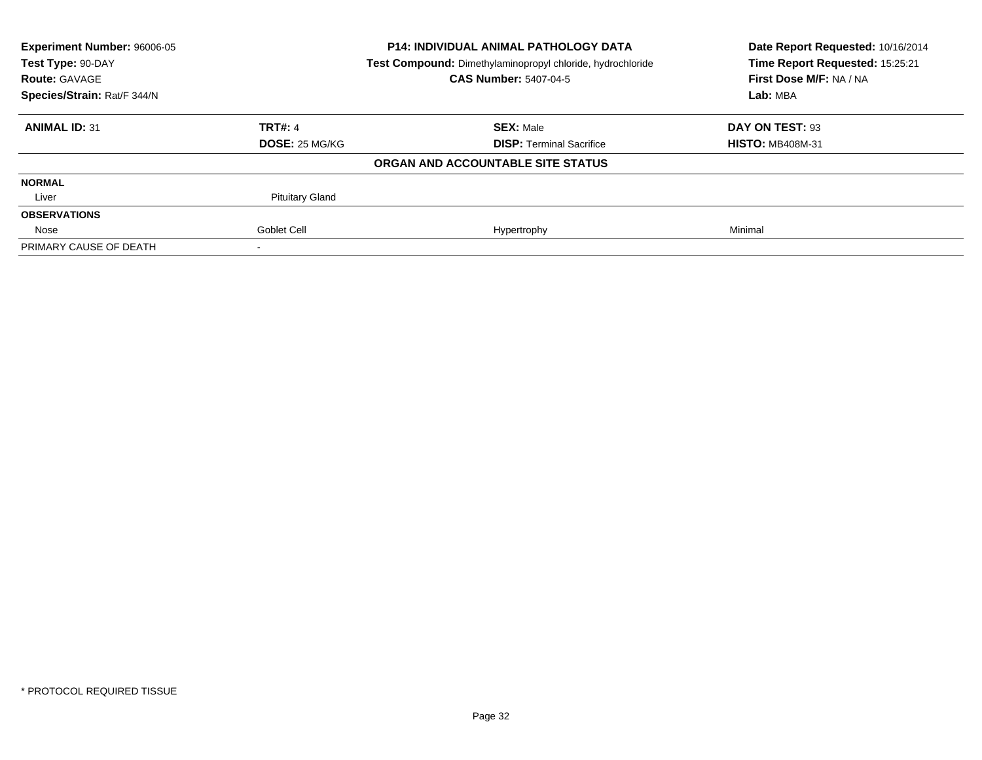| <b>Experiment Number: 96006-05</b><br><b>P14: INDIVIDUAL ANIMAL PATHOLOGY DATA</b><br>Test Type: 90-DAY<br>Test Compound: Dimethylaminopropyl chloride, hydrochloride |                        |                                   | Date Report Requested: 10/16/2014 |  |
|-----------------------------------------------------------------------------------------------------------------------------------------------------------------------|------------------------|-----------------------------------|-----------------------------------|--|
|                                                                                                                                                                       |                        |                                   | Time Report Requested: 15:25:21   |  |
| <b>Route: GAVAGE</b>                                                                                                                                                  |                        | <b>CAS Number: 5407-04-5</b>      | First Dose M/F: NA / NA           |  |
| Species/Strain: Rat/F 344/N                                                                                                                                           |                        |                                   | Lab: MBA                          |  |
| <b>ANIMAL ID: 31</b>                                                                                                                                                  | <b>TRT#: 4</b>         | <b>SEX: Male</b>                  | DAY ON TEST: 93                   |  |
|                                                                                                                                                                       | <b>DOSE: 25 MG/KG</b>  | <b>DISP: Terminal Sacrifice</b>   | <b>HISTO: MB408M-31</b>           |  |
|                                                                                                                                                                       |                        | ORGAN AND ACCOUNTABLE SITE STATUS |                                   |  |
| <b>NORMAL</b>                                                                                                                                                         |                        |                                   |                                   |  |
| Liver                                                                                                                                                                 | <b>Pituitary Gland</b> |                                   |                                   |  |
| <b>OBSERVATIONS</b>                                                                                                                                                   |                        |                                   |                                   |  |
| Nose                                                                                                                                                                  | Goblet Cell            | Hypertrophy                       | Minimal                           |  |
| PRIMARY CAUSE OF DEATH                                                                                                                                                |                        |                                   |                                   |  |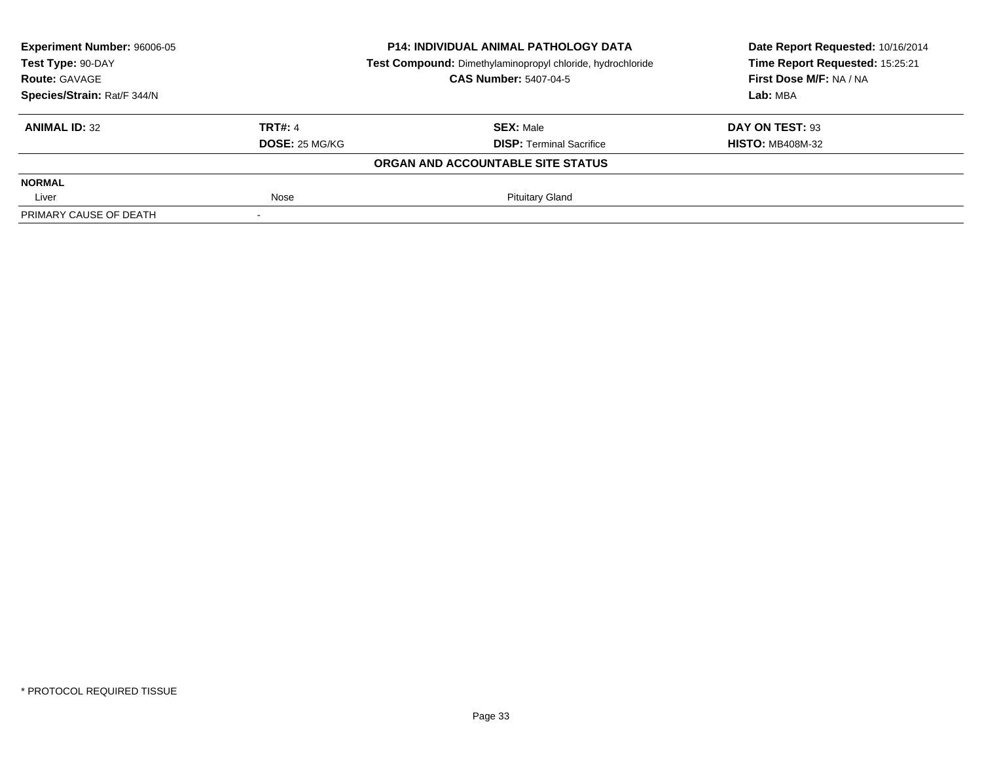| Experiment Number: 96006-05     |                | <b>P14: INDIVIDUAL ANIMAL PATHOLOGY DATA</b>               | Date Report Requested: 10/16/2014<br>Time Report Requested: 15:25:21 |
|---------------------------------|----------------|------------------------------------------------------------|----------------------------------------------------------------------|
| Test Type: 90-DAY               |                | Test Compound: Dimethylaminopropyl chloride, hydrochloride |                                                                      |
| <b>Route: GAVAGE</b>            |                | <b>CAS Number: 5407-04-5</b>                               | First Dose M/F: NA / NA                                              |
| Species/Strain: Rat/F 344/N     |                |                                                            | Lab: MBA                                                             |
| TRT#: 4<br><b>ANIMAL ID: 32</b> |                | <b>SEX: Male</b>                                           | DAY ON TEST: 93                                                      |
|                                 | DOSE: 25 MG/KG | <b>DISP: Terminal Sacrifice</b>                            | <b>HISTO: MB408M-32</b>                                              |
|                                 |                | ORGAN AND ACCOUNTABLE SITE STATUS                          |                                                                      |
| <b>NORMAL</b>                   |                |                                                            |                                                                      |
| Nose<br>Liver                   |                | <b>Pituitary Gland</b>                                     |                                                                      |
| PRIMARY CAUSE OF DEATH          |                |                                                            |                                                                      |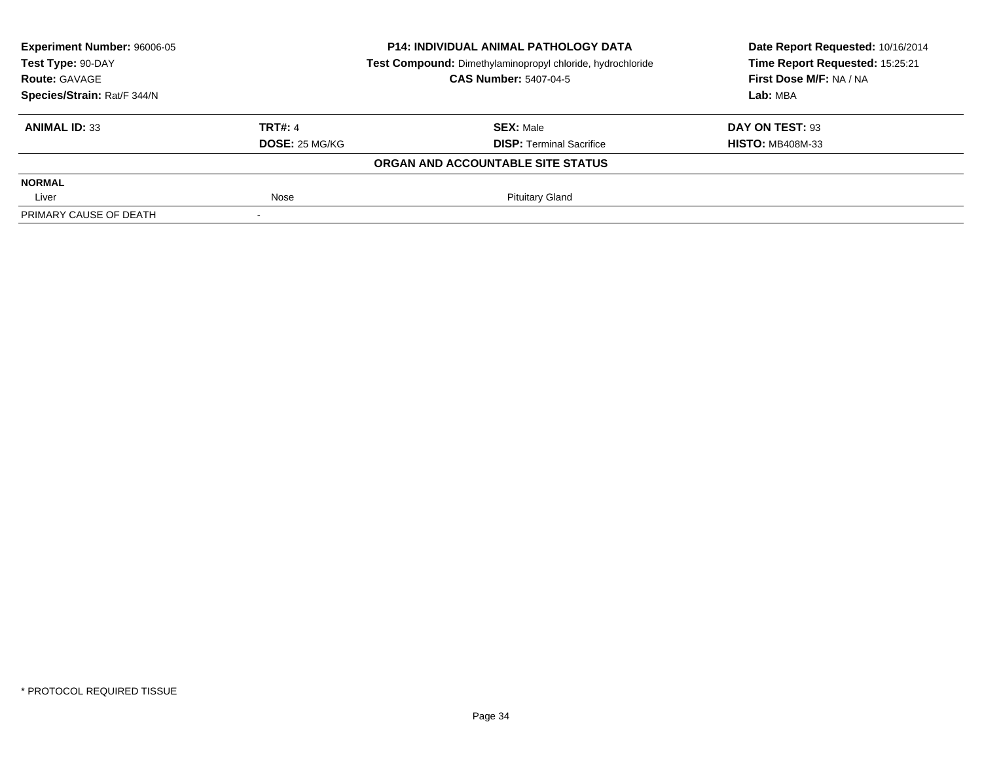| Experiment Number: 96006-05     |                | <b>P14: INDIVIDUAL ANIMAL PATHOLOGY DATA</b>               | Date Report Requested: 10/16/2014 |
|---------------------------------|----------------|------------------------------------------------------------|-----------------------------------|
| Test Type: 90-DAY               |                | Test Compound: Dimethylaminopropyl chloride, hydrochloride | Time Report Requested: 15:25:21   |
| <b>Route: GAVAGE</b>            |                | <b>CAS Number: 5407-04-5</b>                               | First Dose M/F: NA / NA           |
| Species/Strain: Rat/F 344/N     |                |                                                            | Lab: MBA                          |
| TRT#: 4<br><b>ANIMAL ID: 33</b> |                | <b>SEX: Male</b>                                           | DAY ON TEST: 93                   |
|                                 | DOSE: 25 MG/KG | <b>DISP: Terminal Sacrifice</b>                            | <b>HISTO: MB408M-33</b>           |
|                                 |                | ORGAN AND ACCOUNTABLE SITE STATUS                          |                                   |
| <b>NORMAL</b>                   |                |                                                            |                                   |
| Liver                           | Nose           | <b>Pituitary Gland</b>                                     |                                   |
| PRIMARY CAUSE OF DEATH          |                |                                                            |                                   |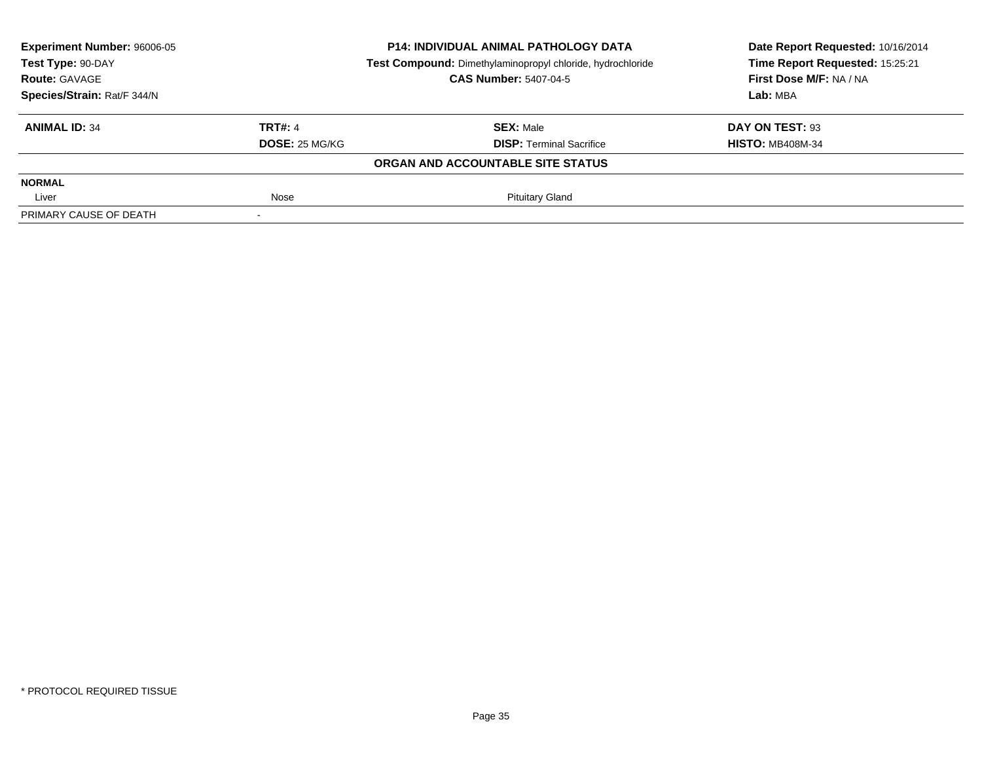| Experiment Number: 96006-05 |                | <b>P14: INDIVIDUAL ANIMAL PATHOLOGY DATA</b>               | Date Report Requested: 10/16/2014 |
|-----------------------------|----------------|------------------------------------------------------------|-----------------------------------|
| Test Type: 90-DAY           |                | Test Compound: Dimethylaminopropyl chloride, hydrochloride | Time Report Requested: 15:25:21   |
| <b>Route: GAVAGE</b>        |                | <b>CAS Number: 5407-04-5</b>                               | First Dose M/F: NA / NA           |
| Species/Strain: Rat/F 344/N |                |                                                            | Lab: MBA                          |
| <b>ANIMAL ID: 34</b>        | TRT#: 4        | <b>SEX: Male</b>                                           | DAY ON TEST: 93                   |
|                             | DOSE: 25 MG/KG | <b>DISP: Terminal Sacrifice</b>                            | <b>HISTO: MB408M-34</b>           |
|                             |                | ORGAN AND ACCOUNTABLE SITE STATUS                          |                                   |
| <b>NORMAL</b>               |                |                                                            |                                   |
| Liver                       | Nose           | <b>Pituitary Gland</b>                                     |                                   |
| PRIMARY CAUSE OF DEATH      |                |                                                            |                                   |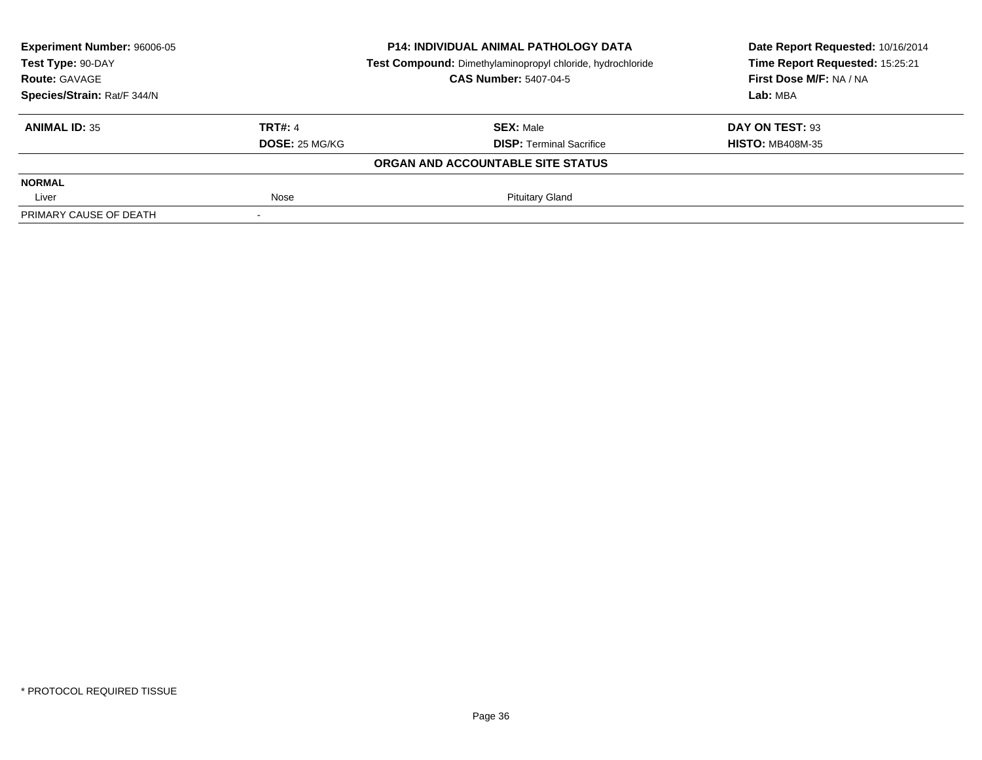| Experiment Number: 96006-05     |                              | <b>P14: INDIVIDUAL ANIMAL PATHOLOGY DATA</b>               | Date Report Requested: 10/16/2014<br>Time Report Requested: 15:25:21 |
|---------------------------------|------------------------------|------------------------------------------------------------|----------------------------------------------------------------------|
| Test Type: 90-DAY               |                              | Test Compound: Dimethylaminopropyl chloride, hydrochloride |                                                                      |
| <b>Route: GAVAGE</b>            | <b>CAS Number: 5407-04-5</b> |                                                            | First Dose M/F: NA / NA                                              |
| Species/Strain: Rat/F 344/N     |                              |                                                            | Lab: MBA                                                             |
| TRT#: 4<br><b>ANIMAL ID: 35</b> |                              | <b>SEX: Male</b>                                           | DAY ON TEST: 93                                                      |
|                                 | DOSE: 25 MG/KG               | <b>DISP: Terminal Sacrifice</b>                            | <b>HISTO: MB408M-35</b>                                              |
|                                 |                              | ORGAN AND ACCOUNTABLE SITE STATUS                          |                                                                      |
| <b>NORMAL</b>                   |                              |                                                            |                                                                      |
| Liver                           | Nose                         | <b>Pituitary Gland</b>                                     |                                                                      |
| PRIMARY CAUSE OF DEATH          |                              |                                                            |                                                                      |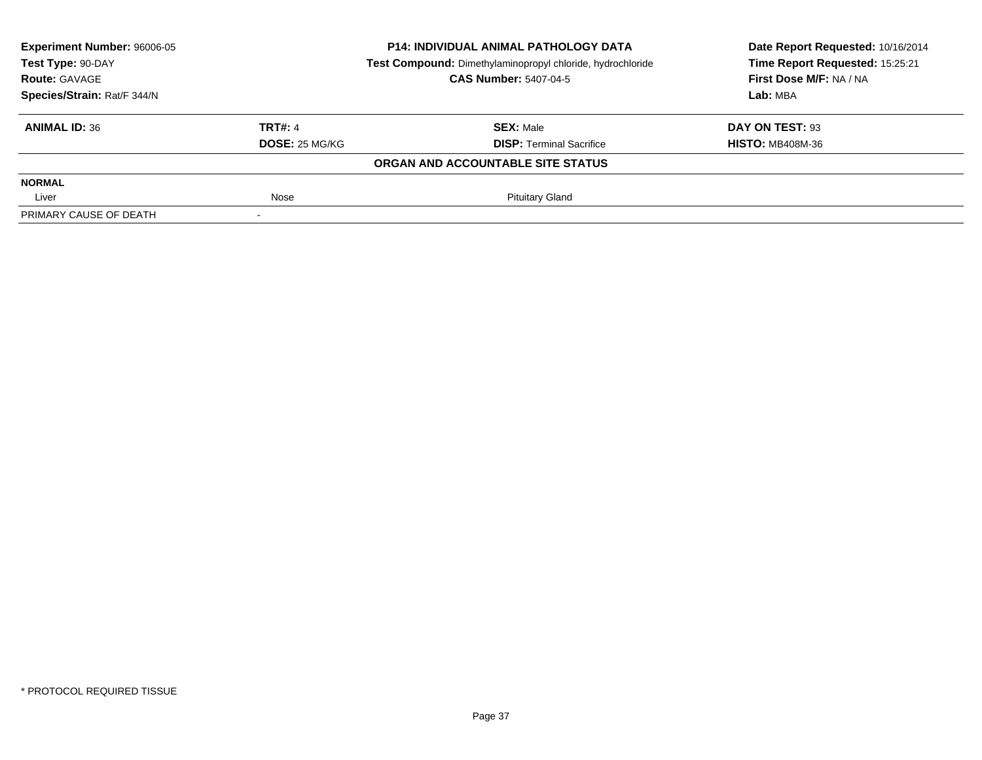| Experiment Number: 96006-05 |                | <b>P14: INDIVIDUAL ANIMAL PATHOLOGY DATA</b>               | Date Report Requested: 10/16/2014 |
|-----------------------------|----------------|------------------------------------------------------------|-----------------------------------|
| Test Type: 90-DAY           |                | Test Compound: Dimethylaminopropyl chloride, hydrochloride | Time Report Requested: 15:25:21   |
| <b>Route: GAVAGE</b>        |                | <b>CAS Number: 5407-04-5</b>                               | First Dose M/F: NA / NA           |
| Species/Strain: Rat/F 344/N |                |                                                            | Lab: MBA                          |
| <b>ANIMAL ID: 36</b>        | TRT#: 4        | <b>SEX: Male</b>                                           | DAY ON TEST: 93                   |
|                             | DOSE: 25 MG/KG | <b>DISP: Terminal Sacrifice</b>                            | <b>HISTO: MB408M-36</b>           |
|                             |                | ORGAN AND ACCOUNTABLE SITE STATUS                          |                                   |
| <b>NORMAL</b>               |                |                                                            |                                   |
| Liver                       | Nose           | <b>Pituitary Gland</b>                                     |                                   |
| PRIMARY CAUSE OF DEATH      |                |                                                            |                                   |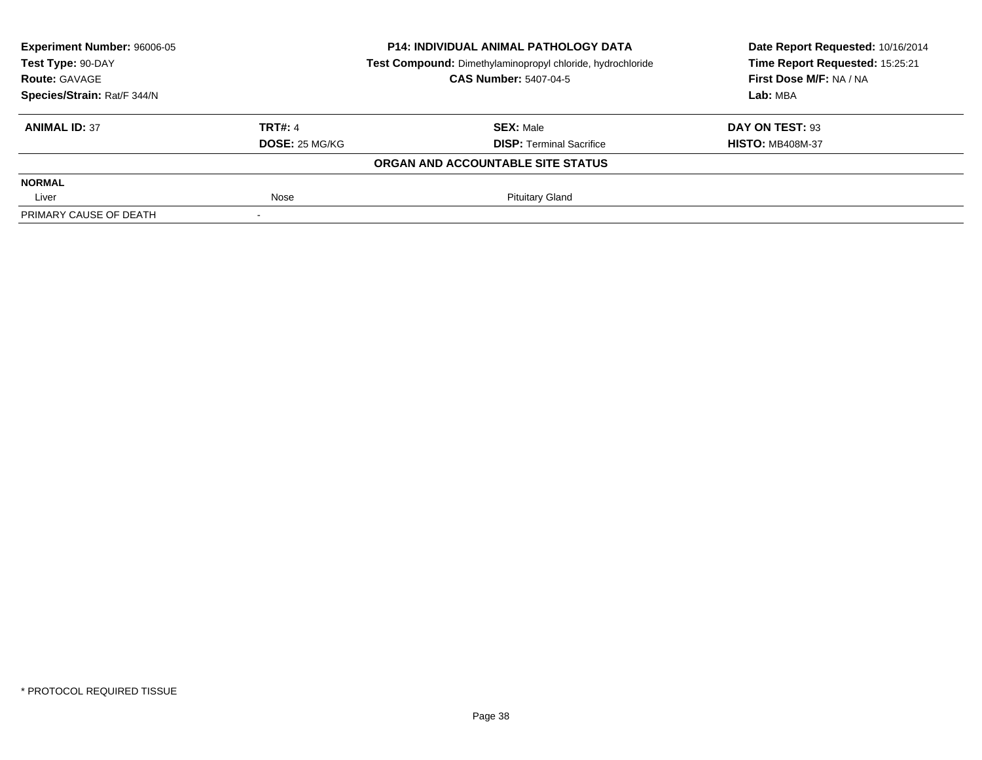| Experiment Number: 96006-05     |                | <b>P14: INDIVIDUAL ANIMAL PATHOLOGY DATA</b>               | Date Report Requested: 10/16/2014 |
|---------------------------------|----------------|------------------------------------------------------------|-----------------------------------|
| Test Type: 90-DAY               |                | Test Compound: Dimethylaminopropyl chloride, hydrochloride | Time Report Requested: 15:25:21   |
| <b>Route: GAVAGE</b>            |                | <b>CAS Number: 5407-04-5</b>                               | First Dose M/F: NA / NA           |
| Species/Strain: Rat/F 344/N     |                |                                                            | Lab: MBA                          |
| TRT#: 4<br><b>ANIMAL ID: 37</b> |                | <b>SEX: Male</b>                                           | DAY ON TEST: 93                   |
|                                 | DOSE: 25 MG/KG | <b>DISP: Terminal Sacrifice</b>                            | <b>HISTO: MB408M-37</b>           |
|                                 |                | ORGAN AND ACCOUNTABLE SITE STATUS                          |                                   |
| <b>NORMAL</b>                   |                |                                                            |                                   |
| Liver                           | Nose           | <b>Pituitary Gland</b>                                     |                                   |
| PRIMARY CAUSE OF DEATH          |                |                                                            |                                   |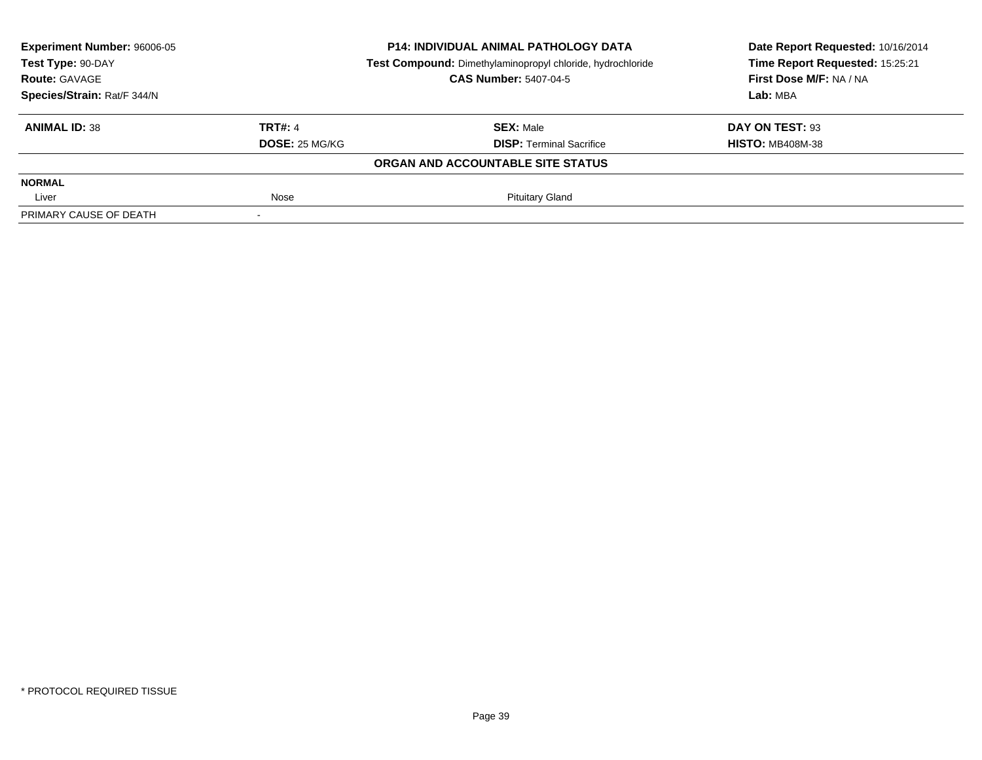| Experiment Number: 96006-05     |                | <b>P14: INDIVIDUAL ANIMAL PATHOLOGY DATA</b>               | Date Report Requested: 10/16/2014 |
|---------------------------------|----------------|------------------------------------------------------------|-----------------------------------|
| Test Type: 90-DAY               |                | Test Compound: Dimethylaminopropyl chloride, hydrochloride | Time Report Requested: 15:25:21   |
| <b>Route: GAVAGE</b>            |                | <b>CAS Number: 5407-04-5</b>                               | First Dose M/F: NA / NA           |
| Species/Strain: Rat/F 344/N     |                |                                                            | Lab: MBA                          |
| TRT#: 4<br><b>ANIMAL ID: 38</b> |                | <b>SEX: Male</b>                                           | DAY ON TEST: 93                   |
|                                 | DOSE: 25 MG/KG | <b>DISP: Terminal Sacrifice</b>                            | <b>HISTO: MB408M-38</b>           |
|                                 |                | ORGAN AND ACCOUNTABLE SITE STATUS                          |                                   |
| <b>NORMAL</b>                   |                |                                                            |                                   |
| Liver                           | Nose           | <b>Pituitary Gland</b>                                     |                                   |
| PRIMARY CAUSE OF DEATH          |                |                                                            |                                   |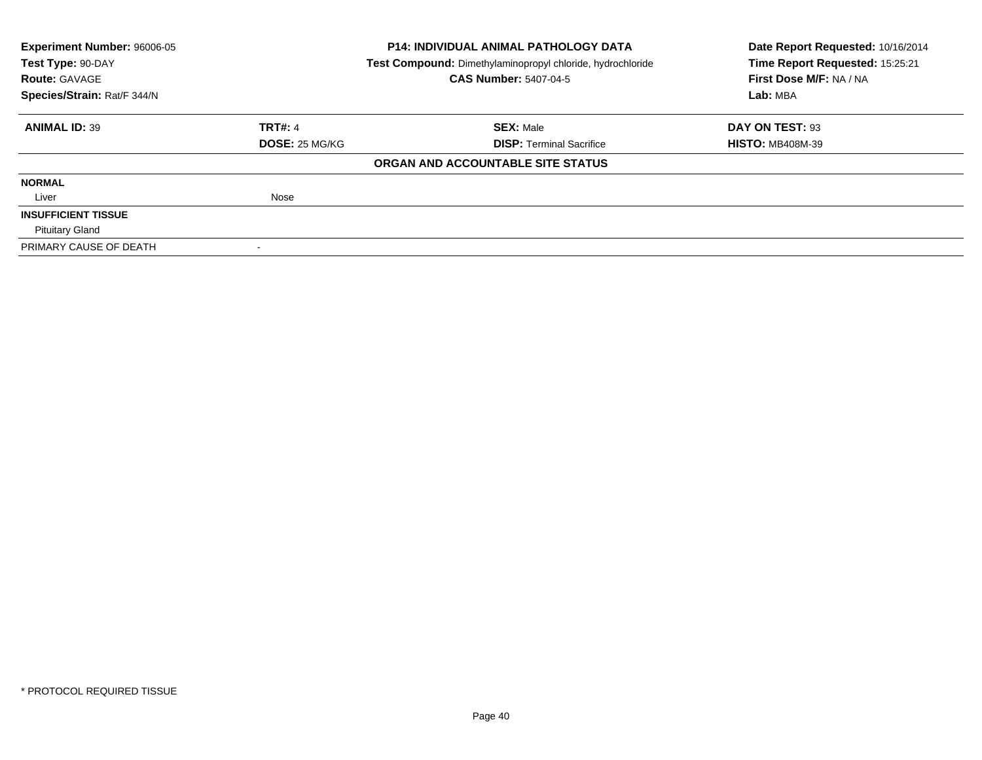| <b>Experiment Number: 96006-05</b><br>Test Type: 90-DAY |                       | <b>P14: INDIVIDUAL ANIMAL PATHOLOGY DATA</b>               | Date Report Requested: 10/16/2014 |
|---------------------------------------------------------|-----------------------|------------------------------------------------------------|-----------------------------------|
|                                                         |                       | Test Compound: Dimethylaminopropyl chloride, hydrochloride | Time Report Requested: 15:25:21   |
| <b>Route: GAVAGE</b>                                    |                       | <b>CAS Number: 5407-04-5</b>                               | First Dose M/F: NA / NA           |
| Species/Strain: Rat/F 344/N                             |                       |                                                            | Lab: MBA                          |
| <b>ANIMAL ID: 39</b>                                    | <b>TRT#: 4</b>        | <b>SEX: Male</b>                                           | DAY ON TEST: 93                   |
|                                                         | <b>DOSE: 25 MG/KG</b> | <b>DISP:</b> Terminal Sacrifice                            | <b>HISTO: MB408M-39</b>           |
|                                                         |                       | ORGAN AND ACCOUNTABLE SITE STATUS                          |                                   |
| <b>NORMAL</b>                                           |                       |                                                            |                                   |
| Liver                                                   | Nose                  |                                                            |                                   |
| <b>INSUFFICIENT TISSUE</b>                              |                       |                                                            |                                   |
| <b>Pituitary Gland</b>                                  |                       |                                                            |                                   |
| PRIMARY CAUSE OF DEATH                                  |                       |                                                            |                                   |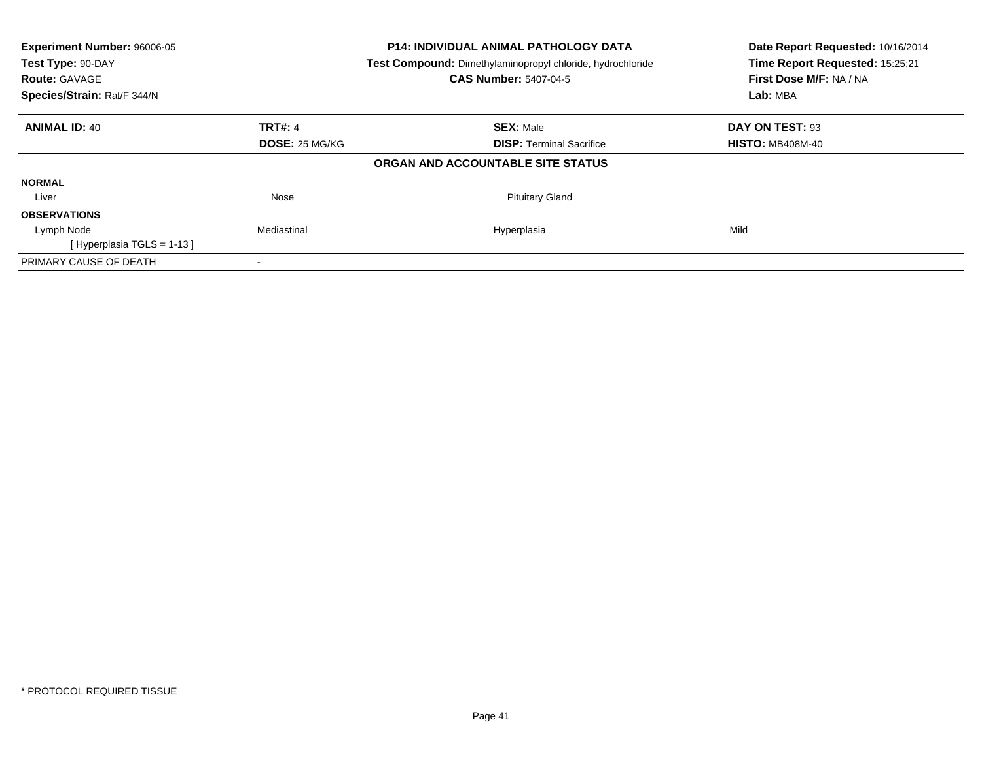| Experiment Number: 96006-05 |                       | <b>P14: INDIVIDUAL ANIMAL PATHOLOGY DATA</b>               | Date Report Requested: 10/16/2014 |
|-----------------------------|-----------------------|------------------------------------------------------------|-----------------------------------|
| Test Type: 90-DAY           |                       | Test Compound: Dimethylaminopropyl chloride, hydrochloride | Time Report Requested: 15:25:21   |
| <b>Route: GAVAGE</b>        |                       | <b>CAS Number: 5407-04-5</b>                               | First Dose M/F: NA / NA           |
| Species/Strain: Rat/F 344/N |                       |                                                            | Lab: MBA                          |
| <b>ANIMAL ID: 40</b>        | <b>TRT#: 4</b>        | <b>SEX: Male</b>                                           | DAY ON TEST: 93                   |
|                             | <b>DOSE: 25 MG/KG</b> | <b>DISP:</b> Terminal Sacrifice                            | <b>HISTO: MB408M-40</b>           |
|                             |                       | ORGAN AND ACCOUNTABLE SITE STATUS                          |                                   |
| <b>NORMAL</b>               |                       |                                                            |                                   |
| Liver                       | Nose                  | <b>Pituitary Gland</b>                                     |                                   |
| <b>OBSERVATIONS</b>         |                       |                                                            |                                   |
| Lymph Node                  | Mediastinal           | Hyperplasia                                                | Mild                              |
| [Hyperplasia TGLS = 1-13]   |                       |                                                            |                                   |
| PRIMARY CAUSE OF DEATH      |                       |                                                            |                                   |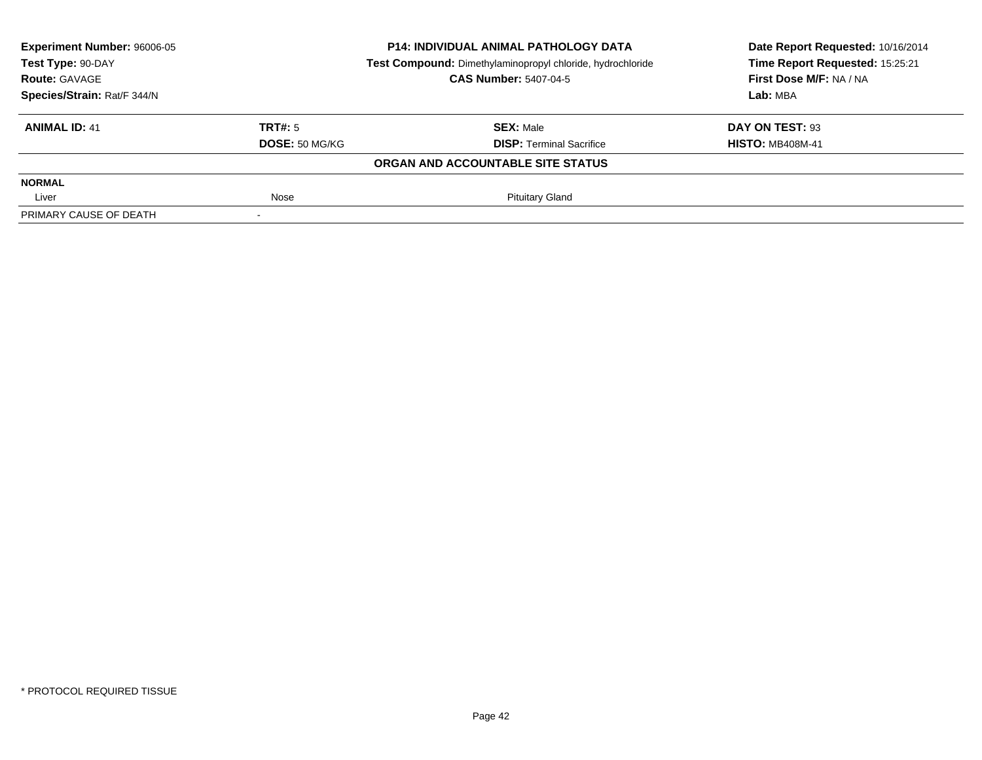| <b>Experiment Number: 96006-05</b> |                | <b>P14: INDIVIDUAL ANIMAL PATHOLOGY DATA</b>               | Date Report Requested: 10/16/2014<br>Time Report Requested: 15:25:21 |
|------------------------------------|----------------|------------------------------------------------------------|----------------------------------------------------------------------|
| Test Type: 90-DAY                  |                | Test Compound: Dimethylaminopropyl chloride, hydrochloride |                                                                      |
| <b>Route: GAVAGE</b>               |                | <b>CAS Number: 5407-04-5</b>                               | First Dose M/F: NA / NA                                              |
| Species/Strain: Rat/F 344/N        |                |                                                            | Lab: MBA                                                             |
| <b>ANIMAL ID: 41</b>               | TRT#: 5        | <b>SEX: Male</b>                                           | DAY ON TEST: 93                                                      |
|                                    | DOSE: 50 MG/KG | <b>DISP: Terminal Sacrifice</b>                            | <b>HISTO: MB408M-41</b>                                              |
|                                    |                | ORGAN AND ACCOUNTABLE SITE STATUS                          |                                                                      |
| <b>NORMAL</b>                      |                |                                                            |                                                                      |
| Liver                              | Nose           | <b>Pituitary Gland</b>                                     |                                                                      |
| PRIMARY CAUSE OF DEATH             |                |                                                            |                                                                      |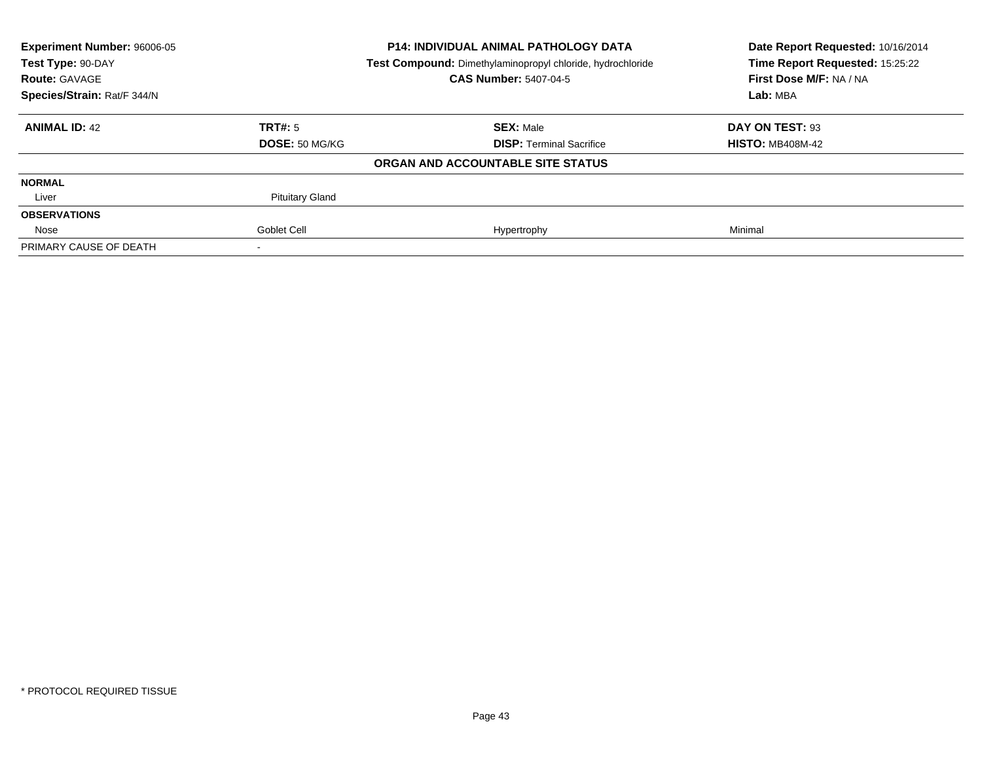| <b>Experiment Number: 96006-05</b><br>Test Type: 90-DAY |                        | <b>P14: INDIVIDUAL ANIMAL PATHOLOGY DATA</b>               | Date Report Requested: 10/16/2014<br>Time Report Requested: 15:25:22 |
|---------------------------------------------------------|------------------------|------------------------------------------------------------|----------------------------------------------------------------------|
|                                                         |                        | Test Compound: Dimethylaminopropyl chloride, hydrochloride |                                                                      |
| <b>Route: GAVAGE</b>                                    |                        | <b>CAS Number: 5407-04-5</b>                               | First Dose M/F: NA / NA                                              |
| Species/Strain: Rat/F 344/N                             |                        |                                                            | Lab: MBA                                                             |
| <b>ANIMAL ID: 42</b>                                    | TRT#: 5                | <b>SEX: Male</b>                                           | DAY ON TEST: 93                                                      |
|                                                         | DOSE: 50 MG/KG         | <b>DISP: Terminal Sacrifice</b>                            | <b>HISTO: MB408M-42</b>                                              |
|                                                         |                        | ORGAN AND ACCOUNTABLE SITE STATUS                          |                                                                      |
| <b>NORMAL</b>                                           |                        |                                                            |                                                                      |
| Liver                                                   | <b>Pituitary Gland</b> |                                                            |                                                                      |
| <b>OBSERVATIONS</b>                                     |                        |                                                            |                                                                      |
| Nose                                                    | Goblet Cell            | Hypertrophy                                                | Minimal                                                              |
| PRIMARY CAUSE OF DEATH                                  |                        |                                                            |                                                                      |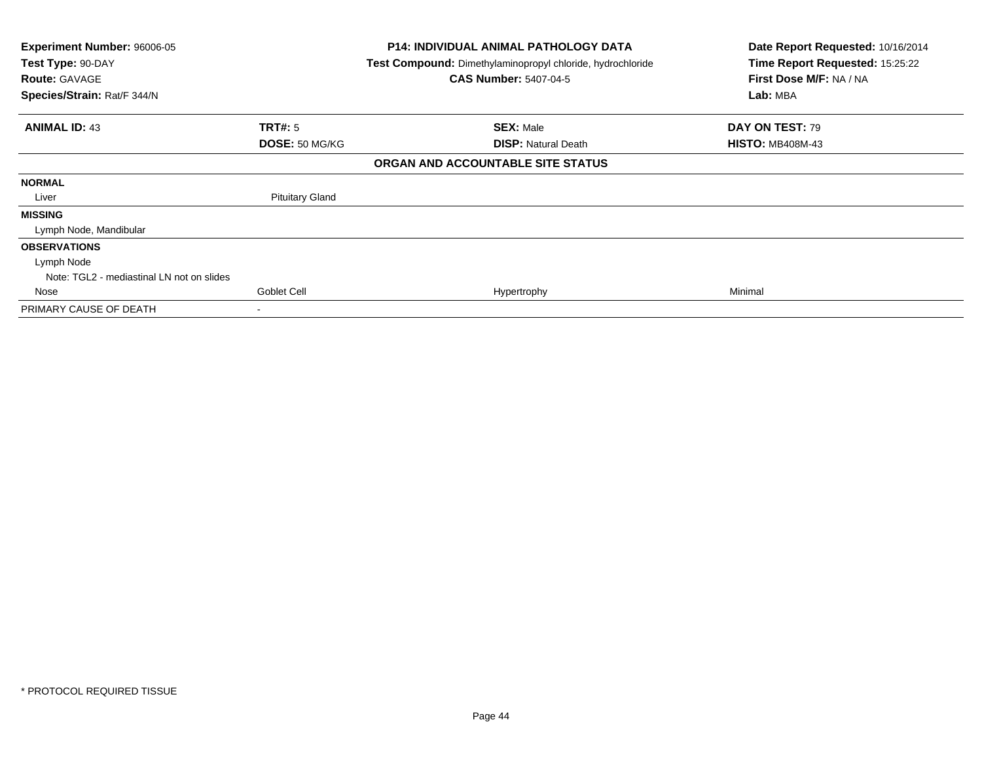| Experiment Number: 96006-05<br>Test Type: 90-DAY<br><b>Route: GAVAGE</b><br>Species/Strain: Rat/F 344/N |                           | <b>P14: INDIVIDUAL ANIMAL PATHOLOGY DATA</b><br>Test Compound: Dimethylaminopropyl chloride, hydrochloride<br><b>CAS Number: 5407-04-5</b> | Date Report Requested: 10/16/2014<br>Time Report Requested: 15:25:22<br>First Dose M/F: NA / NA<br>Lab: MBA |
|---------------------------------------------------------------------------------------------------------|---------------------------|--------------------------------------------------------------------------------------------------------------------------------------------|-------------------------------------------------------------------------------------------------------------|
| <b>ANIMAL ID: 43</b>                                                                                    | TRT#: 5<br>DOSE: 50 MG/KG | <b>SEX: Male</b><br><b>DISP:</b> Natural Death                                                                                             | DAY ON TEST: 79<br><b>HISTO: MB408M-43</b>                                                                  |
|                                                                                                         |                           | ORGAN AND ACCOUNTABLE SITE STATUS                                                                                                          |                                                                                                             |
| <b>NORMAL</b>                                                                                           |                           |                                                                                                                                            |                                                                                                             |
| Liver                                                                                                   | <b>Pituitary Gland</b>    |                                                                                                                                            |                                                                                                             |
| <b>MISSING</b><br>Lymph Node, Mandibular                                                                |                           |                                                                                                                                            |                                                                                                             |
| <b>OBSERVATIONS</b>                                                                                     |                           |                                                                                                                                            |                                                                                                             |
| Lymph Node<br>Note: TGL2 - mediastinal LN not on slides                                                 |                           |                                                                                                                                            |                                                                                                             |
| Nose                                                                                                    | Goblet Cell               | Hypertrophy                                                                                                                                | Minimal                                                                                                     |
| PRIMARY CAUSE OF DEATH                                                                                  | $\overline{\phantom{a}}$  |                                                                                                                                            |                                                                                                             |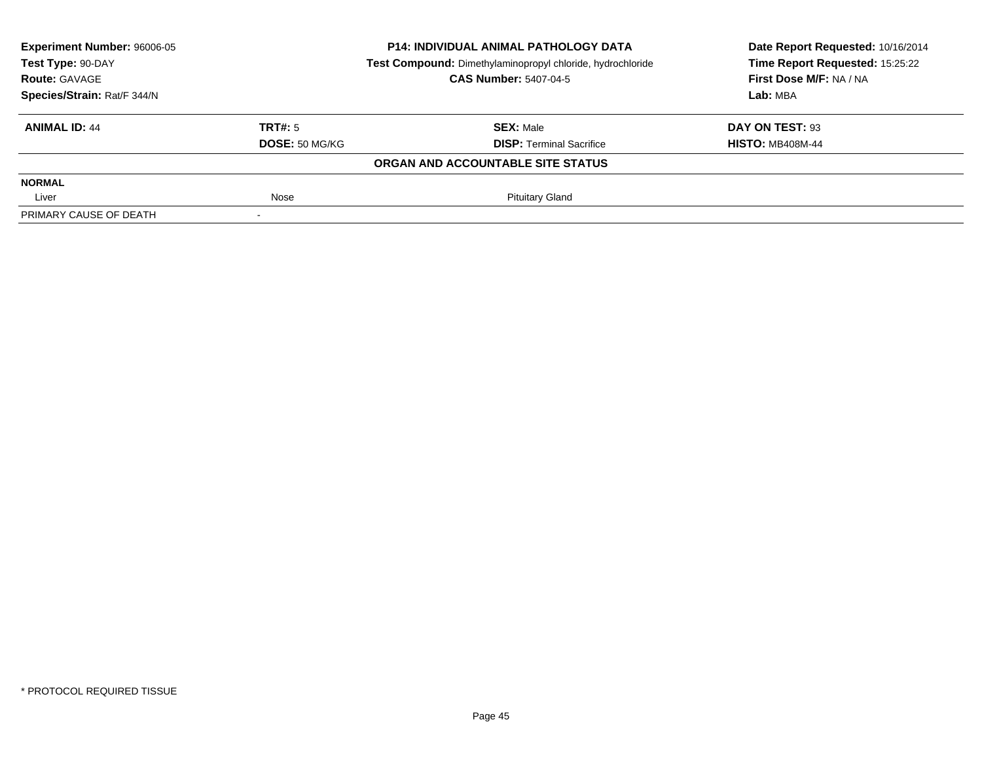| Experiment Number: 96006-05     |                | <b>P14: INDIVIDUAL ANIMAL PATHOLOGY DATA</b>               | Date Report Requested: 10/16/2014 |
|---------------------------------|----------------|------------------------------------------------------------|-----------------------------------|
| Test Type: 90-DAY               |                | Test Compound: Dimethylaminopropyl chloride, hydrochloride | Time Report Requested: 15:25:22   |
| <b>Route: GAVAGE</b>            |                | <b>CAS Number: 5407-04-5</b>                               | First Dose M/F: NA / NA           |
| Species/Strain: Rat/F 344/N     |                |                                                            | Lab: MBA                          |
| TRT#: 5<br><b>ANIMAL ID: 44</b> |                | <b>SEX: Male</b>                                           | DAY ON TEST: 93                   |
|                                 | DOSE: 50 MG/KG | <b>DISP: Terminal Sacrifice</b>                            | <b>HISTO: MB408M-44</b>           |
|                                 |                | ORGAN AND ACCOUNTABLE SITE STATUS                          |                                   |
| <b>NORMAL</b>                   |                |                                                            |                                   |
| Nose<br>Liver                   |                | <b>Pituitary Gland</b>                                     |                                   |
| PRIMARY CAUSE OF DEATH          |                |                                                            |                                   |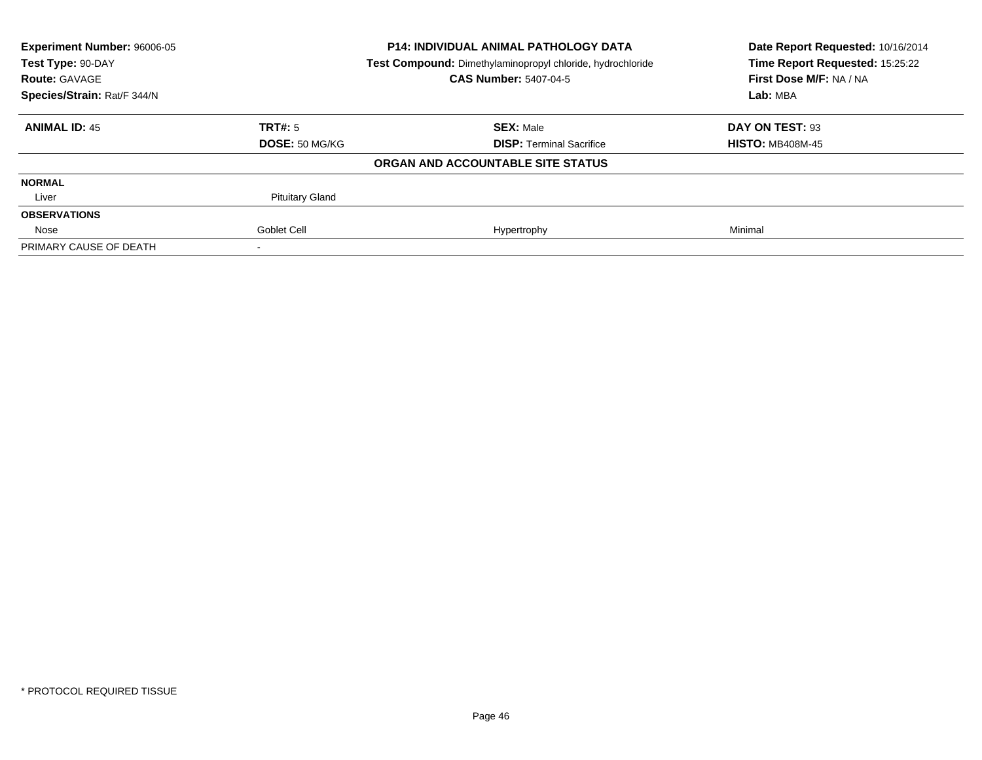| <b>Experiment Number: 96006-05</b><br>Test Type: 90-DAY |                        | <b>P14: INDIVIDUAL ANIMAL PATHOLOGY DATA</b>               | Date Report Requested: 10/16/2014<br>Time Report Requested: 15:25:22 |
|---------------------------------------------------------|------------------------|------------------------------------------------------------|----------------------------------------------------------------------|
|                                                         |                        | Test Compound: Dimethylaminopropyl chloride, hydrochloride |                                                                      |
| <b>Route: GAVAGE</b>                                    |                        | <b>CAS Number: 5407-04-5</b>                               | First Dose M/F: NA / NA                                              |
| Species/Strain: Rat/F 344/N                             |                        |                                                            | Lab: MBA                                                             |
| <b>ANIMAL ID: 45</b>                                    | TRT#: 5                | <b>SEX: Male</b>                                           | DAY ON TEST: 93                                                      |
|                                                         | DOSE: 50 MG/KG         | <b>DISP: Terminal Sacrifice</b>                            | <b>HISTO: MB408M-45</b>                                              |
|                                                         |                        | ORGAN AND ACCOUNTABLE SITE STATUS                          |                                                                      |
| <b>NORMAL</b>                                           |                        |                                                            |                                                                      |
| Liver                                                   | <b>Pituitary Gland</b> |                                                            |                                                                      |
| <b>OBSERVATIONS</b>                                     |                        |                                                            |                                                                      |
| Nose                                                    | Goblet Cell            | Hypertrophy                                                | Minimal                                                              |
| PRIMARY CAUSE OF DEATH                                  |                        |                                                            |                                                                      |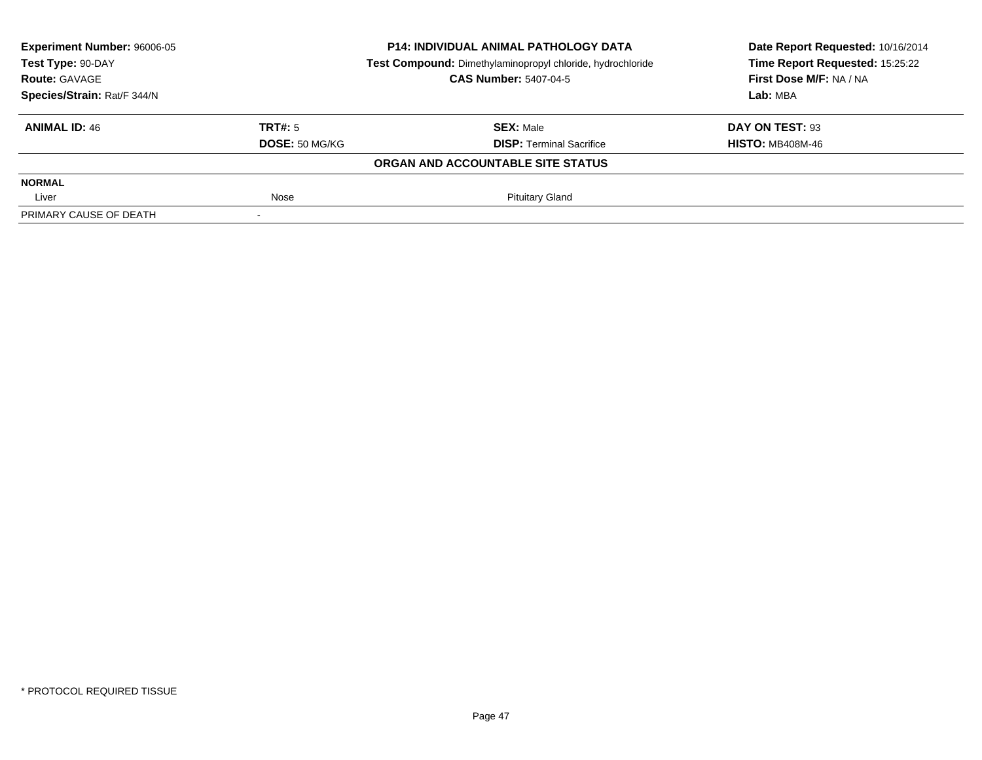| Experiment Number: 96006-05     |                                   | <b>P14: INDIVIDUAL ANIMAL PATHOLOGY DATA</b>               | Date Report Requested: 10/16/2014 |
|---------------------------------|-----------------------------------|------------------------------------------------------------|-----------------------------------|
| Test Type: 90-DAY               |                                   | Test Compound: Dimethylaminopropyl chloride, hydrochloride | Time Report Requested: 15:25:22   |
| <b>Route: GAVAGE</b>            |                                   | <b>CAS Number: 5407-04-5</b>                               | First Dose M/F: NA / NA           |
| Species/Strain: Rat/F 344/N     |                                   |                                                            | Lab: MBA                          |
| TRT#: 5<br><b>ANIMAL ID: 46</b> |                                   | <b>SEX: Male</b>                                           | DAY ON TEST: 93                   |
|                                 | DOSE: 50 MG/KG                    | <b>DISP: Terminal Sacrifice</b>                            | <b>HISTO: MB408M-46</b>           |
|                                 | ORGAN AND ACCOUNTABLE SITE STATUS |                                                            |                                   |
| <b>NORMAL</b>                   |                                   |                                                            |                                   |
| Nose<br>Liver                   |                                   | <b>Pituitary Gland</b>                                     |                                   |
| PRIMARY CAUSE OF DEATH          |                                   |                                                            |                                   |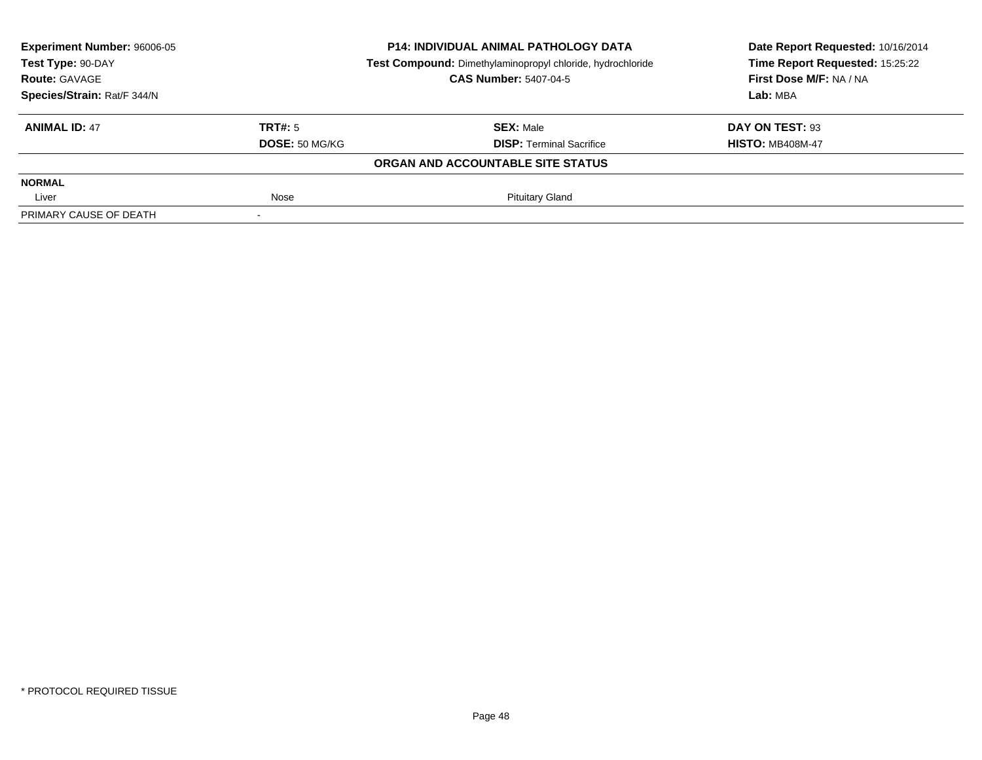| Experiment Number: 96006-05 |                | <b>P14: INDIVIDUAL ANIMAL PATHOLOGY DATA</b>               | Date Report Requested: 10/16/2014<br>Time Report Requested: 15:25:22 |
|-----------------------------|----------------|------------------------------------------------------------|----------------------------------------------------------------------|
| Test Type: 90-DAY           |                | Test Compound: Dimethylaminopropyl chloride, hydrochloride |                                                                      |
| <b>Route: GAVAGE</b>        |                | <b>CAS Number: 5407-04-5</b>                               | First Dose M/F: NA / NA                                              |
| Species/Strain: Rat/F 344/N |                |                                                            | Lab: MBA                                                             |
| <b>ANIMAL ID: 47</b>        | TRT#: 5        | <b>SEX: Male</b>                                           | DAY ON TEST: 93                                                      |
|                             | DOSE: 50 MG/KG | <b>DISP: Terminal Sacrifice</b>                            | <b>HISTO: MB408M-47</b>                                              |
|                             |                | ORGAN AND ACCOUNTABLE SITE STATUS                          |                                                                      |
| <b>NORMAL</b>               |                |                                                            |                                                                      |
| Liver                       | Nose           | <b>Pituitary Gland</b>                                     |                                                                      |
| PRIMARY CAUSE OF DEATH      |                |                                                            |                                                                      |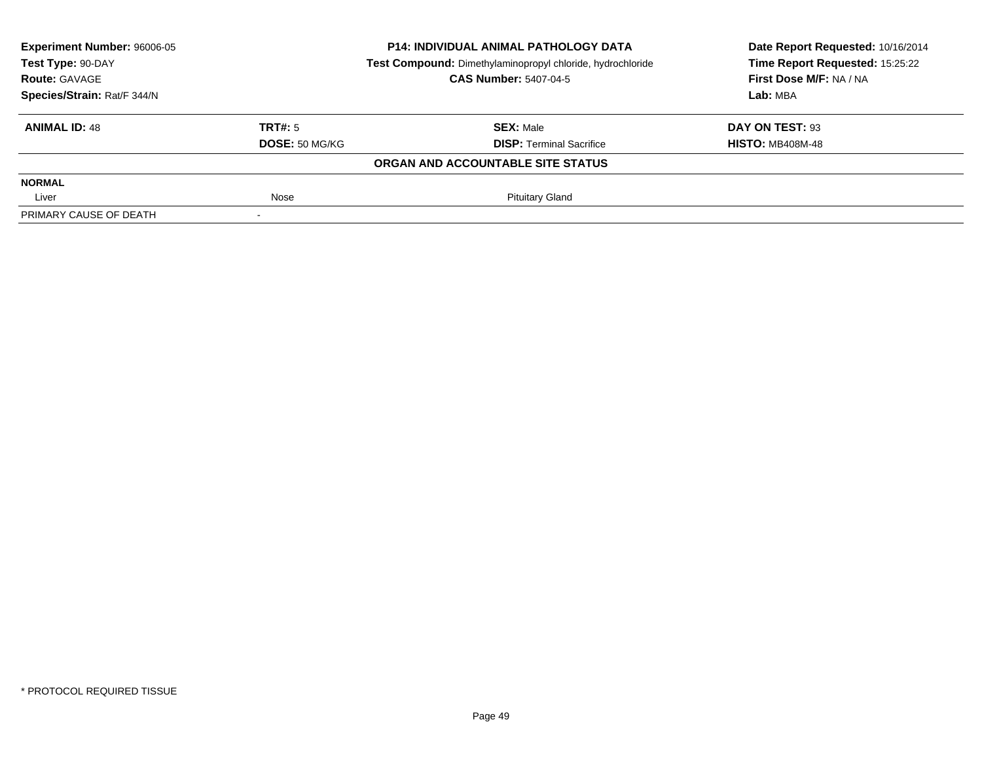| Experiment Number: 96006-05     |                | <b>P14: INDIVIDUAL ANIMAL PATHOLOGY DATA</b>               | Date Report Requested: 10/16/2014<br>Time Report Requested: 15:25:22 |
|---------------------------------|----------------|------------------------------------------------------------|----------------------------------------------------------------------|
| Test Type: 90-DAY               |                | Test Compound: Dimethylaminopropyl chloride, hydrochloride |                                                                      |
| <b>Route: GAVAGE</b>            |                | <b>CAS Number: 5407-04-5</b>                               | First Dose M/F: NA / NA                                              |
| Species/Strain: Rat/F 344/N     |                |                                                            | Lab: MBA                                                             |
| TRT#: 5<br><b>ANIMAL ID: 48</b> |                | <b>SEX: Male</b>                                           | DAY ON TEST: 93                                                      |
|                                 | DOSE: 50 MG/KG | <b>DISP: Terminal Sacrifice</b>                            | <b>HISTO: MB408M-48</b>                                              |
|                                 |                | ORGAN AND ACCOUNTABLE SITE STATUS                          |                                                                      |
| <b>NORMAL</b>                   |                |                                                            |                                                                      |
| Nose<br>Liver                   |                | <b>Pituitary Gland</b>                                     |                                                                      |
| PRIMARY CAUSE OF DEATH          |                |                                                            |                                                                      |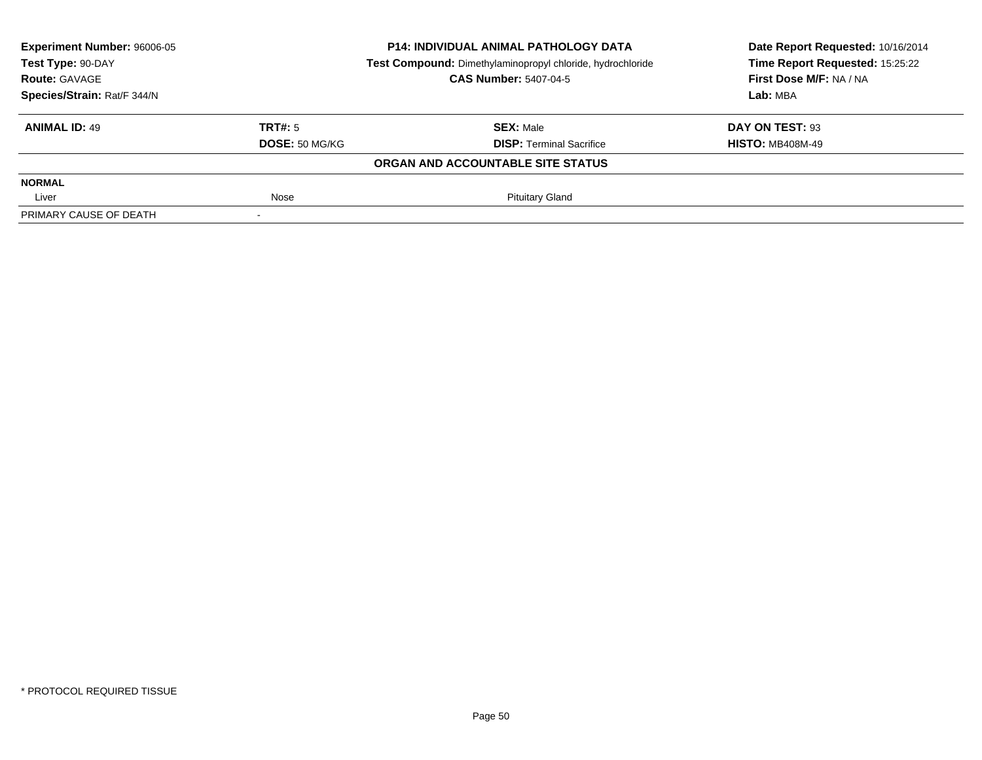| Experiment Number: 96006-05     |                                   | <b>P14: INDIVIDUAL ANIMAL PATHOLOGY DATA</b>               | Date Report Requested: 10/16/2014<br>Time Report Requested: 15:25:22 |
|---------------------------------|-----------------------------------|------------------------------------------------------------|----------------------------------------------------------------------|
| Test Type: 90-DAY               |                                   | Test Compound: Dimethylaminopropyl chloride, hydrochloride |                                                                      |
| <b>Route: GAVAGE</b>            |                                   | <b>CAS Number: 5407-04-5</b>                               | First Dose M/F: NA / NA                                              |
| Species/Strain: Rat/F 344/N     |                                   |                                                            | Lab: MBA                                                             |
| TRT#: 5<br><b>ANIMAL ID: 49</b> |                                   | <b>SEX: Male</b>                                           | DAY ON TEST: 93                                                      |
|                                 | DOSE: 50 MG/KG                    | <b>DISP: Terminal Sacrifice</b>                            | <b>HISTO: MB408M-49</b>                                              |
|                                 | ORGAN AND ACCOUNTABLE SITE STATUS |                                                            |                                                                      |
| <b>NORMAL</b>                   |                                   |                                                            |                                                                      |
| Nose<br>Liver                   |                                   | <b>Pituitary Gland</b>                                     |                                                                      |
| PRIMARY CAUSE OF DEATH          |                                   |                                                            |                                                                      |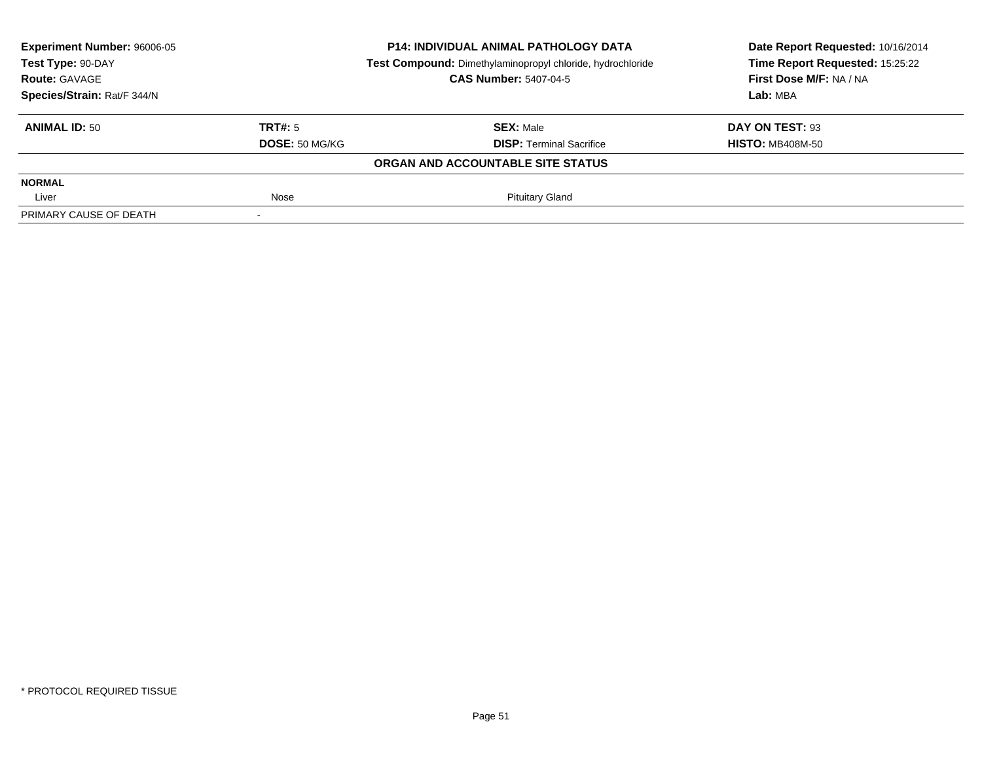| Experiment Number: 96006-05     | <b>P14: INDIVIDUAL ANIMAL PATHOLOGY DATA</b>               |                                 | Date Report Requested: 10/16/2014 |  |
|---------------------------------|------------------------------------------------------------|---------------------------------|-----------------------------------|--|
| Test Type: 90-DAY               | Test Compound: Dimethylaminopropyl chloride, hydrochloride |                                 | Time Report Requested: 15:25:22   |  |
| <b>Route: GAVAGE</b>            | <b>CAS Number: 5407-04-5</b>                               |                                 | First Dose M/F: NA / NA           |  |
| Species/Strain: Rat/F 344/N     |                                                            |                                 | Lab: MBA                          |  |
| TRT#: 5<br><b>ANIMAL ID: 50</b> |                                                            | <b>SEX: Male</b>                | DAY ON TEST: 93                   |  |
|                                 | DOSE: 50 MG/KG                                             | <b>DISP: Terminal Sacrifice</b> | <b>HISTO: MB408M-50</b>           |  |
|                                 | ORGAN AND ACCOUNTABLE SITE STATUS                          |                                 |                                   |  |
| <b>NORMAL</b>                   |                                                            |                                 |                                   |  |
| Nose<br>Liver                   |                                                            | <b>Pituitary Gland</b>          |                                   |  |
| PRIMARY CAUSE OF DEATH          |                                                            |                                 |                                   |  |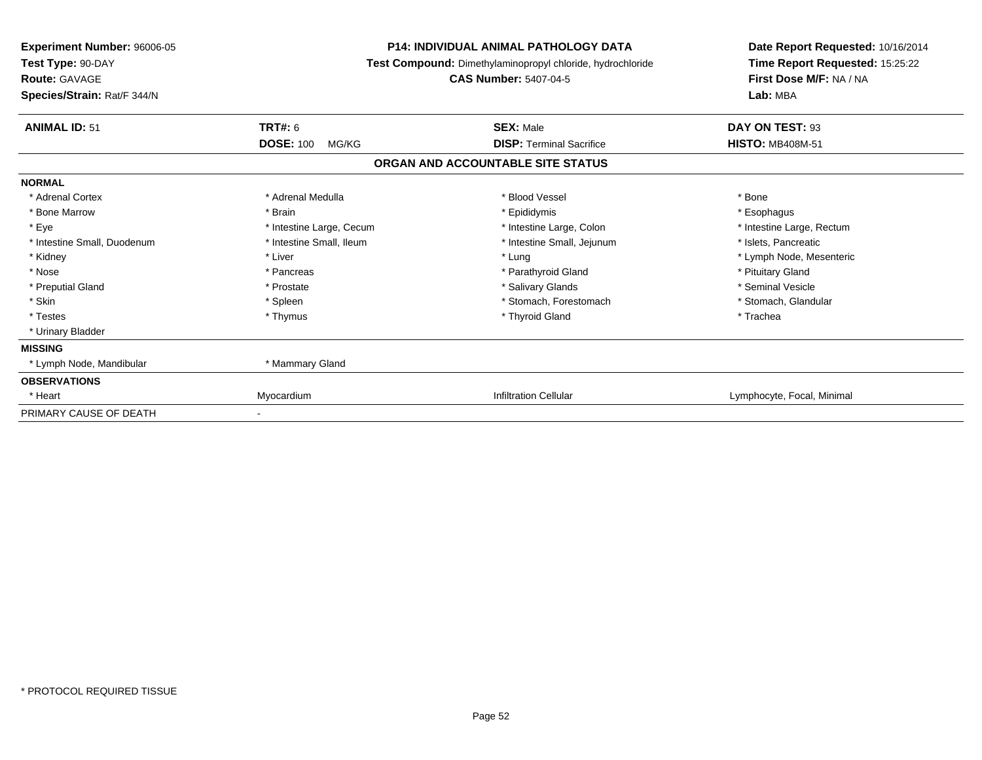| Experiment Number: 96006-05<br>Test Type: 90-DAY<br><b>Route: GAVAGE</b><br>Species/Strain: Rat/F 344/N |                           | <b>P14: INDIVIDUAL ANIMAL PATHOLOGY DATA</b><br>Test Compound: Dimethylaminopropyl chloride, hydrochloride<br><b>CAS Number: 5407-04-5</b> | Date Report Requested: 10/16/2014<br>Time Report Requested: 15:25:22<br>First Dose M/F: NA / NA<br>Lab: MBA |
|---------------------------------------------------------------------------------------------------------|---------------------------|--------------------------------------------------------------------------------------------------------------------------------------------|-------------------------------------------------------------------------------------------------------------|
| <b>ANIMAL ID: 51</b>                                                                                    | TRT#: 6                   | <b>SEX: Male</b>                                                                                                                           | DAY ON TEST: 93                                                                                             |
|                                                                                                         | <b>DOSE: 100</b><br>MG/KG | <b>DISP: Terminal Sacrifice</b>                                                                                                            | <b>HISTO: MB408M-51</b>                                                                                     |
|                                                                                                         |                           | ORGAN AND ACCOUNTABLE SITE STATUS                                                                                                          |                                                                                                             |
| <b>NORMAL</b>                                                                                           |                           |                                                                                                                                            |                                                                                                             |
| * Adrenal Cortex                                                                                        | * Adrenal Medulla         | * Blood Vessel                                                                                                                             | * Bone                                                                                                      |
| * Bone Marrow                                                                                           | * Brain                   | * Epididymis                                                                                                                               | * Esophagus                                                                                                 |
| * Eye                                                                                                   | * Intestine Large, Cecum  | * Intestine Large, Colon                                                                                                                   | * Intestine Large, Rectum                                                                                   |
| * Intestine Small, Duodenum                                                                             | * Intestine Small. Ileum  | * Intestine Small, Jejunum                                                                                                                 | * Islets, Pancreatic                                                                                        |
| * Kidney                                                                                                | * Liver                   | * Lung                                                                                                                                     | * Lymph Node, Mesenteric                                                                                    |
| * Nose                                                                                                  | * Pancreas                | * Parathyroid Gland                                                                                                                        | * Pituitary Gland                                                                                           |
| * Preputial Gland                                                                                       | * Prostate                | * Salivary Glands                                                                                                                          | * Seminal Vesicle                                                                                           |
| * Skin                                                                                                  | * Spleen                  | * Stomach, Forestomach                                                                                                                     | * Stomach, Glandular                                                                                        |
| * Testes                                                                                                | * Thymus                  | * Thyroid Gland                                                                                                                            | * Trachea                                                                                                   |
| * Urinary Bladder                                                                                       |                           |                                                                                                                                            |                                                                                                             |
| <b>MISSING</b>                                                                                          |                           |                                                                                                                                            |                                                                                                             |
| * Lymph Node, Mandibular                                                                                | * Mammary Gland           |                                                                                                                                            |                                                                                                             |
| <b>OBSERVATIONS</b>                                                                                     |                           |                                                                                                                                            |                                                                                                             |
| * Heart                                                                                                 | Myocardium                | <b>Infiltration Cellular</b>                                                                                                               | Lymphocyte, Focal, Minimal                                                                                  |
| PRIMARY CAUSE OF DEATH                                                                                  |                           |                                                                                                                                            |                                                                                                             |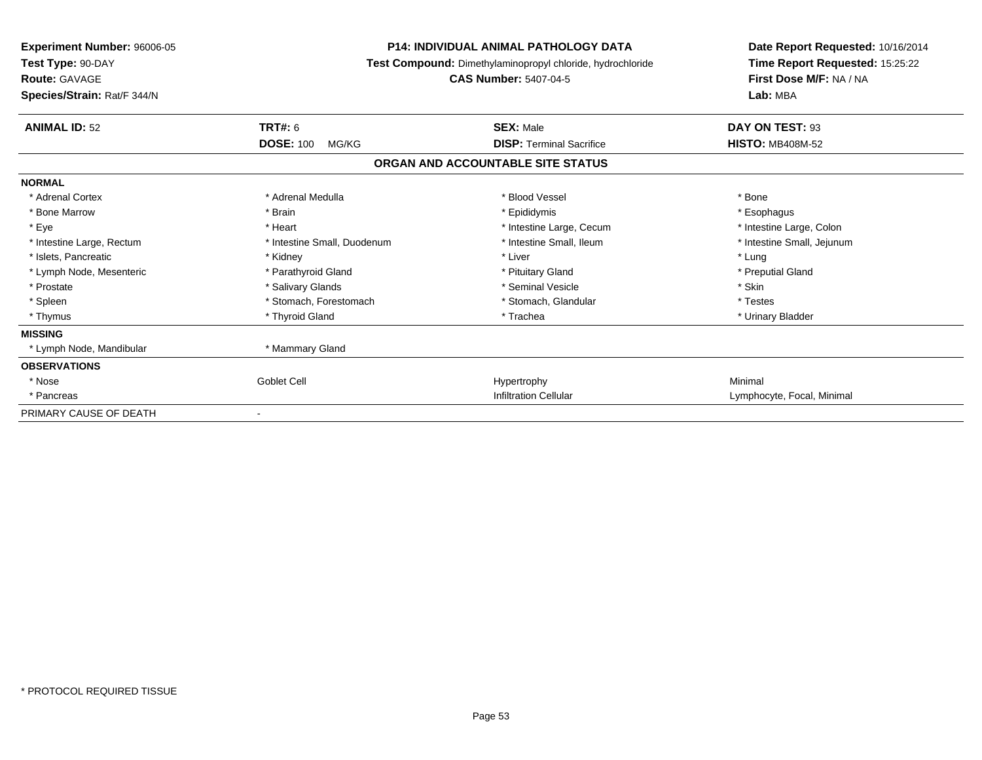| <b>Experiment Number: 96006-05</b><br>Test Type: 90-DAY<br><b>Route: GAVAGE</b><br>Species/Strain: Rat/F 344/N |                             | <b>P14: INDIVIDUAL ANIMAL PATHOLOGY DATA</b><br>Test Compound: Dimethylaminopropyl chloride, hydrochloride<br><b>CAS Number: 5407-04-5</b> | Date Report Requested: 10/16/2014<br>Time Report Requested: 15:25:22<br>First Dose M/F: NA / NA<br>Lab: MBA |
|----------------------------------------------------------------------------------------------------------------|-----------------------------|--------------------------------------------------------------------------------------------------------------------------------------------|-------------------------------------------------------------------------------------------------------------|
| <b>ANIMAL ID: 52</b>                                                                                           | <b>TRT#: 6</b>              | <b>SEX: Male</b>                                                                                                                           | DAY ON TEST: 93                                                                                             |
|                                                                                                                | <b>DOSE: 100</b><br>MG/KG   | <b>DISP: Terminal Sacrifice</b>                                                                                                            | <b>HISTO: MB408M-52</b>                                                                                     |
|                                                                                                                |                             | ORGAN AND ACCOUNTABLE SITE STATUS                                                                                                          |                                                                                                             |
| <b>NORMAL</b>                                                                                                  |                             |                                                                                                                                            |                                                                                                             |
| * Adrenal Cortex                                                                                               | * Adrenal Medulla           | * Blood Vessel                                                                                                                             | * Bone                                                                                                      |
| * Bone Marrow                                                                                                  | * Brain                     | * Epididymis                                                                                                                               | * Esophagus                                                                                                 |
| * Eye                                                                                                          | * Heart                     | * Intestine Large, Cecum                                                                                                                   | * Intestine Large, Colon                                                                                    |
| * Intestine Large, Rectum                                                                                      | * Intestine Small, Duodenum | * Intestine Small, Ileum                                                                                                                   | * Intestine Small, Jejunum                                                                                  |
| * Islets, Pancreatic                                                                                           | * Kidney                    | * Liver                                                                                                                                    | * Lung                                                                                                      |
| * Lymph Node, Mesenteric                                                                                       | * Parathyroid Gland         | * Pituitary Gland                                                                                                                          | * Preputial Gland                                                                                           |
| * Prostate                                                                                                     | * Salivary Glands           | * Seminal Vesicle                                                                                                                          | * Skin                                                                                                      |
| * Spleen                                                                                                       | * Stomach, Forestomach      | * Stomach, Glandular                                                                                                                       | * Testes                                                                                                    |
| * Thymus                                                                                                       | * Thyroid Gland             | * Trachea                                                                                                                                  | * Urinary Bladder                                                                                           |
| <b>MISSING</b>                                                                                                 |                             |                                                                                                                                            |                                                                                                             |
| * Lymph Node, Mandibular                                                                                       | * Mammary Gland             |                                                                                                                                            |                                                                                                             |
| <b>OBSERVATIONS</b>                                                                                            |                             |                                                                                                                                            |                                                                                                             |
| * Nose                                                                                                         | <b>Goblet Cell</b>          | Hypertrophy                                                                                                                                | Minimal                                                                                                     |
| * Pancreas                                                                                                     |                             | <b>Infiltration Cellular</b>                                                                                                               | Lymphocyte, Focal, Minimal                                                                                  |
| PRIMARY CAUSE OF DEATH                                                                                         |                             |                                                                                                                                            |                                                                                                             |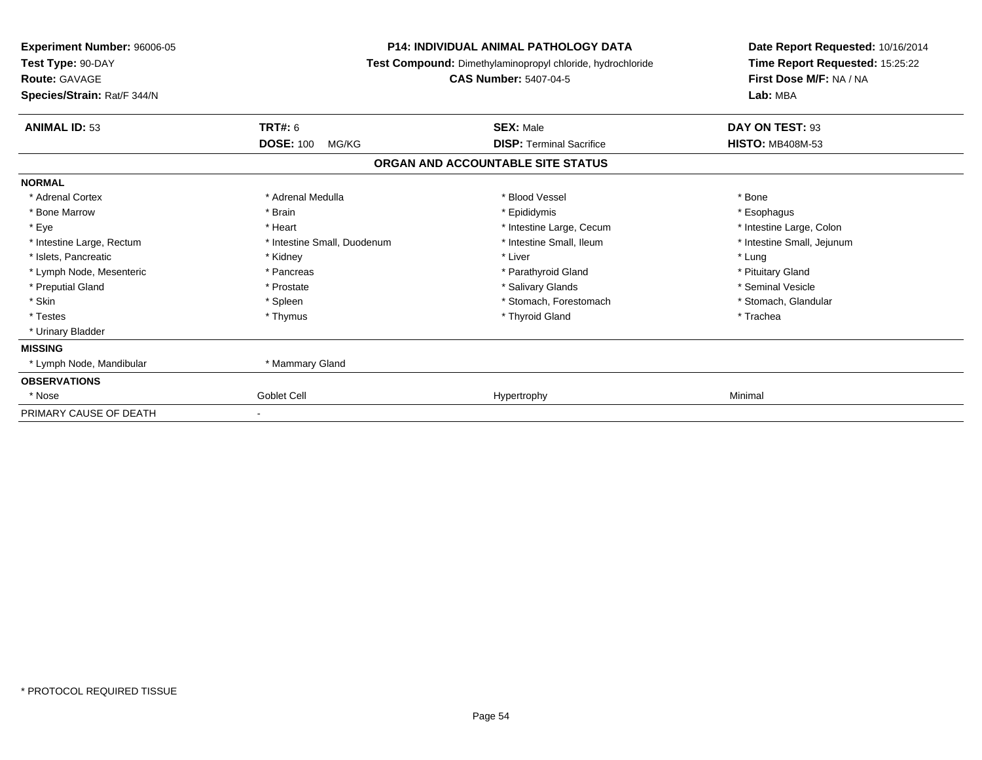| <b>Experiment Number: 96006-05</b><br>Test Type: 90-DAY<br><b>Route: GAVAGE</b><br>Species/Strain: Rat/F 344/N |                             | <b>P14: INDIVIDUAL ANIMAL PATHOLOGY DATA</b><br>Test Compound: Dimethylaminopropyl chloride, hydrochloride<br><b>CAS Number: 5407-04-5</b> | Date Report Requested: 10/16/2014<br>Time Report Requested: 15:25:22<br>First Dose M/F: NA / NA<br>Lab: MBA |
|----------------------------------------------------------------------------------------------------------------|-----------------------------|--------------------------------------------------------------------------------------------------------------------------------------------|-------------------------------------------------------------------------------------------------------------|
| <b>ANIMAL ID: 53</b>                                                                                           | <b>TRT#: 6</b>              | <b>SEX: Male</b>                                                                                                                           | DAY ON TEST: 93                                                                                             |
|                                                                                                                | <b>DOSE: 100</b><br>MG/KG   | <b>DISP: Terminal Sacrifice</b>                                                                                                            | <b>HISTO: MB408M-53</b>                                                                                     |
|                                                                                                                |                             | ORGAN AND ACCOUNTABLE SITE STATUS                                                                                                          |                                                                                                             |
| <b>NORMAL</b>                                                                                                  |                             |                                                                                                                                            |                                                                                                             |
| * Adrenal Cortex                                                                                               | * Adrenal Medulla           | * Blood Vessel                                                                                                                             | * Bone                                                                                                      |
| * Bone Marrow                                                                                                  | * Brain                     | * Epididymis                                                                                                                               | * Esophagus                                                                                                 |
| * Eye                                                                                                          | * Heart                     | * Intestine Large, Cecum                                                                                                                   | * Intestine Large, Colon                                                                                    |
| * Intestine Large, Rectum                                                                                      | * Intestine Small, Duodenum | * Intestine Small, Ileum                                                                                                                   | * Intestine Small, Jejunum                                                                                  |
| * Islets, Pancreatic                                                                                           | * Kidney                    | * Liver                                                                                                                                    | * Lung                                                                                                      |
| * Lymph Node, Mesenteric                                                                                       | * Pancreas                  | * Parathyroid Gland                                                                                                                        | * Pituitary Gland                                                                                           |
| * Preputial Gland                                                                                              | * Prostate                  | * Salivary Glands                                                                                                                          | * Seminal Vesicle                                                                                           |
| * Skin                                                                                                         | * Spleen                    | * Stomach, Forestomach                                                                                                                     | * Stomach, Glandular                                                                                        |
| * Testes                                                                                                       | * Thymus                    | * Thyroid Gland                                                                                                                            | * Trachea                                                                                                   |
| * Urinary Bladder                                                                                              |                             |                                                                                                                                            |                                                                                                             |
| <b>MISSING</b>                                                                                                 |                             |                                                                                                                                            |                                                                                                             |
| * Lymph Node, Mandibular                                                                                       | * Mammary Gland             |                                                                                                                                            |                                                                                                             |
| <b>OBSERVATIONS</b>                                                                                            |                             |                                                                                                                                            |                                                                                                             |
| * Nose                                                                                                         | Goblet Cell                 | Hypertrophy                                                                                                                                | Minimal                                                                                                     |
| PRIMARY CAUSE OF DEATH                                                                                         | $\overline{\phantom{a}}$    |                                                                                                                                            |                                                                                                             |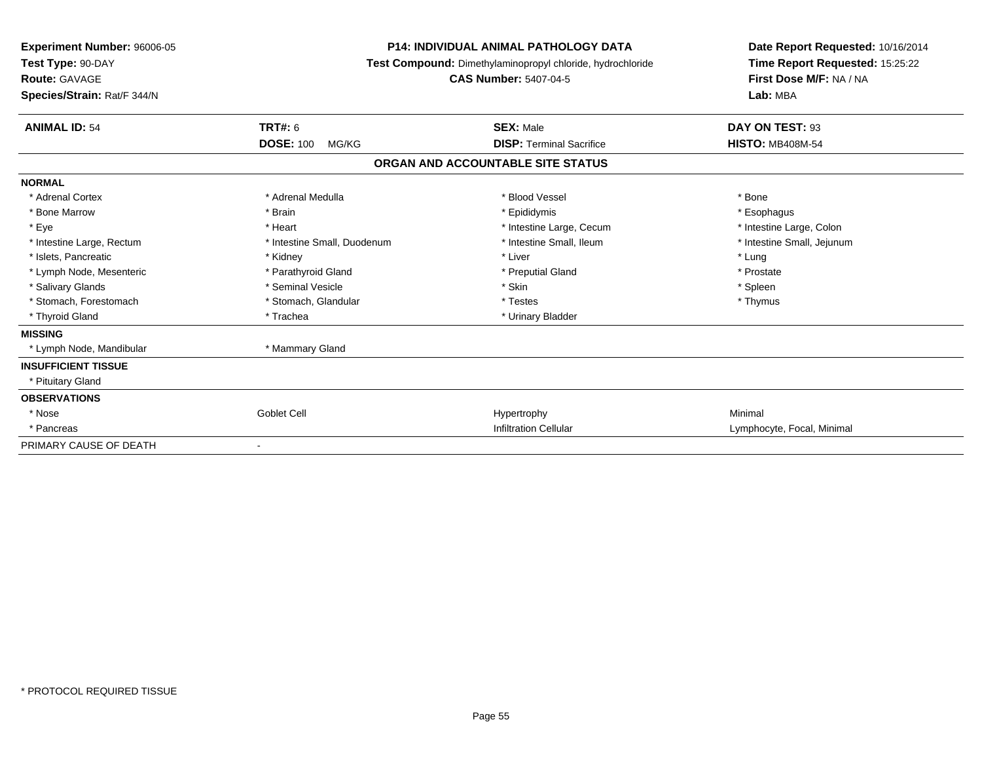| Experiment Number: 96006-05<br>Test Type: 90-DAY<br><b>Route: GAVAGE</b><br>Species/Strain: Rat/F 344/N |                             | <b>P14: INDIVIDUAL ANIMAL PATHOLOGY DATA</b><br>Test Compound: Dimethylaminopropyl chloride, hydrochloride<br><b>CAS Number: 5407-04-5</b> | Date Report Requested: 10/16/2014<br>Time Report Requested: 15:25:22<br>First Dose M/F: NA / NA<br>Lab: MBA |  |
|---------------------------------------------------------------------------------------------------------|-----------------------------|--------------------------------------------------------------------------------------------------------------------------------------------|-------------------------------------------------------------------------------------------------------------|--|
| <b>ANIMAL ID: 54</b>                                                                                    | TRT#: 6                     | <b>SEX: Male</b>                                                                                                                           | DAY ON TEST: 93                                                                                             |  |
|                                                                                                         | <b>DOSE: 100</b><br>MG/KG   | <b>DISP: Terminal Sacrifice</b>                                                                                                            | <b>HISTO: MB408M-54</b>                                                                                     |  |
|                                                                                                         |                             | ORGAN AND ACCOUNTABLE SITE STATUS                                                                                                          |                                                                                                             |  |
| <b>NORMAL</b>                                                                                           |                             |                                                                                                                                            |                                                                                                             |  |
| * Adrenal Cortex                                                                                        | * Adrenal Medulla           | * Blood Vessel                                                                                                                             | * Bone                                                                                                      |  |
| * Bone Marrow                                                                                           | * Brain                     | * Epididymis                                                                                                                               | * Esophagus                                                                                                 |  |
| * Eye                                                                                                   | * Heart                     | * Intestine Large, Cecum                                                                                                                   | * Intestine Large, Colon                                                                                    |  |
| * Intestine Large, Rectum                                                                               | * Intestine Small, Duodenum | * Intestine Small, Ileum                                                                                                                   | * Intestine Small, Jejunum                                                                                  |  |
| * Islets, Pancreatic                                                                                    | * Kidney                    | * Liver                                                                                                                                    | * Lung                                                                                                      |  |
| * Lymph Node, Mesenteric                                                                                | * Parathyroid Gland         | * Preputial Gland                                                                                                                          | * Prostate                                                                                                  |  |
| * Salivary Glands                                                                                       | * Seminal Vesicle           | * Skin                                                                                                                                     | * Spleen                                                                                                    |  |
| * Stomach, Forestomach                                                                                  | * Stomach, Glandular        | * Testes                                                                                                                                   | * Thymus                                                                                                    |  |
| * Thyroid Gland                                                                                         | * Trachea                   | * Urinary Bladder                                                                                                                          |                                                                                                             |  |
| <b>MISSING</b>                                                                                          |                             |                                                                                                                                            |                                                                                                             |  |
| * Lymph Node, Mandibular                                                                                | * Mammary Gland             |                                                                                                                                            |                                                                                                             |  |
| <b>INSUFFICIENT TISSUE</b>                                                                              |                             |                                                                                                                                            |                                                                                                             |  |
| * Pituitary Gland                                                                                       |                             |                                                                                                                                            |                                                                                                             |  |
| <b>OBSERVATIONS</b>                                                                                     |                             |                                                                                                                                            |                                                                                                             |  |
| * Nose                                                                                                  | Goblet Cell                 | Hypertrophy                                                                                                                                | Minimal                                                                                                     |  |
| * Pancreas                                                                                              |                             | <b>Infiltration Cellular</b>                                                                                                               | Lymphocyte, Focal, Minimal                                                                                  |  |
| PRIMARY CAUSE OF DEATH                                                                                  |                             |                                                                                                                                            |                                                                                                             |  |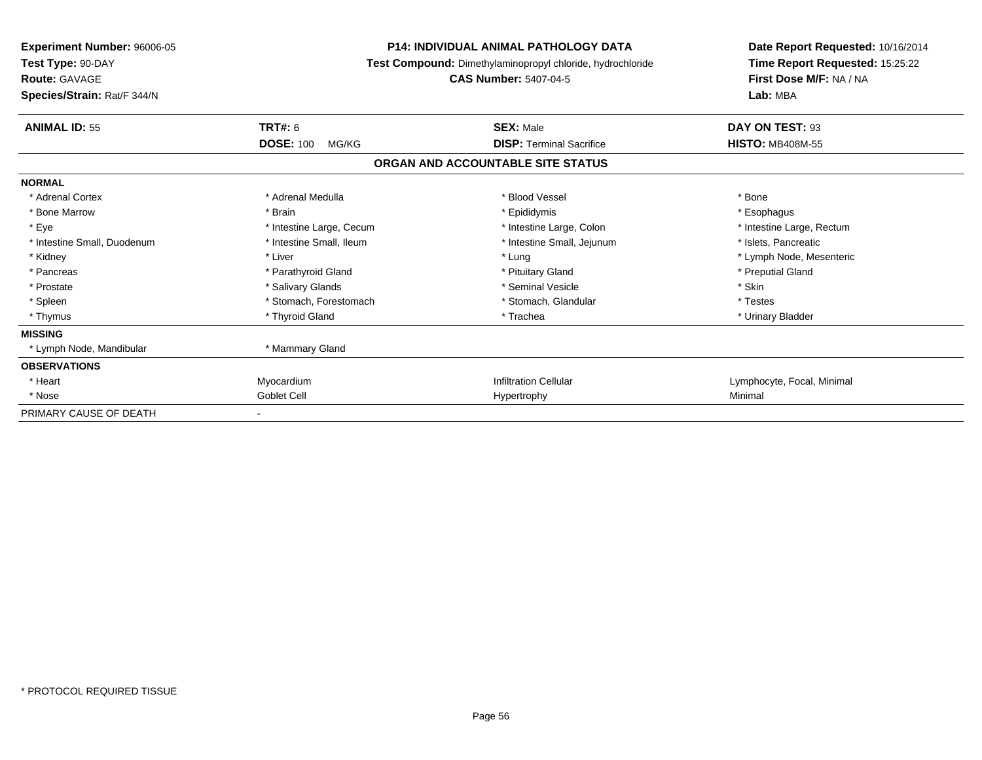| <b>Experiment Number: 96006-05</b><br>Test Type: 90-DAY<br><b>Route: GAVAGE</b><br>Species/Strain: Rat/F 344/N |                           | <b>P14: INDIVIDUAL ANIMAL PATHOLOGY DATA</b><br>Test Compound: Dimethylaminopropyl chloride, hydrochloride<br><b>CAS Number: 5407-04-5</b> | Date Report Requested: 10/16/2014<br>Time Report Requested: 15:25:22<br>First Dose M/F: NA / NA<br>Lab: MBA |
|----------------------------------------------------------------------------------------------------------------|---------------------------|--------------------------------------------------------------------------------------------------------------------------------------------|-------------------------------------------------------------------------------------------------------------|
| <b>ANIMAL ID: 55</b>                                                                                           | <b>TRT#: 6</b>            | <b>SEX: Male</b>                                                                                                                           | DAY ON TEST: 93                                                                                             |
|                                                                                                                | <b>DOSE: 100</b><br>MG/KG | <b>DISP: Terminal Sacrifice</b>                                                                                                            | <b>HISTO: MB408M-55</b>                                                                                     |
|                                                                                                                |                           | ORGAN AND ACCOUNTABLE SITE STATUS                                                                                                          |                                                                                                             |
| <b>NORMAL</b>                                                                                                  |                           |                                                                                                                                            |                                                                                                             |
| * Adrenal Cortex                                                                                               | * Adrenal Medulla         | * Blood Vessel                                                                                                                             | * Bone                                                                                                      |
| * Bone Marrow                                                                                                  | * Brain                   | * Epididymis                                                                                                                               | * Esophagus                                                                                                 |
| * Eye                                                                                                          | * Intestine Large, Cecum  | * Intestine Large, Colon                                                                                                                   | * Intestine Large, Rectum                                                                                   |
| * Intestine Small, Duodenum                                                                                    | * Intestine Small, Ileum  | * Intestine Small, Jejunum                                                                                                                 | * Islets, Pancreatic                                                                                        |
| * Kidney                                                                                                       | * Liver                   | * Lung                                                                                                                                     | * Lymph Node, Mesenteric                                                                                    |
| * Pancreas                                                                                                     | * Parathyroid Gland       | * Pituitary Gland                                                                                                                          | * Preputial Gland                                                                                           |
| * Prostate                                                                                                     | * Salivary Glands         | * Seminal Vesicle                                                                                                                          | * Skin                                                                                                      |
| * Spleen                                                                                                       | * Stomach, Forestomach    | * Stomach, Glandular                                                                                                                       | * Testes                                                                                                    |
| * Thymus                                                                                                       | * Thyroid Gland           | * Trachea                                                                                                                                  | * Urinary Bladder                                                                                           |
| <b>MISSING</b>                                                                                                 |                           |                                                                                                                                            |                                                                                                             |
| * Lymph Node, Mandibular                                                                                       | * Mammary Gland           |                                                                                                                                            |                                                                                                             |
| <b>OBSERVATIONS</b>                                                                                            |                           |                                                                                                                                            |                                                                                                             |
| * Heart                                                                                                        | Myocardium                | <b>Infiltration Cellular</b>                                                                                                               | Lymphocyte, Focal, Minimal                                                                                  |
| * Nose                                                                                                         | Goblet Cell               | Hypertrophy                                                                                                                                | Minimal                                                                                                     |
| PRIMARY CAUSE OF DEATH                                                                                         |                           |                                                                                                                                            |                                                                                                             |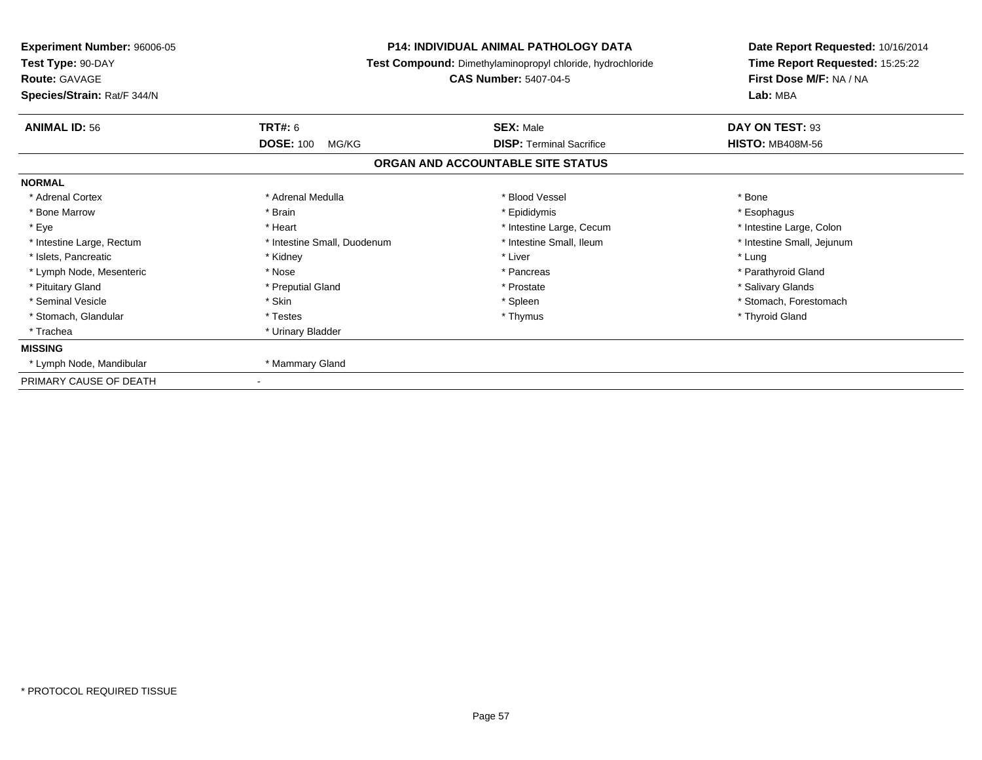| Experiment Number: 96006-05<br>Test Type: 90-DAY<br><b>Route: GAVAGE</b> |                             | <b>P14: INDIVIDUAL ANIMAL PATHOLOGY DATA</b><br>Test Compound: Dimethylaminopropyl chloride, hydrochloride<br><b>CAS Number: 5407-04-5</b> | Date Report Requested: 10/16/2014<br>Time Report Requested: 15:25:22<br>First Dose M/F: NA / NA |  |
|--------------------------------------------------------------------------|-----------------------------|--------------------------------------------------------------------------------------------------------------------------------------------|-------------------------------------------------------------------------------------------------|--|
| Species/Strain: Rat/F 344/N                                              |                             |                                                                                                                                            | Lab: MBA                                                                                        |  |
| <b>ANIMAL ID: 56</b>                                                     | <b>TRT#: 6</b>              | <b>SEX: Male</b>                                                                                                                           | DAY ON TEST: 93                                                                                 |  |
|                                                                          | <b>DOSE: 100</b><br>MG/KG   | <b>DISP: Terminal Sacrifice</b>                                                                                                            | <b>HISTO: MB408M-56</b>                                                                         |  |
|                                                                          |                             | ORGAN AND ACCOUNTABLE SITE STATUS                                                                                                          |                                                                                                 |  |
| <b>NORMAL</b>                                                            |                             |                                                                                                                                            |                                                                                                 |  |
| * Adrenal Cortex                                                         | * Adrenal Medulla           | * Blood Vessel                                                                                                                             | * Bone                                                                                          |  |
| * Bone Marrow                                                            | * Brain                     | * Epididymis                                                                                                                               | * Esophagus                                                                                     |  |
| * Eye                                                                    | * Heart                     | * Intestine Large, Cecum                                                                                                                   | * Intestine Large, Colon                                                                        |  |
| * Intestine Large, Rectum                                                | * Intestine Small, Duodenum | * Intestine Small, Ileum                                                                                                                   | * Intestine Small, Jejunum                                                                      |  |
| * Islets, Pancreatic                                                     | * Kidney                    | * Liver                                                                                                                                    | * Lung                                                                                          |  |
| * Lymph Node, Mesenteric                                                 | * Nose                      | * Pancreas                                                                                                                                 | * Parathyroid Gland                                                                             |  |
| * Pituitary Gland                                                        | * Preputial Gland           | * Prostate                                                                                                                                 | * Salivary Glands                                                                               |  |
| * Seminal Vesicle                                                        | * Skin                      | * Spleen                                                                                                                                   | * Stomach, Forestomach                                                                          |  |
| * Stomach, Glandular                                                     | * Testes                    | * Thymus                                                                                                                                   | * Thyroid Gland                                                                                 |  |
| * Trachea                                                                | * Urinary Bladder           |                                                                                                                                            |                                                                                                 |  |
| <b>MISSING</b>                                                           |                             |                                                                                                                                            |                                                                                                 |  |
| * Lymph Node, Mandibular                                                 | * Mammary Gland             |                                                                                                                                            |                                                                                                 |  |
| PRIMARY CAUSE OF DEATH                                                   |                             |                                                                                                                                            |                                                                                                 |  |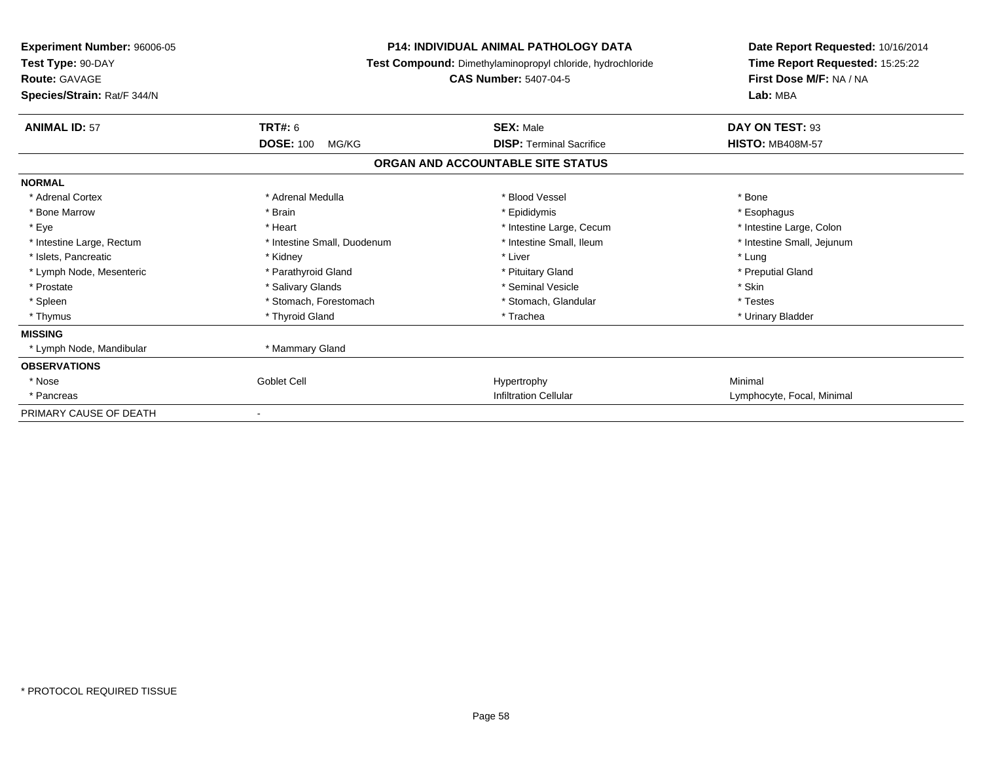| <b>Experiment Number: 96006-05</b><br>Test Type: 90-DAY<br><b>Route: GAVAGE</b><br>Species/Strain: Rat/F 344/N |                             | <b>P14: INDIVIDUAL ANIMAL PATHOLOGY DATA</b><br>Test Compound: Dimethylaminopropyl chloride, hydrochloride<br><b>CAS Number: 5407-04-5</b> | Date Report Requested: 10/16/2014<br>Time Report Requested: 15:25:22<br>First Dose M/F: NA / NA<br>Lab: MBA |
|----------------------------------------------------------------------------------------------------------------|-----------------------------|--------------------------------------------------------------------------------------------------------------------------------------------|-------------------------------------------------------------------------------------------------------------|
| <b>ANIMAL ID: 57</b>                                                                                           | <b>TRT#: 6</b>              | <b>SEX: Male</b>                                                                                                                           | DAY ON TEST: 93                                                                                             |
|                                                                                                                | <b>DOSE: 100</b><br>MG/KG   | <b>DISP: Terminal Sacrifice</b>                                                                                                            | <b>HISTO: MB408M-57</b>                                                                                     |
|                                                                                                                |                             | ORGAN AND ACCOUNTABLE SITE STATUS                                                                                                          |                                                                                                             |
| <b>NORMAL</b>                                                                                                  |                             |                                                                                                                                            |                                                                                                             |
| * Adrenal Cortex                                                                                               | * Adrenal Medulla           | * Blood Vessel                                                                                                                             | * Bone                                                                                                      |
| * Bone Marrow                                                                                                  | * Brain                     | * Epididymis                                                                                                                               | * Esophagus                                                                                                 |
| * Eye                                                                                                          | * Heart                     | * Intestine Large, Cecum                                                                                                                   | * Intestine Large, Colon                                                                                    |
| * Intestine Large, Rectum                                                                                      | * Intestine Small, Duodenum | * Intestine Small, Ileum                                                                                                                   | * Intestine Small, Jejunum                                                                                  |
| * Islets, Pancreatic                                                                                           | * Kidney                    | * Liver                                                                                                                                    | * Lung                                                                                                      |
| * Lymph Node, Mesenteric                                                                                       | * Parathyroid Gland         | * Pituitary Gland                                                                                                                          | * Preputial Gland                                                                                           |
| * Prostate                                                                                                     | * Salivary Glands           | * Seminal Vesicle                                                                                                                          | * Skin                                                                                                      |
| * Spleen                                                                                                       | * Stomach, Forestomach      | * Stomach, Glandular                                                                                                                       | * Testes                                                                                                    |
| * Thymus                                                                                                       | * Thyroid Gland             | * Trachea                                                                                                                                  | * Urinary Bladder                                                                                           |
| <b>MISSING</b>                                                                                                 |                             |                                                                                                                                            |                                                                                                             |
| * Lymph Node, Mandibular                                                                                       | * Mammary Gland             |                                                                                                                                            |                                                                                                             |
| <b>OBSERVATIONS</b>                                                                                            |                             |                                                                                                                                            |                                                                                                             |
| * Nose                                                                                                         | <b>Goblet Cell</b>          | Hypertrophy                                                                                                                                | Minimal                                                                                                     |
| * Pancreas                                                                                                     |                             | <b>Infiltration Cellular</b>                                                                                                               | Lymphocyte, Focal, Minimal                                                                                  |
| PRIMARY CAUSE OF DEATH                                                                                         |                             |                                                                                                                                            |                                                                                                             |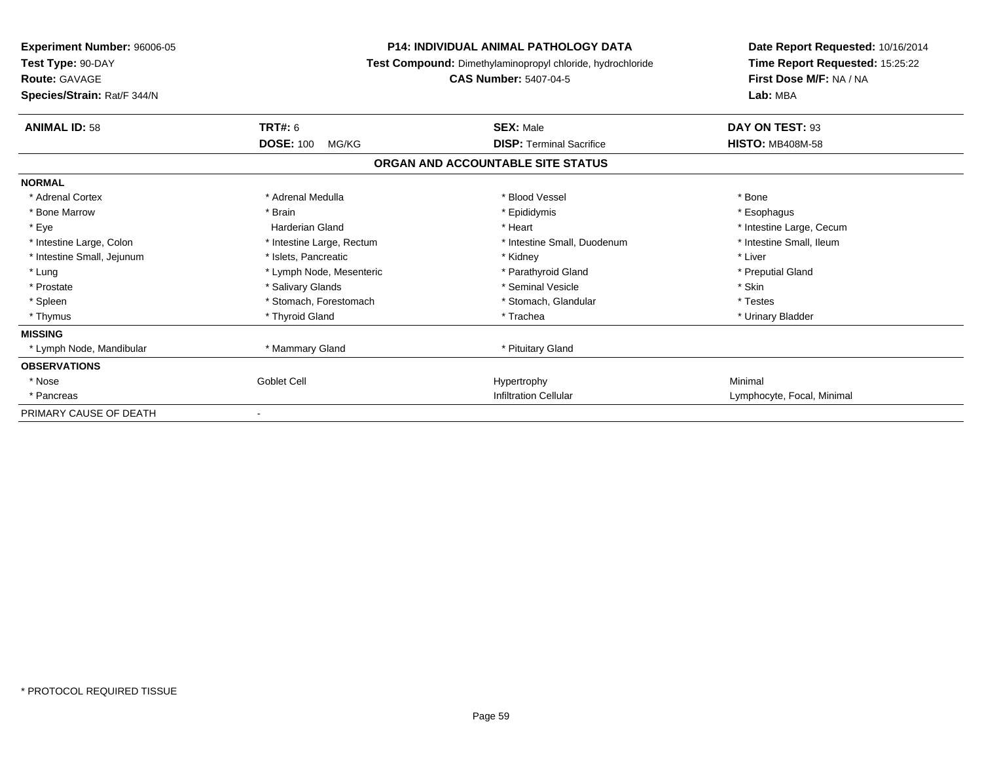| Experiment Number: 96006-05<br>Test Type: 90-DAY<br><b>Route: GAVAGE</b><br>Species/Strain: Rat/F 344/N |                           | <b>P14: INDIVIDUAL ANIMAL PATHOLOGY DATA</b><br>Test Compound: Dimethylaminopropyl chloride, hydrochloride<br><b>CAS Number: 5407-04-5</b> |                            |
|---------------------------------------------------------------------------------------------------------|---------------------------|--------------------------------------------------------------------------------------------------------------------------------------------|----------------------------|
| <b>ANIMAL ID: 58</b>                                                                                    | <b>TRT#: 6</b>            | <b>SEX: Male</b>                                                                                                                           | DAY ON TEST: 93            |
|                                                                                                         | <b>DOSE: 100</b><br>MG/KG | <b>DISP: Terminal Sacrifice</b>                                                                                                            | <b>HISTO: MB408M-58</b>    |
|                                                                                                         |                           | ORGAN AND ACCOUNTABLE SITE STATUS                                                                                                          |                            |
| <b>NORMAL</b>                                                                                           |                           |                                                                                                                                            |                            |
| * Adrenal Cortex                                                                                        | * Adrenal Medulla         | * Blood Vessel                                                                                                                             | * Bone                     |
| * Bone Marrow                                                                                           | * Brain                   | * Epididymis                                                                                                                               | * Esophagus                |
| * Eye                                                                                                   | Harderian Gland           | * Heart                                                                                                                                    | * Intestine Large, Cecum   |
| * Intestine Large, Colon                                                                                | * Intestine Large, Rectum | * Intestine Small, Duodenum                                                                                                                | * Intestine Small, Ileum   |
| * Intestine Small, Jejunum                                                                              | * Islets, Pancreatic      | * Kidney                                                                                                                                   | * Liver                    |
| * Lung                                                                                                  | * Lymph Node, Mesenteric  | * Parathyroid Gland                                                                                                                        | * Preputial Gland          |
| * Prostate                                                                                              | * Salivary Glands         | * Seminal Vesicle                                                                                                                          | * Skin                     |
| * Spleen                                                                                                | * Stomach, Forestomach    | * Stomach, Glandular                                                                                                                       | * Testes                   |
| * Thymus                                                                                                | * Thyroid Gland           | * Trachea                                                                                                                                  | * Urinary Bladder          |
| <b>MISSING</b>                                                                                          |                           |                                                                                                                                            |                            |
| * Lymph Node, Mandibular                                                                                | * Mammary Gland           | * Pituitary Gland                                                                                                                          |                            |
| <b>OBSERVATIONS</b>                                                                                     |                           |                                                                                                                                            |                            |
| * Nose                                                                                                  | <b>Goblet Cell</b>        | Hypertrophy                                                                                                                                | Minimal                    |
| * Pancreas                                                                                              |                           | <b>Infiltration Cellular</b>                                                                                                               | Lymphocyte, Focal, Minimal |
| PRIMARY CAUSE OF DEATH                                                                                  |                           |                                                                                                                                            |                            |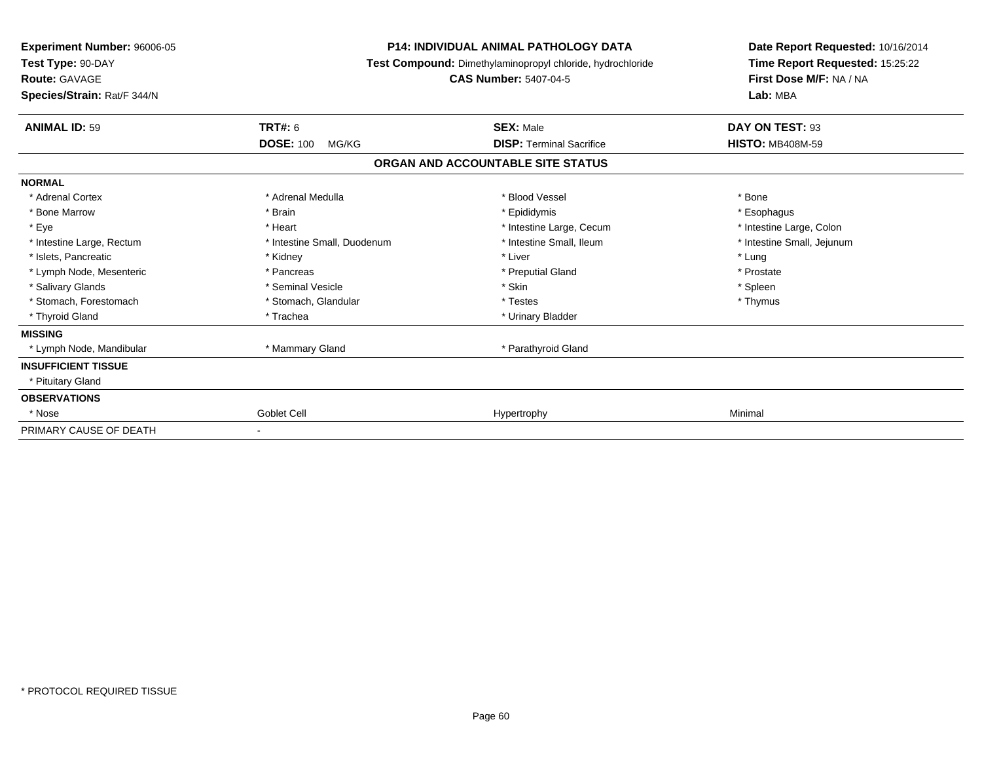| <b>Experiment Number: 96006-05</b><br>Test Type: 90-DAY<br><b>Route: GAVAGE</b><br>Species/Strain: Rat/F 344/N |                             | <b>P14: INDIVIDUAL ANIMAL PATHOLOGY DATA</b><br>Test Compound: Dimethylaminopropyl chloride, hydrochloride<br><b>CAS Number: 5407-04-5</b> | Date Report Requested: 10/16/2014<br>Time Report Requested: 15:25:22<br>First Dose M/F: NA / NA<br>Lab: MBA |  |
|----------------------------------------------------------------------------------------------------------------|-----------------------------|--------------------------------------------------------------------------------------------------------------------------------------------|-------------------------------------------------------------------------------------------------------------|--|
| <b>ANIMAL ID: 59</b>                                                                                           | <b>TRT#: 6</b>              | <b>SEX: Male</b>                                                                                                                           | DAY ON TEST: 93                                                                                             |  |
|                                                                                                                | <b>DOSE: 100</b><br>MG/KG   | <b>DISP: Terminal Sacrifice</b>                                                                                                            | <b>HISTO: MB408M-59</b>                                                                                     |  |
|                                                                                                                |                             | ORGAN AND ACCOUNTABLE SITE STATUS                                                                                                          |                                                                                                             |  |
| <b>NORMAL</b>                                                                                                  |                             |                                                                                                                                            |                                                                                                             |  |
| * Adrenal Cortex                                                                                               | * Adrenal Medulla           | * Blood Vessel                                                                                                                             | * Bone                                                                                                      |  |
| * Bone Marrow                                                                                                  | * Brain                     | * Epididymis                                                                                                                               | * Esophagus                                                                                                 |  |
| * Eye                                                                                                          | * Heart                     | * Intestine Large, Cecum                                                                                                                   | * Intestine Large, Colon                                                                                    |  |
| * Intestine Large, Rectum                                                                                      | * Intestine Small, Duodenum | * Intestine Small, Ileum                                                                                                                   | * Intestine Small, Jejunum                                                                                  |  |
| * Islets, Pancreatic                                                                                           | * Kidney                    | * Liver                                                                                                                                    | * Lung                                                                                                      |  |
| * Lymph Node, Mesenteric                                                                                       | * Pancreas                  | * Preputial Gland                                                                                                                          | * Prostate                                                                                                  |  |
| * Salivary Glands                                                                                              | * Seminal Vesicle           | * Skin                                                                                                                                     | * Spleen                                                                                                    |  |
| * Stomach, Forestomach                                                                                         | * Stomach, Glandular        | * Testes                                                                                                                                   | * Thymus                                                                                                    |  |
| * Thyroid Gland                                                                                                | * Trachea                   | * Urinary Bladder                                                                                                                          |                                                                                                             |  |
| <b>MISSING</b>                                                                                                 |                             |                                                                                                                                            |                                                                                                             |  |
| * Lymph Node, Mandibular                                                                                       | * Mammary Gland             | * Parathyroid Gland                                                                                                                        |                                                                                                             |  |
| <b>INSUFFICIENT TISSUE</b>                                                                                     |                             |                                                                                                                                            |                                                                                                             |  |
| * Pituitary Gland                                                                                              |                             |                                                                                                                                            |                                                                                                             |  |
| <b>OBSERVATIONS</b>                                                                                            |                             |                                                                                                                                            |                                                                                                             |  |
| * Nose                                                                                                         | Goblet Cell                 | Hypertrophy                                                                                                                                | Minimal                                                                                                     |  |
| PRIMARY CAUSE OF DEATH                                                                                         |                             |                                                                                                                                            |                                                                                                             |  |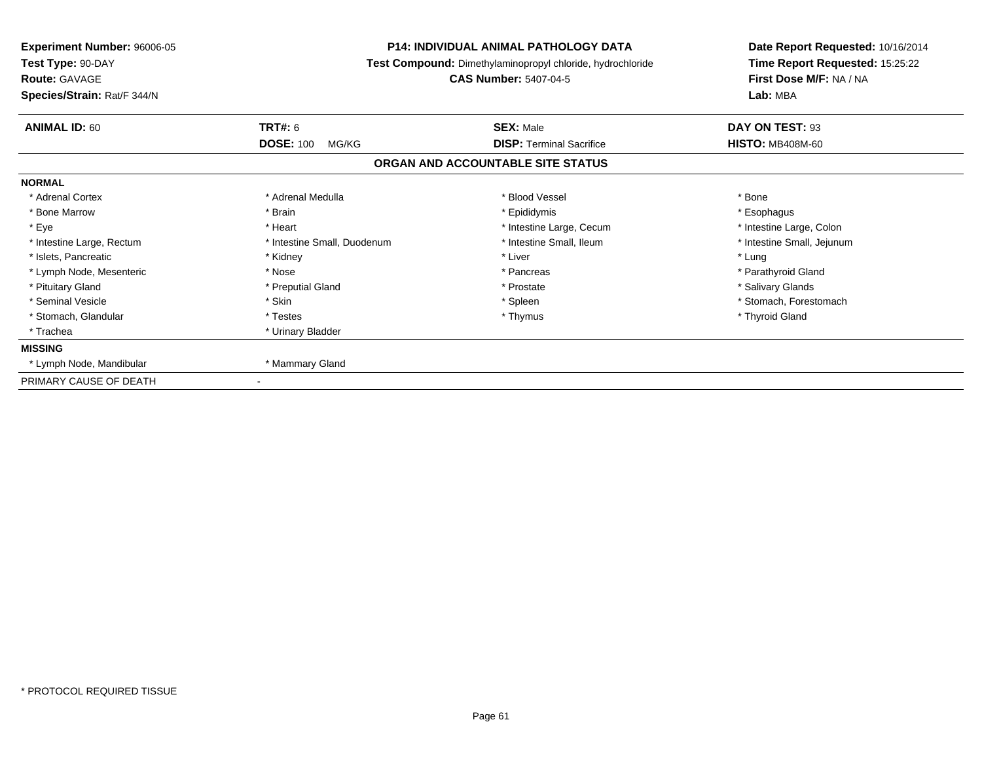| Species/Strain: Rat/F 344/N |                                             | <b>P14: INDIVIDUAL ANIMAL PATHOLOGY DATA</b><br><b>Experiment Number: 96006-05</b><br>Test Type: 90-DAY<br>Test Compound: Dimethylaminopropyl chloride, hydrochloride<br><b>Route: GAVAGE</b><br><b>CAS Number: 5407-04-5</b> |                                            |  | Date Report Requested: 10/16/2014<br>Time Report Requested: 15:25:22<br>First Dose M/F: NA / NA<br>Lab: MBA |
|-----------------------------|---------------------------------------------|-------------------------------------------------------------------------------------------------------------------------------------------------------------------------------------------------------------------------------|--------------------------------------------|--|-------------------------------------------------------------------------------------------------------------|
| <b>ANIMAL ID: 60</b>        | <b>TRT#: 6</b><br><b>DOSE: 100</b><br>MG/KG | <b>SEX: Male</b><br><b>DISP: Terminal Sacrifice</b>                                                                                                                                                                           | DAY ON TEST: 93<br><b>HISTO: MB408M-60</b> |  |                                                                                                             |
|                             |                                             | ORGAN AND ACCOUNTABLE SITE STATUS                                                                                                                                                                                             |                                            |  |                                                                                                             |
| <b>NORMAL</b>               |                                             |                                                                                                                                                                                                                               |                                            |  |                                                                                                             |
| * Adrenal Cortex            | * Adrenal Medulla                           | * Blood Vessel                                                                                                                                                                                                                | * Bone                                     |  |                                                                                                             |
| * Bone Marrow               | * Brain                                     | * Epididymis                                                                                                                                                                                                                  | * Esophagus                                |  |                                                                                                             |
| * Eye                       | * Heart                                     | * Intestine Large, Cecum                                                                                                                                                                                                      | * Intestine Large, Colon                   |  |                                                                                                             |
| * Intestine Large, Rectum   | * Intestine Small, Duodenum                 | * Intestine Small, Ileum                                                                                                                                                                                                      | * Intestine Small, Jejunum                 |  |                                                                                                             |
| * Islets, Pancreatic        | * Kidney                                    | * Liver                                                                                                                                                                                                                       | * Lung                                     |  |                                                                                                             |
| * Lymph Node, Mesenteric    | * Nose                                      | * Pancreas                                                                                                                                                                                                                    | * Parathyroid Gland                        |  |                                                                                                             |
| * Pituitary Gland           | * Preputial Gland                           | * Prostate                                                                                                                                                                                                                    | * Salivary Glands                          |  |                                                                                                             |
| * Seminal Vesicle           | * Skin                                      | * Spleen                                                                                                                                                                                                                      | * Stomach, Forestomach                     |  |                                                                                                             |
| * Stomach, Glandular        | * Testes                                    | * Thymus                                                                                                                                                                                                                      | * Thyroid Gland                            |  |                                                                                                             |
| * Trachea                   | * Urinary Bladder                           |                                                                                                                                                                                                                               |                                            |  |                                                                                                             |
| <b>MISSING</b>              |                                             |                                                                                                                                                                                                                               |                                            |  |                                                                                                             |
| * Lymph Node, Mandibular    | * Mammary Gland                             |                                                                                                                                                                                                                               |                                            |  |                                                                                                             |
| PRIMARY CAUSE OF DEATH      |                                             |                                                                                                                                                                                                                               |                                            |  |                                                                                                             |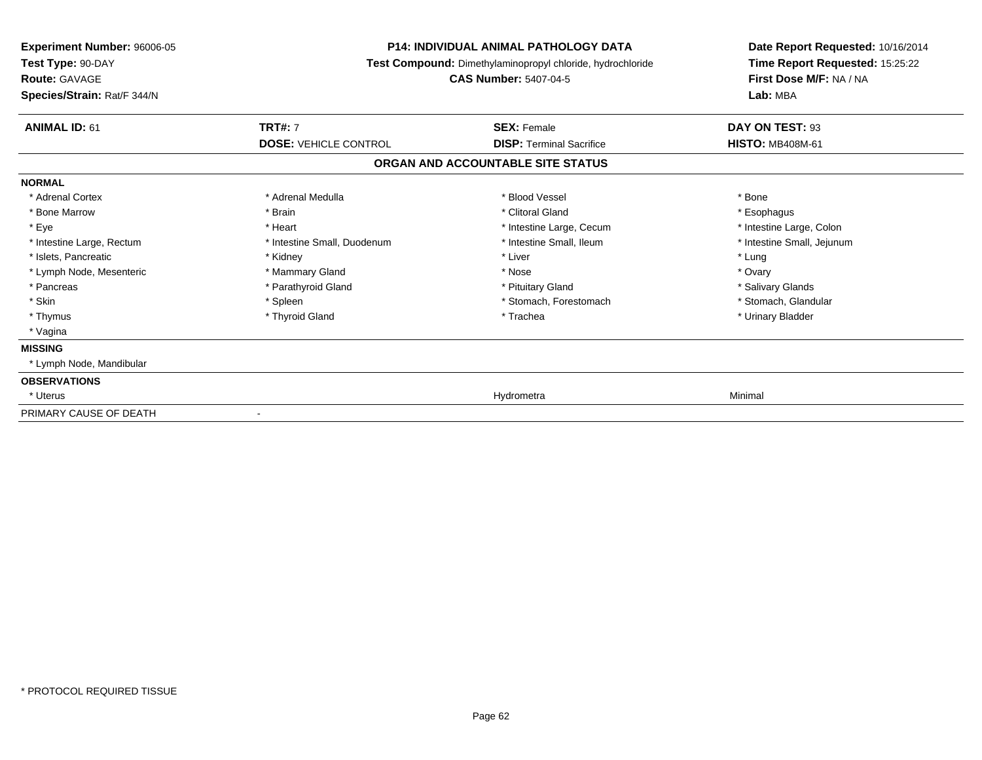| Experiment Number: 96006-05<br>Test Type: 90-DAY<br><b>Route: GAVAGE</b><br>Species/Strain: Rat/F 344/N | <b>P14: INDIVIDUAL ANIMAL PATHOLOGY DATA</b><br>Test Compound: Dimethylaminopropyl chloride, hydrochloride<br><b>CAS Number: 5407-04-5</b> |                                   | Date Report Requested: 10/16/2014<br>Time Report Requested: 15:25:22<br>First Dose M/F: NA / NA<br>Lab: MBA |
|---------------------------------------------------------------------------------------------------------|--------------------------------------------------------------------------------------------------------------------------------------------|-----------------------------------|-------------------------------------------------------------------------------------------------------------|
| <b>ANIMAL ID: 61</b>                                                                                    | <b>TRT#: 7</b>                                                                                                                             | <b>SEX: Female</b>                | DAY ON TEST: 93                                                                                             |
|                                                                                                         | <b>DOSE: VEHICLE CONTROL</b>                                                                                                               | <b>DISP: Terminal Sacrifice</b>   | <b>HISTO: MB408M-61</b>                                                                                     |
|                                                                                                         |                                                                                                                                            | ORGAN AND ACCOUNTABLE SITE STATUS |                                                                                                             |
| <b>NORMAL</b>                                                                                           |                                                                                                                                            |                                   |                                                                                                             |
| * Adrenal Cortex                                                                                        | * Adrenal Medulla                                                                                                                          | * Blood Vessel                    | * Bone                                                                                                      |
| * Bone Marrow                                                                                           | * Brain                                                                                                                                    | * Clitoral Gland                  | * Esophagus                                                                                                 |
| * Eye                                                                                                   | * Heart                                                                                                                                    | * Intestine Large, Cecum          | * Intestine Large, Colon                                                                                    |
| * Intestine Large, Rectum                                                                               | * Intestine Small, Duodenum                                                                                                                | * Intestine Small, Ileum          | * Intestine Small, Jejunum                                                                                  |
| * Islets, Pancreatic                                                                                    | * Kidney                                                                                                                                   | * Liver                           | * Lung                                                                                                      |
| * Lymph Node, Mesenteric                                                                                | * Mammary Gland                                                                                                                            | * Nose                            | * Ovary                                                                                                     |
| * Pancreas                                                                                              | * Parathyroid Gland                                                                                                                        | * Pituitary Gland                 | * Salivary Glands                                                                                           |
| * Skin                                                                                                  | * Spleen                                                                                                                                   | * Stomach, Forestomach            | * Stomach, Glandular                                                                                        |
| * Thymus                                                                                                | * Thyroid Gland                                                                                                                            | * Trachea                         | * Urinary Bladder                                                                                           |
| * Vagina                                                                                                |                                                                                                                                            |                                   |                                                                                                             |
| <b>MISSING</b>                                                                                          |                                                                                                                                            |                                   |                                                                                                             |
| * Lymph Node, Mandibular                                                                                |                                                                                                                                            |                                   |                                                                                                             |
| <b>OBSERVATIONS</b>                                                                                     |                                                                                                                                            |                                   |                                                                                                             |
| * Uterus                                                                                                |                                                                                                                                            | Hydrometra                        | Minimal                                                                                                     |
| PRIMARY CAUSE OF DEATH                                                                                  |                                                                                                                                            |                                   |                                                                                                             |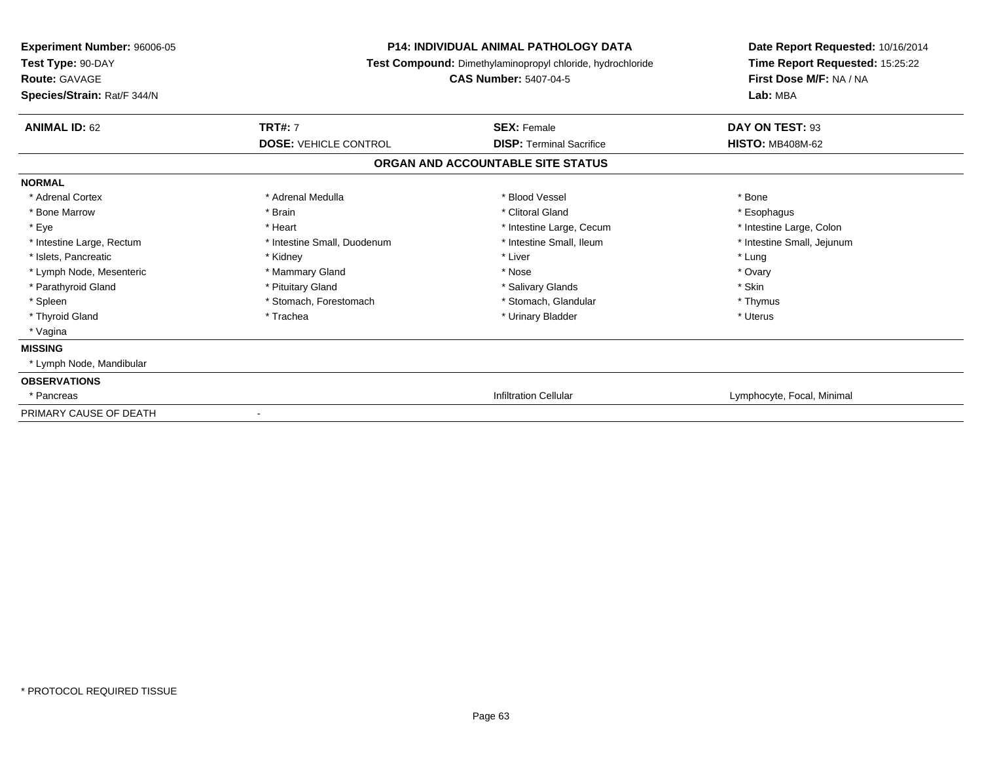| Experiment Number: 96006-05<br>Test Type: 90-DAY<br><b>Route: GAVAGE</b><br>Species/Strain: Rat/F 344/N | <b>P14: INDIVIDUAL ANIMAL PATHOLOGY DATA</b><br>Test Compound: Dimethylaminopropyl chloride, hydrochloride<br><b>CAS Number: 5407-04-5</b> |                                   | Date Report Requested: 10/16/2014<br>Time Report Requested: 15:25:22<br>First Dose M/F: NA / NA<br>Lab: MBA |
|---------------------------------------------------------------------------------------------------------|--------------------------------------------------------------------------------------------------------------------------------------------|-----------------------------------|-------------------------------------------------------------------------------------------------------------|
| <b>ANIMAL ID: 62</b>                                                                                    | <b>TRT#: 7</b>                                                                                                                             | <b>SEX: Female</b>                | DAY ON TEST: 93                                                                                             |
|                                                                                                         | <b>DOSE: VEHICLE CONTROL</b>                                                                                                               | <b>DISP: Terminal Sacrifice</b>   | <b>HISTO: MB408M-62</b>                                                                                     |
|                                                                                                         |                                                                                                                                            | ORGAN AND ACCOUNTABLE SITE STATUS |                                                                                                             |
| <b>NORMAL</b>                                                                                           |                                                                                                                                            |                                   |                                                                                                             |
| * Adrenal Cortex                                                                                        | * Adrenal Medulla                                                                                                                          | * Blood Vessel                    | * Bone                                                                                                      |
| * Bone Marrow                                                                                           | * Brain                                                                                                                                    | * Clitoral Gland                  | * Esophagus                                                                                                 |
| * Eye                                                                                                   | * Heart                                                                                                                                    | * Intestine Large, Cecum          | * Intestine Large, Colon                                                                                    |
| * Intestine Large, Rectum                                                                               | * Intestine Small, Duodenum                                                                                                                | * Intestine Small, Ileum          | * Intestine Small, Jejunum                                                                                  |
| * Islets, Pancreatic                                                                                    | * Kidney                                                                                                                                   | * Liver                           | * Lung                                                                                                      |
| * Lymph Node, Mesenteric                                                                                | * Mammary Gland                                                                                                                            | * Nose                            | * Ovary                                                                                                     |
| * Parathyroid Gland                                                                                     | * Pituitary Gland                                                                                                                          | * Salivary Glands                 | * Skin                                                                                                      |
| * Spleen                                                                                                | * Stomach, Forestomach                                                                                                                     | * Stomach, Glandular              | * Thymus                                                                                                    |
| * Thyroid Gland                                                                                         | * Trachea                                                                                                                                  | * Urinary Bladder                 | * Uterus                                                                                                    |
| * Vagina                                                                                                |                                                                                                                                            |                                   |                                                                                                             |
| <b>MISSING</b>                                                                                          |                                                                                                                                            |                                   |                                                                                                             |
| * Lymph Node, Mandibular                                                                                |                                                                                                                                            |                                   |                                                                                                             |
| <b>OBSERVATIONS</b>                                                                                     |                                                                                                                                            |                                   |                                                                                                             |
| * Pancreas                                                                                              |                                                                                                                                            | <b>Infiltration Cellular</b>      | Lymphocyte, Focal, Minimal                                                                                  |
| PRIMARY CAUSE OF DEATH                                                                                  |                                                                                                                                            |                                   |                                                                                                             |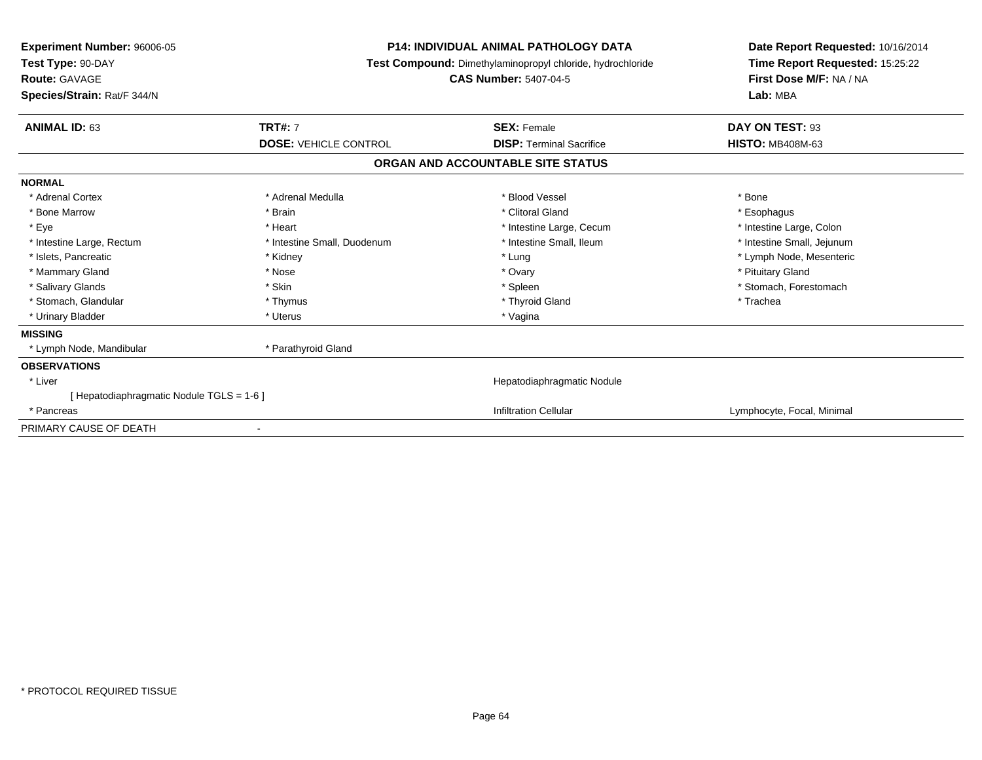| <b>Experiment Number: 96006-05</b><br>Test Type: 90-DAY<br><b>Route: GAVAGE</b><br>Species/Strain: Rat/F 344/N | <b>P14: INDIVIDUAL ANIMAL PATHOLOGY DATA</b><br>Test Compound: Dimethylaminopropyl chloride, hydrochloride<br><b>CAS Number: 5407-04-5</b> |                                   | Date Report Requested: 10/16/2014<br>Time Report Requested: 15:25:22<br>First Dose M/F: NA / NA<br>Lab: MBA |
|----------------------------------------------------------------------------------------------------------------|--------------------------------------------------------------------------------------------------------------------------------------------|-----------------------------------|-------------------------------------------------------------------------------------------------------------|
| <b>TRT#: 7</b><br><b>ANIMAL ID: 63</b>                                                                         |                                                                                                                                            | <b>SEX: Female</b>                | DAY ON TEST: 93                                                                                             |
|                                                                                                                | <b>DOSE: VEHICLE CONTROL</b>                                                                                                               | <b>DISP: Terminal Sacrifice</b>   | <b>HISTO: MB408M-63</b>                                                                                     |
|                                                                                                                |                                                                                                                                            | ORGAN AND ACCOUNTABLE SITE STATUS |                                                                                                             |
| <b>NORMAL</b>                                                                                                  |                                                                                                                                            |                                   |                                                                                                             |
| * Adrenal Cortex                                                                                               | * Adrenal Medulla                                                                                                                          | * Blood Vessel                    | * Bone                                                                                                      |
| * Bone Marrow<br>* Brain                                                                                       |                                                                                                                                            | * Clitoral Gland                  | * Esophagus                                                                                                 |
| * Eye<br>* Heart                                                                                               |                                                                                                                                            | * Intestine Large, Cecum          | * Intestine Large, Colon                                                                                    |
| * Intestine Large, Rectum                                                                                      | * Intestine Small, Duodenum                                                                                                                | * Intestine Small, Ileum          | * Intestine Small, Jejunum                                                                                  |
| * Islets, Pancreatic<br>* Kidney                                                                               |                                                                                                                                            | * Lung                            | * Lymph Node, Mesenteric                                                                                    |
| * Mammary Gland<br>* Nose                                                                                      |                                                                                                                                            | * Ovary                           | * Pituitary Gland                                                                                           |
| * Salivary Glands<br>* Skin                                                                                    |                                                                                                                                            | * Spleen                          | * Stomach, Forestomach                                                                                      |
| * Stomach, Glandular                                                                                           | * Thymus                                                                                                                                   | * Thyroid Gland                   | * Trachea                                                                                                   |
| * Urinary Bladder<br>* Uterus                                                                                  |                                                                                                                                            | * Vagina                          |                                                                                                             |
| <b>MISSING</b>                                                                                                 |                                                                                                                                            |                                   |                                                                                                             |
| * Lymph Node, Mandibular                                                                                       | * Parathyroid Gland                                                                                                                        |                                   |                                                                                                             |
| <b>OBSERVATIONS</b>                                                                                            |                                                                                                                                            |                                   |                                                                                                             |
| * Liver                                                                                                        |                                                                                                                                            | Hepatodiaphragmatic Nodule        |                                                                                                             |
| [ Hepatodiaphragmatic Nodule TGLS = 1-6 ]                                                                      |                                                                                                                                            |                                   |                                                                                                             |
| * Pancreas                                                                                                     |                                                                                                                                            | <b>Infiltration Cellular</b>      | Lymphocyte, Focal, Minimal                                                                                  |
| PRIMARY CAUSE OF DEATH                                                                                         |                                                                                                                                            |                                   |                                                                                                             |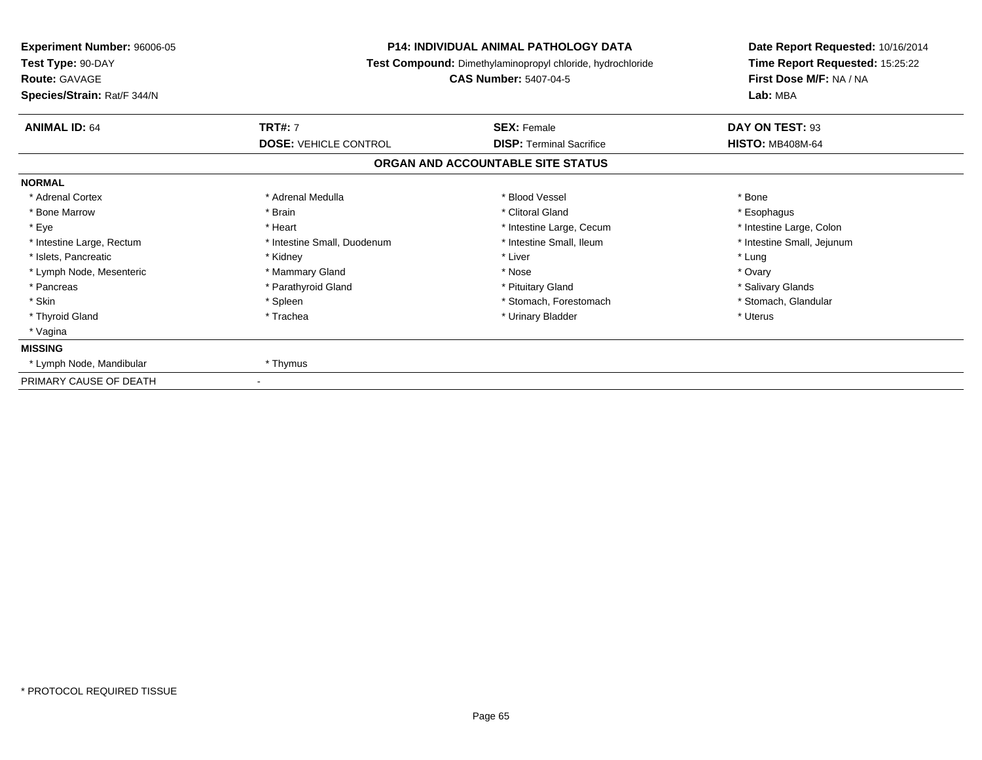| Experiment Number: 96006-05<br>Test Type: 90-DAY<br><b>Route: GAVAGE</b><br>Species/Strain: Rat/F 344/N | <b>P14: INDIVIDUAL ANIMAL PATHOLOGY DATA</b><br>Test Compound: Dimethylaminopropyl chloride, hydrochloride<br><b>CAS Number: 5407-04-5</b> |                                                       | Date Report Requested: 10/16/2014<br>Time Report Requested: 15:25:22<br>First Dose M/F: NA / NA<br>Lab: MBA |
|---------------------------------------------------------------------------------------------------------|--------------------------------------------------------------------------------------------------------------------------------------------|-------------------------------------------------------|-------------------------------------------------------------------------------------------------------------|
| <b>ANIMAL ID: 64</b>                                                                                    | <b>TRT#: 7</b><br><b>DOSE: VEHICLE CONTROL</b>                                                                                             | <b>SEX: Female</b><br><b>DISP: Terminal Sacrifice</b> | DAY ON TEST: 93<br><b>HISTO: MB408M-64</b>                                                                  |
|                                                                                                         |                                                                                                                                            | ORGAN AND ACCOUNTABLE SITE STATUS                     |                                                                                                             |
| <b>NORMAL</b>                                                                                           |                                                                                                                                            |                                                       |                                                                                                             |
| * Adrenal Cortex                                                                                        | * Adrenal Medulla                                                                                                                          | * Blood Vessel                                        | * Bone                                                                                                      |
| * Bone Marrow                                                                                           | * Brain                                                                                                                                    | * Clitoral Gland                                      | * Esophagus                                                                                                 |
| * Eye                                                                                                   | * Heart                                                                                                                                    | * Intestine Large, Cecum                              | * Intestine Large, Colon                                                                                    |
| * Intestine Large, Rectum                                                                               | * Intestine Small, Duodenum                                                                                                                | * Intestine Small, Ileum                              | * Intestine Small, Jejunum                                                                                  |
| * Islets, Pancreatic                                                                                    | * Kidney                                                                                                                                   | * Liver                                               | * Lung                                                                                                      |
| * Lymph Node, Mesenteric                                                                                | * Mammary Gland                                                                                                                            | * Nose                                                | * Ovary                                                                                                     |
| * Pancreas                                                                                              | * Parathyroid Gland                                                                                                                        | * Pituitary Gland                                     | * Salivary Glands                                                                                           |
| * Skin                                                                                                  | * Spleen                                                                                                                                   | * Stomach, Forestomach                                | * Stomach, Glandular                                                                                        |
| * Thyroid Gland                                                                                         | * Trachea                                                                                                                                  | * Urinary Bladder                                     | * Uterus                                                                                                    |
| * Vagina                                                                                                |                                                                                                                                            |                                                       |                                                                                                             |
| <b>MISSING</b>                                                                                          |                                                                                                                                            |                                                       |                                                                                                             |
| * Lymph Node, Mandibular                                                                                | * Thymus                                                                                                                                   |                                                       |                                                                                                             |
| PRIMARY CAUSE OF DEATH                                                                                  |                                                                                                                                            |                                                       |                                                                                                             |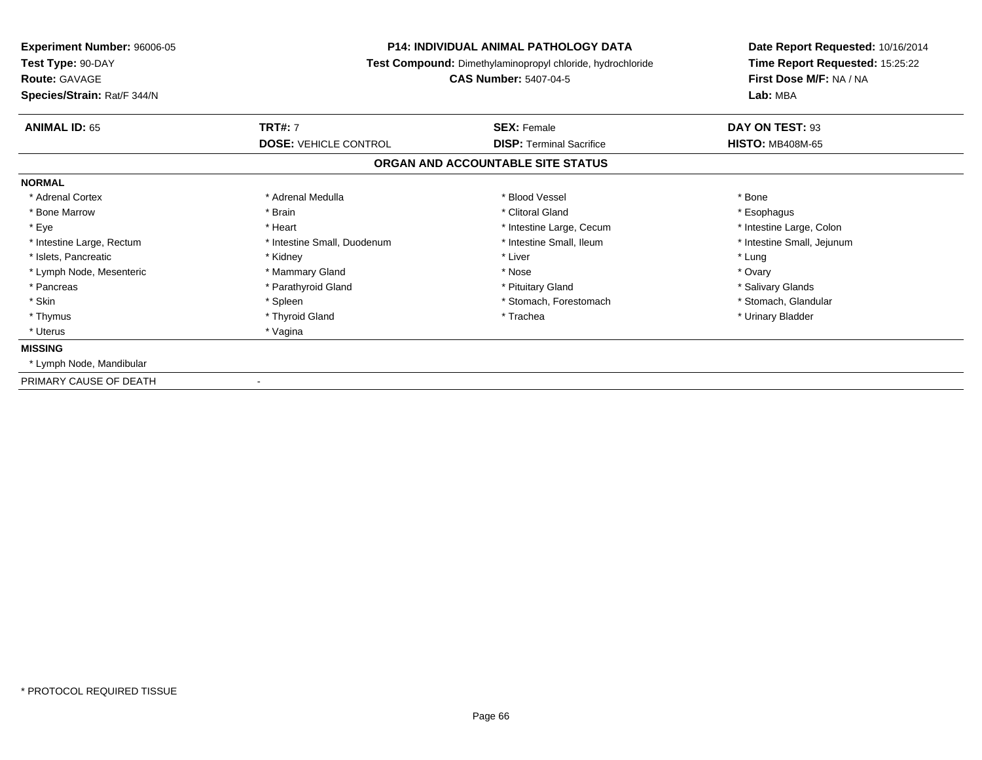| Experiment Number: 96006-05<br>Test Type: 90-DAY<br><b>Route: GAVAGE</b><br>Species/Strain: Rat/F 344/N | <b>P14: INDIVIDUAL ANIMAL PATHOLOGY DATA</b><br>Test Compound: Dimethylaminopropyl chloride, hydrochloride<br><b>CAS Number: 5407-04-5</b> |                                                       | Date Report Requested: 10/16/2014<br>Time Report Requested: 15:25:22<br>First Dose M/F: NA / NA<br>Lab: MBA |
|---------------------------------------------------------------------------------------------------------|--------------------------------------------------------------------------------------------------------------------------------------------|-------------------------------------------------------|-------------------------------------------------------------------------------------------------------------|
| <b>ANIMAL ID: 65</b>                                                                                    | <b>TRT#: 7</b><br><b>DOSE: VEHICLE CONTROL</b>                                                                                             | <b>SEX: Female</b><br><b>DISP: Terminal Sacrifice</b> | DAY ON TEST: 93<br><b>HISTO: MB408M-65</b>                                                                  |
|                                                                                                         |                                                                                                                                            | ORGAN AND ACCOUNTABLE SITE STATUS                     |                                                                                                             |
| <b>NORMAL</b>                                                                                           |                                                                                                                                            |                                                       |                                                                                                             |
| * Adrenal Cortex                                                                                        | * Adrenal Medulla                                                                                                                          | * Blood Vessel                                        | * Bone                                                                                                      |
| * Bone Marrow                                                                                           | * Brain                                                                                                                                    | * Clitoral Gland                                      | * Esophagus                                                                                                 |
| * Eye                                                                                                   | * Heart                                                                                                                                    | * Intestine Large, Cecum                              | * Intestine Large, Colon                                                                                    |
| * Intestine Large, Rectum                                                                               | * Intestine Small, Duodenum                                                                                                                | * Intestine Small, Ileum                              | * Intestine Small, Jejunum                                                                                  |
| * Islets, Pancreatic                                                                                    | * Kidney                                                                                                                                   | * Liver                                               | * Lung                                                                                                      |
| * Lymph Node, Mesenteric                                                                                | * Mammary Gland                                                                                                                            | * Nose                                                | * Ovary                                                                                                     |
| * Pancreas                                                                                              | * Parathyroid Gland                                                                                                                        | * Pituitary Gland                                     | * Salivary Glands                                                                                           |
| * Skin                                                                                                  | * Spleen                                                                                                                                   | * Stomach, Forestomach                                | * Stomach, Glandular                                                                                        |
| * Thymus                                                                                                | * Thyroid Gland                                                                                                                            | * Trachea                                             | * Urinary Bladder                                                                                           |
| * Uterus                                                                                                | * Vagina                                                                                                                                   |                                                       |                                                                                                             |
| <b>MISSING</b>                                                                                          |                                                                                                                                            |                                                       |                                                                                                             |
| * Lymph Node, Mandibular                                                                                |                                                                                                                                            |                                                       |                                                                                                             |
| PRIMARY CAUSE OF DEATH                                                                                  |                                                                                                                                            |                                                       |                                                                                                             |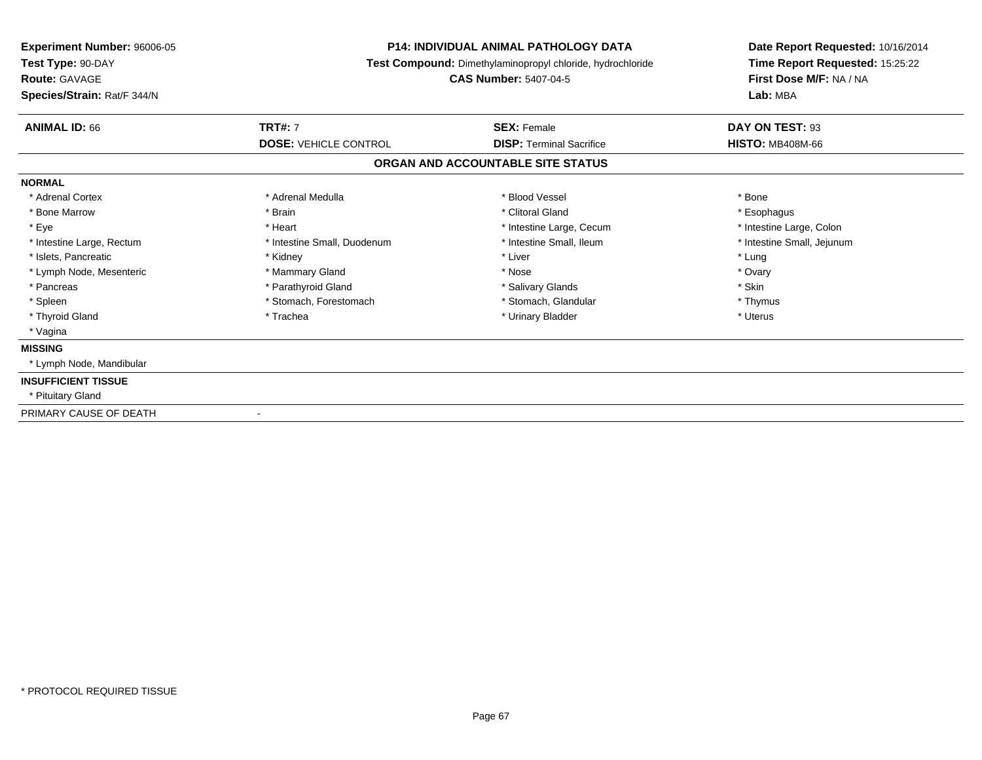| <b>Experiment Number: 96006-05</b><br>Test Type: 90-DAY | <b>P14: INDIVIDUAL ANIMAL PATHOLOGY DATA</b><br>Test Compound: Dimethylaminopropyl chloride, hydrochloride<br><b>CAS Number: 5407-04-5</b> |                                   | Date Report Requested: 10/16/2014                          |
|---------------------------------------------------------|--------------------------------------------------------------------------------------------------------------------------------------------|-----------------------------------|------------------------------------------------------------|
| Route: GAVAGE                                           |                                                                                                                                            |                                   | Time Report Requested: 15:25:22<br>First Dose M/F: NA / NA |
| Species/Strain: Rat/F 344/N                             |                                                                                                                                            |                                   | Lab: MBA                                                   |
| <b>ANIMAL ID: 66</b>                                    | <b>TRT#: 7</b>                                                                                                                             | <b>SEX: Female</b>                | DAY ON TEST: 93                                            |
|                                                         | <b>DOSE: VEHICLE CONTROL</b>                                                                                                               | <b>DISP: Terminal Sacrifice</b>   | <b>HISTO: MB408M-66</b>                                    |
|                                                         |                                                                                                                                            | ORGAN AND ACCOUNTABLE SITE STATUS |                                                            |
| <b>NORMAL</b>                                           |                                                                                                                                            |                                   |                                                            |
| * Adrenal Cortex                                        | * Adrenal Medulla                                                                                                                          | * Blood Vessel                    | * Bone                                                     |
| * Bone Marrow                                           | * Brain                                                                                                                                    | * Clitoral Gland                  | * Esophagus                                                |
| * Eye                                                   | * Heart                                                                                                                                    | * Intestine Large, Cecum          | * Intestine Large, Colon                                   |
| * Intestine Large, Rectum                               | * Intestine Small, Duodenum                                                                                                                | * Intestine Small. Ileum          | * Intestine Small, Jejunum                                 |
| * Islets. Pancreatic                                    | * Kidney                                                                                                                                   | * Liver                           | * Lung                                                     |
| * Lymph Node, Mesenteric                                | * Mammary Gland                                                                                                                            | * Nose                            | * Ovary                                                    |
| * Pancreas                                              | * Parathyroid Gland                                                                                                                        | * Salivary Glands                 | * Skin                                                     |
| * Spleen                                                | * Stomach, Forestomach                                                                                                                     | * Stomach, Glandular              | * Thymus                                                   |
| * Thyroid Gland                                         | * Trachea                                                                                                                                  | * Urinary Bladder                 | * Uterus                                                   |
| * Vagina                                                |                                                                                                                                            |                                   |                                                            |
| <b>MISSING</b>                                          |                                                                                                                                            |                                   |                                                            |
| * Lymph Node, Mandibular                                |                                                                                                                                            |                                   |                                                            |
| <b>INSUFFICIENT TISSUE</b>                              |                                                                                                                                            |                                   |                                                            |
| * Pituitary Gland                                       |                                                                                                                                            |                                   |                                                            |
| PRIMARY CAUSE OF DEATH                                  |                                                                                                                                            |                                   |                                                            |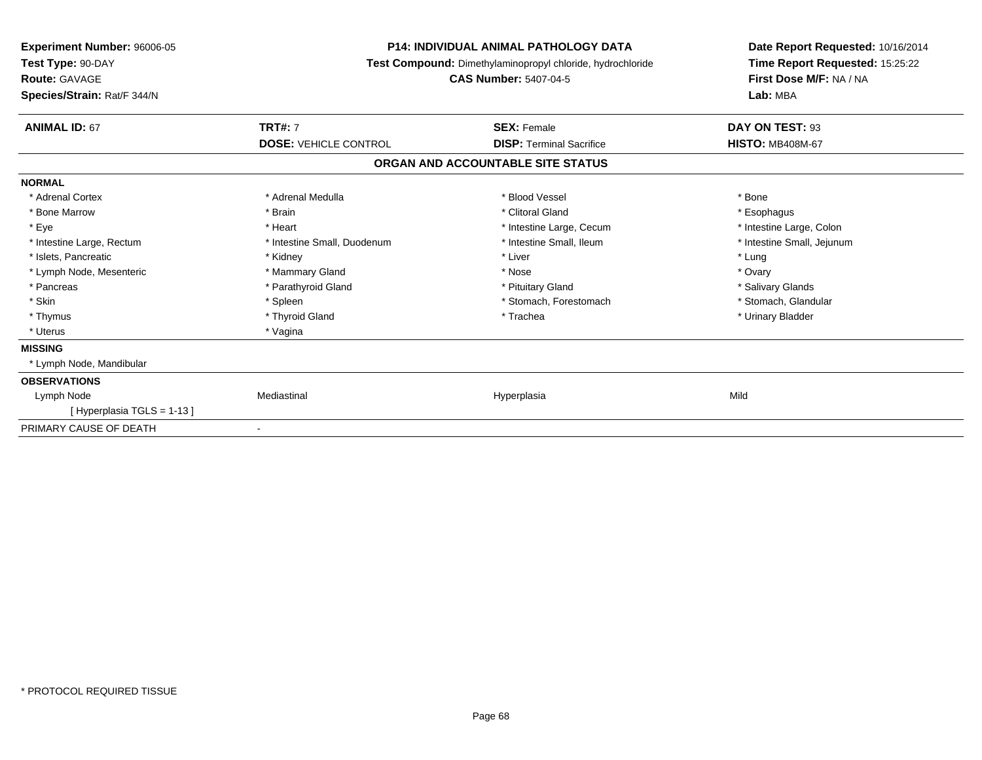| <b>Experiment Number: 96006-05</b><br>Test Type: 90-DAY<br><b>Route: GAVAGE</b><br>Species/Strain: Rat/F 344/N | <b>P14: INDIVIDUAL ANIMAL PATHOLOGY DATA</b><br>Test Compound: Dimethylaminopropyl chloride, hydrochloride<br><b>CAS Number: 5407-04-5</b> |                                   | Date Report Requested: 10/16/2014<br>Time Report Requested: 15:25:22<br>First Dose M/F: NA / NA<br>Lab: MBA |
|----------------------------------------------------------------------------------------------------------------|--------------------------------------------------------------------------------------------------------------------------------------------|-----------------------------------|-------------------------------------------------------------------------------------------------------------|
| <b>ANIMAL ID: 67</b>                                                                                           | <b>TRT#: 7</b>                                                                                                                             | <b>SEX: Female</b>                | DAY ON TEST: 93                                                                                             |
|                                                                                                                | <b>DOSE: VEHICLE CONTROL</b>                                                                                                               | <b>DISP: Terminal Sacrifice</b>   | <b>HISTO: MB408M-67</b>                                                                                     |
|                                                                                                                |                                                                                                                                            | ORGAN AND ACCOUNTABLE SITE STATUS |                                                                                                             |
| <b>NORMAL</b>                                                                                                  |                                                                                                                                            |                                   |                                                                                                             |
| * Adrenal Cortex                                                                                               | * Adrenal Medulla                                                                                                                          | * Blood Vessel                    | * Bone                                                                                                      |
| * Bone Marrow                                                                                                  | * Brain                                                                                                                                    | * Clitoral Gland                  | * Esophagus                                                                                                 |
| * Eye                                                                                                          | * Heart                                                                                                                                    | * Intestine Large, Cecum          | * Intestine Large, Colon                                                                                    |
| * Intestine Large, Rectum                                                                                      | * Intestine Small, Duodenum                                                                                                                | * Intestine Small, Ileum          | * Intestine Small, Jejunum                                                                                  |
| * Islets, Pancreatic                                                                                           | * Kidney                                                                                                                                   | * Liver                           | * Lung                                                                                                      |
| * Lymph Node, Mesenteric                                                                                       | * Mammary Gland                                                                                                                            | * Nose                            | * Ovary                                                                                                     |
| * Pancreas                                                                                                     | * Parathyroid Gland                                                                                                                        | * Pituitary Gland                 | * Salivary Glands                                                                                           |
| * Skin                                                                                                         | * Spleen                                                                                                                                   | * Stomach, Forestomach            | * Stomach, Glandular                                                                                        |
| * Thymus                                                                                                       | * Thyroid Gland                                                                                                                            | * Trachea                         | * Urinary Bladder                                                                                           |
| * Uterus                                                                                                       | * Vagina                                                                                                                                   |                                   |                                                                                                             |
| <b>MISSING</b>                                                                                                 |                                                                                                                                            |                                   |                                                                                                             |
| * Lymph Node, Mandibular                                                                                       |                                                                                                                                            |                                   |                                                                                                             |
| <b>OBSERVATIONS</b>                                                                                            |                                                                                                                                            |                                   |                                                                                                             |
| Lymph Node                                                                                                     | Mediastinal                                                                                                                                | Hyperplasia                       | Mild                                                                                                        |
| [Hyperplasia TGLS = 1-13]                                                                                      |                                                                                                                                            |                                   |                                                                                                             |
| PRIMARY CAUSE OF DEATH                                                                                         | ۰                                                                                                                                          |                                   |                                                                                                             |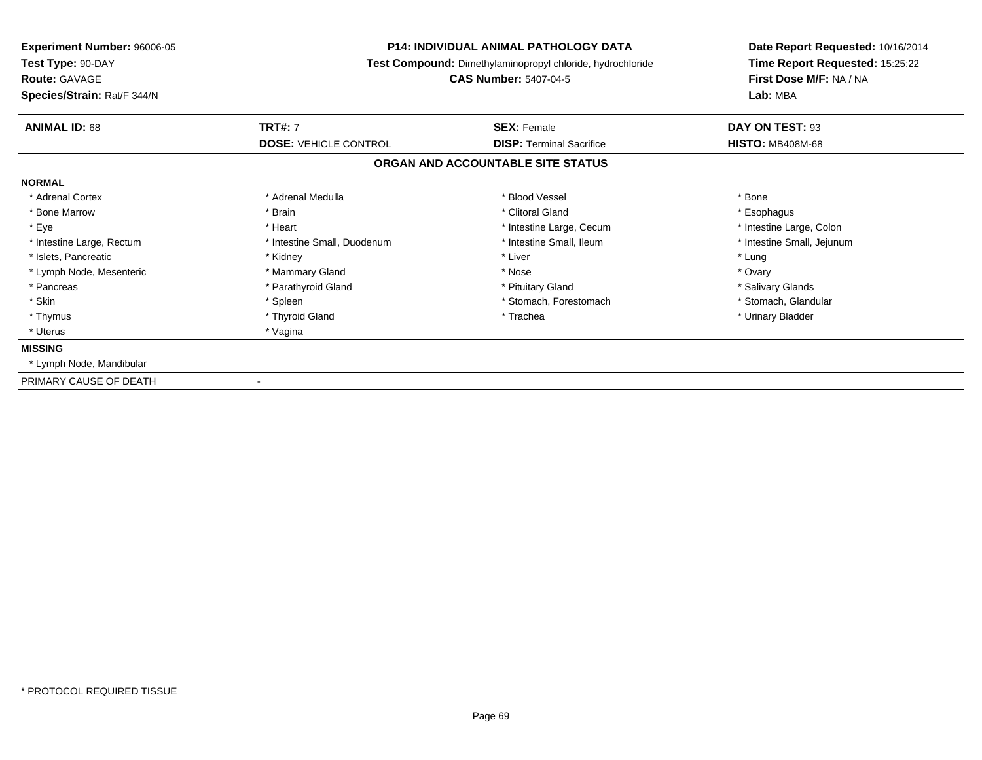| Experiment Number: 96006-05<br>Test Type: 90-DAY<br><b>Route: GAVAGE</b><br>Species/Strain: Rat/F 344/N | <b>P14: INDIVIDUAL ANIMAL PATHOLOGY DATA</b><br>Test Compound: Dimethylaminopropyl chloride, hydrochloride<br><b>CAS Number: 5407-04-5</b> |                                                       | Date Report Requested: 10/16/2014<br>Time Report Requested: 15:25:22<br>First Dose M/F: NA / NA<br>Lab: MBA |
|---------------------------------------------------------------------------------------------------------|--------------------------------------------------------------------------------------------------------------------------------------------|-------------------------------------------------------|-------------------------------------------------------------------------------------------------------------|
| <b>ANIMAL ID: 68</b>                                                                                    | <b>TRT#: 7</b><br><b>DOSE: VEHICLE CONTROL</b>                                                                                             | <b>SEX: Female</b><br><b>DISP: Terminal Sacrifice</b> | DAY ON TEST: 93<br><b>HISTO: MB408M-68</b>                                                                  |
|                                                                                                         |                                                                                                                                            | ORGAN AND ACCOUNTABLE SITE STATUS                     |                                                                                                             |
| <b>NORMAL</b>                                                                                           |                                                                                                                                            |                                                       |                                                                                                             |
| * Adrenal Cortex                                                                                        | * Adrenal Medulla                                                                                                                          | * Blood Vessel                                        | * Bone                                                                                                      |
| * Bone Marrow                                                                                           | * Brain                                                                                                                                    | * Clitoral Gland                                      | * Esophagus                                                                                                 |
| * Eye                                                                                                   | * Heart                                                                                                                                    | * Intestine Large, Cecum                              | * Intestine Large, Colon                                                                                    |
| * Intestine Large, Rectum                                                                               | * Intestine Small, Duodenum                                                                                                                | * Intestine Small, Ileum                              | * Intestine Small, Jejunum                                                                                  |
| * Islets, Pancreatic                                                                                    | * Kidney                                                                                                                                   | * Liver                                               | * Lung                                                                                                      |
| * Lymph Node, Mesenteric                                                                                | * Mammary Gland                                                                                                                            | * Nose                                                | * Ovary                                                                                                     |
| * Pancreas                                                                                              | * Parathyroid Gland                                                                                                                        | * Pituitary Gland                                     | * Salivary Glands                                                                                           |
| * Skin                                                                                                  | * Spleen                                                                                                                                   | * Stomach, Forestomach                                | * Stomach, Glandular                                                                                        |
| * Thymus                                                                                                | * Thyroid Gland                                                                                                                            | * Trachea                                             | * Urinary Bladder                                                                                           |
| * Uterus                                                                                                | * Vagina                                                                                                                                   |                                                       |                                                                                                             |
| <b>MISSING</b>                                                                                          |                                                                                                                                            |                                                       |                                                                                                             |
| * Lymph Node, Mandibular                                                                                |                                                                                                                                            |                                                       |                                                                                                             |
| PRIMARY CAUSE OF DEATH                                                                                  |                                                                                                                                            |                                                       |                                                                                                             |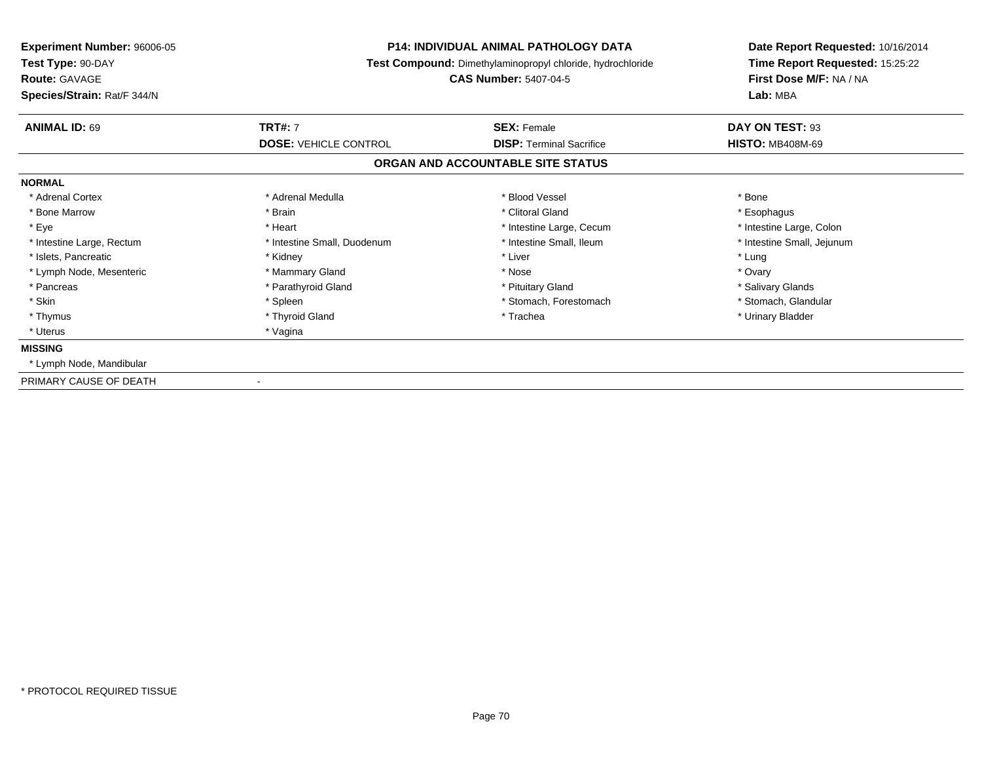| <b>Experiment Number: 96006-05</b><br>Test Type: 90-DAY<br><b>Route: GAVAGE</b><br>Species/Strain: Rat/F 344/N | <b>P14: INDIVIDUAL ANIMAL PATHOLOGY DATA</b><br>Test Compound: Dimethylaminopropyl chloride, hydrochloride<br><b>CAS Number: 5407-04-5</b> |                                                       | Date Report Requested: 10/16/2014<br>Time Report Requested: 15:25:22<br>First Dose M/F: NA / NA<br>Lab: MBA |
|----------------------------------------------------------------------------------------------------------------|--------------------------------------------------------------------------------------------------------------------------------------------|-------------------------------------------------------|-------------------------------------------------------------------------------------------------------------|
| <b>ANIMAL ID: 69</b>                                                                                           | <b>TRT#: 7</b><br><b>DOSE: VEHICLE CONTROL</b>                                                                                             | <b>SEX: Female</b><br><b>DISP: Terminal Sacrifice</b> | DAY ON TEST: 93<br><b>HISTO: MB408M-69</b>                                                                  |
|                                                                                                                |                                                                                                                                            | ORGAN AND ACCOUNTABLE SITE STATUS                     |                                                                                                             |
| <b>NORMAL</b>                                                                                                  |                                                                                                                                            |                                                       |                                                                                                             |
| * Adrenal Cortex                                                                                               | * Adrenal Medulla                                                                                                                          | * Blood Vessel                                        | * Bone                                                                                                      |
| * Bone Marrow                                                                                                  | * Brain                                                                                                                                    | * Clitoral Gland                                      | * Esophagus                                                                                                 |
| * Eye                                                                                                          | * Heart                                                                                                                                    | * Intestine Large, Cecum                              | * Intestine Large, Colon                                                                                    |
| * Intestine Large, Rectum                                                                                      | * Intestine Small, Duodenum                                                                                                                | * Intestine Small. Ileum                              | * Intestine Small, Jejunum                                                                                  |
| * Islets, Pancreatic                                                                                           | * Kidney                                                                                                                                   | * Liver                                               | * Lung                                                                                                      |
| * Lymph Node, Mesenteric                                                                                       | * Mammary Gland                                                                                                                            | * Nose                                                | * Ovary                                                                                                     |
| * Pancreas                                                                                                     | * Parathyroid Gland                                                                                                                        | * Pituitary Gland                                     | * Salivary Glands                                                                                           |
| * Skin                                                                                                         | * Spleen                                                                                                                                   | * Stomach, Forestomach                                | * Stomach, Glandular                                                                                        |
| * Thymus                                                                                                       | * Thyroid Gland                                                                                                                            | * Trachea                                             | * Urinary Bladder                                                                                           |
| * Uterus                                                                                                       | * Vagina                                                                                                                                   |                                                       |                                                                                                             |
| <b>MISSING</b>                                                                                                 |                                                                                                                                            |                                                       |                                                                                                             |
| * Lymph Node, Mandibular                                                                                       |                                                                                                                                            |                                                       |                                                                                                             |
| PRIMARY CAUSE OF DEATH                                                                                         |                                                                                                                                            |                                                       |                                                                                                             |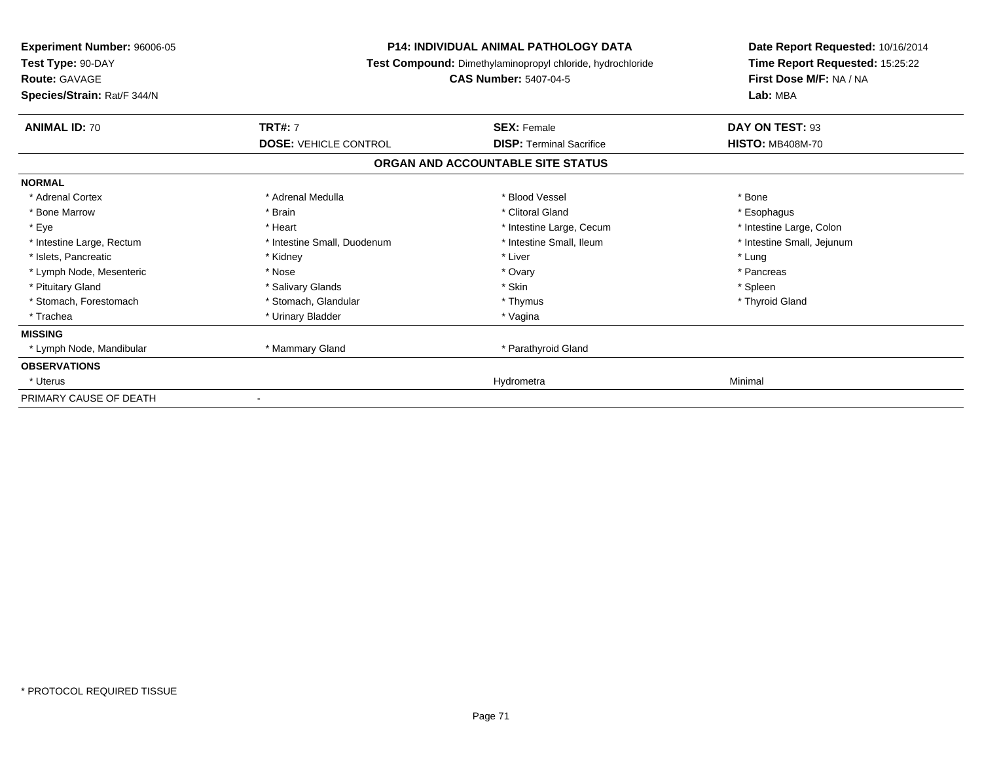| Experiment Number: 96006-05<br>Test Type: 90-DAY<br><b>Route: GAVAGE</b><br>Species/Strain: Rat/F 344/N | <b>P14: INDIVIDUAL ANIMAL PATHOLOGY DATA</b><br>Test Compound: Dimethylaminopropyl chloride, hydrochloride<br><b>CAS Number: 5407-04-5</b> |                                   | Date Report Requested: 10/16/2014<br>Time Report Requested: 15:25:22<br>First Dose M/F: NA / NA<br>Lab: MBA |
|---------------------------------------------------------------------------------------------------------|--------------------------------------------------------------------------------------------------------------------------------------------|-----------------------------------|-------------------------------------------------------------------------------------------------------------|
| <b>ANIMAL ID: 70</b>                                                                                    | <b>TRT#: 7</b>                                                                                                                             | <b>SEX: Female</b>                | DAY ON TEST: 93                                                                                             |
|                                                                                                         | <b>DOSE: VEHICLE CONTROL</b>                                                                                                               | <b>DISP: Terminal Sacrifice</b>   | <b>HISTO: MB408M-70</b>                                                                                     |
|                                                                                                         |                                                                                                                                            | ORGAN AND ACCOUNTABLE SITE STATUS |                                                                                                             |
| <b>NORMAL</b>                                                                                           |                                                                                                                                            |                                   |                                                                                                             |
| * Adrenal Cortex                                                                                        | * Adrenal Medulla                                                                                                                          | * Blood Vessel                    | * Bone                                                                                                      |
| * Bone Marrow                                                                                           | * Brain                                                                                                                                    | * Clitoral Gland                  | * Esophagus                                                                                                 |
| * Eye                                                                                                   | * Heart                                                                                                                                    | * Intestine Large, Cecum          | * Intestine Large, Colon                                                                                    |
| * Intestine Large, Rectum                                                                               | * Intestine Small, Duodenum                                                                                                                | * Intestine Small. Ileum          | * Intestine Small, Jejunum                                                                                  |
| * Islets, Pancreatic                                                                                    | * Kidney                                                                                                                                   | * Liver                           | * Lung                                                                                                      |
| * Lymph Node, Mesenteric                                                                                | * Nose                                                                                                                                     | * Ovary                           | * Pancreas                                                                                                  |
| * Pituitary Gland                                                                                       | * Salivary Glands                                                                                                                          | * Skin                            | * Spleen                                                                                                    |
| * Stomach, Forestomach                                                                                  | * Stomach, Glandular                                                                                                                       | * Thymus                          | * Thyroid Gland                                                                                             |
| * Trachea                                                                                               | * Urinary Bladder                                                                                                                          | * Vagina                          |                                                                                                             |
| <b>MISSING</b>                                                                                          |                                                                                                                                            |                                   |                                                                                                             |
| * Lymph Node, Mandibular                                                                                | * Mammary Gland                                                                                                                            | * Parathyroid Gland               |                                                                                                             |
| <b>OBSERVATIONS</b>                                                                                     |                                                                                                                                            |                                   |                                                                                                             |
| * Uterus                                                                                                |                                                                                                                                            | Hydrometra                        | Minimal                                                                                                     |
| PRIMARY CAUSE OF DEATH                                                                                  |                                                                                                                                            |                                   |                                                                                                             |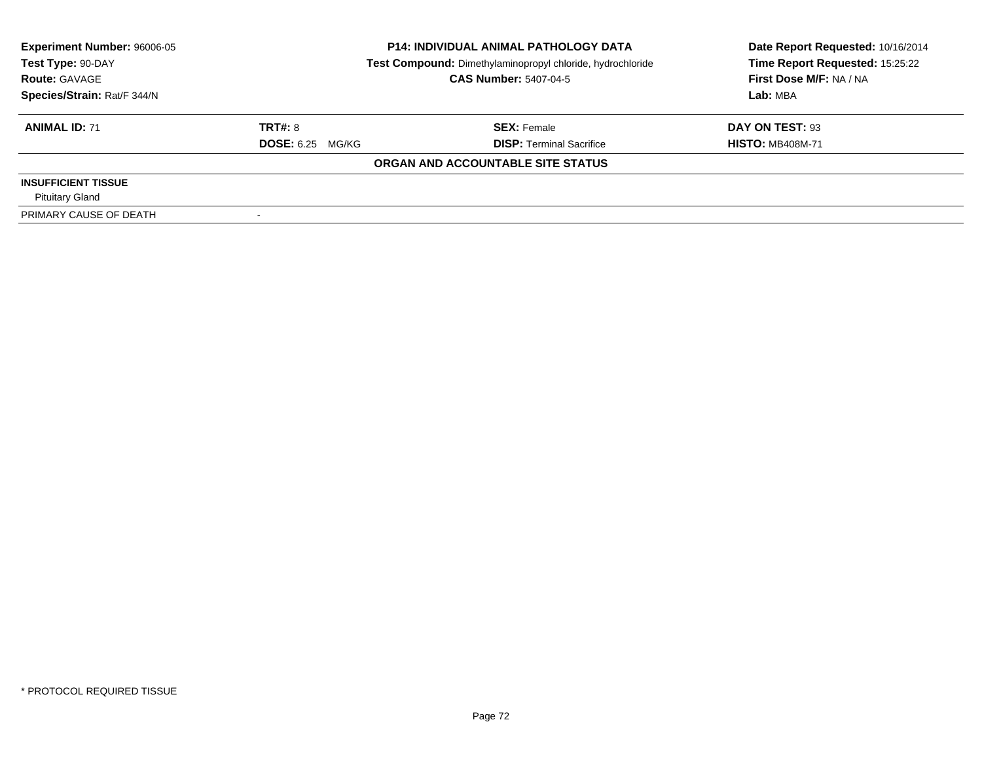| <b>Experiment Number: 96006-05</b> | <b>P14: INDIVIDUAL ANIMAL PATHOLOGY DATA</b> |                                                            | Date Report Requested: 10/16/2014 |
|------------------------------------|----------------------------------------------|------------------------------------------------------------|-----------------------------------|
| Test Type: 90-DAY                  |                                              | Test Compound: Dimethylaminopropyl chloride, hydrochloride | Time Report Requested: 15:25:22   |
| <b>Route: GAVAGE</b>               |                                              | <b>CAS Number: 5407-04-5</b>                               | First Dose M/F: NA / NA           |
| Species/Strain: Rat/F 344/N        |                                              |                                                            | Lab: MBA                          |
| <b>ANIMAL ID: 71</b>               | TRT#: 8                                      | <b>SEX: Female</b>                                         | DAY ON TEST: 93                   |
|                                    | <b>DOSE: 6.25 MG/KG</b>                      | <b>DISP: Terminal Sacrifice</b>                            | <b>HISTO: MB408M-71</b>           |
|                                    |                                              | ORGAN AND ACCOUNTABLE SITE STATUS                          |                                   |
| <b>INSUFFICIENT TISSUE</b>         |                                              |                                                            |                                   |
| <b>Pituitary Gland</b>             |                                              |                                                            |                                   |
| PRIMARY CAUSE OF DEATH             |                                              |                                                            |                                   |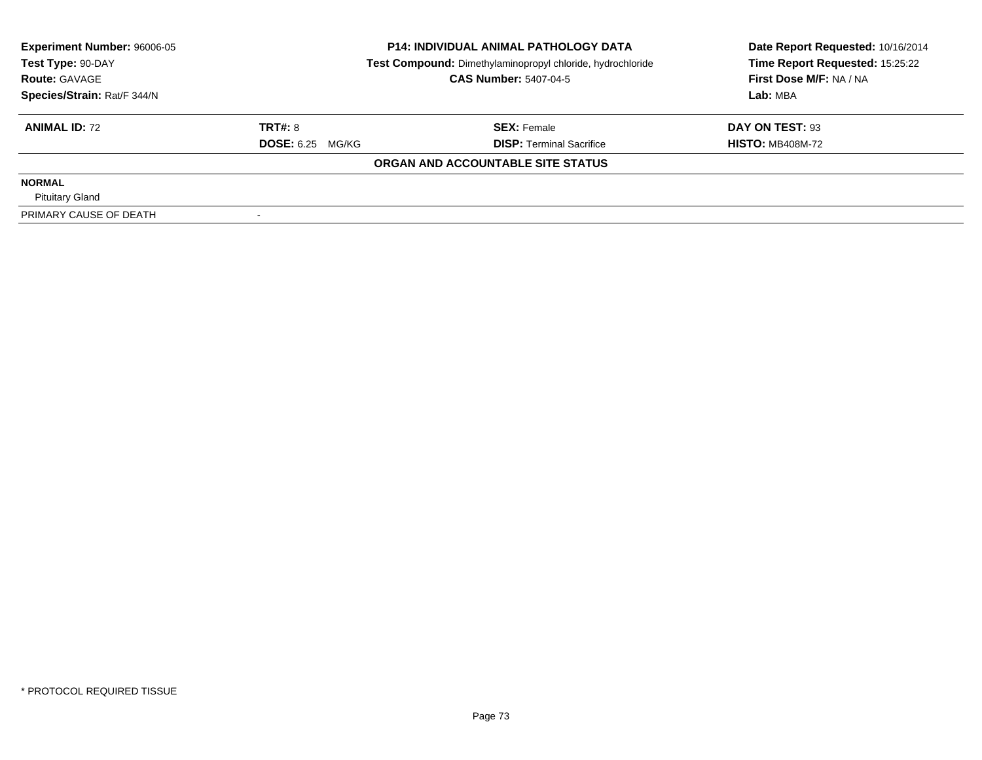| <b>Experiment Number: 96006-05</b> | <b>P14: INDIVIDUAL ANIMAL PATHOLOGY DATA</b> |                                                            | Date Report Requested: 10/16/2014 |  |
|------------------------------------|----------------------------------------------|------------------------------------------------------------|-----------------------------------|--|
| Test Type: 90-DAY                  |                                              | Test Compound: Dimethylaminopropyl chloride, hydrochloride | Time Report Requested: 15:25:22   |  |
| <b>Route: GAVAGE</b>               |                                              | <b>CAS Number: 5407-04-5</b>                               | First Dose M/F: NA / NA           |  |
| Species/Strain: Rat/F 344/N        |                                              |                                                            | Lab: MBA                          |  |
| <b>ANIMAL ID: 72</b>               | <b>TRT#: 8</b>                               | <b>SEX: Female</b>                                         | DAY ON TEST: 93                   |  |
|                                    | <b>DOSE:</b> 6.25 MG/KG                      | <b>DISP:</b> Terminal Sacrifice                            | <b>HISTO: MB408M-72</b>           |  |
|                                    |                                              | ORGAN AND ACCOUNTABLE SITE STATUS                          |                                   |  |
| <b>NORMAL</b>                      |                                              |                                                            |                                   |  |
| <b>Pituitary Gland</b>             |                                              |                                                            |                                   |  |
| PRIMARY CAUSE OF DEATH             |                                              |                                                            |                                   |  |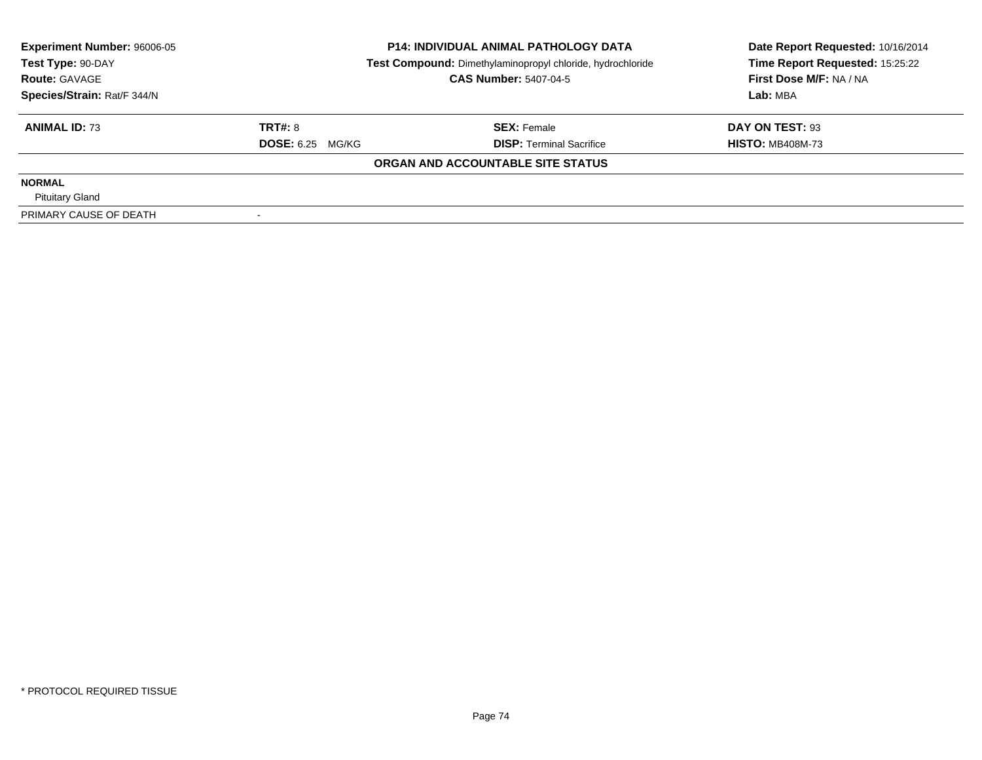| <b>Experiment Number: 96006-05</b> | <b>P14: INDIVIDUAL ANIMAL PATHOLOGY DATA</b> |                                                            | Date Report Requested: 10/16/2014 |  |
|------------------------------------|----------------------------------------------|------------------------------------------------------------|-----------------------------------|--|
| Test Type: 90-DAY                  |                                              | Test Compound: Dimethylaminopropyl chloride, hydrochloride | Time Report Requested: 15:25:22   |  |
| <b>Route: GAVAGE</b>               |                                              | <b>CAS Number: 5407-04-5</b>                               | First Dose M/F: NA / NA           |  |
| Species/Strain: Rat/F 344/N        |                                              |                                                            | Lab: MBA                          |  |
| <b>ANIMAL ID: 73</b>               | <b>TRT#: 8</b>                               | <b>SEX: Female</b>                                         | DAY ON TEST: 93                   |  |
|                                    | <b>DOSE:</b> 6.25 MG/KG                      | <b>DISP:</b> Terminal Sacrifice                            | <b>HISTO: MB408M-73</b>           |  |
|                                    |                                              | ORGAN AND ACCOUNTABLE SITE STATUS                          |                                   |  |
| <b>NORMAL</b>                      |                                              |                                                            |                                   |  |
| <b>Pituitary Gland</b>             |                                              |                                                            |                                   |  |
| PRIMARY CAUSE OF DEATH             |                                              |                                                            |                                   |  |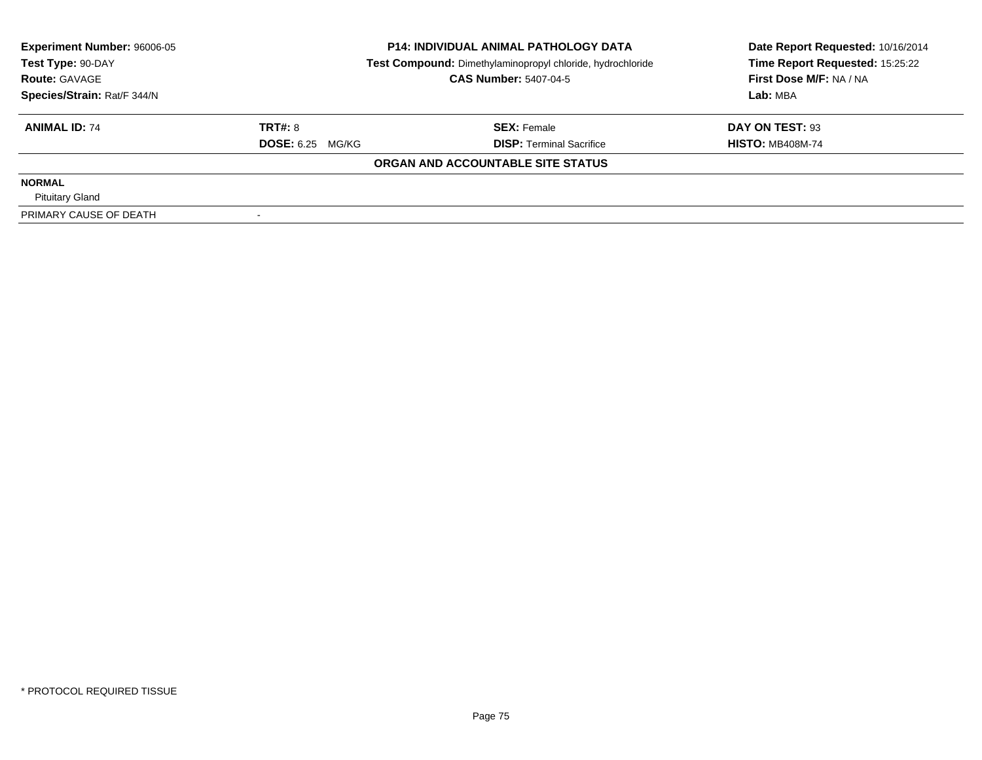| <b>Experiment Number: 96006-05</b> | <b>P14: INDIVIDUAL ANIMAL PATHOLOGY DATA</b> |                                                            | Date Report Requested: 10/16/2014 |  |
|------------------------------------|----------------------------------------------|------------------------------------------------------------|-----------------------------------|--|
| Test Type: 90-DAY                  |                                              | Test Compound: Dimethylaminopropyl chloride, hydrochloride | Time Report Requested: 15:25:22   |  |
| <b>Route: GAVAGE</b>               |                                              | <b>CAS Number: 5407-04-5</b>                               | First Dose M/F: NA / NA           |  |
| Species/Strain: Rat/F 344/N        |                                              |                                                            | Lab: MBA                          |  |
| <b>ANIMAL ID: 74</b>               | <b>TRT#: 8</b>                               | <b>SEX: Female</b>                                         | DAY ON TEST: 93                   |  |
|                                    | <b>DOSE:</b> 6.25 MG/KG                      | <b>DISP:</b> Terminal Sacrifice                            | <b>HISTO: MB408M-74</b>           |  |
|                                    |                                              | ORGAN AND ACCOUNTABLE SITE STATUS                          |                                   |  |
| <b>NORMAL</b>                      |                                              |                                                            |                                   |  |
| <b>Pituitary Gland</b>             |                                              |                                                            |                                   |  |
| PRIMARY CAUSE OF DEATH             |                                              |                                                            |                                   |  |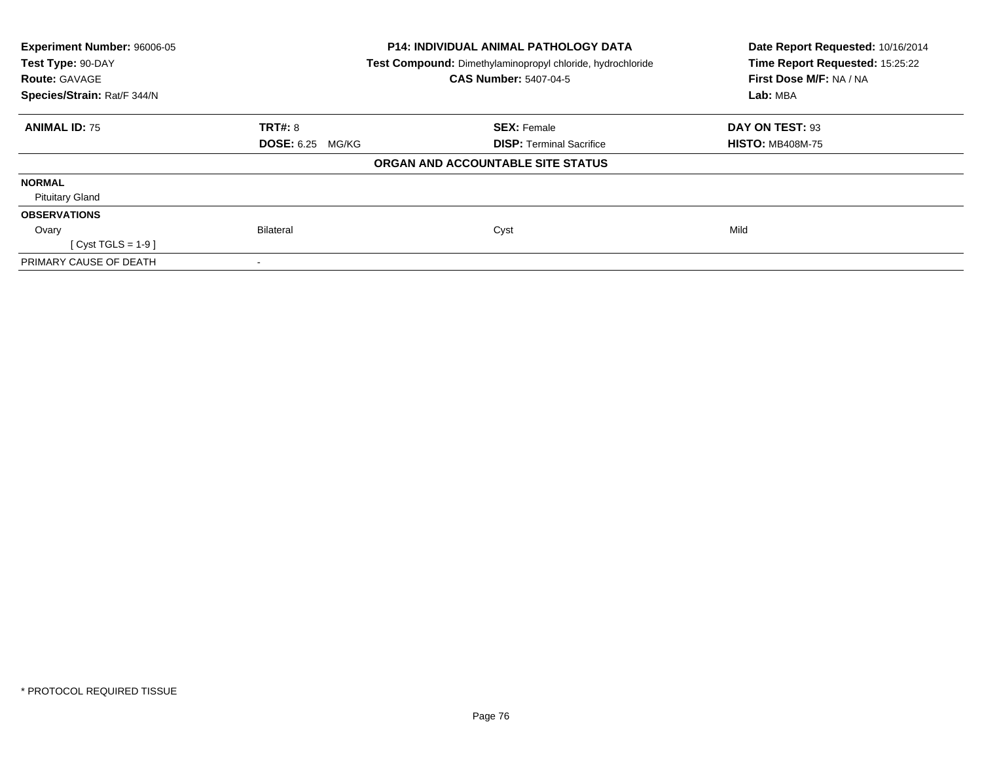| Experiment Number: 96006-05            | <b>P14: INDIVIDUAL ANIMAL PATHOLOGY DATA</b>               | Date Report Requested: 10/16/2014<br>Time Report Requested: 15:25:22 |
|----------------------------------------|------------------------------------------------------------|----------------------------------------------------------------------|
| Test Type: 90-DAY                      | Test Compound: Dimethylaminopropyl chloride, hydrochloride |                                                                      |
| <b>Route: GAVAGE</b>                   | <b>CAS Number: 5407-04-5</b>                               | First Dose M/F: NA / NA                                              |
| Species/Strain: Rat/F 344/N            |                                                            | Lab: MBA                                                             |
| <b>TRT#: 8</b><br><b>ANIMAL ID: 75</b> | <b>SEX: Female</b>                                         | DAY ON TEST: 93                                                      |
| <b>DOSE: 6.25 MG/KG</b>                | <b>DISP: Terminal Sacrifice</b>                            | <b>HISTO: MB408M-75</b>                                              |
|                                        | ORGAN AND ACCOUNTABLE SITE STATUS                          |                                                                      |
| <b>NORMAL</b>                          |                                                            |                                                                      |
| <b>Pituitary Gland</b>                 |                                                            |                                                                      |
| <b>OBSERVATIONS</b>                    |                                                            |                                                                      |
| Bilateral<br>Ovary                     | Cyst                                                       | Mild                                                                 |
| $Cyst TGLS = 1-9$                      |                                                            |                                                                      |
| PRIMARY CAUSE OF DEATH                 |                                                            |                                                                      |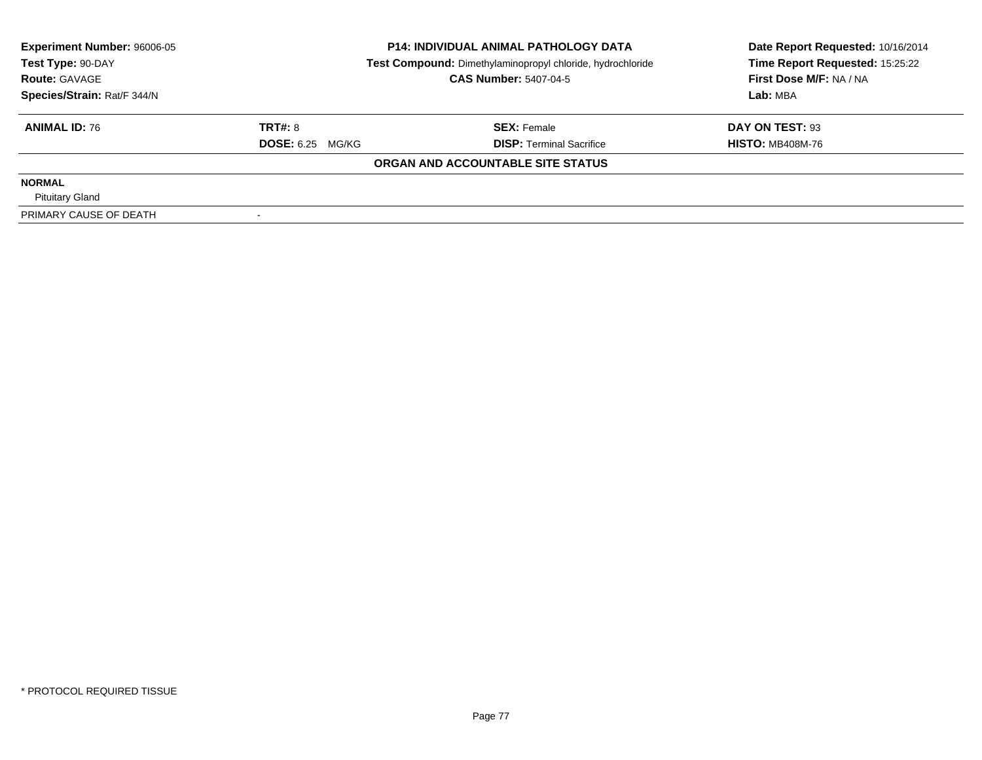| <b>Experiment Number: 96006-05</b> | <b>P14: INDIVIDUAL ANIMAL PATHOLOGY DATA</b> |                                                            | Date Report Requested: 10/16/2014 |  |
|------------------------------------|----------------------------------------------|------------------------------------------------------------|-----------------------------------|--|
| Test Type: 90-DAY                  |                                              | Test Compound: Dimethylaminopropyl chloride, hydrochloride | Time Report Requested: 15:25:22   |  |
| <b>Route: GAVAGE</b>               |                                              | <b>CAS Number: 5407-04-5</b>                               | First Dose M/F: NA / NA           |  |
| Species/Strain: Rat/F 344/N        |                                              |                                                            | Lab: MBA                          |  |
| <b>ANIMAL ID: 76</b>               | <b>TRT#: 8</b>                               | <b>SEX: Female</b>                                         | DAY ON TEST: 93                   |  |
|                                    | <b>DOSE:</b> 6.25 MG/KG                      | <b>DISP:</b> Terminal Sacrifice                            | <b>HISTO: MB408M-76</b>           |  |
|                                    |                                              | ORGAN AND ACCOUNTABLE SITE STATUS                          |                                   |  |
| <b>NORMAL</b>                      |                                              |                                                            |                                   |  |
| <b>Pituitary Gland</b>             |                                              |                                                            |                                   |  |
| PRIMARY CAUSE OF DEATH             |                                              |                                                            |                                   |  |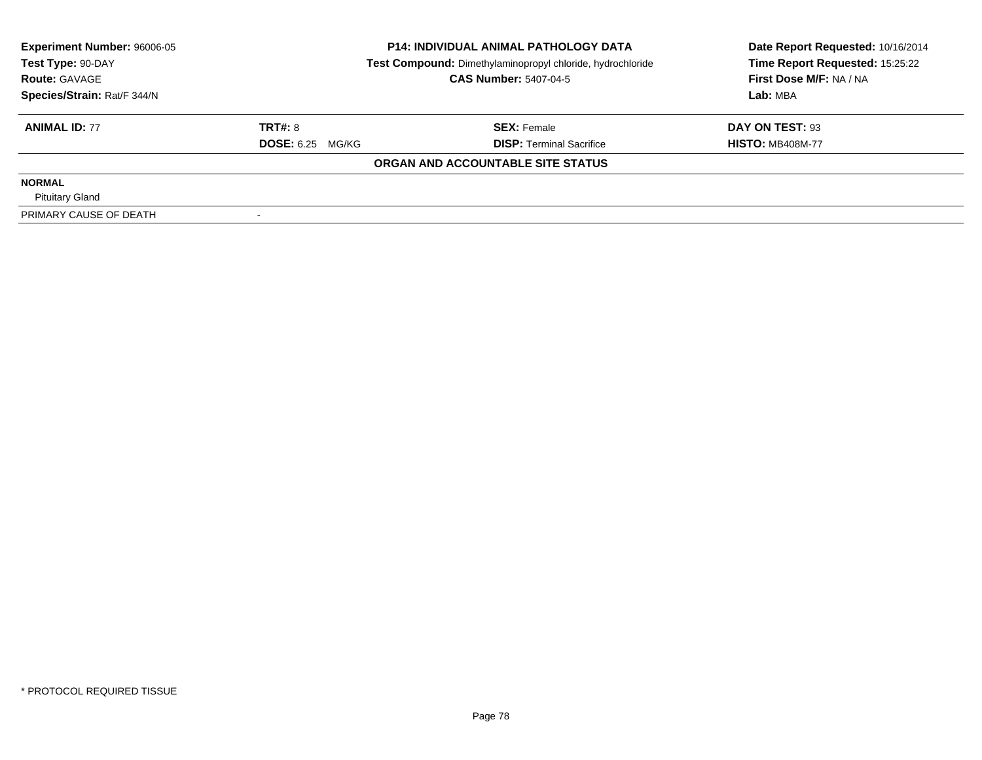| <b>Experiment Number: 96006-05</b> | <b>P14: INDIVIDUAL ANIMAL PATHOLOGY DATA</b> |                                                            | Date Report Requested: 10/16/2014 |  |
|------------------------------------|----------------------------------------------|------------------------------------------------------------|-----------------------------------|--|
| Test Type: 90-DAY                  |                                              | Test Compound: Dimethylaminopropyl chloride, hydrochloride | Time Report Requested: 15:25:22   |  |
| <b>Route: GAVAGE</b>               |                                              | <b>CAS Number: 5407-04-5</b>                               | First Dose M/F: NA / NA           |  |
| Species/Strain: Rat/F 344/N        |                                              |                                                            | Lab: MBA                          |  |
| <b>ANIMAL ID: 77</b>               | <b>TRT#: 8</b>                               | <b>SEX: Female</b>                                         | DAY ON TEST: 93                   |  |
|                                    | <b>DOSE:</b> 6.25 MG/KG                      | <b>DISP:</b> Terminal Sacrifice                            | <b>HISTO: MB408M-77</b>           |  |
|                                    |                                              | ORGAN AND ACCOUNTABLE SITE STATUS                          |                                   |  |
| <b>NORMAL</b>                      |                                              |                                                            |                                   |  |
| <b>Pituitary Gland</b>             |                                              |                                                            |                                   |  |
| PRIMARY CAUSE OF DEATH             |                                              |                                                            |                                   |  |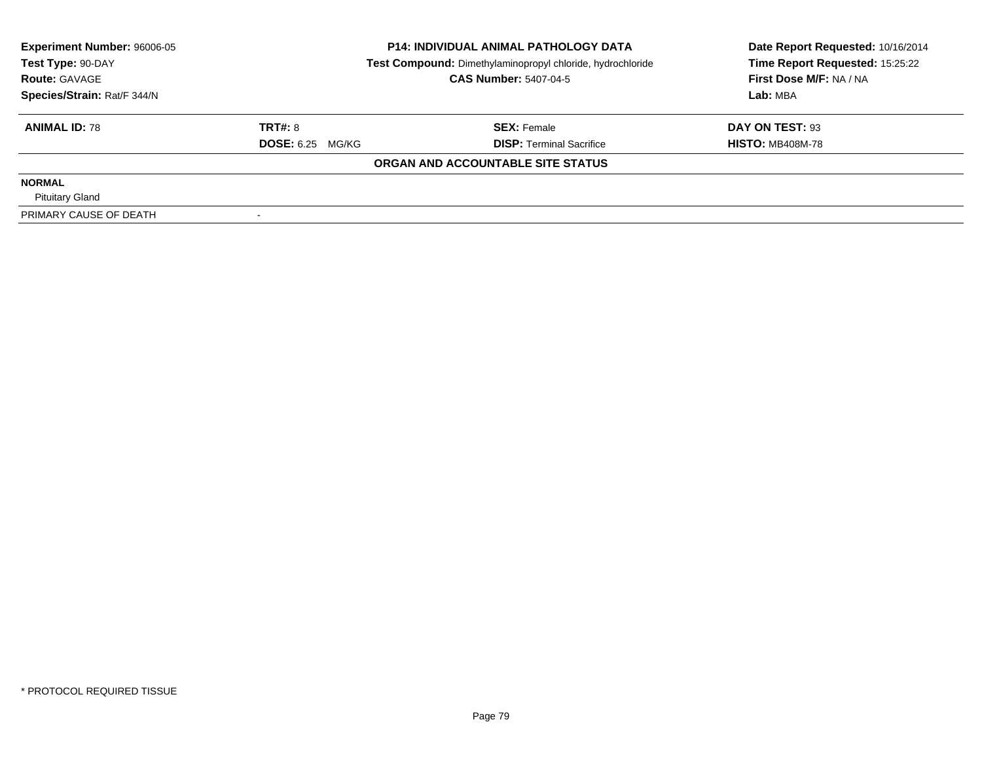| <b>Experiment Number: 96006-05</b> | <b>P14: INDIVIDUAL ANIMAL PATHOLOGY DATA</b> |                                                            | Date Report Requested: 10/16/2014 |  |
|------------------------------------|----------------------------------------------|------------------------------------------------------------|-----------------------------------|--|
| Test Type: 90-DAY                  |                                              | Test Compound: Dimethylaminopropyl chloride, hydrochloride | Time Report Requested: 15:25:22   |  |
| <b>Route: GAVAGE</b>               |                                              | <b>CAS Number: 5407-04-5</b>                               | First Dose M/F: NA / NA           |  |
| Species/Strain: Rat/F 344/N        |                                              |                                                            | Lab: MBA                          |  |
| <b>ANIMAL ID: 78</b>               | <b>TRT#: 8</b>                               | <b>SEX: Female</b>                                         | DAY ON TEST: 93                   |  |
|                                    | <b>DOSE:</b> 6.25 MG/KG                      | <b>DISP:</b> Terminal Sacrifice                            | <b>HISTO: MB408M-78</b>           |  |
|                                    |                                              | ORGAN AND ACCOUNTABLE SITE STATUS                          |                                   |  |
| <b>NORMAL</b>                      |                                              |                                                            |                                   |  |
| <b>Pituitary Gland</b>             |                                              |                                                            |                                   |  |
| PRIMARY CAUSE OF DEATH             |                                              |                                                            |                                   |  |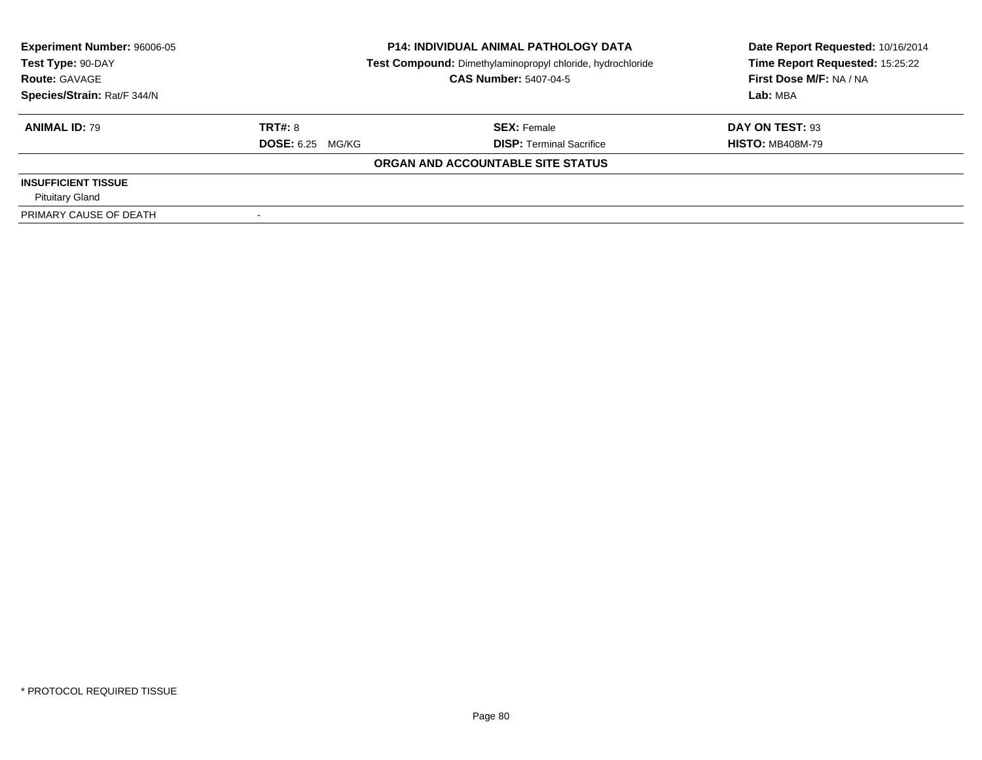| <b>Experiment Number: 96006-05</b> | <b>P14: INDIVIDUAL ANIMAL PATHOLOGY DATA</b> |                                                            | Date Report Requested: 10/16/2014 |  |
|------------------------------------|----------------------------------------------|------------------------------------------------------------|-----------------------------------|--|
| Test Type: 90-DAY                  |                                              | Test Compound: Dimethylaminopropyl chloride, hydrochloride | Time Report Requested: 15:25:22   |  |
| <b>Route: GAVAGE</b>               |                                              | <b>CAS Number: 5407-04-5</b>                               | First Dose M/F: NA / NA           |  |
| Species/Strain: Rat/F 344/N        |                                              |                                                            | Lab: MBA                          |  |
| <b>ANIMAL ID: 79</b>               | TRT#: 8                                      | <b>SEX: Female</b>                                         | DAY ON TEST: 93                   |  |
|                                    | <b>DOSE:</b> 6.25 MG/KG                      | <b>DISP: Terminal Sacrifice</b>                            | <b>HISTO: MB408M-79</b>           |  |
|                                    |                                              | ORGAN AND ACCOUNTABLE SITE STATUS                          |                                   |  |
| <b>INSUFFICIENT TISSUE</b>         |                                              |                                                            |                                   |  |
| <b>Pituitary Gland</b>             |                                              |                                                            |                                   |  |
| PRIMARY CAUSE OF DEATH             |                                              |                                                            |                                   |  |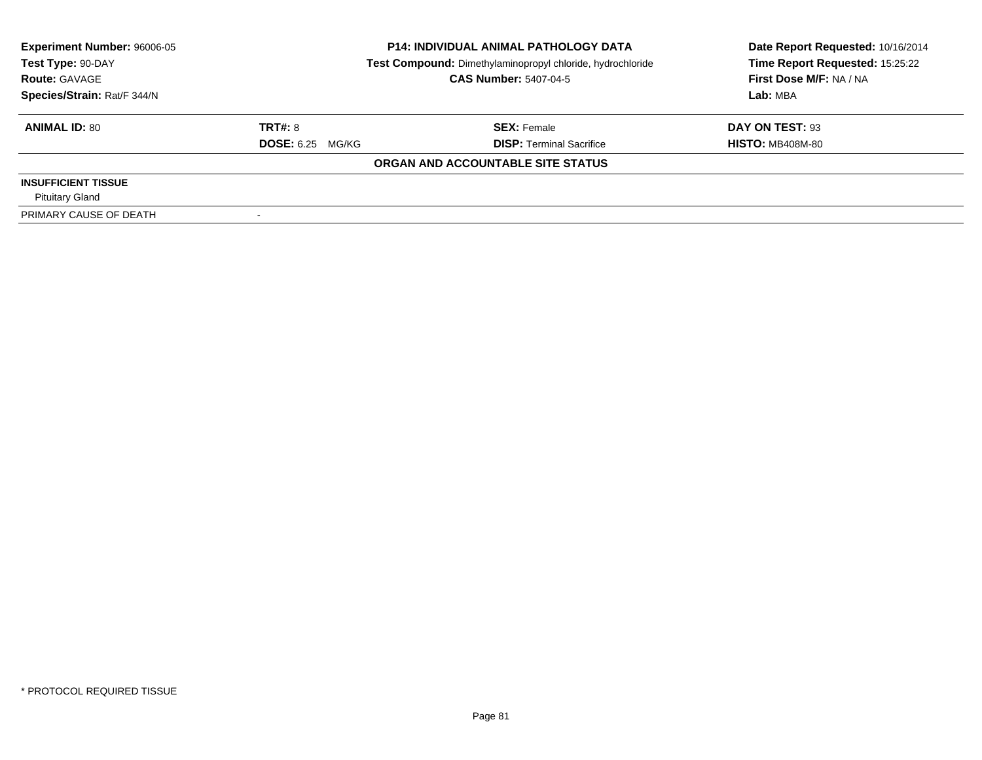| <b>Experiment Number: 96006-05</b> |                         | <b>P14: INDIVIDUAL ANIMAL PATHOLOGY DATA</b>               | Date Report Requested: 10/16/2014 |  |
|------------------------------------|-------------------------|------------------------------------------------------------|-----------------------------------|--|
| Test Type: 90-DAY                  |                         | Test Compound: Dimethylaminopropyl chloride, hydrochloride |                                   |  |
| <b>Route: GAVAGE</b>               |                         | <b>CAS Number: 5407-04-5</b>                               | First Dose M/F: NA / NA           |  |
| Species/Strain: Rat/F 344/N        |                         |                                                            | Lab: MBA                          |  |
| <b>ANIMAL ID: 80</b>               | TRT#: 8                 | <b>SEX: Female</b>                                         | DAY ON TEST: 93                   |  |
|                                    | <b>DOSE:</b> 6.25 MG/KG | <b>DISP:</b> Terminal Sacrifice                            | <b>HISTO: MB408M-80</b>           |  |
|                                    |                         | ORGAN AND ACCOUNTABLE SITE STATUS                          |                                   |  |
| <b>INSUFFICIENT TISSUE</b>         |                         |                                                            |                                   |  |
| <b>Pituitary Gland</b>             |                         |                                                            |                                   |  |
| PRIMARY CAUSE OF DEATH             |                         |                                                            |                                   |  |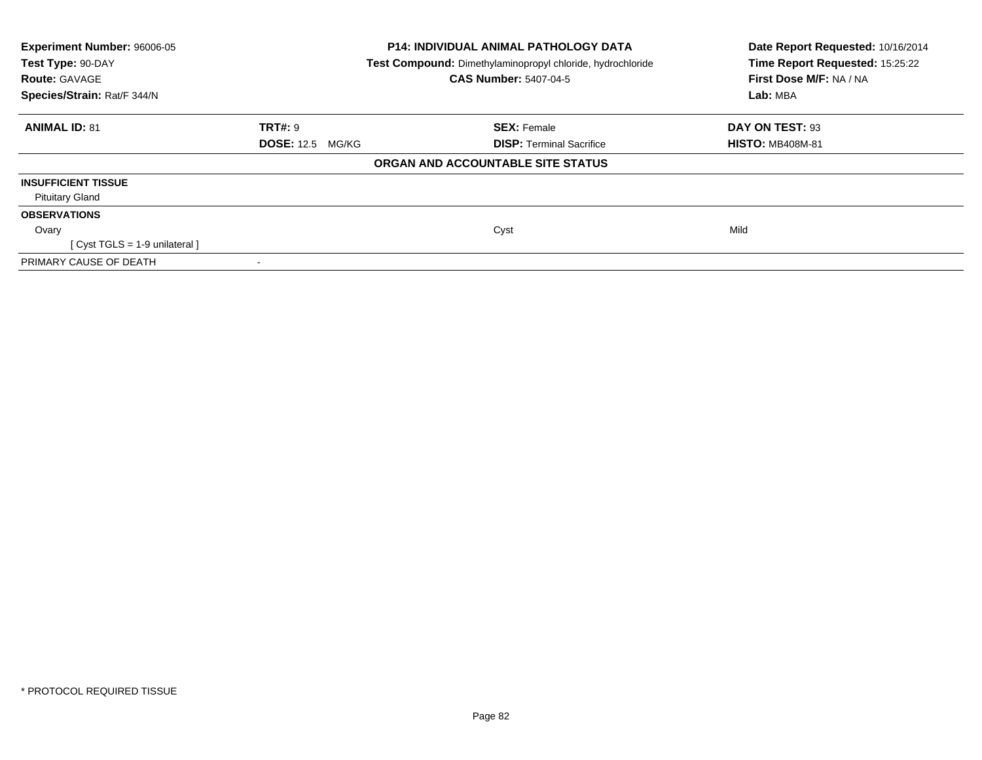| Experiment Number: 96006-05<br>Test Type: 90-DAY<br><b>Route: GAVAGE</b> | P14: INDIVIDUAL ANIMAL PATHOLOGY DATA<br>Test Compound: Dimethylaminopropyl chloride, hydrochloride<br><b>CAS Number: 5407-04-5</b> |                                   | Date Report Requested: 10/16/2014<br>Time Report Requested: 15:25:22<br>First Dose M/F: NA / NA |
|--------------------------------------------------------------------------|-------------------------------------------------------------------------------------------------------------------------------------|-----------------------------------|-------------------------------------------------------------------------------------------------|
| Species/Strain: Rat/F 344/N                                              |                                                                                                                                     |                                   | Lab: MBA                                                                                        |
| <b>ANIMAL ID: 81</b>                                                     | <b>TRT#: 9</b>                                                                                                                      | <b>SEX: Female</b>                | DAY ON TEST: 93                                                                                 |
|                                                                          | <b>DOSE:</b> 12.5 MG/KG                                                                                                             | <b>DISP: Terminal Sacrifice</b>   | <b>HISTO: MB408M-81</b>                                                                         |
|                                                                          |                                                                                                                                     | ORGAN AND ACCOUNTABLE SITE STATUS |                                                                                                 |
| <b>INSUFFICIENT TISSUE</b>                                               |                                                                                                                                     |                                   |                                                                                                 |
| <b>Pituitary Gland</b>                                                   |                                                                                                                                     |                                   |                                                                                                 |
| <b>OBSERVATIONS</b>                                                      |                                                                                                                                     |                                   |                                                                                                 |
| Ovary                                                                    |                                                                                                                                     | Cyst                              | Mild                                                                                            |
| [Cyst TGLS = 1-9 unilateral]                                             |                                                                                                                                     |                                   |                                                                                                 |
| PRIMARY CAUSE OF DEATH                                                   |                                                                                                                                     |                                   |                                                                                                 |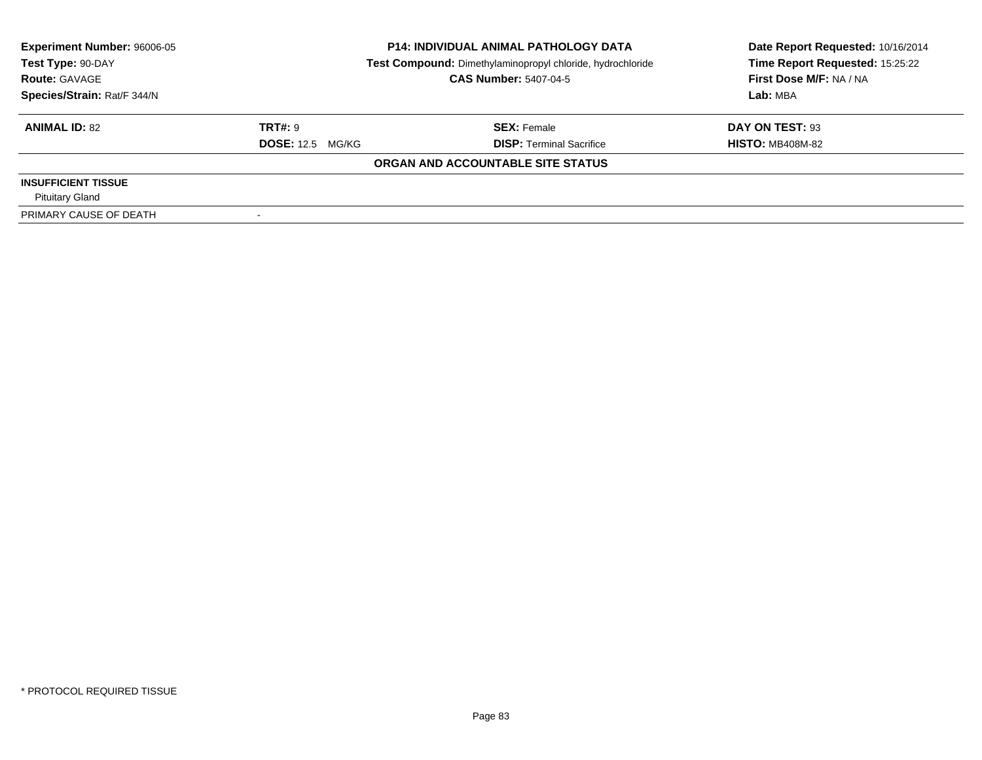| <b>Experiment Number: 96006-05</b><br><b>P14: INDIVIDUAL ANIMAL PATHOLOGY DATA</b> |                         | Date Report Requested: 10/16/2014                          |                                 |  |
|------------------------------------------------------------------------------------|-------------------------|------------------------------------------------------------|---------------------------------|--|
| Test Type: 90-DAY                                                                  |                         | Test Compound: Dimethylaminopropyl chloride, hydrochloride | Time Report Requested: 15:25:22 |  |
| <b>Route: GAVAGE</b>                                                               |                         | <b>CAS Number: 5407-04-5</b>                               | First Dose M/F: NA / NA         |  |
| Species/Strain: Rat/F 344/N                                                        |                         |                                                            | Lab: MBA                        |  |
| <b>ANIMAL ID: 82</b>                                                               | TRT#: 9                 | <b>SEX: Female</b>                                         | DAY ON TEST: 93                 |  |
|                                                                                    | <b>DOSE: 12.5 MG/KG</b> | <b>DISP:</b> Terminal Sacrifice                            | <b>HISTO: MB408M-82</b>         |  |
|                                                                                    |                         | ORGAN AND ACCOUNTABLE SITE STATUS                          |                                 |  |
| <b>INSUFFICIENT TISSUE</b>                                                         |                         |                                                            |                                 |  |
| <b>Pituitary Gland</b>                                                             |                         |                                                            |                                 |  |
| PRIMARY CAUSE OF DEATH                                                             |                         |                                                            |                                 |  |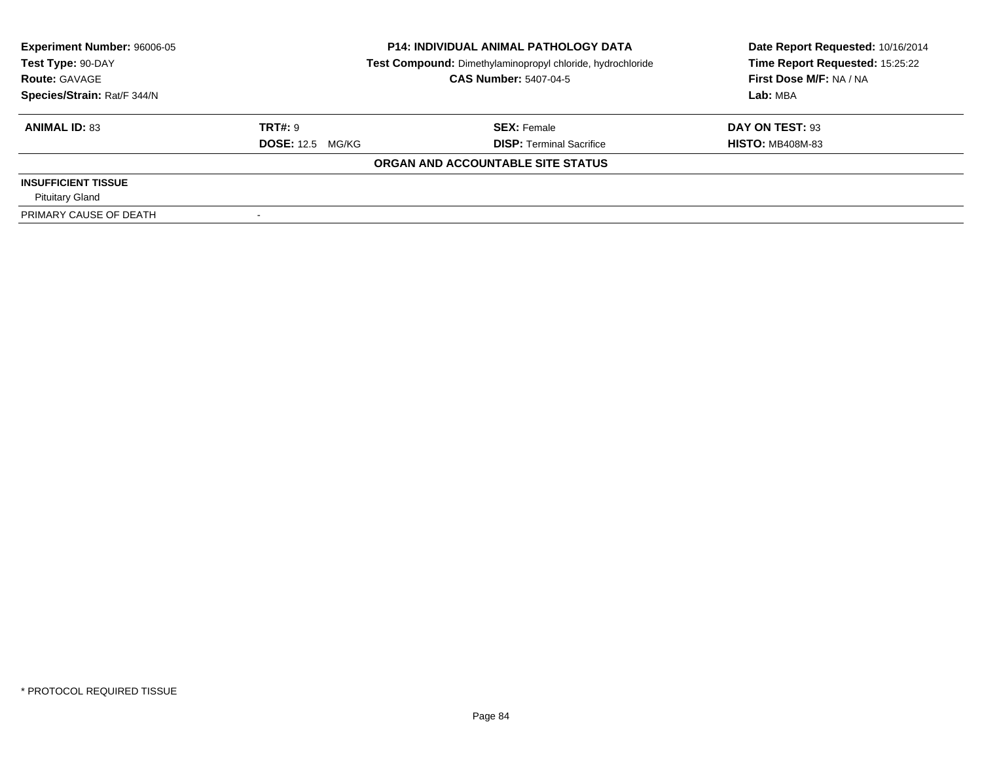| <b>Experiment Number: 96006-05</b> |                         | <b>P14: INDIVIDUAL ANIMAL PATHOLOGY DATA</b>               | Date Report Requested: 10/16/2014 |  |
|------------------------------------|-------------------------|------------------------------------------------------------|-----------------------------------|--|
| Test Type: 90-DAY                  |                         | Test Compound: Dimethylaminopropyl chloride, hydrochloride | Time Report Requested: 15:25:22   |  |
| <b>Route: GAVAGE</b>               |                         | <b>CAS Number: 5407-04-5</b>                               | First Dose M/F: NA / NA           |  |
| Species/Strain: Rat/F 344/N        |                         |                                                            | Lab: MBA                          |  |
| <b>ANIMAL ID: 83</b>               | TRT#: 9                 | <b>SEX: Female</b>                                         | DAY ON TEST: 93                   |  |
|                                    | <b>DOSE: 12.5 MG/KG</b> | <b>DISP:</b> Terminal Sacrifice                            | <b>HISTO: MB408M-83</b>           |  |
|                                    |                         | ORGAN AND ACCOUNTABLE SITE STATUS                          |                                   |  |
| <b>INSUFFICIENT TISSUE</b>         |                         |                                                            |                                   |  |
| <b>Pituitary Gland</b>             |                         |                                                            |                                   |  |
| PRIMARY CAUSE OF DEATH             |                         |                                                            |                                   |  |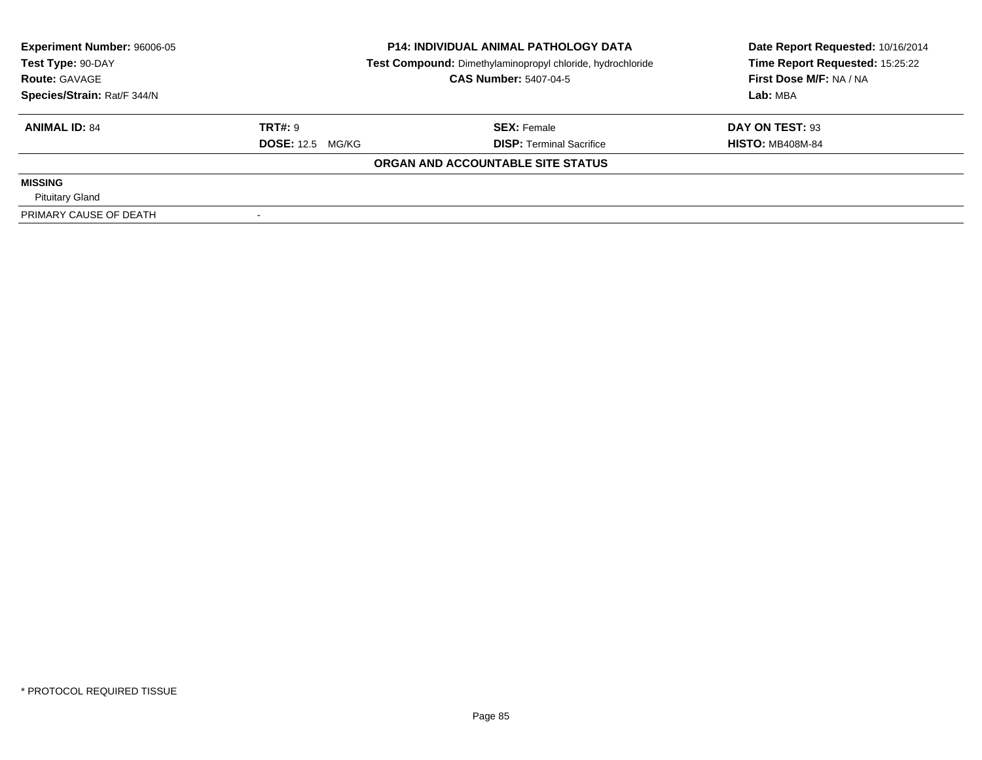| <b>Experiment Number: 96006-05</b> | <b>P14: INDIVIDUAL ANIMAL PATHOLOGY DATA</b> |                                                            | Date Report Requested: 10/16/2014 |  |
|------------------------------------|----------------------------------------------|------------------------------------------------------------|-----------------------------------|--|
| Test Type: 90-DAY                  |                                              | Test Compound: Dimethylaminopropyl chloride, hydrochloride |                                   |  |
| <b>Route: GAVAGE</b>               |                                              | <b>CAS Number: 5407-04-5</b>                               | First Dose M/F: NA / NA           |  |
| Species/Strain: Rat/F 344/N        |                                              |                                                            | Lab: MBA                          |  |
| <b>ANIMAL ID: 84</b>               | <b>TRT#: 9</b>                               | <b>SEX: Female</b>                                         | DAY ON TEST: 93                   |  |
|                                    | <b>DOSE: 12.5 MG/KG</b>                      | <b>DISP:</b> Terminal Sacrifice                            | <b>HISTO: MB408M-84</b>           |  |
|                                    |                                              | ORGAN AND ACCOUNTABLE SITE STATUS                          |                                   |  |
| <b>MISSING</b>                     |                                              |                                                            |                                   |  |
| <b>Pituitary Gland</b>             |                                              |                                                            |                                   |  |
| PRIMARY CAUSE OF DEATH             |                                              |                                                            |                                   |  |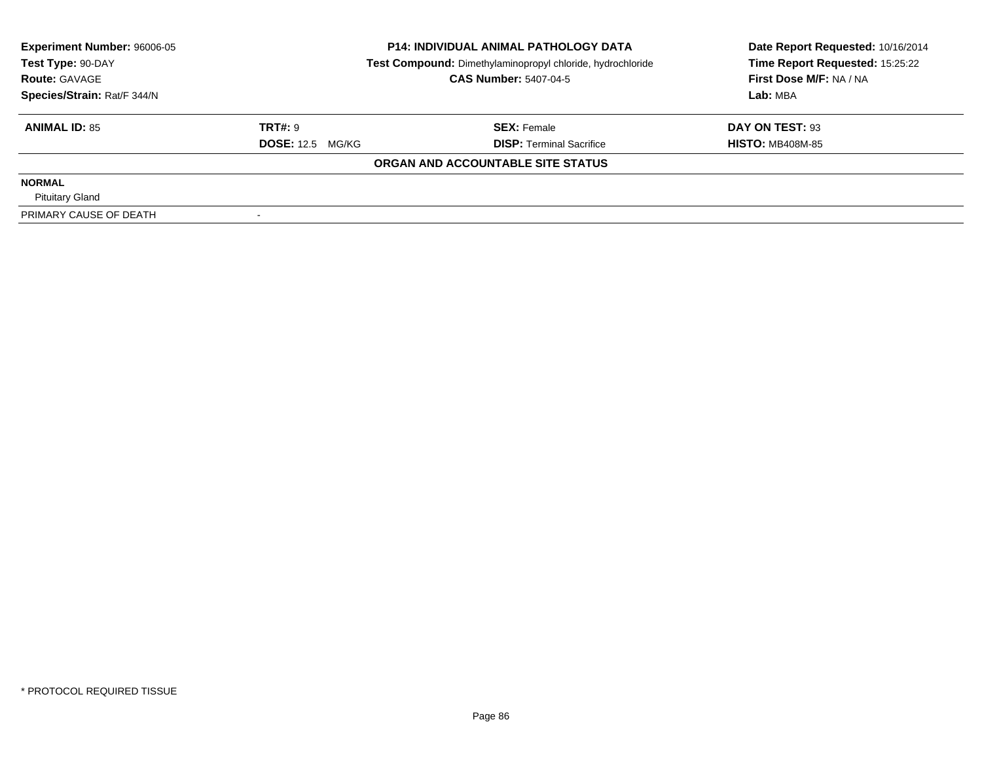| <b>Experiment Number: 96006-05</b> | <b>P14: INDIVIDUAL ANIMAL PATHOLOGY DATA</b> |                                                            | Date Report Requested: 10/16/2014 |  |
|------------------------------------|----------------------------------------------|------------------------------------------------------------|-----------------------------------|--|
| Test Type: 90-DAY                  |                                              | Test Compound: Dimethylaminopropyl chloride, hydrochloride |                                   |  |
| <b>Route: GAVAGE</b>               |                                              | <b>CAS Number: 5407-04-5</b>                               | First Dose M/F: NA / NA           |  |
| Species/Strain: Rat/F 344/N        |                                              |                                                            | Lab: MBA                          |  |
| <b>ANIMAL ID: 85</b>               | <b>TRT#: 9</b>                               | <b>SEX: Female</b>                                         | DAY ON TEST: 93                   |  |
|                                    | <b>DOSE: 12.5 MG/KG</b>                      | <b>DISP:</b> Terminal Sacrifice                            | <b>HISTO: MB408M-85</b>           |  |
|                                    |                                              | ORGAN AND ACCOUNTABLE SITE STATUS                          |                                   |  |
| <b>NORMAL</b>                      |                                              |                                                            |                                   |  |
| <b>Pituitary Gland</b>             |                                              |                                                            |                                   |  |
| PRIMARY CAUSE OF DEATH             |                                              |                                                            |                                   |  |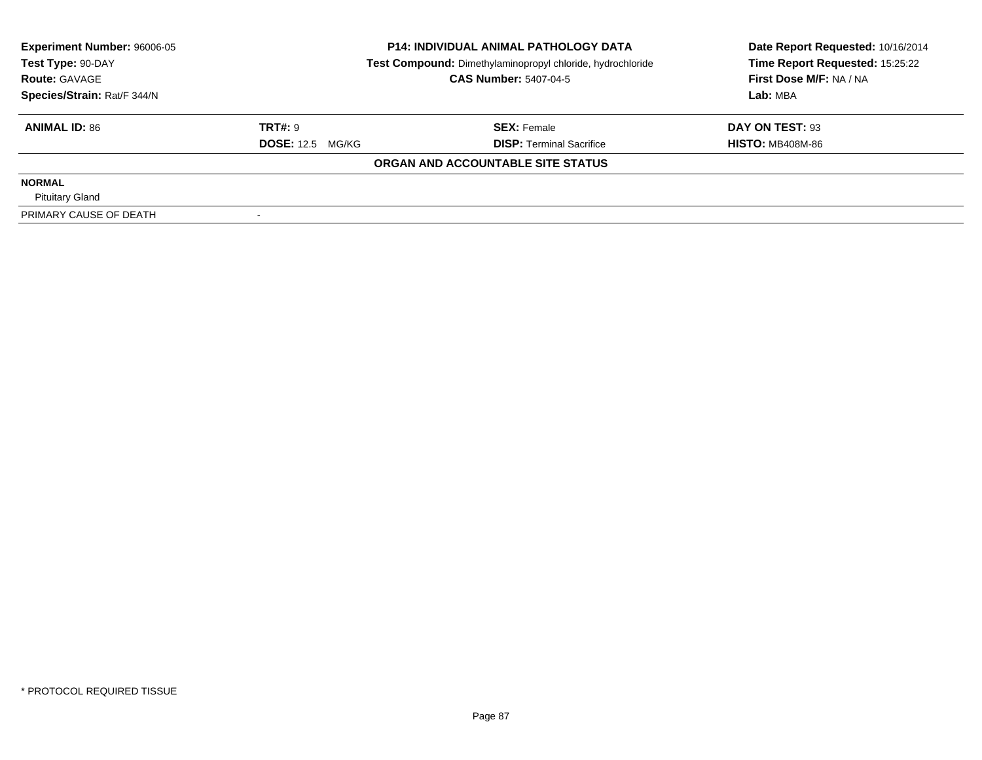| <b>Experiment Number: 96006-05</b> | <b>P14: INDIVIDUAL ANIMAL PATHOLOGY DATA</b> |                                                            | Date Report Requested: 10/16/2014 |  |
|------------------------------------|----------------------------------------------|------------------------------------------------------------|-----------------------------------|--|
| Test Type: 90-DAY                  |                                              | Test Compound: Dimethylaminopropyl chloride, hydrochloride |                                   |  |
| <b>Route: GAVAGE</b>               |                                              | <b>CAS Number: 5407-04-5</b>                               | First Dose M/F: NA / NA           |  |
| Species/Strain: Rat/F 344/N        |                                              |                                                            | Lab: MBA                          |  |
| <b>ANIMAL ID: 86</b>               | <b>TRT#: 9</b>                               | <b>SEX: Female</b>                                         | DAY ON TEST: 93                   |  |
|                                    | <b>DOSE: 12.5 MG/KG</b>                      | <b>DISP:</b> Terminal Sacrifice                            | <b>HISTO: MB408M-86</b>           |  |
|                                    |                                              | ORGAN AND ACCOUNTABLE SITE STATUS                          |                                   |  |
| <b>NORMAL</b>                      |                                              |                                                            |                                   |  |
| <b>Pituitary Gland</b>             |                                              |                                                            |                                   |  |
| PRIMARY CAUSE OF DEATH             |                                              |                                                            |                                   |  |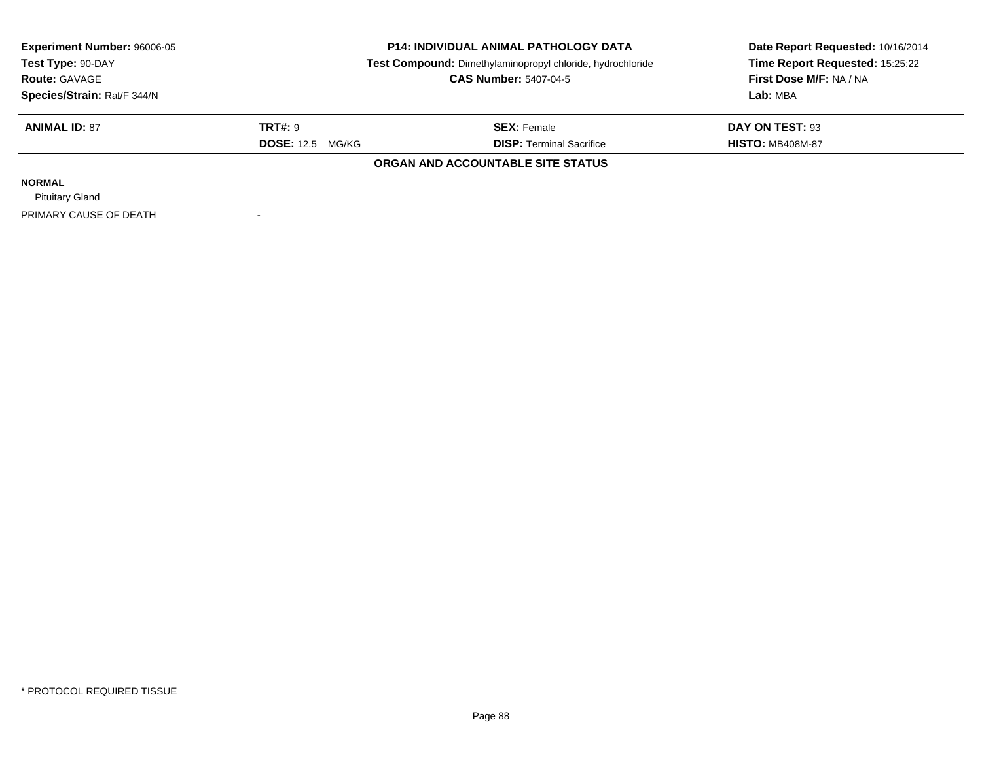| <b>Experiment Number: 96006-05</b> | <b>P14: INDIVIDUAL ANIMAL PATHOLOGY DATA</b> |                                                            | Date Report Requested: 10/16/2014 |  |
|------------------------------------|----------------------------------------------|------------------------------------------------------------|-----------------------------------|--|
| Test Type: 90-DAY                  |                                              | Test Compound: Dimethylaminopropyl chloride, hydrochloride |                                   |  |
| <b>Route: GAVAGE</b>               |                                              | <b>CAS Number: 5407-04-5</b>                               | First Dose M/F: NA / NA           |  |
| Species/Strain: Rat/F 344/N        |                                              |                                                            | Lab: MBA                          |  |
| <b>ANIMAL ID: 87</b>               | <b>TRT#: 9</b>                               | <b>SEX: Female</b>                                         | DAY ON TEST: 93                   |  |
|                                    | <b>DOSE: 12.5 MG/KG</b>                      | <b>DISP:</b> Terminal Sacrifice                            | <b>HISTO: MB408M-87</b>           |  |
|                                    |                                              | ORGAN AND ACCOUNTABLE SITE STATUS                          |                                   |  |
| <b>NORMAL</b>                      |                                              |                                                            |                                   |  |
| <b>Pituitary Gland</b>             |                                              |                                                            |                                   |  |
| PRIMARY CAUSE OF DEATH             |                                              |                                                            |                                   |  |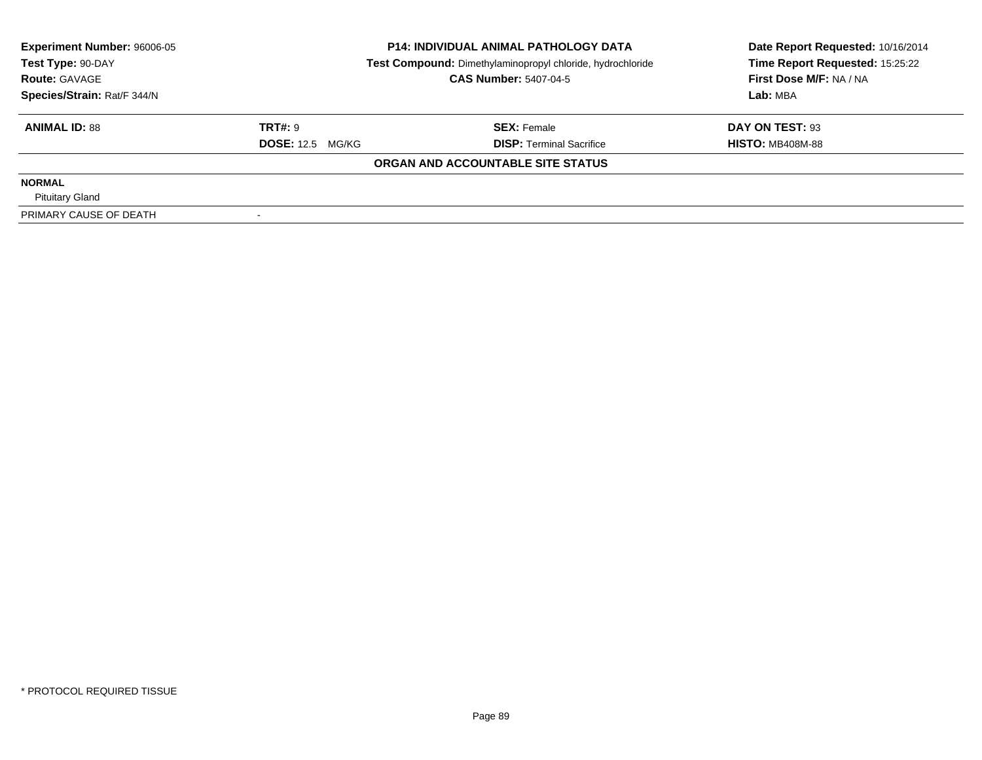| <b>Experiment Number: 96006-05</b> | <b>P14: INDIVIDUAL ANIMAL PATHOLOGY DATA</b> |                                                            | Date Report Requested: 10/16/2014 |  |
|------------------------------------|----------------------------------------------|------------------------------------------------------------|-----------------------------------|--|
| Test Type: 90-DAY                  |                                              | Test Compound: Dimethylaminopropyl chloride, hydrochloride |                                   |  |
| <b>Route: GAVAGE</b>               |                                              | <b>CAS Number: 5407-04-5</b>                               | First Dose M/F: NA / NA           |  |
| Species/Strain: Rat/F 344/N        |                                              |                                                            | Lab: MBA                          |  |
| <b>ANIMAL ID: 88</b>               | <b>TRT#: 9</b>                               | <b>SEX: Female</b>                                         | DAY ON TEST: 93                   |  |
|                                    | <b>DOSE: 12.5 MG/KG</b>                      | <b>DISP:</b> Terminal Sacrifice                            | <b>HISTO: MB408M-88</b>           |  |
|                                    |                                              | ORGAN AND ACCOUNTABLE SITE STATUS                          |                                   |  |
| <b>NORMAL</b>                      |                                              |                                                            |                                   |  |
| <b>Pituitary Gland</b>             |                                              |                                                            |                                   |  |
| PRIMARY CAUSE OF DEATH             |                                              |                                                            |                                   |  |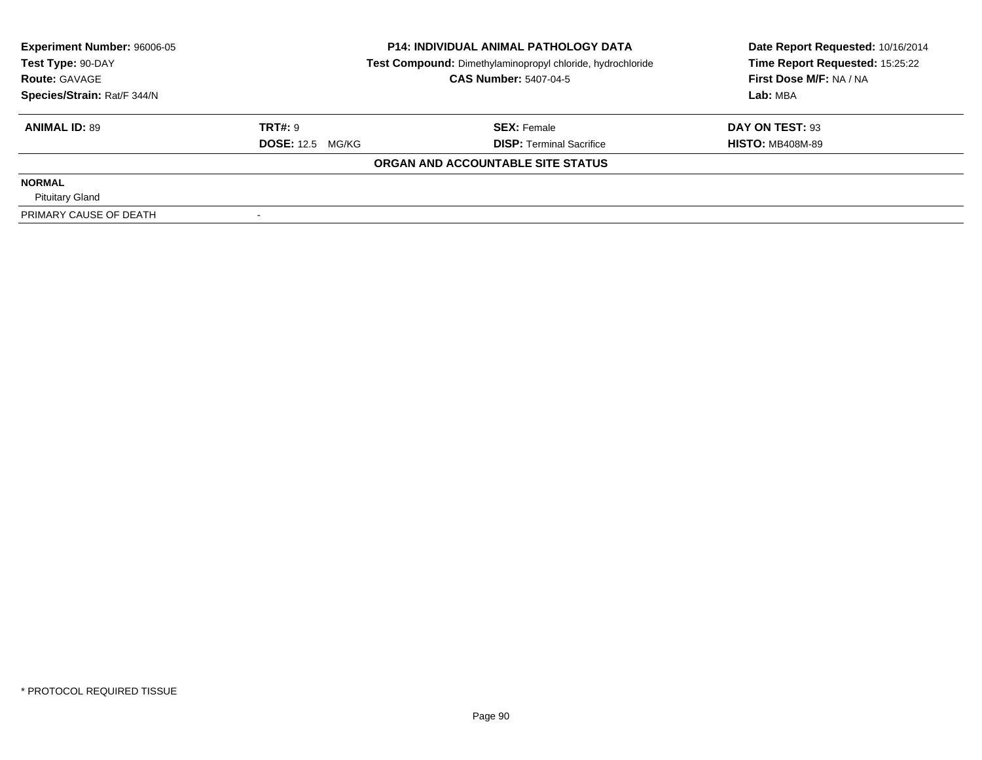| <b>Experiment Number: 96006-05</b> | <b>P14: INDIVIDUAL ANIMAL PATHOLOGY DATA</b> |                                                            | Date Report Requested: 10/16/2014 |  |
|------------------------------------|----------------------------------------------|------------------------------------------------------------|-----------------------------------|--|
| Test Type: 90-DAY                  |                                              | Test Compound: Dimethylaminopropyl chloride, hydrochloride |                                   |  |
| <b>Route: GAVAGE</b>               |                                              | <b>CAS Number: 5407-04-5</b>                               | First Dose M/F: NA / NA           |  |
| Species/Strain: Rat/F 344/N        |                                              |                                                            | Lab: MBA                          |  |
| <b>ANIMAL ID: 89</b>               | <b>TRT#: 9</b>                               | <b>SEX: Female</b>                                         | DAY ON TEST: 93                   |  |
|                                    | <b>DOSE: 12.5 MG/KG</b>                      | <b>DISP:</b> Terminal Sacrifice                            | <b>HISTO: MB408M-89</b>           |  |
|                                    |                                              | ORGAN AND ACCOUNTABLE SITE STATUS                          |                                   |  |
| <b>NORMAL</b>                      |                                              |                                                            |                                   |  |
| <b>Pituitary Gland</b>             |                                              |                                                            |                                   |  |
| PRIMARY CAUSE OF DEATH             |                                              |                                                            |                                   |  |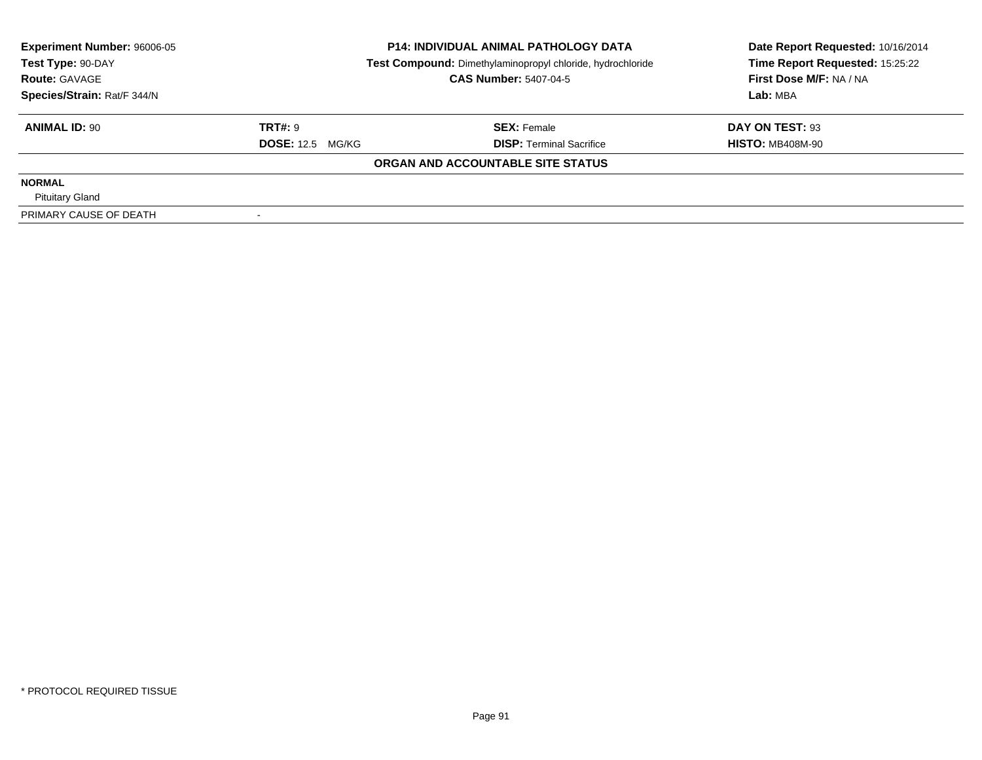| <b>Experiment Number: 96006-05</b> | <b>P14: INDIVIDUAL ANIMAL PATHOLOGY DATA</b> |                                                            | Date Report Requested: 10/16/2014 |  |
|------------------------------------|----------------------------------------------|------------------------------------------------------------|-----------------------------------|--|
| Test Type: 90-DAY                  |                                              | Test Compound: Dimethylaminopropyl chloride, hydrochloride |                                   |  |
| <b>Route: GAVAGE</b>               |                                              | <b>CAS Number: 5407-04-5</b>                               | First Dose M/F: NA / NA           |  |
| Species/Strain: Rat/F 344/N        |                                              |                                                            | Lab: MBA                          |  |
| <b>ANIMAL ID: 90</b>               | <b>TRT#: 9</b>                               | <b>SEX: Female</b>                                         | DAY ON TEST: 93                   |  |
|                                    | <b>DOSE: 12.5 MG/KG</b>                      | <b>DISP:</b> Terminal Sacrifice                            | <b>HISTO: MB408M-90</b>           |  |
|                                    |                                              | ORGAN AND ACCOUNTABLE SITE STATUS                          |                                   |  |
| <b>NORMAL</b>                      |                                              |                                                            |                                   |  |
| <b>Pituitary Gland</b>             |                                              |                                                            |                                   |  |
| PRIMARY CAUSE OF DEATH             |                                              |                                                            |                                   |  |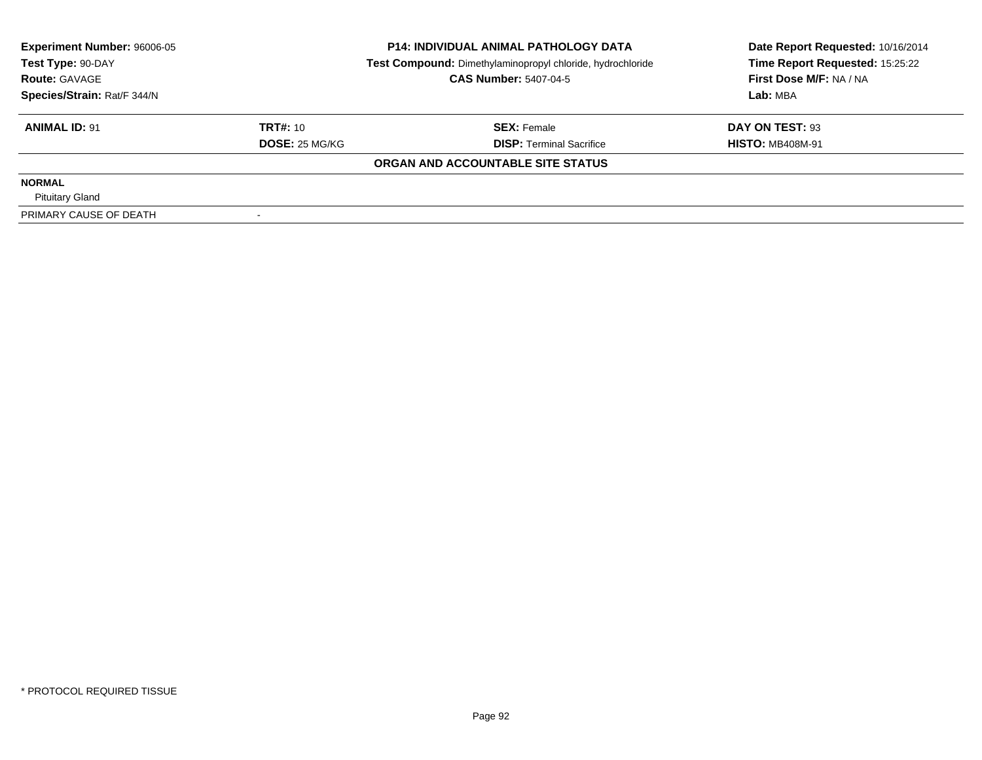| <b>Experiment Number: 96006-05</b><br>Test Type: 90-DAY<br><b>Route: GAVAGE</b> |                 | <b>P14: INDIVIDUAL ANIMAL PATHOLOGY DATA</b>               | Date Report Requested: 10/16/2014 |
|---------------------------------------------------------------------------------|-----------------|------------------------------------------------------------|-----------------------------------|
|                                                                                 |                 | Test Compound: Dimethylaminopropyl chloride, hydrochloride | Time Report Requested: 15:25:22   |
|                                                                                 |                 | <b>CAS Number: 5407-04-5</b>                               | First Dose M/F: NA / NA           |
| Species/Strain: Rat/F 344/N                                                     |                 |                                                            | Lab: MBA                          |
| <b>ANIMAL ID: 91</b>                                                            | <b>TRT#: 10</b> | <b>SEX: Female</b>                                         | DAY ON TEST: 93                   |
|                                                                                 | DOSE: 25 MG/KG  | <b>DISP: Terminal Sacrifice</b>                            | <b>HISTO: MB408M-91</b>           |
|                                                                                 |                 | ORGAN AND ACCOUNTABLE SITE STATUS                          |                                   |
| <b>NORMAL</b>                                                                   |                 |                                                            |                                   |
| <b>Pituitary Gland</b>                                                          |                 |                                                            |                                   |
| PRIMARY CAUSE OF DEATH                                                          |                 |                                                            |                                   |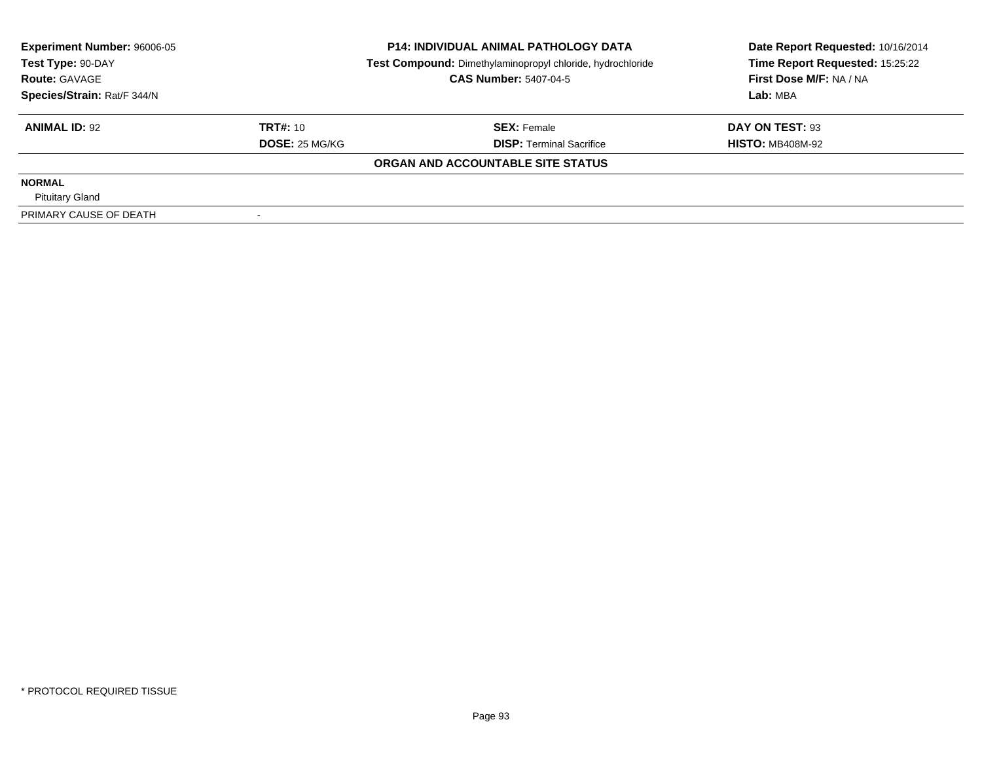| <b>Experiment Number: 96006-05</b><br>Test Type: 90-DAY<br><b>Route: GAVAGE</b> |                 | <b>P14: INDIVIDUAL ANIMAL PATHOLOGY DATA</b>               | Date Report Requested: 10/16/2014 |
|---------------------------------------------------------------------------------|-----------------|------------------------------------------------------------|-----------------------------------|
|                                                                                 |                 | Test Compound: Dimethylaminopropyl chloride, hydrochloride | Time Report Requested: 15:25:22   |
|                                                                                 |                 | <b>CAS Number: 5407-04-5</b>                               | First Dose M/F: NA / NA           |
| Species/Strain: Rat/F 344/N                                                     |                 |                                                            | Lab: MBA                          |
| <b>ANIMAL ID: 92</b>                                                            | <b>TRT#: 10</b> | <b>SEX: Female</b>                                         | DAY ON TEST: 93                   |
|                                                                                 | DOSE: 25 MG/KG  | <b>DISP: Terminal Sacrifice</b>                            | <b>HISTO: MB408M-92</b>           |
|                                                                                 |                 | ORGAN AND ACCOUNTABLE SITE STATUS                          |                                   |
| <b>NORMAL</b>                                                                   |                 |                                                            |                                   |
| <b>Pituitary Gland</b>                                                          |                 |                                                            |                                   |
| PRIMARY CAUSE OF DEATH                                                          |                 |                                                            |                                   |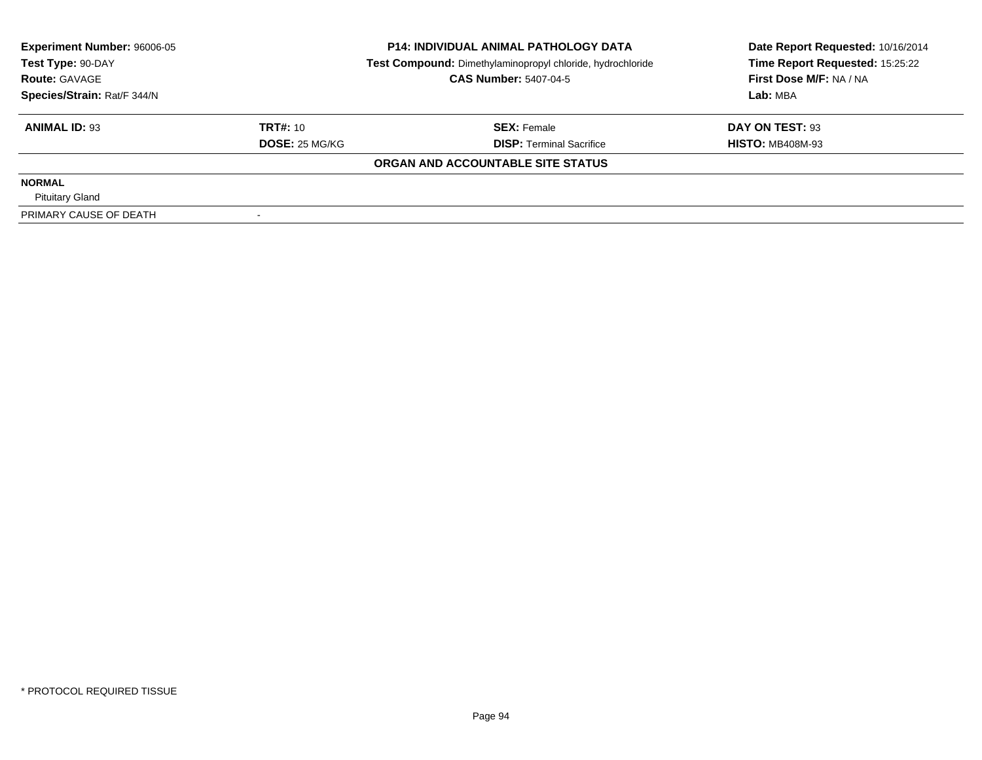| <b>Experiment Number: 96006-05</b><br>Test Type: 90-DAY |                 | <b>P14: INDIVIDUAL ANIMAL PATHOLOGY DATA</b>               | Date Report Requested: 10/16/2014 |
|---------------------------------------------------------|-----------------|------------------------------------------------------------|-----------------------------------|
|                                                         |                 | Test Compound: Dimethylaminopropyl chloride, hydrochloride | Time Report Requested: 15:25:22   |
| <b>Route: GAVAGE</b>                                    |                 | <b>CAS Number: 5407-04-5</b>                               | First Dose M/F: NA / NA           |
| Species/Strain: Rat/F 344/N                             |                 |                                                            | Lab: MBA                          |
| <b>ANIMAL ID: 93</b>                                    | <b>TRT#: 10</b> | <b>SEX: Female</b>                                         | DAY ON TEST: 93                   |
|                                                         | DOSE: 25 MG/KG  | <b>DISP: Terminal Sacrifice</b>                            | <b>HISTO: MB408M-93</b>           |
|                                                         |                 | ORGAN AND ACCOUNTABLE SITE STATUS                          |                                   |
| <b>NORMAL</b>                                           |                 |                                                            |                                   |
| <b>Pituitary Gland</b>                                  |                 |                                                            |                                   |
| PRIMARY CAUSE OF DEATH                                  |                 |                                                            |                                   |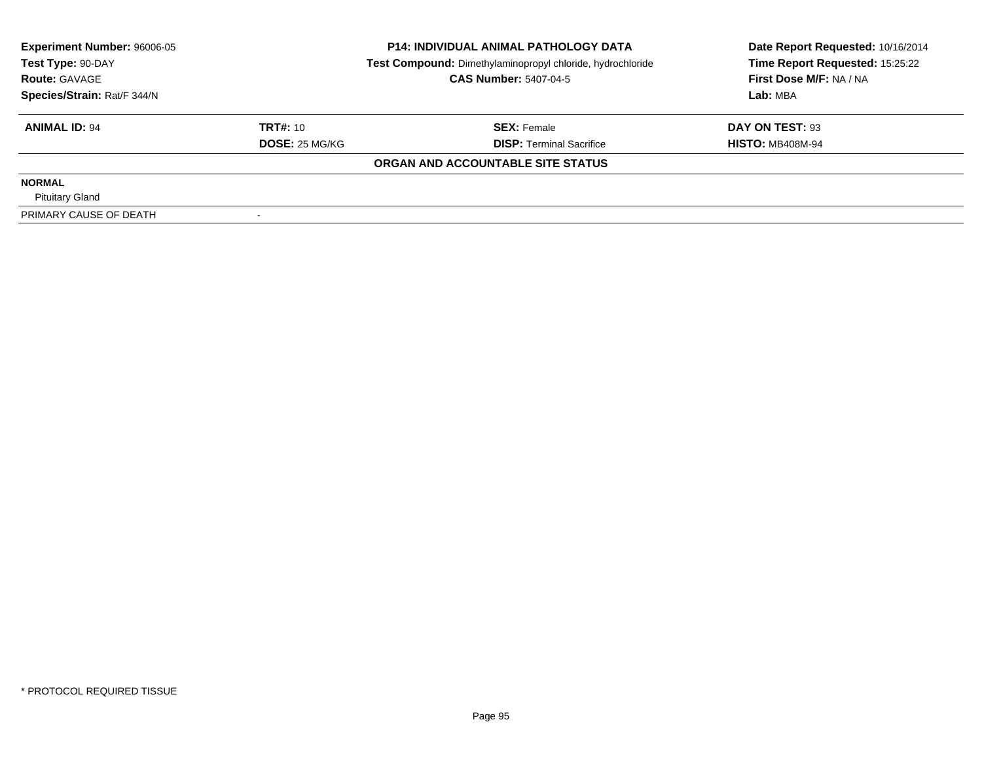| <b>Experiment Number: 96006-05</b><br>Test Type: 90-DAY<br><b>Route: GAVAGE</b> |                 | <b>P14: INDIVIDUAL ANIMAL PATHOLOGY DATA</b>               | Date Report Requested: 10/16/2014 |  |
|---------------------------------------------------------------------------------|-----------------|------------------------------------------------------------|-----------------------------------|--|
|                                                                                 |                 | Test Compound: Dimethylaminopropyl chloride, hydrochloride | Time Report Requested: 15:25:22   |  |
|                                                                                 |                 | <b>CAS Number: 5407-04-5</b>                               | First Dose M/F: NA / NA           |  |
| Species/Strain: Rat/F 344/N                                                     |                 |                                                            | Lab: MBA                          |  |
| <b>ANIMAL ID: 94</b>                                                            | <b>TRT#: 10</b> | <b>SEX: Female</b>                                         | DAY ON TEST: 93                   |  |
|                                                                                 | DOSE: 25 MG/KG  | <b>DISP:</b> Terminal Sacrifice                            | <b>HISTO: MB408M-94</b>           |  |
|                                                                                 |                 | ORGAN AND ACCOUNTABLE SITE STATUS                          |                                   |  |
| <b>NORMAL</b>                                                                   |                 |                                                            |                                   |  |
| <b>Pituitary Gland</b>                                                          |                 |                                                            |                                   |  |
| PRIMARY CAUSE OF DEATH                                                          |                 |                                                            |                                   |  |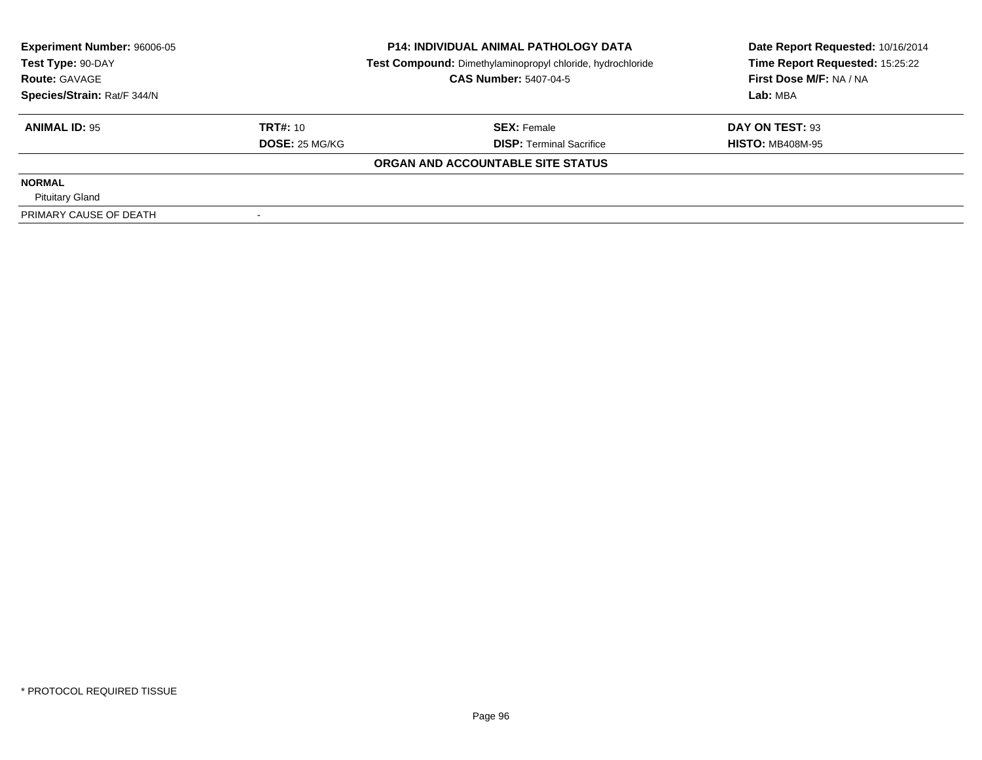| <b>Experiment Number: 96006-05</b><br>Test Type: 90-DAY<br><b>Route: GAVAGE</b> |                 | <b>P14: INDIVIDUAL ANIMAL PATHOLOGY DATA</b>               | Date Report Requested: 10/16/2014 |
|---------------------------------------------------------------------------------|-----------------|------------------------------------------------------------|-----------------------------------|
|                                                                                 |                 | Test Compound: Dimethylaminopropyl chloride, hydrochloride | Time Report Requested: 15:25:22   |
|                                                                                 |                 | <b>CAS Number: 5407-04-5</b>                               | First Dose M/F: NA / NA           |
| Species/Strain: Rat/F 344/N                                                     |                 |                                                            | Lab: MBA                          |
| <b>ANIMAL ID: 95</b>                                                            | <b>TRT#: 10</b> | <b>SEX: Female</b>                                         | DAY ON TEST: 93                   |
|                                                                                 | DOSE: 25 MG/KG  | <b>DISP: Terminal Sacrifice</b>                            | <b>HISTO: MB408M-95</b>           |
|                                                                                 |                 | ORGAN AND ACCOUNTABLE SITE STATUS                          |                                   |
| <b>NORMAL</b>                                                                   |                 |                                                            |                                   |
| <b>Pituitary Gland</b>                                                          |                 |                                                            |                                   |
| PRIMARY CAUSE OF DEATH                                                          |                 |                                                            |                                   |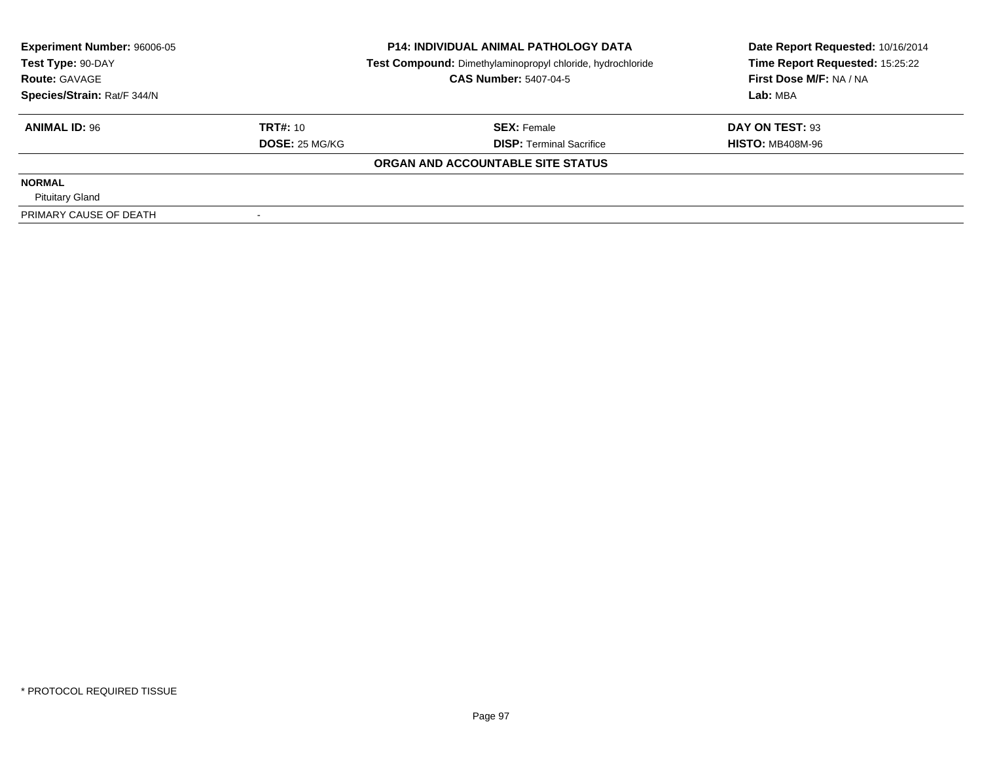| <b>Experiment Number: 96006-05</b><br>Test Type: 90-DAY |                 | <b>P14: INDIVIDUAL ANIMAL PATHOLOGY DATA</b>               | Date Report Requested: 10/16/2014 |  |
|---------------------------------------------------------|-----------------|------------------------------------------------------------|-----------------------------------|--|
|                                                         |                 | Test Compound: Dimethylaminopropyl chloride, hydrochloride | Time Report Requested: 15:25:22   |  |
| <b>Route: GAVAGE</b>                                    |                 | <b>CAS Number: 5407-04-5</b>                               | First Dose M/F: NA / NA           |  |
| Species/Strain: Rat/F 344/N                             |                 |                                                            | Lab: MBA                          |  |
| <b>ANIMAL ID: 96</b>                                    | <b>TRT#: 10</b> | <b>SEX: Female</b>                                         | DAY ON TEST: 93                   |  |
|                                                         | DOSE: 25 MG/KG  | <b>DISP: Terminal Sacrifice</b>                            | <b>HISTO: MB408M-96</b>           |  |
|                                                         |                 | ORGAN AND ACCOUNTABLE SITE STATUS                          |                                   |  |
| <b>NORMAL</b>                                           |                 |                                                            |                                   |  |
| <b>Pituitary Gland</b>                                  |                 |                                                            |                                   |  |
| PRIMARY CAUSE OF DEATH                                  |                 |                                                            |                                   |  |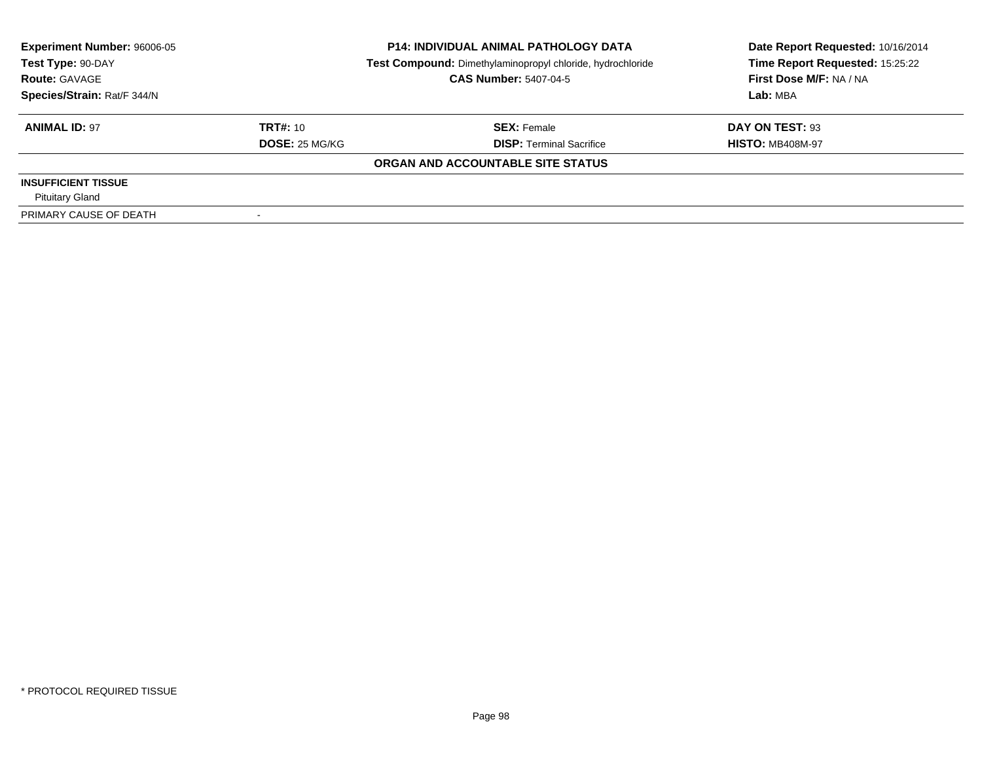| <b>Experiment Number: 96006-05</b> |                 | <b>P14: INDIVIDUAL ANIMAL PATHOLOGY DATA</b>               | Date Report Requested: 10/16/2014 |  |
|------------------------------------|-----------------|------------------------------------------------------------|-----------------------------------|--|
| Test Type: 90-DAY                  |                 | Test Compound: Dimethylaminopropyl chloride, hydrochloride | Time Report Requested: 15:25:22   |  |
| <b>Route: GAVAGE</b>               |                 | <b>CAS Number: 5407-04-5</b>                               | First Dose M/F: NA / NA           |  |
| Species/Strain: Rat/F 344/N        |                 |                                                            | Lab: MBA                          |  |
| <b>ANIMAL ID: 97</b>               | <b>TRT#: 10</b> | <b>SEX: Female</b>                                         | DAY ON TEST: 93                   |  |
|                                    | DOSE: 25 MG/KG  | <b>DISP:</b> Terminal Sacrifice                            | <b>HISTO: MB408M-97</b>           |  |
|                                    |                 | ORGAN AND ACCOUNTABLE SITE STATUS                          |                                   |  |
| <b>INSUFFICIENT TISSUE</b>         |                 |                                                            |                                   |  |
| <b>Pituitary Gland</b>             |                 |                                                            |                                   |  |
| PRIMARY CAUSE OF DEATH             |                 |                                                            |                                   |  |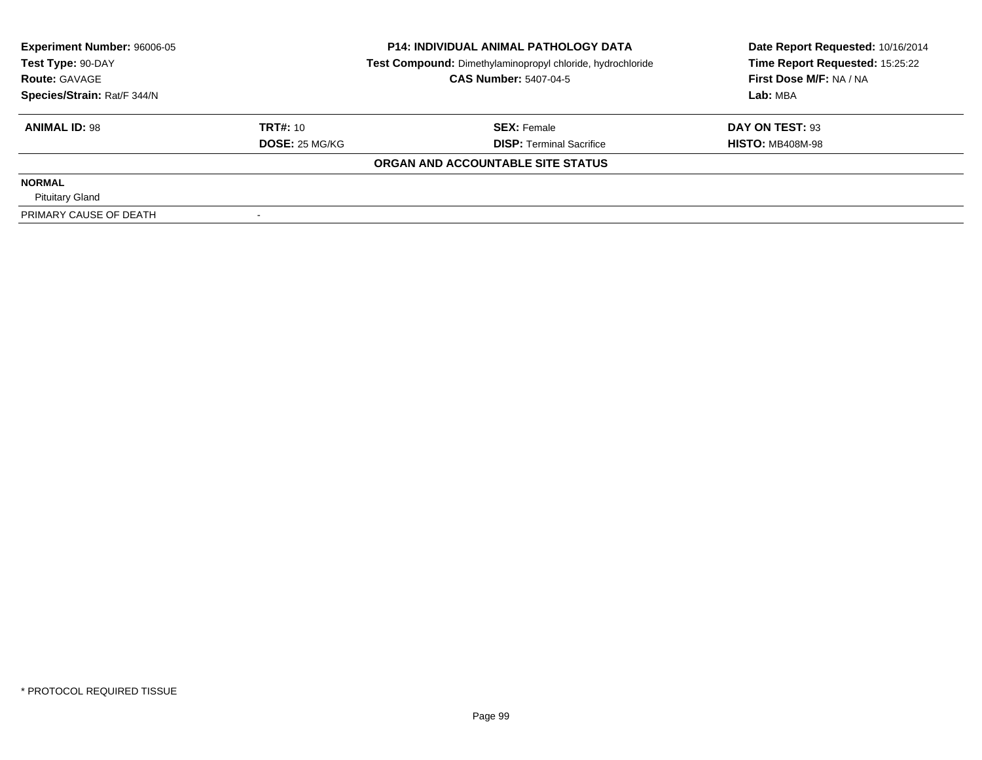| <b>Experiment Number: 96006-05</b><br>Test Type: 90-DAY |                 | <b>P14: INDIVIDUAL ANIMAL PATHOLOGY DATA</b>               | Date Report Requested: 10/16/2014 |  |
|---------------------------------------------------------|-----------------|------------------------------------------------------------|-----------------------------------|--|
|                                                         |                 | Test Compound: Dimethylaminopropyl chloride, hydrochloride | Time Report Requested: 15:25:22   |  |
| <b>Route: GAVAGE</b>                                    |                 | <b>CAS Number: 5407-04-5</b>                               | First Dose M/F: NA / NA           |  |
| Species/Strain: Rat/F 344/N                             |                 |                                                            | Lab: MBA                          |  |
| <b>ANIMAL ID: 98</b>                                    | <b>TRT#: 10</b> | <b>SEX: Female</b>                                         | DAY ON TEST: 93                   |  |
|                                                         | DOSE: 25 MG/KG  | <b>DISP: Terminal Sacrifice</b>                            | <b>HISTO: MB408M-98</b>           |  |
|                                                         |                 | ORGAN AND ACCOUNTABLE SITE STATUS                          |                                   |  |
| <b>NORMAL</b>                                           |                 |                                                            |                                   |  |
| <b>Pituitary Gland</b>                                  |                 |                                                            |                                   |  |
| PRIMARY CAUSE OF DEATH                                  |                 |                                                            |                                   |  |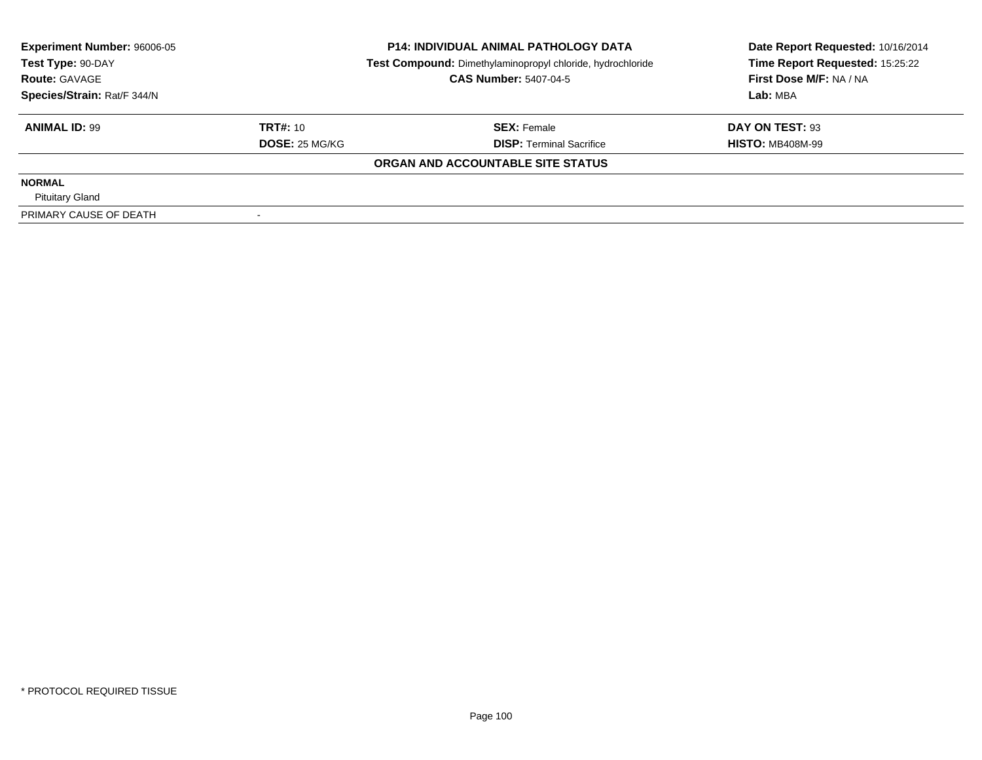| <b>Experiment Number: 96006-05</b><br>Test Type: 90-DAY |                 | <b>P14: INDIVIDUAL ANIMAL PATHOLOGY DATA</b>               | Date Report Requested: 10/16/2014 |  |
|---------------------------------------------------------|-----------------|------------------------------------------------------------|-----------------------------------|--|
|                                                         |                 | Test Compound: Dimethylaminopropyl chloride, hydrochloride | Time Report Requested: 15:25:22   |  |
| <b>Route: GAVAGE</b>                                    |                 | <b>CAS Number: 5407-04-5</b>                               | First Dose M/F: NA / NA           |  |
| Species/Strain: Rat/F 344/N                             |                 |                                                            | Lab: MBA                          |  |
| <b>ANIMAL ID: 99</b>                                    | <b>TRT#: 10</b> | <b>SEX: Female</b>                                         | DAY ON TEST: 93                   |  |
|                                                         | DOSE: 25 MG/KG  | <b>DISP:</b> Terminal Sacrifice                            | <b>HISTO: MB408M-99</b>           |  |
|                                                         |                 | ORGAN AND ACCOUNTABLE SITE STATUS                          |                                   |  |
| <b>NORMAL</b>                                           |                 |                                                            |                                   |  |
| <b>Pituitary Gland</b>                                  |                 |                                                            |                                   |  |
| PRIMARY CAUSE OF DEATH                                  |                 |                                                            |                                   |  |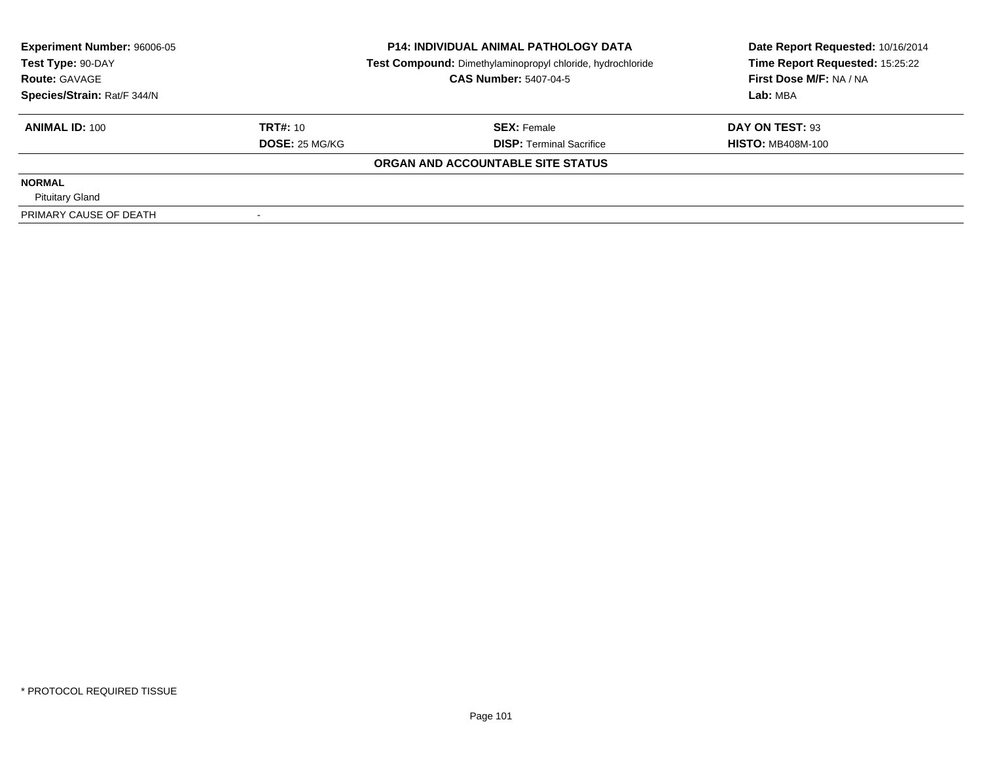| <b>Experiment Number: 96006-05</b><br>Test Type: 90-DAY |                 | <b>P14: INDIVIDUAL ANIMAL PATHOLOGY DATA</b>               | Date Report Requested: 10/16/2014 |  |
|---------------------------------------------------------|-----------------|------------------------------------------------------------|-----------------------------------|--|
|                                                         |                 | Test Compound: Dimethylaminopropyl chloride, hydrochloride | Time Report Requested: 15:25:22   |  |
| <b>Route: GAVAGE</b>                                    |                 | <b>CAS Number: 5407-04-5</b>                               | First Dose M/F: NA / NA           |  |
| Species/Strain: Rat/F 344/N                             |                 |                                                            | Lab: MBA                          |  |
| <b>ANIMAL ID: 100</b>                                   | <b>TRT#: 10</b> | <b>SEX: Female</b>                                         | DAY ON TEST: 93                   |  |
|                                                         | DOSE: 25 MG/KG  | <b>DISP:</b> Terminal Sacrifice                            | <b>HISTO: MB408M-100</b>          |  |
|                                                         |                 | ORGAN AND ACCOUNTABLE SITE STATUS                          |                                   |  |
| <b>NORMAL</b>                                           |                 |                                                            |                                   |  |
| <b>Pituitary Gland</b>                                  |                 |                                                            |                                   |  |
| PRIMARY CAUSE OF DEATH                                  |                 |                                                            |                                   |  |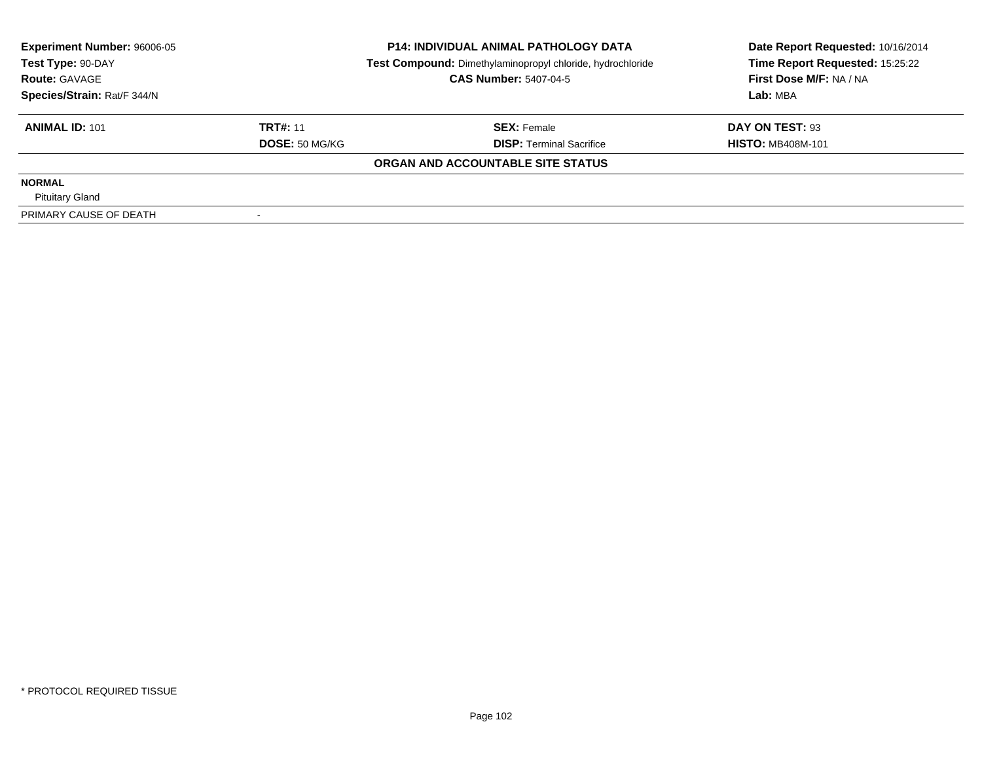| <b>Experiment Number: 96006-05</b><br>Test Type: 90-DAY |                       | <b>P14: INDIVIDUAL ANIMAL PATHOLOGY DATA</b>               | Date Report Requested: 10/16/2014 |  |
|---------------------------------------------------------|-----------------------|------------------------------------------------------------|-----------------------------------|--|
|                                                         |                       | Test Compound: Dimethylaminopropyl chloride, hydrochloride | Time Report Requested: 15:25:22   |  |
| <b>Route: GAVAGE</b>                                    |                       | <b>CAS Number: 5407-04-5</b>                               | First Dose M/F: NA / NA           |  |
| Species/Strain: Rat/F 344/N                             |                       |                                                            | Lab: MBA                          |  |
| <b>ANIMAL ID: 101</b>                                   | <b>TRT#: 11</b>       | <b>SEX: Female</b>                                         | DAY ON TEST: 93                   |  |
|                                                         | <b>DOSE: 50 MG/KG</b> | <b>DISP:</b> Terminal Sacrifice                            | <b>HISTO: MB408M-101</b>          |  |
|                                                         |                       | ORGAN AND ACCOUNTABLE SITE STATUS                          |                                   |  |
| <b>NORMAL</b>                                           |                       |                                                            |                                   |  |
| <b>Pituitary Gland</b>                                  |                       |                                                            |                                   |  |
| PRIMARY CAUSE OF DEATH                                  |                       |                                                            |                                   |  |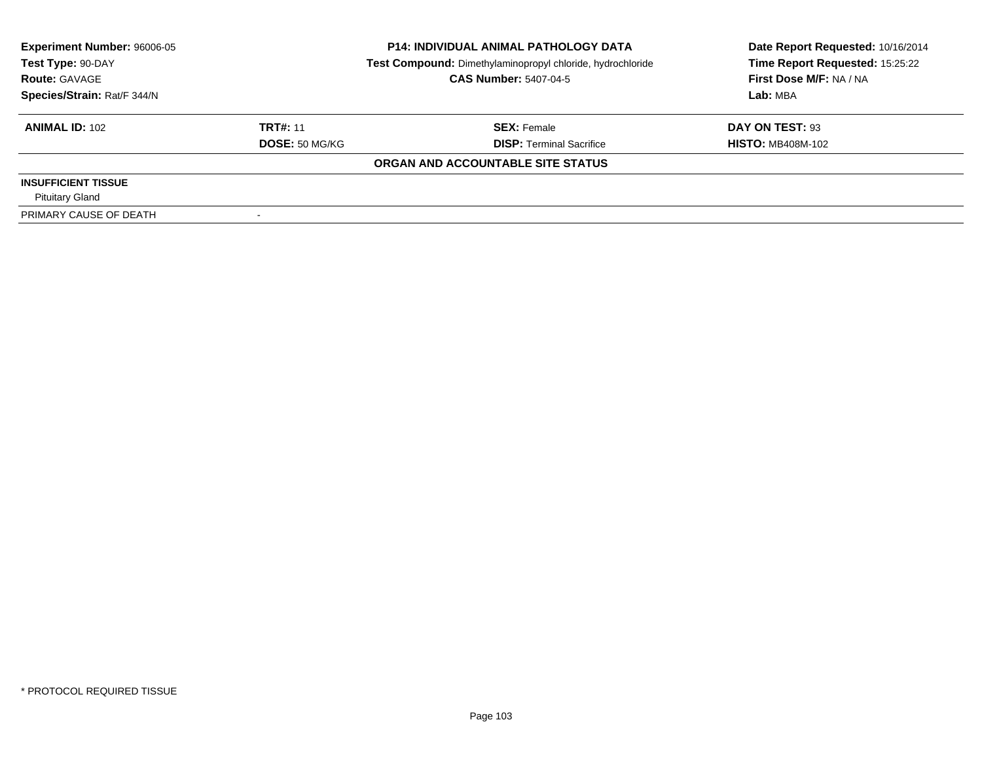| <b>Experiment Number: 96006-05</b> |                       | <b>P14: INDIVIDUAL ANIMAL PATHOLOGY DATA</b>               | Date Report Requested: 10/16/2014 |  |
|------------------------------------|-----------------------|------------------------------------------------------------|-----------------------------------|--|
| Test Type: 90-DAY                  |                       | Test Compound: Dimethylaminopropyl chloride, hydrochloride | Time Report Requested: 15:25:22   |  |
| <b>Route: GAVAGE</b>               |                       | <b>CAS Number: 5407-04-5</b>                               | First Dose M/F: NA / NA           |  |
| Species/Strain: Rat/F 344/N        |                       |                                                            | Lab: MBA                          |  |
| <b>ANIMAL ID: 102</b>              | <b>TRT#: 11</b>       | <b>SEX: Female</b>                                         | DAY ON TEST: 93                   |  |
|                                    | <b>DOSE: 50 MG/KG</b> | <b>DISP: Terminal Sacrifice</b>                            | <b>HISTO: MB408M-102</b>          |  |
|                                    |                       | ORGAN AND ACCOUNTABLE SITE STATUS                          |                                   |  |
| <b>INSUFFICIENT TISSUE</b>         |                       |                                                            |                                   |  |
| <b>Pituitary Gland</b>             |                       |                                                            |                                   |  |
| PRIMARY CAUSE OF DEATH             |                       |                                                            |                                   |  |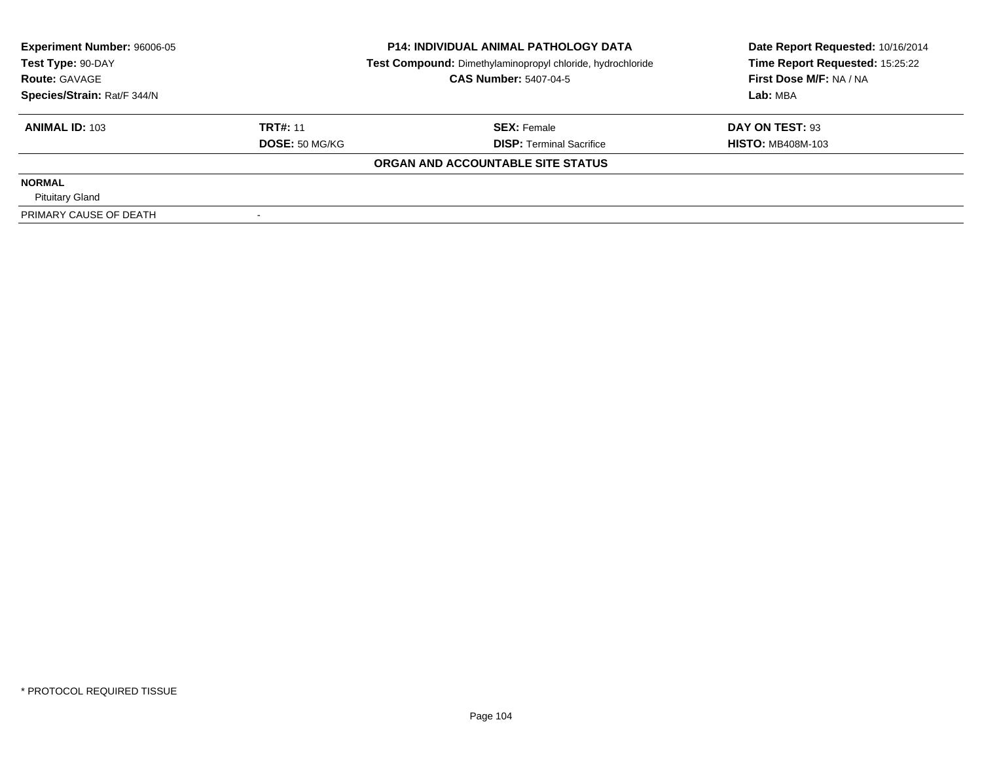| <b>Experiment Number: 96006-05</b><br>Test Type: 90-DAY<br><b>Route: GAVAGE</b> |                       | <b>P14: INDIVIDUAL ANIMAL PATHOLOGY DATA</b>               | Date Report Requested: 10/16/2014 |  |
|---------------------------------------------------------------------------------|-----------------------|------------------------------------------------------------|-----------------------------------|--|
|                                                                                 |                       | Test Compound: Dimethylaminopropyl chloride, hydrochloride | Time Report Requested: 15:25:22   |  |
|                                                                                 |                       | <b>CAS Number: 5407-04-5</b>                               | First Dose M/F: NA / NA           |  |
| Species/Strain: Rat/F 344/N                                                     |                       |                                                            | Lab: MBA                          |  |
| <b>ANIMAL ID: 103</b>                                                           | <b>TRT#: 11</b>       | <b>SEX: Female</b>                                         | DAY ON TEST: 93                   |  |
|                                                                                 | <b>DOSE: 50 MG/KG</b> | <b>DISP:</b> Terminal Sacrifice                            | <b>HISTO: MB408M-103</b>          |  |
|                                                                                 |                       | ORGAN AND ACCOUNTABLE SITE STATUS                          |                                   |  |
| <b>NORMAL</b>                                                                   |                       |                                                            |                                   |  |
| <b>Pituitary Gland</b>                                                          |                       |                                                            |                                   |  |
| PRIMARY CAUSE OF DEATH                                                          |                       |                                                            |                                   |  |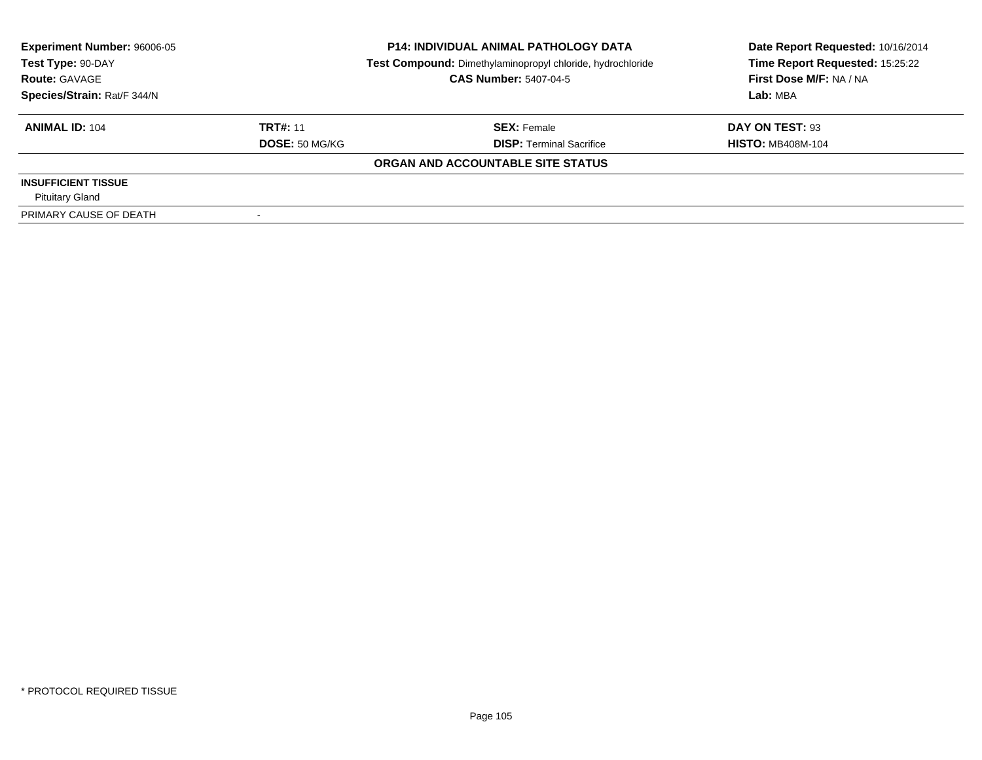| <b>Experiment Number: 96006-05</b> |                       | <b>P14: INDIVIDUAL ANIMAL PATHOLOGY DATA</b>               | Date Report Requested: 10/16/2014 |  |
|------------------------------------|-----------------------|------------------------------------------------------------|-----------------------------------|--|
| Test Type: 90-DAY                  |                       | Test Compound: Dimethylaminopropyl chloride, hydrochloride | Time Report Requested: 15:25:22   |  |
| <b>Route: GAVAGE</b>               |                       | <b>CAS Number: 5407-04-5</b>                               | First Dose M/F: NA / NA           |  |
| Species/Strain: Rat/F 344/N        |                       |                                                            | Lab: MBA                          |  |
| <b>ANIMAL ID: 104</b>              | <b>TRT#: 11</b>       | <b>SEX: Female</b>                                         | DAY ON TEST: 93                   |  |
|                                    | <b>DOSE: 50 MG/KG</b> | <b>DISP: Terminal Sacrifice</b>                            | <b>HISTO: MB408M-104</b>          |  |
|                                    |                       | ORGAN AND ACCOUNTABLE SITE STATUS                          |                                   |  |
| <b>INSUFFICIENT TISSUE</b>         |                       |                                                            |                                   |  |
| <b>Pituitary Gland</b>             |                       |                                                            |                                   |  |
| PRIMARY CAUSE OF DEATH             |                       |                                                            |                                   |  |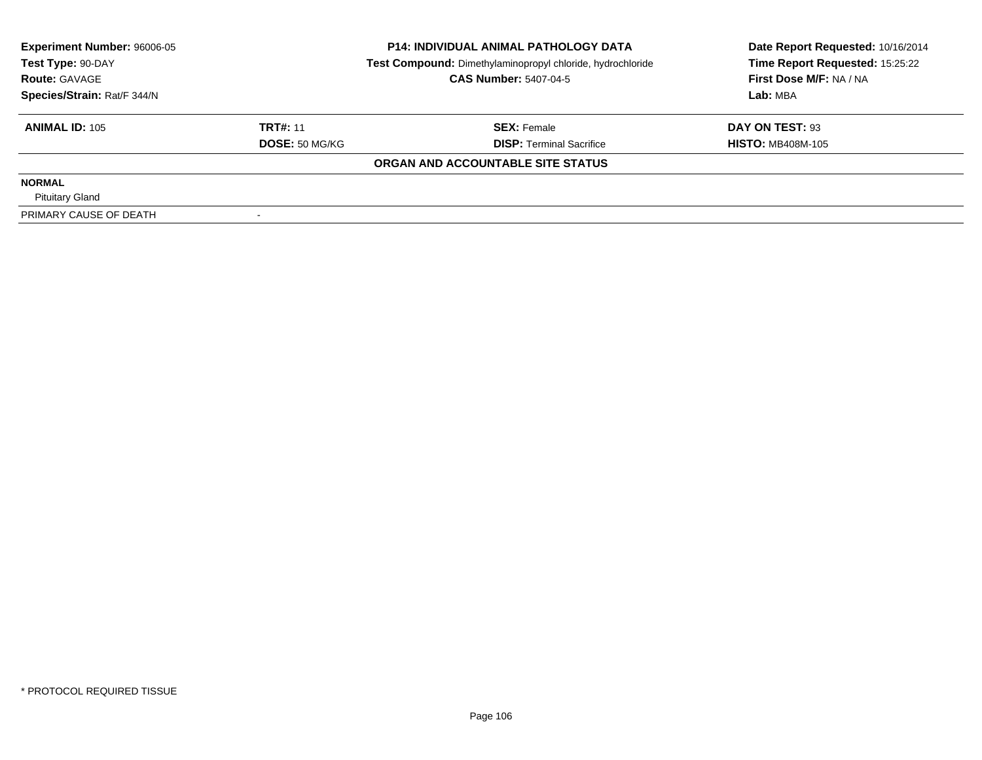| <b>Experiment Number: 96006-05</b><br>Test Type: 90-DAY |                       | <b>P14: INDIVIDUAL ANIMAL PATHOLOGY DATA</b>               | Date Report Requested: 10/16/2014 |  |
|---------------------------------------------------------|-----------------------|------------------------------------------------------------|-----------------------------------|--|
|                                                         |                       | Test Compound: Dimethylaminopropyl chloride, hydrochloride | Time Report Requested: 15:25:22   |  |
| <b>Route: GAVAGE</b>                                    |                       | <b>CAS Number: 5407-04-5</b>                               | First Dose M/F: NA / NA           |  |
| Species/Strain: Rat/F 344/N                             |                       |                                                            | Lab: MBA                          |  |
| <b>ANIMAL ID: 105</b>                                   | <b>TRT#: 11</b>       | <b>SEX: Female</b>                                         | DAY ON TEST: 93                   |  |
|                                                         | <b>DOSE: 50 MG/KG</b> | <b>DISP: Terminal Sacrifice</b>                            | <b>HISTO: MB408M-105</b>          |  |
|                                                         |                       | ORGAN AND ACCOUNTABLE SITE STATUS                          |                                   |  |
| <b>NORMAL</b>                                           |                       |                                                            |                                   |  |
| <b>Pituitary Gland</b>                                  |                       |                                                            |                                   |  |
| PRIMARY CAUSE OF DEATH                                  |                       |                                                            |                                   |  |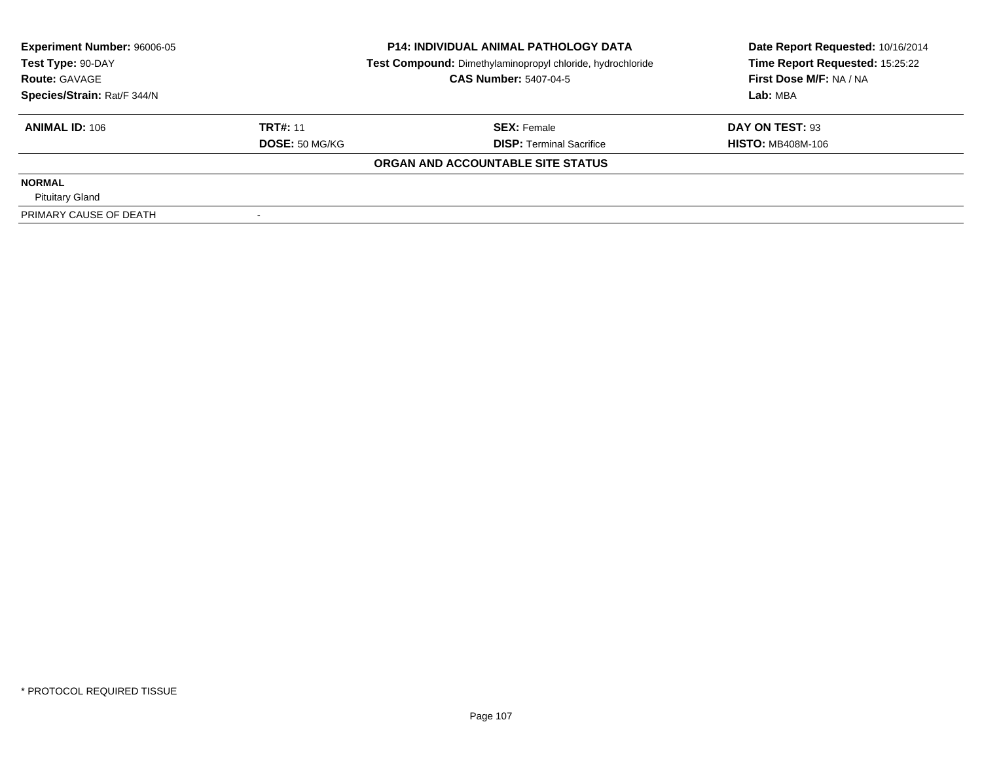| <b>Experiment Number: 96006-05</b><br>Test Type: 90-DAY |                       | <b>P14: INDIVIDUAL ANIMAL PATHOLOGY DATA</b>               | Date Report Requested: 10/16/2014 |  |
|---------------------------------------------------------|-----------------------|------------------------------------------------------------|-----------------------------------|--|
|                                                         |                       | Test Compound: Dimethylaminopropyl chloride, hydrochloride | Time Report Requested: 15:25:22   |  |
| <b>Route: GAVAGE</b>                                    |                       | <b>CAS Number: 5407-04-5</b>                               | First Dose M/F: NA / NA           |  |
| Species/Strain: Rat/F 344/N                             |                       |                                                            | Lab: MBA                          |  |
| <b>ANIMAL ID: 106</b>                                   | <b>TRT#: 11</b>       | <b>SEX: Female</b>                                         | DAY ON TEST: 93                   |  |
|                                                         | <b>DOSE: 50 MG/KG</b> | <b>DISP: Terminal Sacrifice</b>                            | <b>HISTO: MB408M-106</b>          |  |
|                                                         |                       | ORGAN AND ACCOUNTABLE SITE STATUS                          |                                   |  |
| <b>NORMAL</b>                                           |                       |                                                            |                                   |  |
| <b>Pituitary Gland</b>                                  |                       |                                                            |                                   |  |
| PRIMARY CAUSE OF DEATH                                  |                       |                                                            |                                   |  |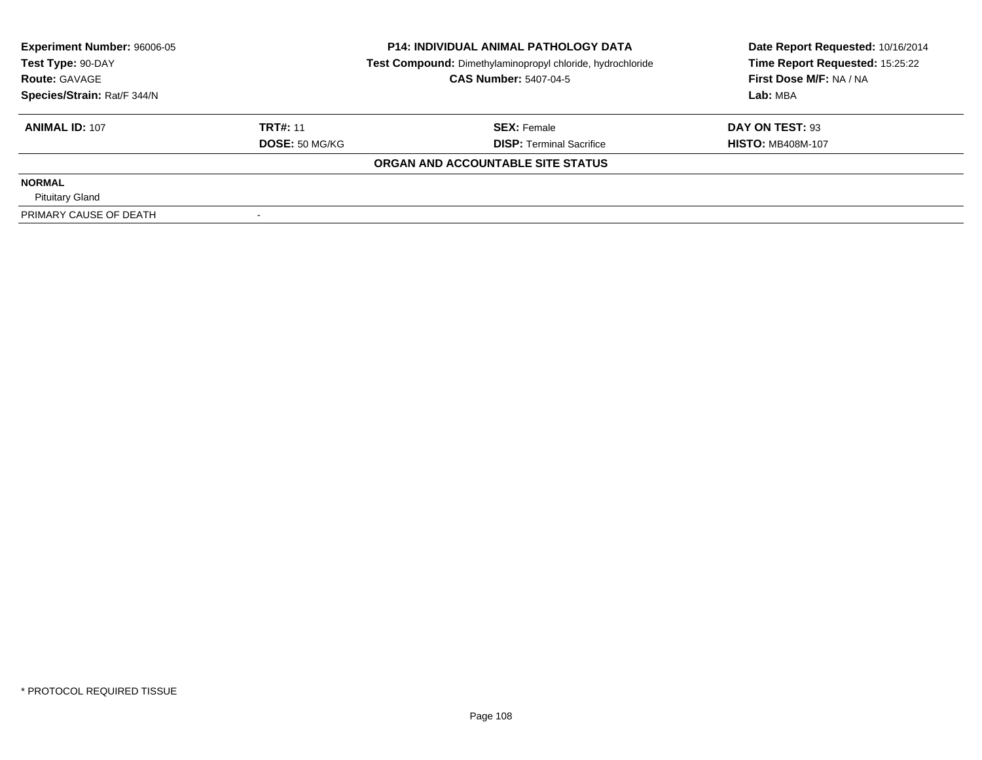| <b>Experiment Number: 96006-05</b><br>Test Type: 90-DAY |                       | <b>P14: INDIVIDUAL ANIMAL PATHOLOGY DATA</b>               | Date Report Requested: 10/16/2014 |  |
|---------------------------------------------------------|-----------------------|------------------------------------------------------------|-----------------------------------|--|
|                                                         |                       | Test Compound: Dimethylaminopropyl chloride, hydrochloride | Time Report Requested: 15:25:22   |  |
| <b>Route: GAVAGE</b>                                    |                       | <b>CAS Number: 5407-04-5</b>                               | First Dose M/F: NA / NA           |  |
| Species/Strain: Rat/F 344/N                             |                       |                                                            | Lab: MBA                          |  |
| <b>ANIMAL ID: 107</b>                                   | <b>TRT#: 11</b>       | <b>SEX: Female</b>                                         | DAY ON TEST: 93                   |  |
|                                                         | <b>DOSE: 50 MG/KG</b> | <b>DISP: Terminal Sacrifice</b>                            | <b>HISTO: MB408M-107</b>          |  |
|                                                         |                       | ORGAN AND ACCOUNTABLE SITE STATUS                          |                                   |  |
| <b>NORMAL</b>                                           |                       |                                                            |                                   |  |
| <b>Pituitary Gland</b>                                  |                       |                                                            |                                   |  |
| PRIMARY CAUSE OF DEATH                                  |                       |                                                            |                                   |  |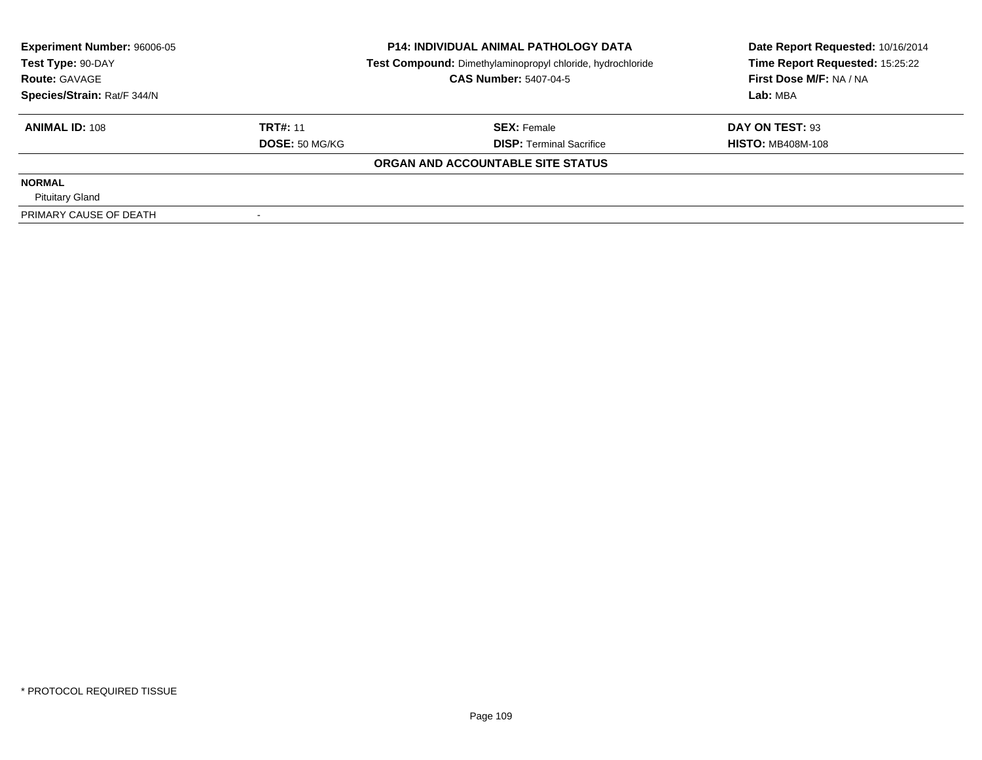| <b>Experiment Number: 96006-05</b><br>Test Type: 90-DAY |                       | <b>P14: INDIVIDUAL ANIMAL PATHOLOGY DATA</b>               | Date Report Requested: 10/16/2014 |  |
|---------------------------------------------------------|-----------------------|------------------------------------------------------------|-----------------------------------|--|
|                                                         |                       | Test Compound: Dimethylaminopropyl chloride, hydrochloride | Time Report Requested: 15:25:22   |  |
| <b>Route: GAVAGE</b>                                    |                       | <b>CAS Number: 5407-04-5</b>                               | First Dose M/F: NA / NA           |  |
| Species/Strain: Rat/F 344/N                             |                       |                                                            | Lab: MBA                          |  |
| <b>ANIMAL ID: 108</b>                                   | <b>TRT#: 11</b>       | <b>SEX: Female</b>                                         | DAY ON TEST: 93                   |  |
|                                                         | <b>DOSE: 50 MG/KG</b> | <b>DISP: Terminal Sacrifice</b>                            | <b>HISTO: MB408M-108</b>          |  |
|                                                         |                       | ORGAN AND ACCOUNTABLE SITE STATUS                          |                                   |  |
| <b>NORMAL</b>                                           |                       |                                                            |                                   |  |
| <b>Pituitary Gland</b>                                  |                       |                                                            |                                   |  |
| PRIMARY CAUSE OF DEATH                                  |                       |                                                            |                                   |  |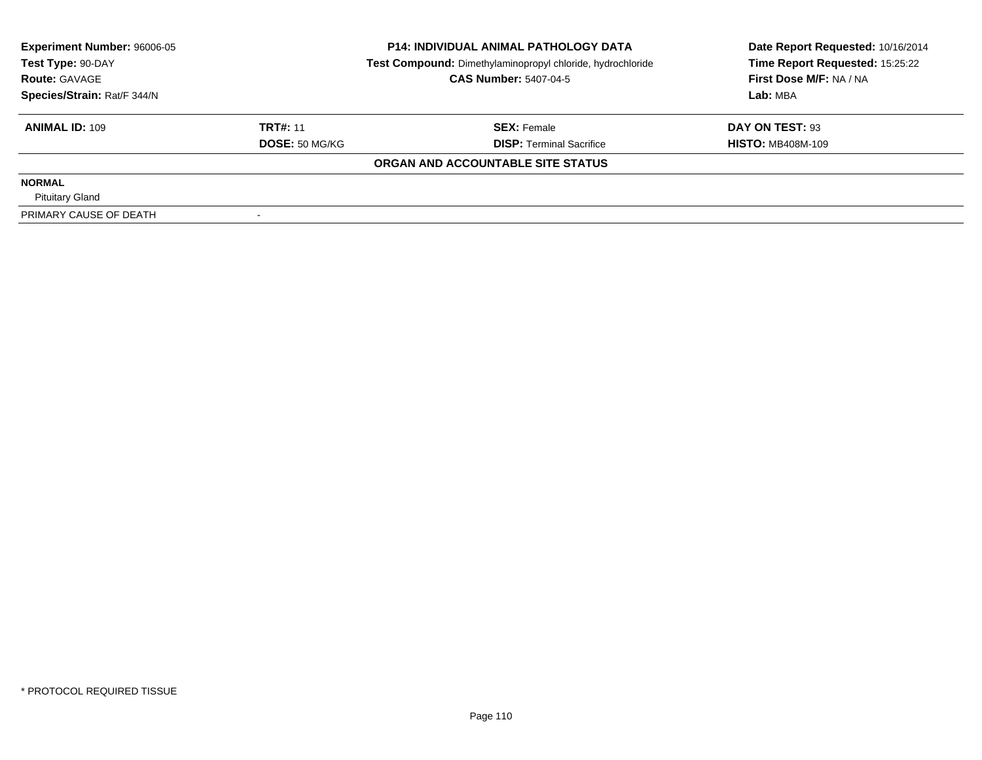| <b>Experiment Number: 96006-05</b><br>Test Type: 90-DAY |                       | <b>P14: INDIVIDUAL ANIMAL PATHOLOGY DATA</b>               | Date Report Requested: 10/16/2014 |  |
|---------------------------------------------------------|-----------------------|------------------------------------------------------------|-----------------------------------|--|
|                                                         |                       | Test Compound: Dimethylaminopropyl chloride, hydrochloride | Time Report Requested: 15:25:22   |  |
| <b>Route: GAVAGE</b>                                    |                       | <b>CAS Number: 5407-04-5</b>                               | First Dose M/F: NA / NA           |  |
| Species/Strain: Rat/F 344/N                             |                       |                                                            | Lab: MBA                          |  |
| <b>ANIMAL ID: 109</b>                                   | <b>TRT#: 11</b>       | <b>SEX: Female</b>                                         | DAY ON TEST: 93                   |  |
|                                                         | <b>DOSE: 50 MG/KG</b> | <b>DISP: Terminal Sacrifice</b>                            | <b>HISTO: MB408M-109</b>          |  |
|                                                         |                       | ORGAN AND ACCOUNTABLE SITE STATUS                          |                                   |  |
| <b>NORMAL</b>                                           |                       |                                                            |                                   |  |
| <b>Pituitary Gland</b>                                  |                       |                                                            |                                   |  |
| PRIMARY CAUSE OF DEATH                                  |                       |                                                            |                                   |  |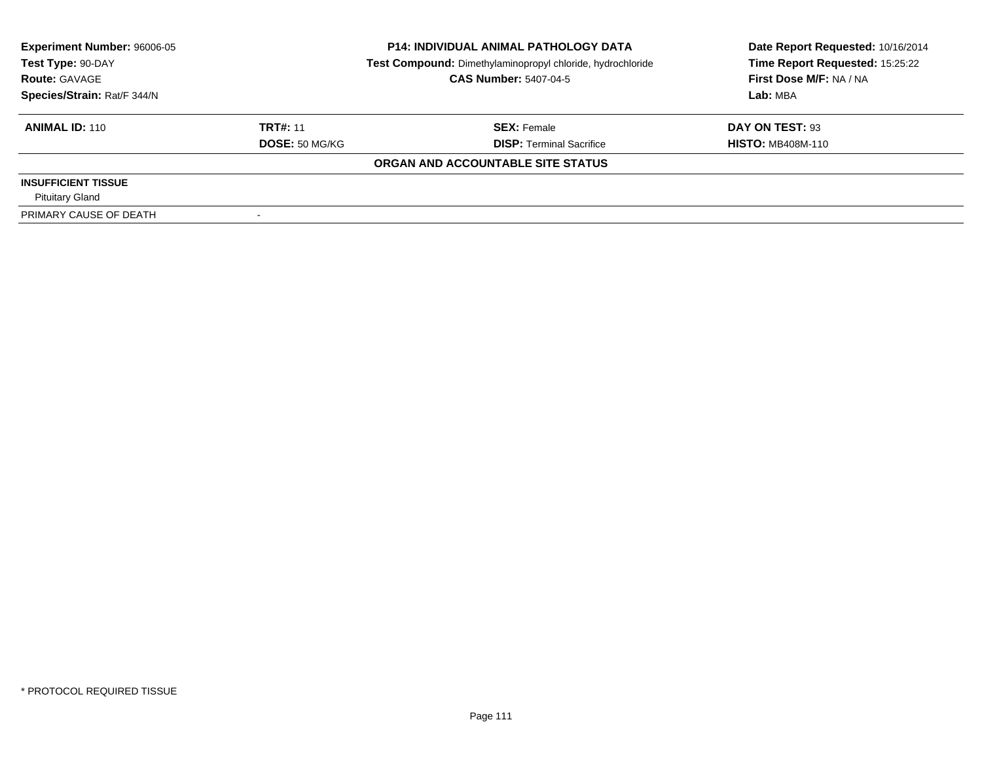| <b>Experiment Number: 96006-05</b><br>Test Type: 90-DAY |                 | <b>P14: INDIVIDUAL ANIMAL PATHOLOGY DATA</b>               | Date Report Requested: 10/16/2014 |  |
|---------------------------------------------------------|-----------------|------------------------------------------------------------|-----------------------------------|--|
|                                                         |                 | Test Compound: Dimethylaminopropyl chloride, hydrochloride | Time Report Requested: 15:25:22   |  |
| <b>Route: GAVAGE</b>                                    |                 | <b>CAS Number: 5407-04-5</b>                               | First Dose M/F: NA / NA           |  |
| Species/Strain: Rat/F 344/N                             |                 |                                                            | Lab: MBA                          |  |
| <b>ANIMAL ID: 110</b>                                   | <b>TRT#: 11</b> | <b>SEX: Female</b>                                         | DAY ON TEST: 93                   |  |
|                                                         | DOSE: 50 MG/KG  | <b>DISP: Terminal Sacrifice</b>                            | <b>HISTO: MB408M-110</b>          |  |
|                                                         |                 | ORGAN AND ACCOUNTABLE SITE STATUS                          |                                   |  |
| <b>INSUFFICIENT TISSUE</b>                              |                 |                                                            |                                   |  |
| <b>Pituitary Gland</b>                                  |                 |                                                            |                                   |  |
| PRIMARY CAUSE OF DEATH                                  |                 |                                                            |                                   |  |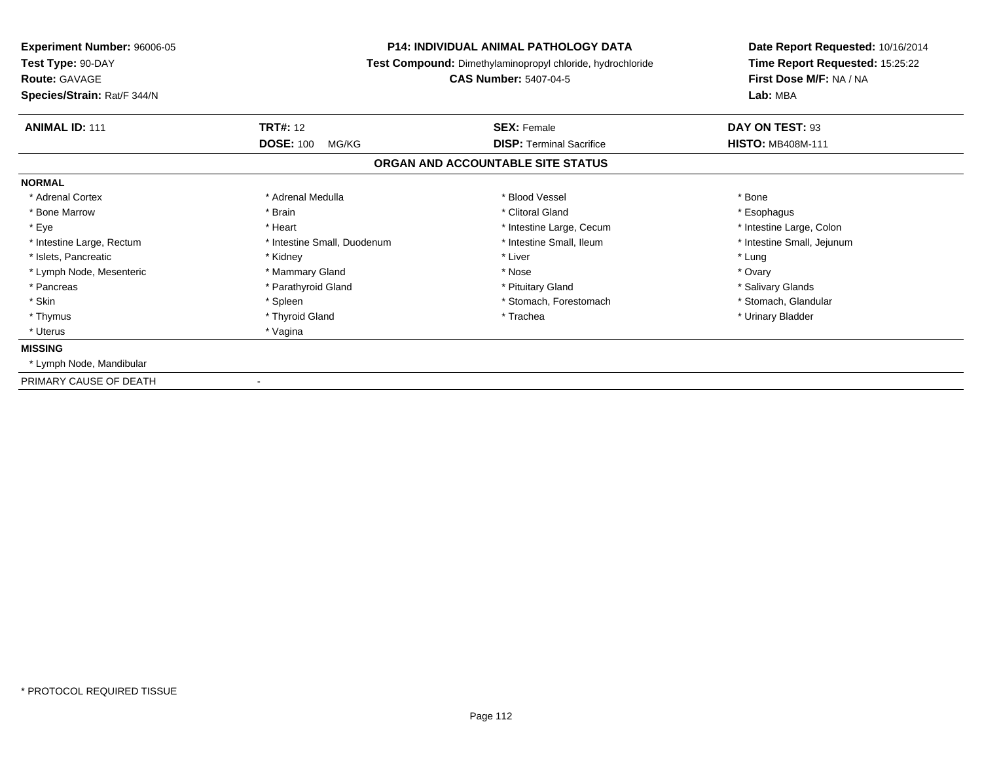| Experiment Number: 96006-05<br>Test Type: 90-DAY<br><b>Route: GAVAGE</b><br>Species/Strain: Rat/F 344/N | <b>P14: INDIVIDUAL ANIMAL PATHOLOGY DATA</b><br>Test Compound: Dimethylaminopropyl chloride, hydrochloride<br><b>CAS Number: 5407-04-5</b> |                                                       | Date Report Requested: 10/16/2014<br>Time Report Requested: 15:25:22<br>First Dose M/F: NA / NA<br>Lab: MBA |
|---------------------------------------------------------------------------------------------------------|--------------------------------------------------------------------------------------------------------------------------------------------|-------------------------------------------------------|-------------------------------------------------------------------------------------------------------------|
| <b>ANIMAL ID: 111</b>                                                                                   | <b>TRT#: 12</b><br><b>DOSE: 100</b><br>MG/KG                                                                                               | <b>SEX: Female</b><br><b>DISP: Terminal Sacrifice</b> | DAY ON TEST: 93<br><b>HISTO: MB408M-111</b>                                                                 |
|                                                                                                         |                                                                                                                                            | ORGAN AND ACCOUNTABLE SITE STATUS                     |                                                                                                             |
| <b>NORMAL</b>                                                                                           |                                                                                                                                            |                                                       |                                                                                                             |
| * Adrenal Cortex                                                                                        | * Adrenal Medulla                                                                                                                          | * Blood Vessel                                        | * Bone                                                                                                      |
| * Bone Marrow                                                                                           | * Brain                                                                                                                                    | * Clitoral Gland                                      | * Esophagus                                                                                                 |
| * Eye                                                                                                   | * Heart                                                                                                                                    | * Intestine Large, Cecum                              | * Intestine Large, Colon                                                                                    |
| * Intestine Large, Rectum                                                                               | * Intestine Small, Duodenum                                                                                                                | * Intestine Small, Ileum                              | * Intestine Small, Jejunum                                                                                  |
| * Islets, Pancreatic                                                                                    | * Kidney                                                                                                                                   | * Liver                                               | * Lung                                                                                                      |
| * Lymph Node, Mesenteric                                                                                | * Mammary Gland                                                                                                                            | * Nose                                                | * Ovary                                                                                                     |
| * Pancreas                                                                                              | * Parathyroid Gland                                                                                                                        | * Pituitary Gland                                     | * Salivary Glands                                                                                           |
| * Skin                                                                                                  | * Spleen                                                                                                                                   | * Stomach, Forestomach                                | * Stomach, Glandular                                                                                        |
| * Thymus                                                                                                | * Thyroid Gland                                                                                                                            | * Trachea                                             | * Urinary Bladder                                                                                           |
| * Uterus                                                                                                | * Vagina                                                                                                                                   |                                                       |                                                                                                             |
| <b>MISSING</b>                                                                                          |                                                                                                                                            |                                                       |                                                                                                             |
| * Lymph Node, Mandibular                                                                                |                                                                                                                                            |                                                       |                                                                                                             |
| PRIMARY CAUSE OF DEATH                                                                                  |                                                                                                                                            |                                                       |                                                                                                             |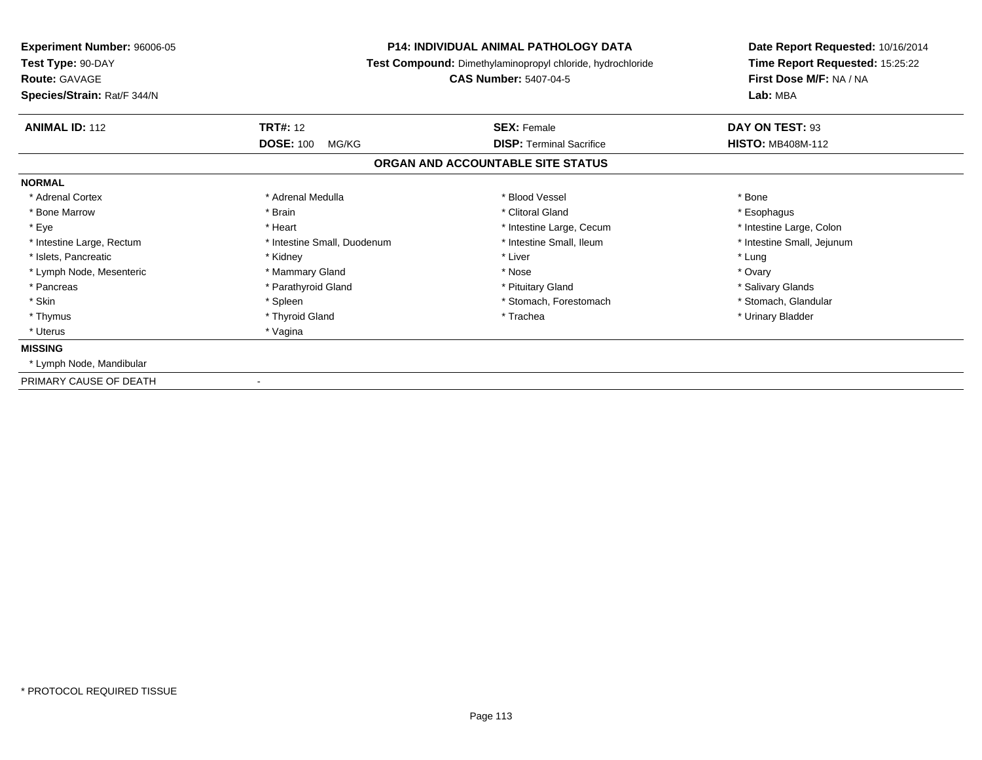| Experiment Number: 96006-05<br>Test Type: 90-DAY<br><b>Route: GAVAGE</b><br>Species/Strain: Rat/F 344/N | <b>P14: INDIVIDUAL ANIMAL PATHOLOGY DATA</b><br>Test Compound: Dimethylaminopropyl chloride, hydrochloride<br><b>CAS Number: 5407-04-5</b> |                                                       | Date Report Requested: 10/16/2014<br>Time Report Requested: 15:25:22<br>First Dose M/F: NA / NA<br>Lab: MBA |
|---------------------------------------------------------------------------------------------------------|--------------------------------------------------------------------------------------------------------------------------------------------|-------------------------------------------------------|-------------------------------------------------------------------------------------------------------------|
| <b>ANIMAL ID: 112</b>                                                                                   | <b>TRT#: 12</b><br><b>DOSE: 100</b><br>MG/KG                                                                                               | <b>SEX: Female</b><br><b>DISP: Terminal Sacrifice</b> | DAY ON TEST: 93<br><b>HISTO: MB408M-112</b>                                                                 |
|                                                                                                         |                                                                                                                                            | ORGAN AND ACCOUNTABLE SITE STATUS                     |                                                                                                             |
| <b>NORMAL</b>                                                                                           |                                                                                                                                            |                                                       |                                                                                                             |
| * Adrenal Cortex                                                                                        | * Adrenal Medulla                                                                                                                          | * Blood Vessel                                        | * Bone                                                                                                      |
| * Bone Marrow                                                                                           | * Brain                                                                                                                                    | * Clitoral Gland                                      | * Esophagus                                                                                                 |
| * Eye                                                                                                   | * Heart                                                                                                                                    | * Intestine Large, Cecum                              | * Intestine Large, Colon                                                                                    |
| * Intestine Large, Rectum                                                                               | * Intestine Small, Duodenum                                                                                                                | * Intestine Small, Ileum                              | * Intestine Small, Jejunum                                                                                  |
| * Islets, Pancreatic                                                                                    | * Kidney                                                                                                                                   | * Liver                                               | * Lung                                                                                                      |
| * Lymph Node, Mesenteric                                                                                | * Mammary Gland                                                                                                                            | * Nose                                                | * Ovary                                                                                                     |
| * Pancreas                                                                                              | * Parathyroid Gland                                                                                                                        | * Pituitary Gland                                     | * Salivary Glands                                                                                           |
| * Skin                                                                                                  | * Spleen                                                                                                                                   | * Stomach, Forestomach                                | * Stomach, Glandular                                                                                        |
| * Thymus                                                                                                | * Thyroid Gland                                                                                                                            | * Trachea                                             | * Urinary Bladder                                                                                           |
| * Uterus                                                                                                | * Vagina                                                                                                                                   |                                                       |                                                                                                             |
| <b>MISSING</b>                                                                                          |                                                                                                                                            |                                                       |                                                                                                             |
| * Lymph Node, Mandibular                                                                                |                                                                                                                                            |                                                       |                                                                                                             |
| PRIMARY CAUSE OF DEATH                                                                                  |                                                                                                                                            |                                                       |                                                                                                             |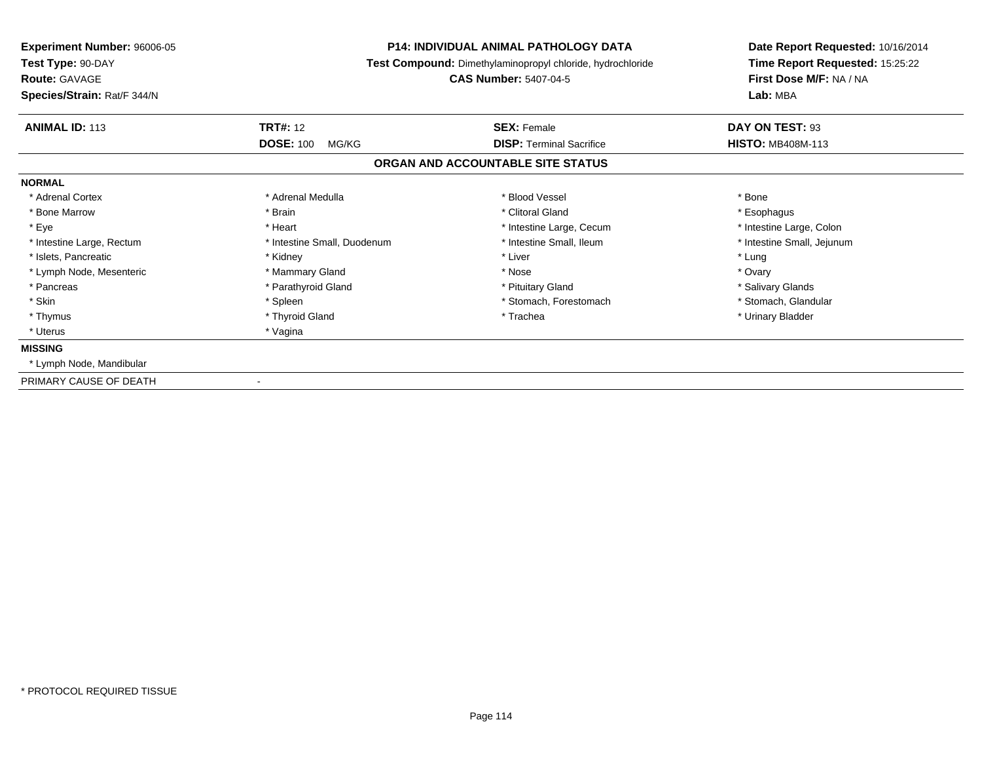| Experiment Number: 96006-05<br>Test Type: 90-DAY<br><b>Route: GAVAGE</b><br>Species/Strain: Rat/F 344/N | <b>P14: INDIVIDUAL ANIMAL PATHOLOGY DATA</b><br>Test Compound: Dimethylaminopropyl chloride, hydrochloride<br><b>CAS Number: 5407-04-5</b> |                                                       | Date Report Requested: 10/16/2014<br>Time Report Requested: 15:25:22<br>First Dose M/F: NA / NA<br>Lab: MBA |
|---------------------------------------------------------------------------------------------------------|--------------------------------------------------------------------------------------------------------------------------------------------|-------------------------------------------------------|-------------------------------------------------------------------------------------------------------------|
| <b>ANIMAL ID: 113</b>                                                                                   | <b>TRT#: 12</b><br><b>DOSE: 100</b><br>MG/KG                                                                                               | <b>SEX: Female</b><br><b>DISP: Terminal Sacrifice</b> | DAY ON TEST: 93<br><b>HISTO: MB408M-113</b>                                                                 |
|                                                                                                         |                                                                                                                                            | ORGAN AND ACCOUNTABLE SITE STATUS                     |                                                                                                             |
| <b>NORMAL</b>                                                                                           |                                                                                                                                            |                                                       |                                                                                                             |
| * Adrenal Cortex                                                                                        | * Adrenal Medulla                                                                                                                          | * Blood Vessel                                        | * Bone                                                                                                      |
| * Bone Marrow                                                                                           | * Brain                                                                                                                                    | * Clitoral Gland                                      | * Esophagus                                                                                                 |
| * Eye                                                                                                   | * Heart                                                                                                                                    | * Intestine Large, Cecum                              | * Intestine Large, Colon                                                                                    |
| * Intestine Large, Rectum                                                                               | * Intestine Small, Duodenum                                                                                                                | * Intestine Small, Ileum                              | * Intestine Small, Jejunum                                                                                  |
| * Islets, Pancreatic                                                                                    | * Kidney                                                                                                                                   | * Liver                                               | * Lung                                                                                                      |
| * Lymph Node, Mesenteric                                                                                | * Mammary Gland                                                                                                                            | * Nose                                                | * Ovary                                                                                                     |
| * Pancreas                                                                                              | * Parathyroid Gland                                                                                                                        | * Pituitary Gland                                     | * Salivary Glands                                                                                           |
| * Skin                                                                                                  | * Spleen                                                                                                                                   | * Stomach, Forestomach                                | * Stomach, Glandular                                                                                        |
| * Thymus                                                                                                | * Thyroid Gland                                                                                                                            | * Trachea                                             | * Urinary Bladder                                                                                           |
| * Uterus                                                                                                | * Vagina                                                                                                                                   |                                                       |                                                                                                             |
| <b>MISSING</b>                                                                                          |                                                                                                                                            |                                                       |                                                                                                             |
| * Lymph Node, Mandibular                                                                                |                                                                                                                                            |                                                       |                                                                                                             |
| PRIMARY CAUSE OF DEATH                                                                                  |                                                                                                                                            |                                                       |                                                                                                             |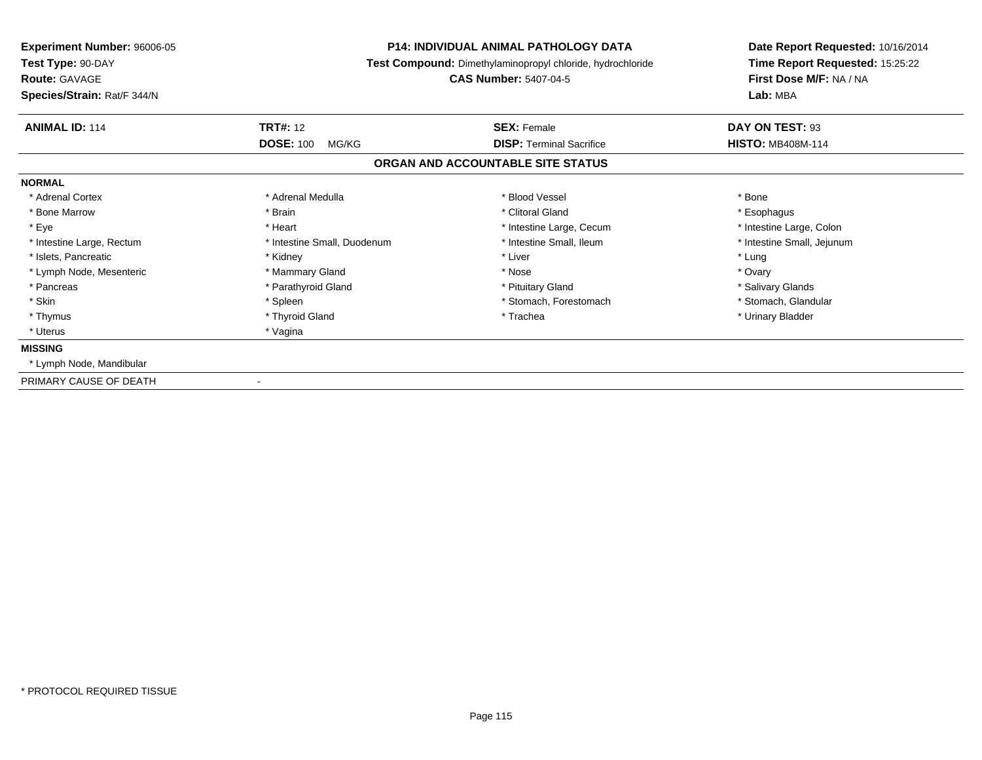| <b>Experiment Number: 96006-05</b><br>Test Type: 90-DAY<br><b>Route: GAVAGE</b><br>Species/Strain: Rat/F 344/N | <b>P14: INDIVIDUAL ANIMAL PATHOLOGY DATA</b><br>Test Compound: Dimethylaminopropyl chloride, hydrochloride<br><b>CAS Number: 5407-04-5</b> |                                                       | Date Report Requested: 10/16/2014<br>Time Report Requested: 15:25:22<br>First Dose M/F: NA / NA<br>Lab: MBA |  |
|----------------------------------------------------------------------------------------------------------------|--------------------------------------------------------------------------------------------------------------------------------------------|-------------------------------------------------------|-------------------------------------------------------------------------------------------------------------|--|
| <b>ANIMAL ID: 114</b>                                                                                          | <b>TRT#: 12</b><br><b>DOSE: 100</b><br>MG/KG                                                                                               | <b>SEX: Female</b><br><b>DISP: Terminal Sacrifice</b> | DAY ON TEST: 93<br><b>HISTO: MB408M-114</b>                                                                 |  |
|                                                                                                                |                                                                                                                                            | ORGAN AND ACCOUNTABLE SITE STATUS                     |                                                                                                             |  |
| <b>NORMAL</b>                                                                                                  |                                                                                                                                            |                                                       |                                                                                                             |  |
| * Adrenal Cortex                                                                                               | * Adrenal Medulla                                                                                                                          | * Blood Vessel                                        | * Bone                                                                                                      |  |
| * Bone Marrow                                                                                                  | * Brain                                                                                                                                    | * Clitoral Gland                                      | * Esophagus                                                                                                 |  |
| * Eye                                                                                                          | * Heart                                                                                                                                    | * Intestine Large, Cecum                              | * Intestine Large, Colon                                                                                    |  |
| * Intestine Large, Rectum                                                                                      | * Intestine Small, Duodenum                                                                                                                | * Intestine Small. Ileum                              | * Intestine Small, Jejunum                                                                                  |  |
| * Islets, Pancreatic                                                                                           | * Kidney                                                                                                                                   | * Liver                                               | * Lung                                                                                                      |  |
| * Lymph Node, Mesenteric                                                                                       | * Mammary Gland                                                                                                                            | * Nose                                                | * Ovary                                                                                                     |  |
| * Pancreas                                                                                                     | * Parathyroid Gland                                                                                                                        | * Pituitary Gland                                     | * Salivary Glands                                                                                           |  |
| * Skin                                                                                                         | * Spleen                                                                                                                                   | * Stomach, Forestomach                                | * Stomach, Glandular                                                                                        |  |
| * Thymus                                                                                                       | * Thyroid Gland                                                                                                                            | * Trachea                                             | * Urinary Bladder                                                                                           |  |
| * Uterus                                                                                                       | * Vagina                                                                                                                                   |                                                       |                                                                                                             |  |
| <b>MISSING</b>                                                                                                 |                                                                                                                                            |                                                       |                                                                                                             |  |
| * Lymph Node, Mandibular                                                                                       |                                                                                                                                            |                                                       |                                                                                                             |  |
| PRIMARY CAUSE OF DEATH                                                                                         |                                                                                                                                            |                                                       |                                                                                                             |  |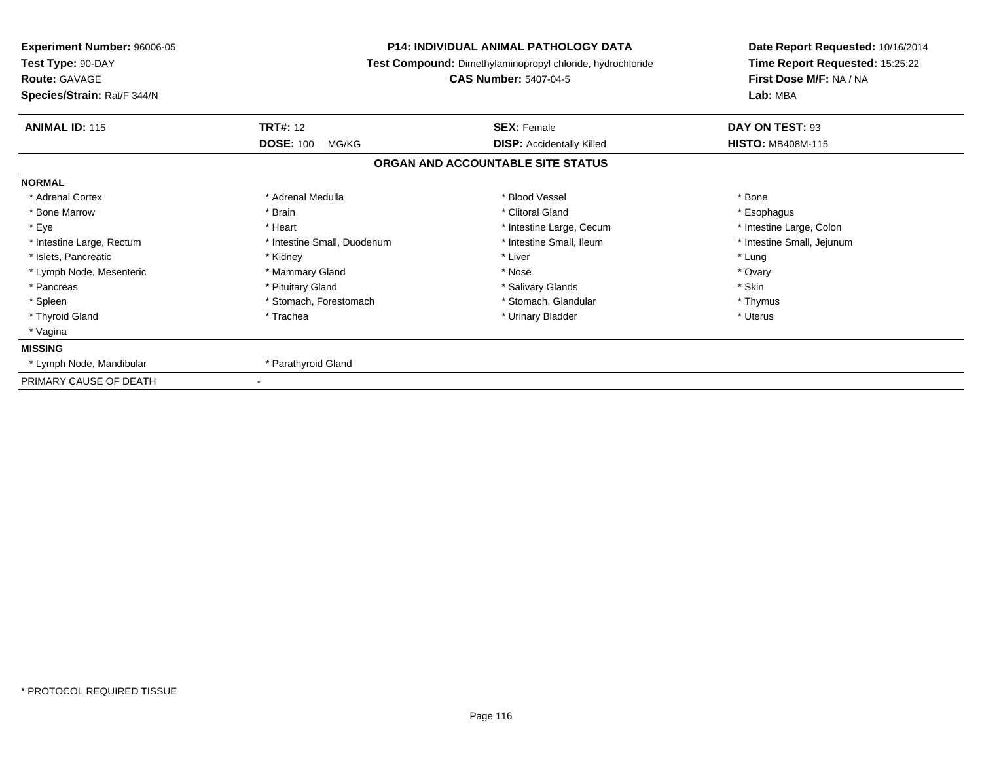| Experiment Number: 96006-05<br>Test Type: 90-DAY<br><b>Route: GAVAGE</b><br>Species/Strain: Rat/F 344/N |                                              | <b>P14: INDIVIDUAL ANIMAL PATHOLOGY DATA</b><br>Test Compound: Dimethylaminopropyl chloride, hydrochloride<br><b>CAS Number: 5407-04-5</b> | Date Report Requested: 10/16/2014<br>Time Report Requested: 15:25:22<br>First Dose M/F: NA / NA<br>Lab: MBA |  |
|---------------------------------------------------------------------------------------------------------|----------------------------------------------|--------------------------------------------------------------------------------------------------------------------------------------------|-------------------------------------------------------------------------------------------------------------|--|
| <b>ANIMAL ID: 115</b>                                                                                   | <b>TRT#: 12</b><br><b>DOSE: 100</b><br>MG/KG | <b>SEX: Female</b><br><b>DISP: Accidentally Killed</b>                                                                                     | DAY ON TEST: 93<br><b>HISTO: MB408M-115</b>                                                                 |  |
|                                                                                                         |                                              | ORGAN AND ACCOUNTABLE SITE STATUS                                                                                                          |                                                                                                             |  |
| <b>NORMAL</b>                                                                                           |                                              |                                                                                                                                            |                                                                                                             |  |
| * Adrenal Cortex                                                                                        | * Adrenal Medulla                            | * Blood Vessel                                                                                                                             | * Bone                                                                                                      |  |
| * Bone Marrow                                                                                           | * Brain                                      | * Clitoral Gland                                                                                                                           | * Esophagus                                                                                                 |  |
| * Eye                                                                                                   | * Heart                                      | * Intestine Large, Cecum                                                                                                                   | * Intestine Large, Colon                                                                                    |  |
| * Intestine Large, Rectum                                                                               | * Intestine Small, Duodenum                  | * Intestine Small, Ileum                                                                                                                   | * Intestine Small, Jejunum                                                                                  |  |
| * Islets, Pancreatic                                                                                    | * Kidney                                     | * Liver                                                                                                                                    | * Lung                                                                                                      |  |
| * Lymph Node, Mesenteric                                                                                | * Mammary Gland                              | * Nose                                                                                                                                     | * Ovary                                                                                                     |  |
| * Pancreas                                                                                              | * Pituitary Gland                            | * Salivary Glands                                                                                                                          | * Skin                                                                                                      |  |
| * Spleen                                                                                                | * Stomach, Forestomach                       | * Stomach, Glandular                                                                                                                       | * Thymus                                                                                                    |  |
| * Thyroid Gland                                                                                         | * Trachea                                    | * Urinary Bladder                                                                                                                          | * Uterus                                                                                                    |  |
| * Vagina                                                                                                |                                              |                                                                                                                                            |                                                                                                             |  |
| <b>MISSING</b>                                                                                          |                                              |                                                                                                                                            |                                                                                                             |  |
| * Lymph Node, Mandibular                                                                                | * Parathyroid Gland                          |                                                                                                                                            |                                                                                                             |  |
| PRIMARY CAUSE OF DEATH                                                                                  |                                              |                                                                                                                                            |                                                                                                             |  |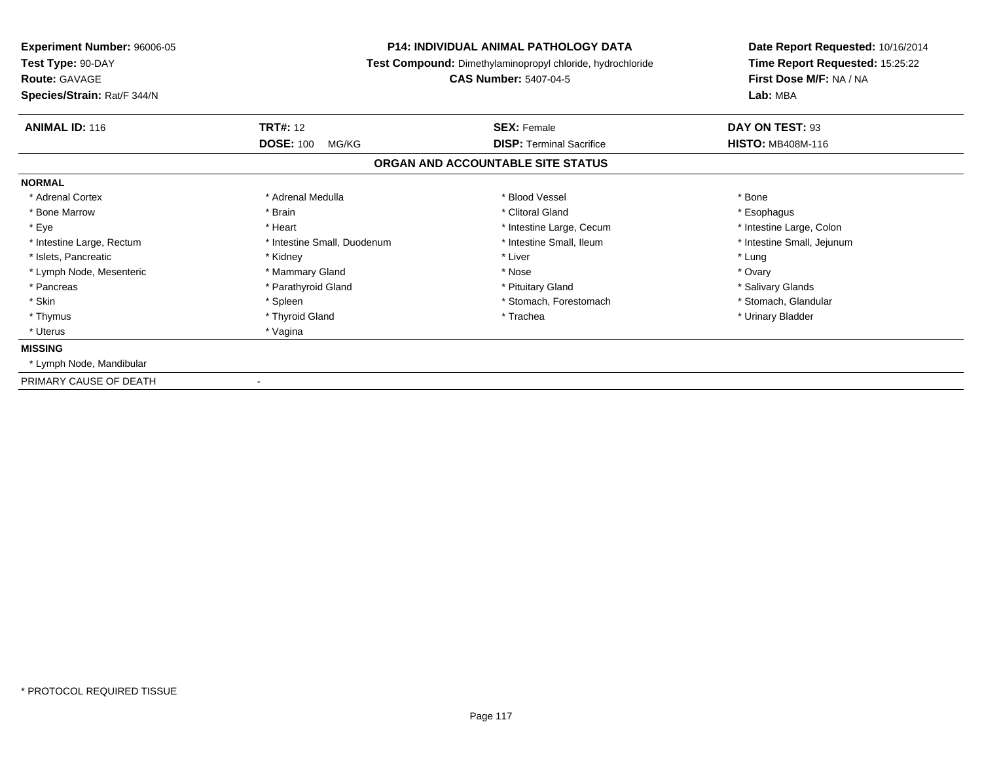| Experiment Number: 96006-05<br>Test Type: 90-DAY<br><b>Route: GAVAGE</b><br>Species/Strain: Rat/F 344/N |                             | <b>P14: INDIVIDUAL ANIMAL PATHOLOGY DATA</b><br>Test Compound: Dimethylaminopropyl chloride, hydrochloride<br><b>CAS Number: 5407-04-5</b> | Date Report Requested: 10/16/2014<br>Time Report Requested: 15:25:22<br>First Dose M/F: NA / NA<br>Lab: MBA |  |
|---------------------------------------------------------------------------------------------------------|-----------------------------|--------------------------------------------------------------------------------------------------------------------------------------------|-------------------------------------------------------------------------------------------------------------|--|
| <b>ANIMAL ID: 116</b>                                                                                   | <b>TRT#: 12</b>             | <b>SEX: Female</b>                                                                                                                         | DAY ON TEST: 93                                                                                             |  |
|                                                                                                         | <b>DOSE: 100</b><br>MG/KG   | <b>DISP: Terminal Sacrifice</b>                                                                                                            | <b>HISTO: MB408M-116</b>                                                                                    |  |
|                                                                                                         |                             | ORGAN AND ACCOUNTABLE SITE STATUS                                                                                                          |                                                                                                             |  |
| <b>NORMAL</b>                                                                                           |                             |                                                                                                                                            |                                                                                                             |  |
| * Adrenal Cortex                                                                                        | * Adrenal Medulla           | * Blood Vessel                                                                                                                             | * Bone                                                                                                      |  |
| * Bone Marrow                                                                                           | * Brain                     | * Clitoral Gland                                                                                                                           | * Esophagus                                                                                                 |  |
| * Eye                                                                                                   | * Heart                     | * Intestine Large, Cecum                                                                                                                   | * Intestine Large, Colon                                                                                    |  |
| * Intestine Large, Rectum                                                                               | * Intestine Small, Duodenum | * Intestine Small, Ileum                                                                                                                   | * Intestine Small, Jejunum                                                                                  |  |
| * Islets, Pancreatic                                                                                    | * Kidney                    | * Liver                                                                                                                                    | * Lung                                                                                                      |  |
| * Lymph Node, Mesenteric                                                                                | * Mammary Gland             | * Nose                                                                                                                                     | * Ovary                                                                                                     |  |
| * Pancreas                                                                                              | * Parathyroid Gland         | * Pituitary Gland                                                                                                                          | * Salivary Glands                                                                                           |  |
| * Skin                                                                                                  | * Spleen                    | * Stomach, Forestomach                                                                                                                     | * Stomach, Glandular                                                                                        |  |
| * Thymus                                                                                                | * Thyroid Gland             | * Trachea                                                                                                                                  | * Urinary Bladder                                                                                           |  |
| * Uterus                                                                                                | * Vagina                    |                                                                                                                                            |                                                                                                             |  |
| <b>MISSING</b>                                                                                          |                             |                                                                                                                                            |                                                                                                             |  |
| * Lymph Node, Mandibular                                                                                |                             |                                                                                                                                            |                                                                                                             |  |
| PRIMARY CAUSE OF DEATH                                                                                  |                             |                                                                                                                                            |                                                                                                             |  |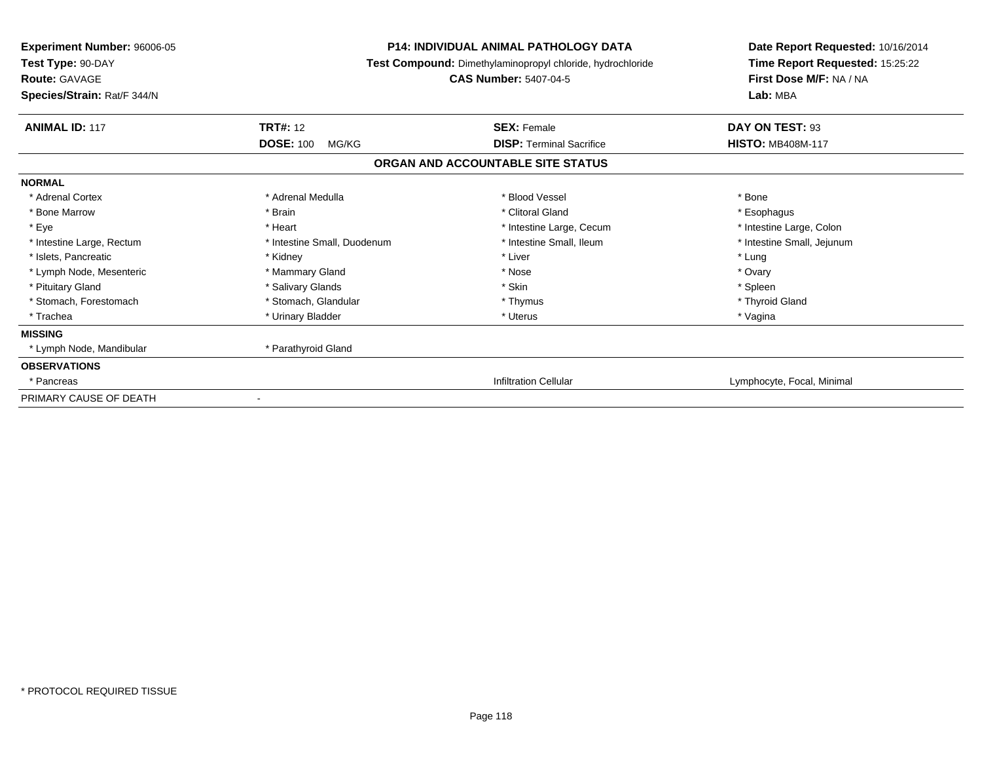| Experiment Number: 96006-05<br>Test Type: 90-DAY<br><b>Route: GAVAGE</b><br>Species/Strain: Rat/F 344/N |                             | <b>P14: INDIVIDUAL ANIMAL PATHOLOGY DATA</b><br>Test Compound: Dimethylaminopropyl chloride, hydrochloride<br><b>CAS Number: 5407-04-5</b> | Date Report Requested: 10/16/2014<br>Time Report Requested: 15:25:22<br>First Dose M/F: NA / NA<br>Lab: MBA |
|---------------------------------------------------------------------------------------------------------|-----------------------------|--------------------------------------------------------------------------------------------------------------------------------------------|-------------------------------------------------------------------------------------------------------------|
| <b>ANIMAL ID: 117</b>                                                                                   | <b>TRT#: 12</b>             | <b>SEX: Female</b>                                                                                                                         | DAY ON TEST: 93                                                                                             |
|                                                                                                         | <b>DOSE: 100</b><br>MG/KG   | <b>DISP: Terminal Sacrifice</b><br>ORGAN AND ACCOUNTABLE SITE STATUS                                                                       | <b>HISTO: MB408M-117</b>                                                                                    |
|                                                                                                         |                             |                                                                                                                                            |                                                                                                             |
| <b>NORMAL</b><br>* Adrenal Cortex                                                                       | * Adrenal Medulla           | * Blood Vessel                                                                                                                             | * Bone                                                                                                      |
| * Bone Marrow                                                                                           | * Brain                     | * Clitoral Gland                                                                                                                           | * Esophagus                                                                                                 |
| * Eye                                                                                                   | * Heart                     | * Intestine Large, Cecum                                                                                                                   | * Intestine Large, Colon                                                                                    |
| * Intestine Large, Rectum                                                                               | * Intestine Small, Duodenum | * Intestine Small. Ileum                                                                                                                   | * Intestine Small, Jejunum                                                                                  |
| * Islets, Pancreatic                                                                                    | * Kidney                    | * Liver                                                                                                                                    | * Lung                                                                                                      |
| * Lymph Node, Mesenteric                                                                                | * Mammary Gland             | * Nose                                                                                                                                     | * Ovary                                                                                                     |
| * Pituitary Gland                                                                                       | * Salivary Glands           | * Skin                                                                                                                                     | * Spleen                                                                                                    |
| * Stomach, Forestomach                                                                                  | * Stomach, Glandular        | * Thymus                                                                                                                                   | * Thyroid Gland                                                                                             |
| * Trachea                                                                                               | * Urinary Bladder           | * Uterus                                                                                                                                   | * Vagina                                                                                                    |
| <b>MISSING</b>                                                                                          |                             |                                                                                                                                            |                                                                                                             |
| * Lymph Node, Mandibular                                                                                | * Parathyroid Gland         |                                                                                                                                            |                                                                                                             |
| <b>OBSERVATIONS</b>                                                                                     |                             |                                                                                                                                            |                                                                                                             |
| * Pancreas                                                                                              |                             | <b>Infiltration Cellular</b>                                                                                                               | Lymphocyte, Focal, Minimal                                                                                  |
| PRIMARY CAUSE OF DEATH                                                                                  |                             |                                                                                                                                            |                                                                                                             |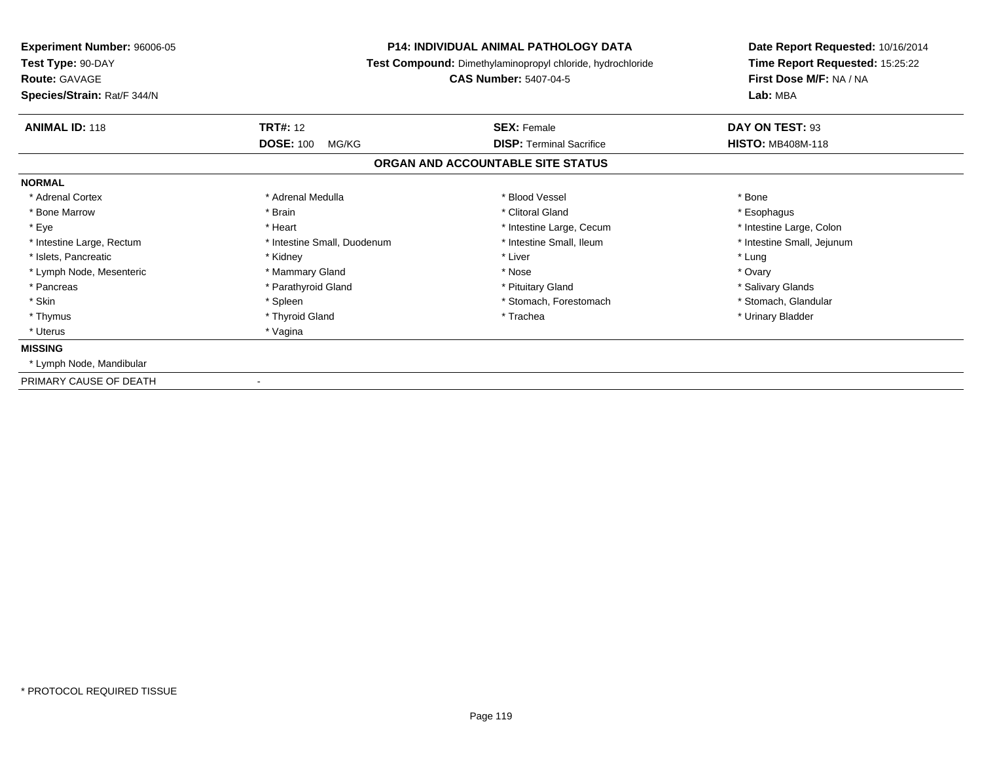| <b>Experiment Number: 96006-05</b><br>Test Type: 90-DAY<br><b>Route: GAVAGE</b><br>Species/Strain: Rat/F 344/N | <b>P14: INDIVIDUAL ANIMAL PATHOLOGY DATA</b><br>Test Compound: Dimethylaminopropyl chloride, hydrochloride<br><b>CAS Number: 5407-04-5</b> |                                                       | Date Report Requested: 10/16/2014<br>Time Report Requested: 15:25:22<br>First Dose M/F: NA / NA<br>Lab: MBA |  |
|----------------------------------------------------------------------------------------------------------------|--------------------------------------------------------------------------------------------------------------------------------------------|-------------------------------------------------------|-------------------------------------------------------------------------------------------------------------|--|
| <b>ANIMAL ID: 118</b>                                                                                          | <b>TRT#: 12</b><br><b>DOSE: 100</b><br>MG/KG                                                                                               | <b>SEX: Female</b><br><b>DISP: Terminal Sacrifice</b> | DAY ON TEST: 93<br><b>HISTO: MB408M-118</b>                                                                 |  |
|                                                                                                                |                                                                                                                                            | ORGAN AND ACCOUNTABLE SITE STATUS                     |                                                                                                             |  |
| <b>NORMAL</b>                                                                                                  |                                                                                                                                            |                                                       |                                                                                                             |  |
| * Adrenal Cortex                                                                                               | * Adrenal Medulla                                                                                                                          | * Blood Vessel                                        | * Bone                                                                                                      |  |
| * Bone Marrow                                                                                                  | * Brain                                                                                                                                    | * Clitoral Gland                                      | * Esophagus                                                                                                 |  |
| * Eye                                                                                                          | * Heart                                                                                                                                    | * Intestine Large, Cecum                              | * Intestine Large, Colon                                                                                    |  |
| * Intestine Large, Rectum                                                                                      | * Intestine Small, Duodenum                                                                                                                | * Intestine Small, Ileum                              | * Intestine Small, Jejunum                                                                                  |  |
| * Islets, Pancreatic                                                                                           | * Kidney                                                                                                                                   | * Liver                                               | * Lung                                                                                                      |  |
| * Lymph Node, Mesenteric                                                                                       | * Mammary Gland                                                                                                                            | * Nose                                                | * Ovary                                                                                                     |  |
| * Pancreas                                                                                                     | * Parathyroid Gland                                                                                                                        | * Pituitary Gland                                     | * Salivary Glands                                                                                           |  |
| * Skin                                                                                                         | * Spleen                                                                                                                                   | * Stomach, Forestomach                                | * Stomach, Glandular                                                                                        |  |
| * Thymus                                                                                                       | * Thyroid Gland                                                                                                                            | * Trachea                                             | * Urinary Bladder                                                                                           |  |
| * Uterus                                                                                                       | * Vagina                                                                                                                                   |                                                       |                                                                                                             |  |
| <b>MISSING</b>                                                                                                 |                                                                                                                                            |                                                       |                                                                                                             |  |
| * Lymph Node, Mandibular                                                                                       |                                                                                                                                            |                                                       |                                                                                                             |  |
| PRIMARY CAUSE OF DEATH                                                                                         |                                                                                                                                            |                                                       |                                                                                                             |  |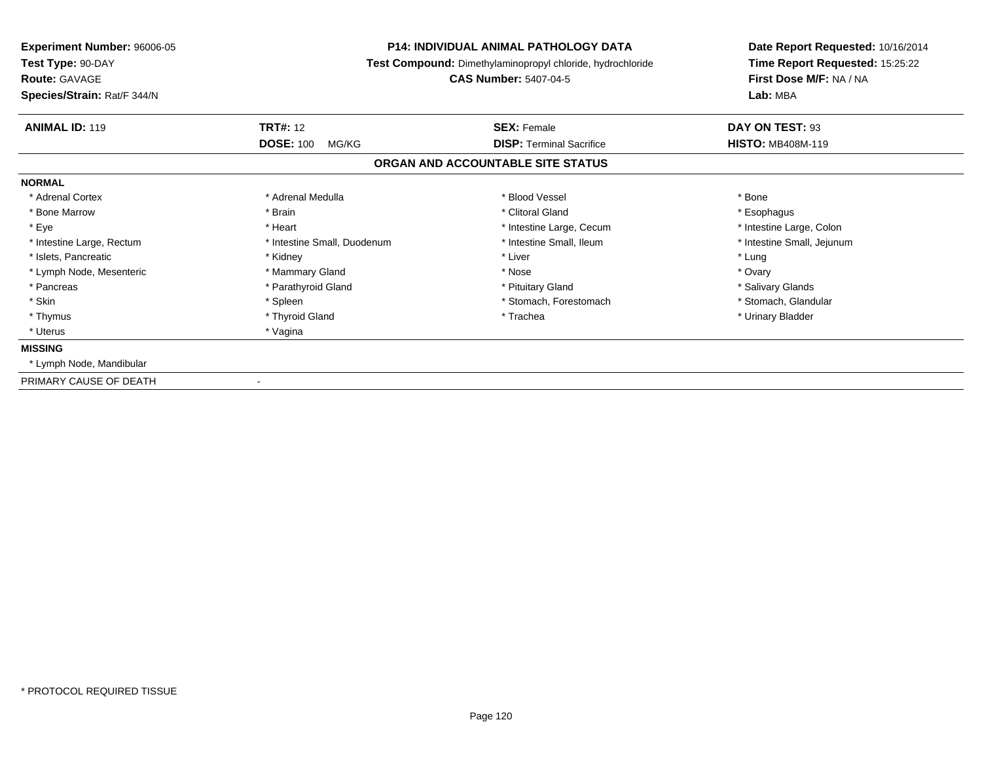| Experiment Number: 96006-05<br>Test Type: 90-DAY<br><b>Route: GAVAGE</b><br>Species/Strain: Rat/F 344/N |                                              | <b>P14: INDIVIDUAL ANIMAL PATHOLOGY DATA</b><br>Test Compound: Dimethylaminopropyl chloride, hydrochloride<br><b>CAS Number: 5407-04-5</b> | Date Report Requested: 10/16/2014<br>Time Report Requested: 15:25:22<br>First Dose M/F: NA / NA<br>Lab: MBA |  |
|---------------------------------------------------------------------------------------------------------|----------------------------------------------|--------------------------------------------------------------------------------------------------------------------------------------------|-------------------------------------------------------------------------------------------------------------|--|
| <b>ANIMAL ID: 119</b>                                                                                   | <b>TRT#: 12</b><br><b>DOSE: 100</b><br>MG/KG | <b>SEX: Female</b><br><b>DISP: Terminal Sacrifice</b>                                                                                      | DAY ON TEST: 93<br><b>HISTO: MB408M-119</b>                                                                 |  |
|                                                                                                         |                                              | ORGAN AND ACCOUNTABLE SITE STATUS                                                                                                          |                                                                                                             |  |
| <b>NORMAL</b>                                                                                           |                                              |                                                                                                                                            |                                                                                                             |  |
| * Adrenal Cortex                                                                                        | * Adrenal Medulla                            | * Blood Vessel                                                                                                                             | * Bone                                                                                                      |  |
| * Bone Marrow                                                                                           | * Brain                                      | * Clitoral Gland                                                                                                                           | * Esophagus                                                                                                 |  |
| * Eye                                                                                                   | * Heart                                      | * Intestine Large, Cecum                                                                                                                   | * Intestine Large, Colon                                                                                    |  |
| * Intestine Large, Rectum                                                                               | * Intestine Small, Duodenum                  | * Intestine Small, Ileum                                                                                                                   | * Intestine Small, Jejunum                                                                                  |  |
| * Islets, Pancreatic                                                                                    | * Kidney                                     | * Liver                                                                                                                                    | * Lung                                                                                                      |  |
| * Lymph Node, Mesenteric                                                                                | * Mammary Gland                              | * Nose                                                                                                                                     | * Ovary                                                                                                     |  |
| * Pancreas                                                                                              | * Parathyroid Gland                          | * Pituitary Gland                                                                                                                          | * Salivary Glands                                                                                           |  |
| * Skin                                                                                                  | * Spleen                                     | * Stomach, Forestomach                                                                                                                     | * Stomach, Glandular                                                                                        |  |
| * Thymus                                                                                                | * Thyroid Gland                              | * Trachea                                                                                                                                  | * Urinary Bladder                                                                                           |  |
| * Uterus                                                                                                | * Vagina                                     |                                                                                                                                            |                                                                                                             |  |
| <b>MISSING</b>                                                                                          |                                              |                                                                                                                                            |                                                                                                             |  |
| * Lymph Node, Mandibular                                                                                |                                              |                                                                                                                                            |                                                                                                             |  |
| PRIMARY CAUSE OF DEATH                                                                                  |                                              |                                                                                                                                            |                                                                                                             |  |